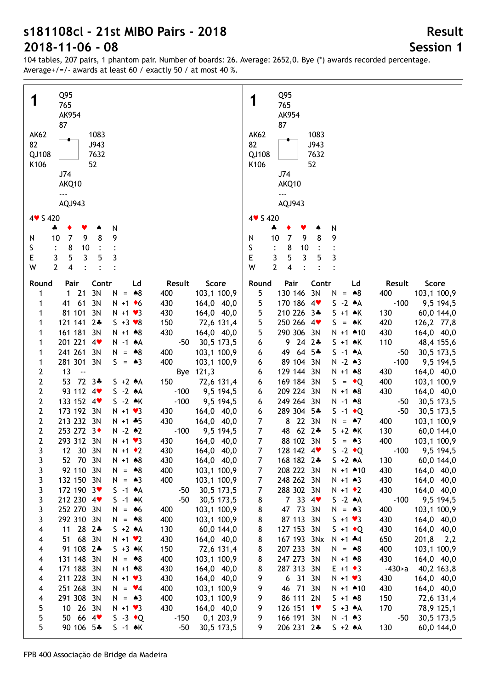104 tables, 207 pairs, 1 phantom pair. Number of boards: 26. Average: 2652,0. Bye (\*) awards recorded percentage. Average+/=/- awards at least 60 / exactly 50 / at most 40 %.

| Q95                                                                                                             | Q95                                                                                                                      |
|-----------------------------------------------------------------------------------------------------------------|--------------------------------------------------------------------------------------------------------------------------|
| 1                                                                                                               | 1                                                                                                                        |
| 765                                                                                                             | 765                                                                                                                      |
| AK954                                                                                                           | AK954                                                                                                                    |
| 87                                                                                                              | 87                                                                                                                       |
| <b>AK62</b>                                                                                                     | <b>AK62</b>                                                                                                              |
| 1083                                                                                                            | 1083                                                                                                                     |
| 82                                                                                                              | 82                                                                                                                       |
| J943                                                                                                            | J943                                                                                                                     |
| 7632                                                                                                            | QJ108                                                                                                                    |
| QJ108                                                                                                           | 7632                                                                                                                     |
| 52                                                                                                              | 52                                                                                                                       |
| K106                                                                                                            | K106                                                                                                                     |
| J74                                                                                                             | J74                                                                                                                      |
| AKQ10                                                                                                           | AKQ10                                                                                                                    |
| ---                                                                                                             | $- - -$                                                                                                                  |
| AQJ943                                                                                                          | AQJ943                                                                                                                   |
| 4 v S 420                                                                                                       | 4 v S 420                                                                                                                |
| N<br>4<br>v<br>۸                                                                                                | N<br>4                                                                                                                   |
| 8                                                                                                               | $\overline{7}$                                                                                                           |
| $\overline{7}$                                                                                                  | 9                                                                                                                        |
| 9                                                                                                               | 8                                                                                                                        |
| 9                                                                                                               | 9                                                                                                                        |
| 10                                                                                                              | 10                                                                                                                       |
| N                                                                                                               | N                                                                                                                        |
| S<br>8<br>10<br>E<br>5<br>5<br>3<br>$\mathbf{3}$                                                                | S<br>8<br>10<br>E<br>5<br>$\overline{3}$<br>3                                                                            |
| 3<br>2<br>W<br>4                                                                                                | 3<br>5<br>$\overline{2}$<br>W<br>4                                                                                       |
|                                                                                                                 |                                                                                                                          |
| Contr                                                                                                           | Pair                                                                                                                     |
| Ld                                                                                                              | Contr                                                                                                                    |
| Score                                                                                                           | Ld                                                                                                                       |
| Round                                                                                                           | Score                                                                                                                    |
| Pair                                                                                                            | Round                                                                                                                    |
| Result                                                                                                          | Result                                                                                                                   |
| 21                                                                                                              | 5                                                                                                                        |
| 3N                                                                                                              | 130 146                                                                                                                  |
| $\mathbf{1}$                                                                                                    | 3N                                                                                                                       |
| $N = *8$                                                                                                        | N                                                                                                                        |
| 103,1 100,9                                                                                                     | 400                                                                                                                      |
| 1                                                                                                               | 103,1 100,9                                                                                                              |
| 400                                                                                                             | $= 88$                                                                                                                   |
| 61<br>3N<br>41<br>$N + 1$ + 6<br>430<br>164,0 40,0<br>1<br>81 101 3N<br>$N + 1$ $\vee$ 3<br>430<br>164,0 40,0   | 5<br>170 186 4<br>$-100$<br>$S -2 A$<br>9,5 194,5<br>5<br>210 226 3*<br>$S + 1 \cdot K$<br>130<br>60,0 144,0             |
| 121 141 2*                                                                                                      | 5                                                                                                                        |
| $S + 3 \times 8$                                                                                                | 250 266 4                                                                                                                |
| 150                                                                                                             | $S = AK$                                                                                                                 |
| 72,6 131,4                                                                                                      | 420                                                                                                                      |
| 1                                                                                                               | 126,2 77,8                                                                                                               |
| 161 181 3N                                                                                                      | 5                                                                                                                        |
| $N + 1 \cdot 8$                                                                                                 | 290 306 3N                                                                                                               |
| 430                                                                                                             | $N + 1$ $*10$                                                                                                            |
| 164,0 40,0                                                                                                      | 430                                                                                                                      |
| 1                                                                                                               | 164,0 40,0                                                                                                               |
| 201 221 4                                                                                                       | $9242*$                                                                                                                  |
| N -1 AA                                                                                                         | 110                                                                                                                      |
| $-50$                                                                                                           | 6                                                                                                                        |
| 30,5 173,5                                                                                                      | $S + 1$ $\star$ K                                                                                                        |
| 1                                                                                                               | 48,4 155,6                                                                                                               |
| 241 261<br>3N<br>N<br>$= 88$<br>400<br>103,1 100,9<br>1                                                         | 49 64<br>$5*$<br>$S -1$ $*A$<br>30,5 173,5<br>6<br>$-50$                                                                 |
| 281 301 3N<br>S.<br>$= A3$<br>400<br>103,1 100,9<br>1                                                           | 89 104 3N<br>$N - 2 * 3$<br>$-100$<br>9,5 194,5<br>6                                                                     |
| 13<br>$\overline{2}$<br>$\sim$<br>Bye 121,3                                                                     | 129 144 3N<br>164,0 40,0<br>6<br>$N + 1 * 8$<br>430                                                                      |
| $\mathbf{2}$<br>72 3*<br>53<br>150<br>72,6 131,4<br>$S + 2 A$                                                   | 169 184 3N<br>400<br>6<br>$S = \cdot Q$<br>103,1 100,9                                                                   |
| $\overline{2}$                                                                                                  | 209 224 3N                                                                                                               |
| 93 112 4                                                                                                        | 430                                                                                                                      |
| $S -2 A$                                                                                                        | 6                                                                                                                        |
| $-100$                                                                                                          | $N + 1 * 8$                                                                                                              |
| 9,5 194,5                                                                                                       | 164,0 40,0                                                                                                               |
| $\overline{2}$                                                                                                  | 249 264 3N                                                                                                               |
| 133 152 4                                                                                                       | $N - 1$ $*8$                                                                                                             |
| $S -2 A K$                                                                                                      | 30,5 173,5                                                                                                               |
| $-100$                                                                                                          | 6                                                                                                                        |
| 9,5 194,5                                                                                                       | $-50$                                                                                                                    |
| $\overline{2}$                                                                                                  | 289 304 5*                                                                                                               |
| 173 192 3N                                                                                                      | 6                                                                                                                        |
| $N + 1$ $\vee$ 3                                                                                                | $S -1$ + Q                                                                                                               |
| 164,0 40,0                                                                                                      | $-50$                                                                                                                    |
| 430                                                                                                             | 30,5 173,5                                                                                                               |
| $\mathbf 2$<br>213 232 3N<br>430<br>$N + 1 + 5$<br>164,0 40,0                                                   | $\overline{7}$<br>8 22 3N<br>N<br>$=$ 47<br>400<br>103,1 100,9                                                           |
| $\mathbf{2}$                                                                                                    | $\overline{7}$                                                                                                           |
| 253 272 3+                                                                                                      | 48 62 2*                                                                                                                 |
| $N - 2$ $*2$                                                                                                    | $S + 2 \cdot K$                                                                                                          |
| $-100$                                                                                                          | 130                                                                                                                      |
| 9,5 194,5                                                                                                       | 60,0 144,0                                                                                                               |
| $\mathbf{2}$<br>293 312 3N<br>$N + 1$ $\vee$ 3<br>430<br>164,0 40,0                                             | $\overline{7}$<br>88 102 3N<br>S.<br>$= 43$<br>400<br>103,1 100,9                                                        |
| 3<br>12 30 3N<br>$N + 1$ $\bullet$ 2<br>430<br>164,0 40,0                                                       | $\overline{7}$<br>$S -2 \cdot Q$<br>128 142 4<br>$-100$ 9,5 194,5                                                        |
| 3                                                                                                               | $S + 2 \cdot A$                                                                                                          |
| 52 70 3N                                                                                                        | 60,0 144,0                                                                                                               |
| 430                                                                                                             | 7                                                                                                                        |
| 164,0 40,0                                                                                                      | 168 182 2*                                                                                                               |
| $N + 1$ $*8$                                                                                                    | 130                                                                                                                      |
| 3<br>92 110 3N<br>N<br>$= 88$<br>400<br>103,1 100,9<br>3<br>$N = 43$<br>400                                     | $\overline{7}$<br>208 222 3N<br>$N + 1$ $*10$<br>430<br>164,0 40,0<br>$\overline{7}$<br>430                              |
| 132 150 3N<br>103,1 100,9<br>3<br>172 190 3<br>$S -1 A$<br>30,5 173,5<br>$-50$                                  | 248 262 3N<br>$N + 1 \cdot 3$<br>164,0 40,0<br>7<br>288 302 3N<br>$N + 1$ $\bullet$ 2<br>430<br>164,0 40,0               |
| 3                                                                                                               | 7334                                                                                                                     |
| 212 230 4                                                                                                       | $S -2 A$                                                                                                                 |
| $S -1$ $\land$ K                                                                                                | 8                                                                                                                        |
| $-50$                                                                                                           | $-100$                                                                                                                   |
| 30,5 173,5                                                                                                      | 9,5 194,5                                                                                                                |
| 3                                                                                                               | 8                                                                                                                        |
| 252 270 3N                                                                                                      | 47 73 3N                                                                                                                 |
| $= 46$                                                                                                          | 400                                                                                                                      |
| 400                                                                                                             | 103,1 100,9                                                                                                              |
| 103,1 100,9                                                                                                     | N                                                                                                                        |
| N                                                                                                               | $= 43$                                                                                                                   |
| 3                                                                                                               | 8                                                                                                                        |
| 292 310 3N                                                                                                      | 87 113 3N                                                                                                                |
| $N = *8$                                                                                                        | $S + 1 \cdot 3$                                                                                                          |
| 400                                                                                                             | 430                                                                                                                      |
| 103,1 100,9                                                                                                     | 164,0 40,0                                                                                                               |
| 4<br>$282*$<br>11<br>$S + 2 A$<br>130<br>60,0 144,0                                                             | 8<br>127 153 3N<br>$S + 1$ + Q<br>430<br>164,0 40,0                                                                      |
| 51 68 3N<br>4<br>$N + 1$ $\vee$ 2<br>430<br>164,0 40,0                                                          | 8<br>167 193 3Nx<br>650<br>201,8<br>$N + 1$ $*4$<br>2,2                                                                  |
| 91 108 2*                                                                                                       | 8                                                                                                                        |
| 4                                                                                                               | 207 233 3N                                                                                                               |
| $S + 3 \cdot K$                                                                                                 | 400                                                                                                                      |
| 150                                                                                                             | 103,1 100,9                                                                                                              |
| 72,6 131,4                                                                                                      | $N = *8$                                                                                                                 |
| 131 148 3N                                                                                                      | 8                                                                                                                        |
| $N = *8$                                                                                                        | 247 273 3N                                                                                                               |
| 400                                                                                                             | 430                                                                                                                      |
| 4                                                                                                               | 164,0 40,0                                                                                                               |
| 103,1 100,9                                                                                                     | $N + 1 * 8$                                                                                                              |
| 171 188 3N<br>$N + 1 * 8$<br>430<br>4<br>164,0 40,0<br>211 228 3N<br>$N + 1$ $\vee$ 3<br>430<br>4<br>164,0 40,0 | 8<br>287 313 3N<br>$-430$<br>40,2 163,8<br>$E + 1 \cdot 3$<br>9<br>6<br>31<br>3N<br>$N + 1 \cdot 3$<br>430<br>164,0 40,0 |
| 251 268 3N                                                                                                      | 9                                                                                                                        |
| $= \sqrt{4}$                                                                                                    | 46 71                                                                                                                    |
| 400                                                                                                             | 3N                                                                                                                       |
| 103,1 100,9                                                                                                     | $N + 1$ $*10$                                                                                                            |
| N.                                                                                                              | 430                                                                                                                      |
| 4                                                                                                               | 164,0 40,0                                                                                                               |
| 291 308 3N                                                                                                      | 9                                                                                                                        |
| $N = 43$                                                                                                        | 86 111 2N                                                                                                                |
| 400                                                                                                             | $S + 1 \cdot 8$                                                                                                          |
| 103,1 100,9                                                                                                     | 150                                                                                                                      |
| 4                                                                                                               | 72,6 131,4                                                                                                               |
| 10 26 3N                                                                                                        | 9                                                                                                                        |
| 5                                                                                                               | 126 151 1                                                                                                                |
| $N + 1$ $\vee$ 3                                                                                                | $S + 3 \cdot A$                                                                                                          |
| 430                                                                                                             | 170                                                                                                                      |
| 164,0 40,0                                                                                                      | 78,9 125,1                                                                                                               |
| 5                                                                                                               | 9                                                                                                                        |
| 50 66 4                                                                                                         | 166 191 3N                                                                                                               |
| $S -3 \cdot Q$                                                                                                  | $N - 1$ $*3$                                                                                                             |
| 0,1 203,9                                                                                                       | -50                                                                                                                      |
| $-150$                                                                                                          | 30,5 173,5                                                                                                               |
| 5                                                                                                               | 9                                                                                                                        |
| 90 106 5*                                                                                                       | 206 231 2*                                                                                                               |
| $S -1$ $\star$ K                                                                                                | $S + 2 A$                                                                                                                |
| $-50$                                                                                                           | 130                                                                                                                      |
| 30,5 173,5                                                                                                      | 60,0 144,0                                                                                                               |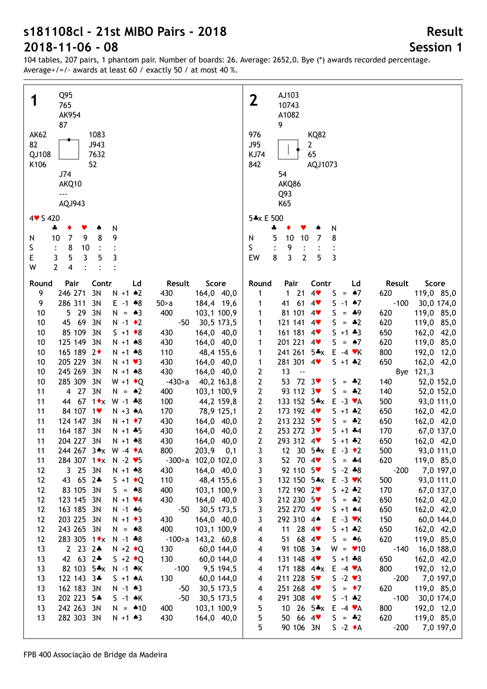| Q95                                                                | AJ103                                                     |
|--------------------------------------------------------------------|-----------------------------------------------------------|
| 1                                                                  | $\mathbf 2$                                               |
| 765                                                                | 10743                                                     |
| AK954                                                              | A1082                                                     |
| 87                                                                 | 9                                                         |
| <b>AK62</b>                                                        | 976                                                       |
| 1083                                                               | <b>KQ82</b>                                               |
|                                                                    |                                                           |
| 82                                                                 | <b>J95</b>                                                |
| J943                                                               | $\mathbf{2}$                                              |
| 7632                                                               | 65                                                        |
| QJ108                                                              | <b>KJ74</b>                                               |
| K106                                                               | 842                                                       |
| 52                                                                 | AQJ1073                                                   |
| J74                                                                | 54                                                        |
| AKQ10                                                              | AKQ86                                                     |
| $\overline{\phantom{a}}$                                           |                                                           |
|                                                                    | Q93                                                       |
| AQJ943                                                             | K65                                                       |
| $4 \times 5420$                                                    | 5*x E 500                                                 |
|                                                                    |                                                           |
| N                                                                  | ÷                                                         |
| 4                                                                  | N                                                         |
| 8                                                                  | 5                                                         |
| $\overline{7}$                                                     | 8                                                         |
| 9                                                                  | 10                                                        |
| 9                                                                  | 10                                                        |
| 10                                                                 | $\overline{7}$                                            |
| N                                                                  | N                                                         |
| S<br>8<br>$10$<br>$\ddot{\cdot}$                                   | S<br>9<br>$\ddot{\cdot}$                                  |
| 5                                                                  | $\overline{3}$                                            |
| E                                                                  | 3                                                         |
| 3                                                                  | 8                                                         |
| 5                                                                  | $\overline{2}$                                            |
| $\overline{3}$                                                     | EW                                                        |
| 3                                                                  | 5                                                         |
| $\overline{2}$<br>$\overline{\mathbf{4}}$<br>W                     |                                                           |
|                                                                    |                                                           |
| Contr                                                              | Pair                                                      |
| Score                                                              | Contr                                                     |
| Pair                                                               | Score                                                     |
| Ld                                                                 | Round                                                     |
| Result                                                             | Ld                                                        |
| Round                                                              | Result                                                    |
| 246 271<br>3N<br>9<br>$N + 1$ $*2$<br>164,0 40,0<br>430            | $1 21$<br>4<br>S<br>620<br>119,0 85,0<br>1<br>$= 47$      |
| 286 311                                                            | 41 61                                                     |
| 3N                                                                 | $S - 1$ $*7$                                              |
| 9                                                                  | $-100$                                                    |
| $E - 1$ $*8$                                                       | 4 <sub>Y</sub>                                            |
| 184,4 19,6                                                         | 30,0 174,0                                                |
| $50-a$                                                             | 1                                                         |
| 10<br>5 29<br>3N<br>400<br>103,1 100,9<br>$N = \triangle 3$        | 81 101<br>S.<br>620<br>119,0 85,0<br>1<br>$4$ v<br>$= 49$ |
| 69<br>3N<br>10<br>45<br>$N - 1$ $\bullet$ 2<br>$-50$               | 121 141 4<br>S.<br>620                                    |
| 30,5 173,5                                                         | 119,0 85,0<br>1<br>$= 42$                                 |
| 85 109<br>3N<br>10<br>$S + 1 \cdot 8$<br>430<br>164,0 40,0         | 161 181 4<br>$S + 1 + 3$<br>650<br>162,0 42,0<br>1        |
| 125 149                                                            | 201 221                                                   |
| 3N                                                                 | 119,0 85,0                                                |
| 10                                                                 | 4                                                         |
| $N + 1 * 8$                                                        | $S = \triangle 7$                                         |
| 430                                                                | 620                                                       |
| 164,0 40,0                                                         | 1                                                         |
| 165 189 2+                                                         | 241 261 5*x                                               |
| 10                                                                 | $E - 4$ $\blacktriangledown$ K                            |
| 110                                                                | 800                                                       |
| $N + 1 * 8$                                                        | 192,0 12,0                                                |
| 48,4 155,6                                                         | 1                                                         |
| 205 229<br>10<br>3N<br>430<br>$N + 1$ $\vee$ 3<br>164,0 40,0       | 281 301 4<br>$5 + 1 * 2$<br>650<br>162,0 42,0<br>1        |
| 245 269<br>3N<br>430<br>164,0 40,0<br>10<br>$N + 1 * 8$            | 2<br>13<br>121,3<br>$\ddotsc$<br>Bye                      |
| 285 309<br>3N<br>$-430$<br>10<br>$W + 1$ $\bullet$ Q<br>40,2 163,8 | 2<br>53 72 3<br>52,0 152,0<br>$S = *2$<br>140             |
| 4 27<br>3N<br>103,1 100,9<br>11<br>$N = \triangle 2$<br>400        | 2<br>93 112 3<br>$S = -2$<br>140<br>52,0 152,0            |
| 44 67 1 * x W -1 * 8                                               | 133 152 5*x                                               |
| 11<br>100<br>44,2 159,8                                            | 2<br>$E - 3 \cdot A$<br>500<br>93,0 111,0                 |
| 84 107 1                                                           | 2                                                         |
| 11                                                                 | 173 192 4                                                 |
| $N + 3 A$                                                          | $5 + 1 * 2$                                               |
| 170                                                                | 650                                                       |
| 78,9 125,1                                                         | 162,0 42,0                                                |
| 11                                                                 | 213 232 5                                                 |
| 124 147 3N                                                         | $\mathbf{2}$                                              |
| 430                                                                | 162,0 42,0                                                |
| $N + 1$ + 7                                                        | $S = -2$                                                  |
| 164,0 40,0                                                         | 650                                                       |
| 164 187 3N                                                         | 253 272 3♥                                                |
| 11                                                                 | $\mathbf{2}$                                              |
| 430                                                                | 170                                                       |
| $N + 1 + 5$                                                        | $S + 1 + 4$                                               |
| 164,0 40,0                                                         | 67,0 137,0                                                |
| 204 227 3N                                                         | $\mathbf{2}$                                              |
| 11                                                                 | 293 312 4                                                 |
| 430                                                                | 650                                                       |
| 164,0 40,0                                                         | 162,0 42,0                                                |
| $N + 1$ $*8$                                                       | $5 + 1 + 2$                                               |
| 244 267 3*x W -4 *A<br>800<br>203,9<br>0,1<br>11                   | 3<br>12 30 5*x E -3 +2<br>500<br>93,0 111,0               |
| -300>a 102,0 102,0<br>284 307 1 * x N - 2 * 5<br>11                | 52 70 4<br>$S = -4$<br>620<br>119,0 85,0<br>3             |
| 3 25 3N                                                            | 92 110 5                                                  |
| 164,0 40,0                                                         | 3                                                         |
| 12                                                                 | $S - 2 * 8$                                               |
| $N + 1$ $*8$                                                       | $-200$                                                    |
| 430                                                                | 7,0 197,0                                                 |
| 12                                                                 | 3                                                         |
| 43 65 2*                                                           | 132 150 5*x                                               |
| $S + 1$ $\bullet$ Q                                                | $E - 3$ $\forall$ K                                       |
| 110                                                                | 500                                                       |
| 48,4 155,6                                                         | 93,0 111,0                                                |
| 12                                                                 | 3                                                         |
| 83 105 3N                                                          | 172 190 2                                                 |
| $S = *8$                                                           | 170                                                       |
| 400                                                                | 67,0 137,0                                                |
| 103,1 100,9                                                        | $5 + 2 * 2$                                               |
|                                                                    |                                                           |
| 12                                                                 | 3                                                         |
| 123 145 3N                                                         | 212 230 5                                                 |
| 430                                                                | 650                                                       |
| $N + 1$ $4$                                                        | 162,0 42,0                                                |
| 164,0 40,0                                                         | $S = -2$                                                  |
| 163 185 3N                                                         | 3                                                         |
| $-50$                                                              | 252 270 4                                                 |
| 30,5 173,5                                                         | 650                                                       |
| 12                                                                 | 162,0 42,0                                                |
| $N - 1$ 46                                                         | $5 + 1$ 44                                                |
| 203 225 3N                                                         | 3                                                         |
| 430                                                                | 292 310 4*                                                |
| 164,0 40,0                                                         | 150                                                       |
| 12                                                                 | 60,0 144,0                                                |
| $N + 1$ $\bullet$ 3                                                | $E - 3$ $\forall$ K                                       |
| 243 265 3N                                                         | 11 28 $4$                                                 |
| 400                                                                | $5 + 1 * 2$                                               |
| 103,1 100,9                                                        | 650                                                       |
| 12                                                                 | 162,0 42,0                                                |
| $N = *8$                                                           | 4                                                         |
| 283 305 1◆x<br>12<br>$N - 1 * 8$<br>-100>a 143,2 60,8              | 51 68 4<br>620<br>119,0 85,0<br>$S = 46$<br>4             |
| 13                                                                 | 91 108 3*                                                 |
| $2232+$                                                            | $-140$                                                    |
| $N + 2$ $\triangleleft$ Q                                          | 16,0 188,0                                                |
| 130                                                                | $W = 10$                                                  |
| 60,0 144,0                                                         | 4                                                         |
| 42 63 2*                                                           | 131 148 4                                                 |
| 13                                                                 | 650                                                       |
| 130                                                                | 162,0 42,0                                                |
| $S + 2 \cdot Q$                                                    | $S + 1 + 8$                                               |
| 60,0 144,0                                                         | 4                                                         |
| 13                                                                 | 171 188 4*x                                               |
| 82 103 5*x                                                         | 800                                                       |
| $-100$                                                             | 192,0 12,0                                                |
| 9,5 194,5                                                          | $E -4 \cdot A$                                            |
| $N - 1$ $\star$ K                                                  | 4                                                         |
| 122 143 3*                                                         | 211 228 5                                                 |
| 130                                                                | $S - 2 \cdot 3$                                           |
| 13                                                                 | $-200$                                                    |
| $S + 1 A$                                                          | 7,0 197,0                                                 |
| 60,0 144,0                                                         | 4                                                         |
|                                                                    |                                                           |
| 162 183 3N                                                         | 251 268 4                                                 |
| $-50$                                                              | 620                                                       |
| 30,5 173,5                                                         | 119,0 85,0                                                |
| 13                                                                 | $S = \cdot 7$                                             |
| $N - 1$ $*3$                                                       | 4                                                         |
| 202 223 5*                                                         | 291 308 4                                                 |
| $-50$                                                              | $-100$                                                    |
| $S -1$ $\star$ K                                                   | 30,0 174,0                                                |
| 30,5 173,5                                                         | $S - 1$ $*2$                                              |
| 13                                                                 | 4                                                         |
| 242 263 3N                                                         | 5                                                         |
| 400                                                                | 10 26 $5 \cdot x$                                         |
| 103,1 100,9                                                        | 800                                                       |
| 13                                                                 | 192,0 12,0                                                |
| $N = 10$                                                           | $E -4 \cdot A$                                            |
| 282 303 3N                                                         | 50 66 4                                                   |
| 430                                                                | 5                                                         |
| 13                                                                 | 620                                                       |
| $N + 1 \cdot 3$                                                    | 119,0 85,0                                                |
| 164,0 40,0                                                         | $S = -2$                                                  |
|                                                                    | 5<br>90 106 3N<br>$S -2 \cdot A$<br>$-200$<br>7,0 197,0   |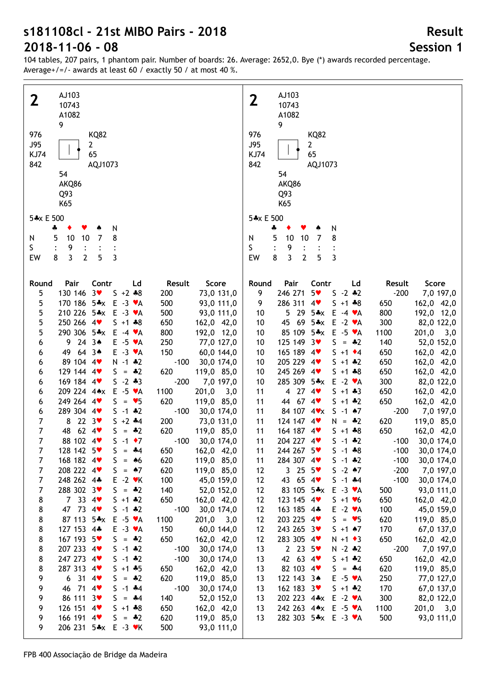104 tables, 207 pairs, 1 phantom pair. Number of boards: 26. Average: 2652,0. Bye (\*) awards recorded percentage. Average+/=/- awards at least 60 / exactly 50 / at most 40 %.

| AJ103<br>2<br>10743<br>A1082<br>9                | $\mathbf 2$                | AJ103<br>10743<br>A1082<br>9                  |                      |
|--------------------------------------------------|----------------------------|-----------------------------------------------|----------------------|
| 976<br><b>KQ82</b>                               | 976                        | <b>KQ82</b>                                   |                      |
|                                                  |                            |                                               |                      |
| <b>J95</b><br>$\mathbf{2}$                       | <b>J95</b>                 | $\mathbf{2}$                                  |                      |
| 65<br><b>KJ74</b>                                | <b>KJ74</b>                | 65                                            |                      |
| 842<br>AQJ1073                                   | 842                        | AQJ1073                                       |                      |
|                                                  |                            |                                               |                      |
| 54                                               |                            | 54                                            |                      |
| AKQ86                                            |                            | AKQ86                                         |                      |
| Q93                                              |                            | Q93                                           |                      |
| K65                                              |                            | K65                                           |                      |
|                                                  |                            |                                               |                      |
| 5*x E 500                                        |                            | 5*x E 500                                     |                      |
|                                                  |                            |                                               |                      |
| N<br>4<br>Y                                      |                            | ÷<br>N                                        |                      |
| 8<br>10<br>10<br>5<br>$\overline{7}$<br>N        | N                          | 5<br>10<br>10<br>8<br>$\overline{7}$          |                      |
| S<br>9                                           | S                          | 9                                             |                      |
| 3<br>$\overline{2}$<br>3<br>8<br>5<br>EW         | EW                         | 3<br>3<br>8<br>$\overline{2}$<br>5            |                      |
|                                                  |                            |                                               |                      |
|                                                  |                            |                                               |                      |
|                                                  |                            |                                               |                      |
| Pair<br>Contr<br>Round<br>Ld                     | Result<br>Score<br>Round   | Pair<br>Contr<br>Ld                           | Score<br>Result      |
| 130 146 3<br>5<br>$S + 2 * 8$                    | 200<br>73,0 131,0<br>9     | 246 271<br>$5*$<br>$S - 2 * 2$                | $-200$<br>7,0 197,0  |
| 5<br>170 186 5*x E -3 $\mathsf{v}$ A             | 500<br>93,0 111,0<br>9     | 286 311<br>$S + 1 * 8$<br>4<br>650            | 162,0 42,0           |
| 5<br>210 226 5*x<br>$E - 3 \cdot A$              | 500<br>93,0 111,0<br>10    | 5 29 5*x E -4 $\mathbf{v}$ A<br>800           | 192,0 12,0           |
|                                                  |                            |                                               |                      |
| 5<br>250 266 4<br>$S + 1 + 8$                    | 650<br>162,0 42,0<br>10    | 45 69 5*x E -2 $\mathbf{v}$ A<br>300          | 82,0 122,0           |
| 5<br>290 306 5*x<br>$E - 4 \cdot A$              | 800<br>192,0 12,0<br>10    | 85 109 5*x E -5 $\mathsf{v}$ A<br>1100        | 201,0<br>3,0         |
| $9243*$<br>$E - 5 \cdot A$<br>6                  | 250<br>77,0 127,0<br>10    | 125 149 3<br>$S = *2$<br>140                  | 52,0 152,0           |
| $64.3*$<br>$E - 3 \cdot A$<br>49<br>6            | 150<br>60,0 144,0<br>10    | 165 189 4<br>$S + 1$ $\div 4$<br>650          | 162,0 42,0           |
|                                                  |                            |                                               |                      |
| 89 104 4<br>$N - 1 * 2$<br>6                     | $-100$<br>30,0 174,0<br>10 | 205 229 4<br>$S + 1$ $*2$<br>650              | 162,0 42,0           |
| 129 144 4<br>$S = *2$<br>6                       | 620<br>119,0 85,0<br>10    | 245 269 4<br>$S + 1 + 8$<br>650               | 162,0 42,0           |
| 169 184 4<br>$S - 2 * 3$<br>6                    | $-200$<br>7,0 197,0<br>10  | 285 309 5*x<br>$E -2 \cdot A$<br>300          | 82,0 122,0           |
| 209 224 4**<br>$E -5 \cdot A$<br>6               | 1100<br>201,0<br>3,0<br>11 | 4 27 $4$<br>$S + 1 + 3$<br>650                | 162,0 42,0           |
| 249 264 4<br>$S = \bullet 5$                     | 620                        | 44 67 4<br>$S + 1 * 2$                        |                      |
| 6                                                | 119,0 85,0<br>11           | 650                                           | 162,0 42,0           |
| 289 304 4<br>$5 - 1 * 2$<br>6                    | $-100$<br>30,0 174,0<br>11 | 84 107 4 v x<br>$S - 1$ $*7$                  | $-200$<br>7,0 197,0  |
| $\overline{7}$<br>8 22 $3\bullet$<br>$5 + 2 + 4$ | 200<br>73,0 131,0<br>11    | 124 147 4<br>$N = *2$<br>620                  | 119,0 85,0           |
| 62.4<br>$\overline{7}$<br>48<br>$S = *2$         | 620<br>119,0 85,0<br>11    | 164 187 4<br>650<br>$S + 1 + 8$               | 162,0 42,0           |
| $\overline{7}$<br>88 102 4<br>$S -1$ +7          | $-100$<br>30,0 174,0<br>11 | 204 227 4<br>$S - 1 * 2$                      | $-100$<br>30,0 174,0 |
|                                                  |                            |                                               |                      |
| 128 142 5<br>$S = -4$<br>$\prime$                | 11<br>650<br>162,0 42,0    | 244 267 5<br>$S - 1 * 8$                      | $-100$<br>30,0 174,0 |
| 7<br>168 182 4<br>$S = 46$                       | 620<br>119,0 85,0<br>11    | 284 307 4<br>$S - 1$ $*2$                     | $-100$<br>30,0 174,0 |
| 208 222 4<br>$\overline{7}$<br>$S = \triangle 7$ | 620<br>119,0 85,0<br>12    | 3255<br>$S - 2$ $*7$                          | $-200$<br>7,0 197,0  |
| $\overline{7}$<br>248 262 4*<br>$E - 2$ $\vee$ K | 100<br>45,0 159,0<br>12    | 43 65 4<br>$S - 1$ $*4$                       | $-100$<br>30,0 174,0 |
| 288 302 3♥<br>$\overline{7}$<br>$S = *2$         | 140<br>52,0 152,0<br>12    | 83 105 5*x E -3 $\blacktriangledown$ A<br>500 | 93,0 111,0           |
|                                                  |                            |                                               |                      |
| 7 33 4 $\bullet$<br>8<br>$5 + 1 * 2$             | 650<br>162,0 42,0<br>12    | 123 145 4<br>650<br>$S + 1 \cdot 6$           | 162,0 42,0           |
| 47 73 4<br>8<br>$S - 1 * 2$                      | $-100$<br>30,0 174,0<br>12 | 163 185 4*<br>$E -2 \cdot A$<br>100           | 45,0 159,0           |
| 87 113 5*x<br>8<br>$E -5 \cdot A$                | 1100<br>201,0<br>12<br>3,0 | 203 225 4<br>$S = \bullet 5$<br>620           | 119,0 85,0           |
| 8<br>127 153 4*<br>$E - 3 \cdot A$               | 150<br>60,0 144,0<br>12    | 243 265 3<br>170<br>$S + 1$ $*7$              | 67,0 137,0           |
|                                                  |                            |                                               |                      |
| 8<br>167 193 5<br>$S = *2$                       | 650<br>162,0 42,0<br>12    | 283 305 4<br>650<br>$N + 1$ $\bullet$ 3       | 162,0 42,0           |
| 207 233 4<br>8<br>$S - 1 * 2$                    | $-100$<br>30,0 174,0<br>13 | 2, 23, 5<br>$N - 2 * 2$                       | $-200$<br>7,0 197,0  |
| 247 273 4<br>8<br>$S - 1 * 2$                    | $-100$<br>30,0 174,0<br>13 | 42 63 4<br>$5 + 1 * 2$<br>650                 | 162,0 42,0           |
| 287 313 4<br>8<br>$S + 1 + 5$                    | 650<br>162,0 42,0<br>13    | 82 103 4<br>620<br>$S = -4$                   | 119,0 85,0           |
| 6314<br>$S = *2$                                 | 620                        | 122 143 3*<br>250                             |                      |
| 9                                                | 119,0 85,0<br>13           | $E - 5 \cdot A$                               | 77,0 127,0           |
| 9<br>46 71 4<br>$S - 1$ $*4$                     | $-100$<br>30,0 174,0<br>13 | 162 183 3<br>170<br>$5 + 1 + 2$               | 67,0 137,0           |
| 86 111 3<br>9<br>$S = 44$                        | 140<br>52,0 152,0<br>13    | 202 223 4*x E -2 *A<br>300                    | 82,0 122,0           |
| 9<br>126 151 4<br>$S + 1 * 8$                    | 650<br>162,0 42,0<br>13    | 242 263 4** E -5 *A<br>1100                   | $201,0$ 3,0          |
| 166 191 4<br>9<br>$S = *2$                       | 620<br>119,0 85,0<br>13    | 282 303 5*x E -3 *A<br>500                    | 93,0 111,0           |
|                                                  |                            |                                               |                      |
| 206 231 5*x E -3 *K<br>9                         | 500<br>93,0 111,0          |                                               |                      |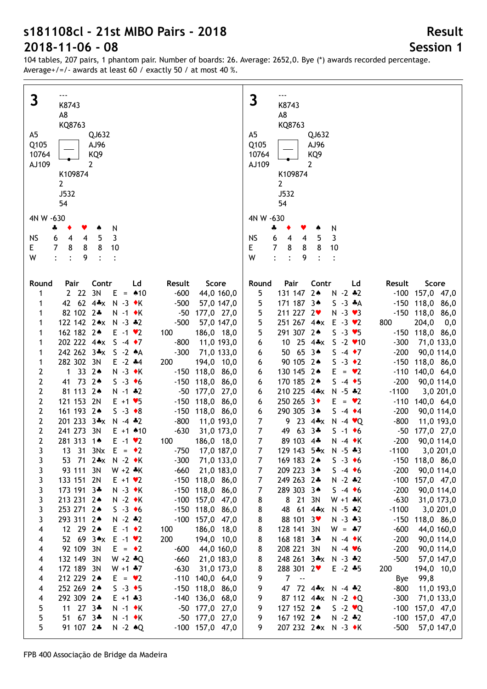104 tables, 207 pairs, 1 phantom pair. Number of boards: 26. Average: 2652,0. Bye (\*) awards recorded percentage. Average+/=/- awards at least 60 / exactly 50 / at most 40 %.

| $\mathbf{3}$                                                                                                                                 | 3                                                                                                                                        |
|----------------------------------------------------------------------------------------------------------------------------------------------|------------------------------------------------------------------------------------------------------------------------------------------|
| K8743                                                                                                                                        | K8743                                                                                                                                    |
| A8                                                                                                                                           | A8                                                                                                                                       |
| KQ8763                                                                                                                                       | KQ8763                                                                                                                                   |
| A5                                                                                                                                           | A5                                                                                                                                       |
| QJ632                                                                                                                                        | QJ632                                                                                                                                    |
| Q105                                                                                                                                         | Q105                                                                                                                                     |
| AJ96                                                                                                                                         | AJ96                                                                                                                                     |
| 10764                                                                                                                                        | 10764                                                                                                                                    |
| KQ <sub>9</sub>                                                                                                                              | KQ <sub>9</sub>                                                                                                                          |
| AJ109                                                                                                                                        | AJ109                                                                                                                                    |
| 2                                                                                                                                            | $\overline{2}$                                                                                                                           |
| K109874                                                                                                                                      | K109874                                                                                                                                  |
| $\mathbf{2}$                                                                                                                                 | $\overline{2}$                                                                                                                           |
| J532                                                                                                                                         | J532                                                                                                                                     |
| 54                                                                                                                                           | 54                                                                                                                                       |
| 4N W -630                                                                                                                                    | 4N W -630                                                                                                                                |
| N<br>4<br>Y<br>۸                                                                                                                             | N<br>÷<br>۸                                                                                                                              |
| 3                                                                                                                                            | 3                                                                                                                                        |
| <b>NS</b>                                                                                                                                    | <b>NS</b>                                                                                                                                |
| 5                                                                                                                                            | 5                                                                                                                                        |
| $\overline{4}$                                                                                                                               | 6                                                                                                                                        |
| 6                                                                                                                                            | 4                                                                                                                                        |
| 4                                                                                                                                            | 4                                                                                                                                        |
| 7                                                                                                                                            | E                                                                                                                                        |
| 8                                                                                                                                            | $\overline{7}$                                                                                                                           |
| 8                                                                                                                                            | 8                                                                                                                                        |
| 8                                                                                                                                            | 8                                                                                                                                        |
| E.                                                                                                                                           | 8                                                                                                                                        |
| 10                                                                                                                                           | 10                                                                                                                                       |
| W                                                                                                                                            | W                                                                                                                                        |
| $\cdot$                                                                                                                                      | $\ddot{\cdot}$                                                                                                                           |
| $\ddot{\cdot}$                                                                                                                               | $\ddot{\cdot}$                                                                                                                           |
| 9                                                                                                                                            | 9                                                                                                                                        |
| $\ddot{\cdot}$                                                                                                                               | $\ddot{\cdot}$                                                                                                                           |
| $\ddot{\cdot}$                                                                                                                               | $\ddot{\cdot}$                                                                                                                           |
|                                                                                                                                              |                                                                                                                                          |
| Contr                                                                                                                                        | Pair                                                                                                                                     |
| Ld                                                                                                                                           | Contr                                                                                                                                    |
| Result                                                                                                                                       | Score                                                                                                                                    |
| Round                                                                                                                                        | Round                                                                                                                                    |
| Pair                                                                                                                                         | Ld                                                                                                                                       |
| Score                                                                                                                                        | Result                                                                                                                                   |
| 2 22 3N $E = 10$                                                                                                                             | 131 147 2*                                                                                                                               |
| $-600$                                                                                                                                       | $N - 2 * 2$                                                                                                                              |
| 44,0 160,0                                                                                                                                   | 5                                                                                                                                        |
| 1                                                                                                                                            | $-100$ 157,0 47,0                                                                                                                        |
| 42 62 4*x N -3 *K                                                                                                                            | 171 187 3*                                                                                                                               |
| $-500$                                                                                                                                       | $S - 3$ $*A$                                                                                                                             |
| 1                                                                                                                                            | $-150$ 118,0 86,0                                                                                                                        |
| 57,0 147,0                                                                                                                                   | 5                                                                                                                                        |
| 82 102 2*<br>$N - 1$ $\bullet K$<br>$-50$<br>177,0 27,0<br>1                                                                                 | 211 227 2<br>$-150$ 118,0 86,0<br>5<br>$N - 3 \cdot 3$                                                                                   |
| 122 142 2** N -3 *2<br>$-500$<br>57,0 147,0<br>1                                                                                             | 5<br>251 267 4** E -3 *2<br>800<br>204,0<br>0,0                                                                                          |
| 162 182 2*<br>$E -1$ $\vee$ 2<br>186,0 18,0<br>1<br>100                                                                                      | 291 307 2*<br>5<br>$S - 3 \cdot 5$<br>$-150$ 118,0 86,0                                                                                  |
| 202 222 4**<br>$S -4 \cdot 7$<br>11,0 193,0<br>1<br>$-800$                                                                                   | 10 25 4*x S -2 v10<br>6<br>$-300$<br>71,0 133,0                                                                                          |
| 242 262 3*x S -2 *A                                                                                                                          | 50 65 3*                                                                                                                                 |
| $-300$                                                                                                                                       | $S -4 \cdot 7$                                                                                                                           |
| 71,0 133,0                                                                                                                                   | $-200$                                                                                                                                   |
| 1                                                                                                                                            | 90,0 114,0                                                                                                                               |
| 282 302 3N                                                                                                                                   | 6                                                                                                                                        |
| $E - 2$ $*4$                                                                                                                                 | 90 105 2*                                                                                                                                |
| 200                                                                                                                                          | $S -3 \cdot 2$                                                                                                                           |
| 194,0 10,0<br>1<br>33 24<br>2<br>$N - 3$ $\bullet K$<br>1<br>$-150$ 118,0 86,0                                                               | $-150$ 118,0 86,0<br>6<br>130 145 2*<br>$E = \bullet 2$<br>$-110$ 140,0 64,0<br>6                                                        |
| $\mathbf{2}$<br>41 73 2*<br>$S -3$ +6<br>$-150$ 118,0 86,0                                                                                   | 170 185 2*<br>$S -4 \cdot 5$<br>$-200$<br>90,0 114,0<br>6                                                                                |
| 2                                                                                                                                            | 210 225 4*x N -5 *2                                                                                                                      |
| 81 113 2*                                                                                                                                    | $-1100$                                                                                                                                  |
| $N - 1$ $*2$                                                                                                                                 | 3,0,201,0                                                                                                                                |
| $-50$ 177,0 27,0                                                                                                                             | 6                                                                                                                                        |
| $\mathbf{2}$                                                                                                                                 | 250 265 3◆                                                                                                                               |
| 121 153 2N                                                                                                                                   | $E = \bullet 2$                                                                                                                          |
| $E + 1 \cdot 5$                                                                                                                              | $-110$ 140,0 64,0                                                                                                                        |
| $-150$ 118,0 86,0                                                                                                                            | 6                                                                                                                                        |
| $\mathbf{2}$<br>161 193 2*<br>$S -3 \cdot 8$<br>$-150$ 118,0 86,0                                                                            | 290 305 3*<br>$S -4$ $\bullet 4$<br>$-200$<br>6<br>90,0 114,0                                                                            |
| $\mathbf{2}$                                                                                                                                 | 9 23 4** N -4 $\times$ Q                                                                                                                 |
| 201 233 3*x N -4 *2                                                                                                                          | $-800$                                                                                                                                   |
| $-800$                                                                                                                                       | 11,0 193,0                                                                                                                               |
| 11,0 193,0                                                                                                                                   | $\overline{7}$                                                                                                                           |
| $\mathbf{2}$<br>241 273 3N<br>$E + 1$ $*10$<br>$-630$<br>31,0 173,0<br>$\overline{2}$<br>281 313 14<br>$E - 1$ $\vee$ 2<br>186,0 18,0<br>100 | 49 63 3*<br>$\overline{7}$<br>$S - 1$ +6<br>$-50$ 177,0 27,0<br>$\overline{7}$<br>89 103 4*<br>$N - 4$ $\star$ K<br>90,0 114,0<br>$-200$ |
| $\overline{3}$                                                                                                                               | 7 <sup>7</sup>                                                                                                                           |
| 13 31 3Nx $E = 2$                                                                                                                            | 129 143 5*x N -5 *3                                                                                                                      |
| $-750$ 17,0 187,0                                                                                                                            | $-1100$ 3,0 201,0                                                                                                                        |
| 71,0 133,0                                                                                                                                   | $-150$ 118,0 86,0                                                                                                                        |
| 3                                                                                                                                            | 169 183 24                                                                                                                               |
| 53 71 2*x N -2 ◆K                                                                                                                            | $S - 3 \cdot 6$                                                                                                                          |
| $-300$                                                                                                                                       | 7                                                                                                                                        |
| 93 111 3N                                                                                                                                    | 209 223 3*                                                                                                                               |
| 3                                                                                                                                            | $S -4$ +6                                                                                                                                |
| $W + 2 *K$                                                                                                                                   | $-200$                                                                                                                                   |
| $-660$                                                                                                                                       | 90,0 114,0                                                                                                                               |
| 21,0 183,0                                                                                                                                   | $\overline{7}$                                                                                                                           |
| 3                                                                                                                                            | 249 263 2*                                                                                                                               |
| 133 151 2N                                                                                                                                   | $N - 2$ $*2$                                                                                                                             |
| $E + 1 \cdot 2$                                                                                                                              | $-100$ 157,0 47,0                                                                                                                        |
| $-150$ 118,0 86,0                                                                                                                            | $\overline{7}$                                                                                                                           |
| 3<br>173 191 3*<br>$N - 3$ $\bullet K$<br>$-150$ 118,0 86,0                                                                                  | 289 303 34<br>$S -4 \cdot 6$<br>$-200$<br>90,0 114,0<br>7                                                                                |
| 3<br>$N - 2$ $\bullet K$<br>213 231 24<br>$-100$ 157,0 47,0<br>253 271 2*<br>$S -3$ +6                                                       | 8 21 3N<br>$W + 1 * K$<br>$-630$<br>31,0 173,0<br>8<br>$-1100$<br>48 61 4*x N -5 *2                                                      |
| 3                                                                                                                                            | 3,0,201,0                                                                                                                                |
| $-150$ 118,0 86,0                                                                                                                            | 8                                                                                                                                        |
| 3                                                                                                                                            | 88 101 3                                                                                                                                 |
| 293 311 2*                                                                                                                                   | $N - 3 * 3$                                                                                                                              |
| $N - 2 * 2$                                                                                                                                  | $-150$ 118,0 86,0                                                                                                                        |
| $-100$ 157,0 47,0                                                                                                                            | 8                                                                                                                                        |
| $\overline{\mathbf{4}}$                                                                                                                      | 128 141 3N                                                                                                                               |
| 12 29 24                                                                                                                                     | $W = -7$                                                                                                                                 |
| $E -1$ $\rightarrow 2$                                                                                                                       | $-600$                                                                                                                                   |
| 186,0 18,0                                                                                                                                   | 44,0 160,0                                                                                                                               |
| 100                                                                                                                                          | 8                                                                                                                                        |
| 200<br>$\overline{\mathbf{4}}$<br>52 69 3*x E -1 *2<br>194,0 10,0                                                                            | 8<br>168 181 3*<br>$N - 4$ $\star$ K<br>$-200$<br>90,0 114,0                                                                             |
| 92 109 3N                                                                                                                                    | 208 221 3N                                                                                                                               |
| $E = \cdot 2$                                                                                                                                | $N - 4 V6$                                                                                                                               |
| $\overline{\mathbf{4}}$                                                                                                                      | $-200$                                                                                                                                   |
| 44,0 160,0                                                                                                                                   | 90,0 114,0                                                                                                                               |
| -600                                                                                                                                         | 8                                                                                                                                        |
| $\overline{\mathbf{4}}$<br>132 149 3N<br>$W + 2 * Q$<br>$-660$<br>21,0 183,0                                                                 | 248 261 3*x N -3 *2<br>$-500$<br>8<br>57,0 147,0                                                                                         |
| 172 189 3N                                                                                                                                   | 288 301 2                                                                                                                                |
| $W + 1 * 7$                                                                                                                                  | $E - 2 + 5$                                                                                                                              |
| $-630$                                                                                                                                       | 200                                                                                                                                      |
| $\overline{\mathbf{4}}$                                                                                                                      | 8                                                                                                                                        |
| 31,0 173,0                                                                                                                                   | 194,0 10,0                                                                                                                               |
| 212 229 24                                                                                                                                   | $7 - -$                                                                                                                                  |
| $E = \bullet 2$                                                                                                                              | 99,8                                                                                                                                     |
| $-110$ 140,0 64,0                                                                                                                            | 9                                                                                                                                        |
| $\overline{\mathbf{4}}$                                                                                                                      | Bye                                                                                                                                      |
| 252 269 2*                                                                                                                                   | 9                                                                                                                                        |
| $S -3$ $\rightarrow$ 5                                                                                                                       | 47 72 4*x N -4 *2                                                                                                                        |
| $-150$ 118,0 86,0                                                                                                                            | -800                                                                                                                                     |
| $\overline{\mathbf{4}}$                                                                                                                      | 11,0 193,0                                                                                                                               |
| 292 309 2*                                                                                                                                   | 9                                                                                                                                        |
| $E + 1 + 3$                                                                                                                                  | 87 112 4*x N -2 +Q                                                                                                                       |
| $\overline{\mathbf{4}}$                                                                                                                      | $-300$                                                                                                                                   |
| $-140$ 136,0 68,0                                                                                                                            | 71,0 133,0                                                                                                                               |
| 11 27 3*                                                                                                                                     | 9                                                                                                                                        |
| 5                                                                                                                                            | 127 152 24                                                                                                                               |
| $N - 1$ $\star$ K                                                                                                                            | $S - 2 \cdot Q$                                                                                                                          |
| $-50$ 177,0 27,0                                                                                                                             | $-100$ 157,0 47,0                                                                                                                        |
| 5                                                                                                                                            | 9                                                                                                                                        |
| 51 67 3*                                                                                                                                     | 167 192 2*                                                                                                                               |
| $N - 1$ $\star$ K                                                                                                                            | $N - 2 * 2$                                                                                                                              |
| -50 177,0 27,0                                                                                                                               | $-100$ 157,0 47,0                                                                                                                        |
| 5                                                                                                                                            | 207 232 2*x N -3 *K                                                                                                                      |
| 91 107 2*                                                                                                                                    | $-500$                                                                                                                                   |
| $-100$ 157,0 47,0                                                                                                                            | 57,0 147,0                                                                                                                               |
| $N - 2$ $\triangle Q$                                                                                                                        | 9                                                                                                                                        |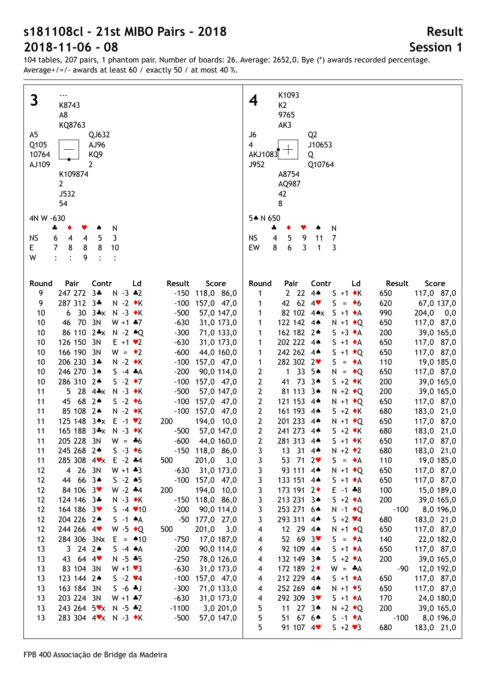| 3<br>K8743                                                                                                         | K1093<br>4<br>K <sub>2</sub>                                                                                                    |
|--------------------------------------------------------------------------------------------------------------------|---------------------------------------------------------------------------------------------------------------------------------|
| A8                                                                                                                 | 9765                                                                                                                            |
| KQ8763                                                                                                             | AK3                                                                                                                             |
| A <sub>5</sub><br>QJ632                                                                                            | J6<br>Q <sub>2</sub>                                                                                                            |
| Q105<br>AJ96                                                                                                       | $\overline{\mathbf{4}}$<br>J10653                                                                                               |
| KQ <sub>9</sub><br>10764                                                                                           | AKJ1083<br>Q                                                                                                                    |
| 2<br>AJ109                                                                                                         | J952<br>Q10764                                                                                                                  |
| K109874                                                                                                            | A8754                                                                                                                           |
| $\overline{2}$                                                                                                     | AQ987                                                                                                                           |
| J532                                                                                                               | 42                                                                                                                              |
| 54                                                                                                                 | 8                                                                                                                               |
| 4N W -630                                                                                                          | 5* N 650                                                                                                                        |
| N<br>4<br>۸                                                                                                        | N<br>4                                                                                                                          |
| 3<br><b>NS</b><br>$\overline{\mathbf{4}}$<br>5<br>6<br>$\overline{4}$                                              | <b>NS</b><br>4<br>5<br>$\overline{7}$<br>9<br>11                                                                                |
| 8<br>E.<br>$\overline{7}$<br>8<br>8<br>10                                                                          | 6<br>3<br>3<br>EW<br>8<br>1                                                                                                     |
| W<br>$\vdots$<br>9<br>$\ddot{\cdot}$<br>$\ddot{\cdot}$                                                             |                                                                                                                                 |
|                                                                                                                    |                                                                                                                                 |
| Contr<br>Round<br>Pair<br>Ld<br>Result<br>Score                                                                    | Pair<br>Contr<br>Score<br>Round<br>Ld<br>Result                                                                                 |
| $3*$<br>9<br>247 272<br>$N - 3 * 2$<br>$-150$ 118,0 86,0                                                           | 2224<br>$S + 1$ $\bullet$ K<br>117,0 87,0<br>1<br>650                                                                           |
| 287 312 3*<br>$N - 2$ $\bullet K$<br>9<br>$-100$ 157,0 47,0                                                        | 42 62 4<br>$S_{-}$<br>620<br>67,0 137,0<br>$= 6$<br>1                                                                           |
| 30 3*x N -3 +K<br>10<br>$-500$<br>57,0 147,0<br>6                                                                  | 82 102 4**<br>$S + 1 \cdot A$<br>990<br>204,0<br>1<br>0,0                                                                       |
| 70 3N<br>$W + 1$ $*7$<br>$-630$<br>10<br>46<br>31,0 173,0                                                          | 122 142 4*<br>650<br>117,0 87,0<br>1<br>$N + 1$ $\bullet$ Q                                                                     |
| 86 110 2*x N -2 *Q<br>10<br>$-300$<br>71,0 133,0                                                                   | 162 182 2*<br>$S + 3 \cdot A$<br>200<br>39,0 165,0<br>1                                                                         |
| 126 150 3N<br>$-630$<br>10<br>$E + 1$ $\times 2$<br>31,0 173,0                                                     | 202 222 4*<br>$S + 1 \cdot A$<br>650<br>117,0 87,0<br>1                                                                         |
| 166 190 3N<br>$W = 2$<br>$-600$<br>10<br>44,0 160,0                                                                | 242 262 4*<br>$S + 1$ + Q<br>650<br>117,0 87,0<br>1                                                                             |
| 206 230 3*<br>$N - 2$ $\star$ K<br>$-100$ 157,0 47,0<br>10<br>246 270 3*<br>$-200$<br>10<br>$S -4 A$<br>90,0 114,0 | 282 302 2<br>$\mathbf{1}$<br>$S = \bullet A$<br>110<br>19,0 185,0<br>33 5*<br>$\mathbf 1$<br>$N = \cdot Q$<br>650<br>117,0 87,0 |
| 286 310 24<br>$S -2$ ↓7<br>$-100$ 157,0 47,0<br>10                                                                 | 2<br>$\mathbf{2}$<br>41 73 3*<br>$S + 2 \cdot K$<br>200<br>39,0 165,0                                                           |
| 5 28 $4*x$<br>$N - 3$ $\bullet K$<br>$-500$<br>11<br>57,0 147,0                                                    | 2<br>81 113 3*<br>$N + 2$ $\bullet$ Q<br>200<br>39,0 165,0                                                                      |
| 68 24<br>$S -2$ +6<br>11<br>45<br>$-100$ 157,0 47,0                                                                | 2<br>121 153 4*<br>650<br>$N + 1$ + Q<br>117,0 87,0                                                                             |
| 85 108 2*<br>$N - 2$ $\star$ K<br>11<br>$-100$ 157,0 47,0                                                          | $\mathbf{2}$<br>161 193 4*<br>680<br>183,0 21,0<br>$S + 2 \cdot K$                                                              |
| 125 148 3*x E -1 *2<br>11<br>200<br>194,0 10,0                                                                     | $\mathbf{2}$<br>201 233 4*<br>650<br>117,0 87,0<br>$N + 1$ $\bullet$ Q                                                          |
| 165 188 3*x<br>$N - 3$ $\bullet K$<br>11<br>$-500$<br>57,0 147,0                                                   | $\overline{2}$<br>241 273 4*<br>680<br>183,0 21,0<br>$S + 2 \cdot K$                                                            |
| 11<br>205 228 3N<br>$W = -6$<br>$-600$<br>44,0 160,0                                                               | $\mathbf{2}$<br>281 313 4*<br>$S + 1$ $\star$ K<br>650<br>117,0 87,0                                                            |
| 11<br>$-150$ 118,0 86,0<br>245 268 24<br>$S - 3 \cdot 6$                                                           | 3<br>13 31 4<br>$N + 2 \cdot 2$<br>680<br>183,0 21,0                                                                            |
| 285 308 4 * x E -2 * 4<br>500<br>201,0<br>3,0<br>11                                                                | 53 71 2<br>19,0 185,0<br>3<br>$S = \bullet A$<br>110                                                                            |
| 4 26 3N<br>$W + 1 + 3$<br>$-630$<br>31,0 173,0<br>12                                                               | 93 111 4*<br>3<br>$N + 1$ $\bullet$ Q<br>117,0 87,0<br>650                                                                      |
| 44 66 3*<br>12<br>$S - 2 * 5$<br>$-100$ 157,0 47,0                                                                 | 3<br>133 151 4*<br>117,0 87,0<br>$S + 1 \cdot A$<br>650                                                                         |
| 84 106 3<br>12<br>$W - 2$ $*4$<br>200<br>194,0 10,0<br>124 146 3*                                                  | 3<br>173 191 2+<br>$E - 1 * 8$<br>100<br>15,0 189,0<br>$S + 2 \cdot A$<br>200                                                   |
| 12<br>$N - 3 \cdot K$<br>$-150$ 118,0 86,0<br>12<br>164 186 3<br>$S - 4 \cdot 10$<br>$-200$<br>90,0 114,0          | 3<br>213 231 34<br>39,0 165,0<br>3<br>253 271 6*<br>$N - 1$ $\bullet$ Q<br>$-100$<br>8,0 196,0                                  |
| 204 226 2*<br>12<br>$S -1 A$<br>-50 177,0 27,0                                                                     | 3<br>293 311 4*<br>680<br>$5 + 2 \cdot 4$<br>183,0 21,0                                                                         |
| 244 266 4<br>12<br>W -5 $\bullet$ Q<br>500<br>201,0<br>3,0                                                         | 12 29 4*<br>650<br>117,0 87,0<br>4<br>$N + 1$ + Q                                                                               |
| 12<br>284 306 3Nx<br>$E = 10$<br>$-750$<br>17,0 187,0                                                              | 52 69 $3\bullet$<br>140<br>$S = \bullet A$<br>22,0 182,0<br>4                                                                   |
| 13<br>3242<br>$-200$<br>90,0 114,0<br>$S -4 A$                                                                     | 92 109 4*<br>$S + 1 \cdot A$<br>650<br>117,0 87,0<br>4                                                                          |
| 43 64 4<br>13<br>$N - 5 * 5$<br>$-250$<br>78,0 126,0                                                               | 132 149 3*<br>200<br>39,0 165,0<br>$S + 2 \cdot A$<br>4                                                                         |
| 83 104 3N<br>$W + 1 \cdot 3$<br>$-630$<br>13<br>31,0 173,0                                                         | 172 189 2+<br>$W = A$<br>-90<br>12,0 192,0<br>4                                                                                 |
| 123 144 2*<br>$S - 2 \cdot 4$<br>$-100$<br>13<br>157,0 47,0                                                        | 212 229 4*<br>$S + 1 \cdot A$<br>650<br>117,0 87,0<br>4                                                                         |
| 163 184 3N<br>$S - 6 * J$<br>$-300$<br>13<br>71,0 133,0                                                            | 252 269 4*<br>$N + 1$ + 5<br>650<br>117,0 87,0<br>4                                                                             |
| 203 224 3N<br>$W + 1$ $*7$<br>$-630$<br>13<br>31,0 173,0                                                           | 292 309 3♥<br>170<br>$S + 1 \cdot A$<br>24,0 180,0<br>4                                                                         |
| 243 264 5 * x N - 5 * 2<br>$-1100$<br>3,0 201,0<br>13                                                              | 5<br>11 27 3*<br>200<br>39,0 165,0<br>$N + 2 \cdot Q$                                                                           |
| 283 304 4 * × N - 3 * K<br>$-500$<br>13<br>57,0 147,0                                                              | 5<br>51 67 6*<br>$-100$<br>$S -1$ $\star$ A<br>8,0 196,0                                                                        |
|                                                                                                                    | 5<br>91 107 4<br>$S + 2 \cdot 3$<br>680<br>183,0 21,0                                                                           |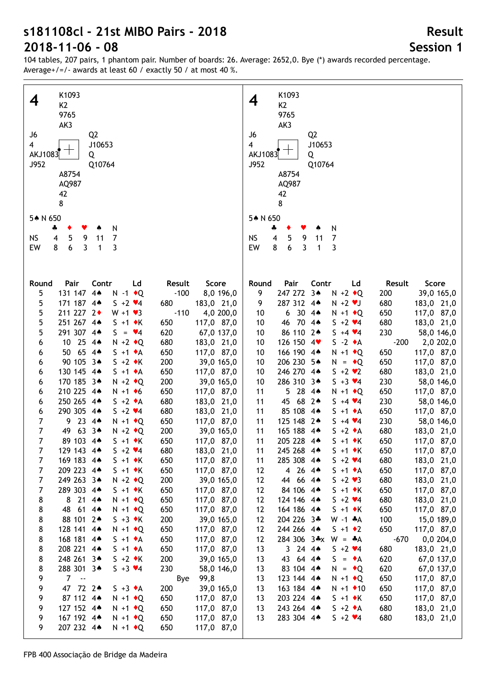104 tables, 207 pairs, 1 phantom pair. Number of boards: 26. Average: 2652,0. Bye (\*) awards recorded percentage. Average+/=/- awards at least 60 / exactly 50 / at most 40 %.

|                | K1093                                    |                     | K1093                                                                  |
|----------------|------------------------------------------|---------------------|------------------------------------------------------------------------|
| 4              |                                          |                     | 4                                                                      |
|                | K <sub>2</sub>                           |                     | K <sub>2</sub>                                                         |
|                | 9765                                     |                     | 9765                                                                   |
|                | AK3                                      |                     | AK3                                                                    |
| J6             | Q <sub>2</sub>                           |                     | J6<br>Q <sub>2</sub>                                                   |
| $\overline{4}$ | J10653                                   |                     | $\overline{4}$<br>J10653                                               |
|                | AKJ1083 $\top$<br>Q                      |                     | AKJ1083 $\top$<br>Q                                                    |
| J952           | Q10764                                   |                     | J952<br>Q10764                                                         |
|                |                                          |                     |                                                                        |
|                | A8754                                    |                     | A8754                                                                  |
|                | AQ987                                    |                     | AQ987                                                                  |
|                | 42                                       |                     | 42                                                                     |
|                | 8                                        |                     | 8                                                                      |
|                |                                          |                     |                                                                        |
| 5* N 650       |                                          |                     | 5* N 650                                                               |
|                | N<br>÷<br>Y<br>۸                         |                     | N<br>4                                                                 |
| <b>NS</b>      | 5<br>$\overline{7}$<br>9<br>4<br>11      |                     | $\overline{\mathbf{4}}$<br><b>NS</b><br>5<br>11<br>$\overline{7}$<br>9 |
| EW             | 6<br>3<br>8<br>3<br>$\mathbf{1}$         |                     | 8<br>6<br>3<br>3<br>EW<br>$\mathbf{1}$                                 |
|                |                                          |                     |                                                                        |
|                |                                          |                     |                                                                        |
|                |                                          |                     |                                                                        |
| Round          | Pair<br>Contr<br>Ld                      | Result<br>Score     | Pair<br>Contr<br>Ld<br>Score<br>Round<br>Result                        |
| 5              | 131 147 44<br>$N - 1$ $\bullet$ Q        | $-100$<br>8,0 196,0 | 247 272 3*<br>9<br>200<br>39,0 165,0<br>$N + 2 \cdot Q$                |
| 5              | 171 187 4*<br>$5 + 2 \cdot 4$            | 680<br>183,0 21,0   | 287 312 4*<br>680<br>183,0 21,0<br>9<br>$N + 2$ $\vee$ J               |
| 5              | 211 227 2+<br>$W + 1 \cdot 3$            | $-110$<br>4,0 200,0 | $6304*$<br>650<br>117,0 87,0<br>10<br>$N + 1$ $\bullet$ Q              |
| 5              | 251 267 4*<br>$S + 1$ $\bullet$ K        | 650<br>117,0 87,0   | 46 70 4*<br>$5 + 2 \times 4$<br>680<br>183,0 21,0<br>10                |
| 5              | 291 307 4*<br>$S = \mathbf{v}4$          | 620                 | 86 110 2*<br>230<br>$5 + 4 \cdot 4$<br>58,0 146,0<br>10                |
|                |                                          | 67,0 137,0          |                                                                        |
| 6              | 10 25 4*<br>$N + 2$ $\bullet$ Q          | 680<br>183,0 21,0   | 126 150 4<br>$S -2 \cdot A$<br>$-200$<br>2,0 202,0<br>10               |
| 6              | 50 65 4*<br>$S + 1 \cdot A$              | 650<br>117,0 87,0   | 166 190 4*<br>$N + 1$ + Q<br>650<br>10<br>117,0 87,0                   |
| 6              | 90 105 3*<br>$S + 2 \cdot K$             | 200<br>39,0 165,0   | 206 230 5*<br>10<br>$N = \cdot Q$<br>650<br>117,0 87,0                 |
| 6              | 130 145 4*<br>$S + 1 \cdot A$            | 650<br>117,0 87,0   | 246 270 4*<br>680<br>10<br>$S + 2 \cdot 2$<br>183,0 21,0               |
| 6              | 170 185 3*<br>$N + 2$ $\rightarrow Q$    | 200<br>39,0 165,0   | 286 310 3*<br>230<br>58,0 146,0<br>10<br>$S + 3 \times 4$              |
| 6              | 210 225 4*<br>$N + 1$ + 6                | 650<br>117,0 87,0   | 5 28 4*<br>650<br>11<br>$N + 1$ + Q<br>117,0 87,0                      |
| 6              | 250 265 4*<br>$S + 2 \cdot A$            | 680<br>183,0 21,0   | 45 68 24<br>$5 + 4 \cdot 4$<br>230<br>11<br>58,0 146,0                 |
| 6              | 290 305 4*<br>$5 + 2 \cdot 4$            | 680<br>183,0 21,0   | 85 108 4*<br>650<br>11<br>$S + 1 \cdot A$<br>117,0 87,0                |
| 7              | 9234<br>$N + 1$ + Q                      | 650<br>117,0 87,0   | 125 148 2*<br>11<br>230<br>$5 + 4 \cdot 4$<br>58,0 146,0               |
| $\overline{7}$ | 63 $3*$<br>49<br>$N + 2$ $\rightarrow Q$ | 200<br>39,0 165,0   | 165 188 4*<br>11<br>680<br>$S + 2 \cdot A$<br>183,0 21,0               |
| $\overline{7}$ |                                          |                     |                                                                        |
|                | 89 103 4*<br>$S + 1$ $\star$ K           | 650<br>117,0 87,0   | 205 228 4*<br>11<br>650<br>117,0 87,0<br>$S + 1 \cdot K$               |
|                | 129 143 4*<br>$5 + 2 \cdot 4$            | 680<br>183,0 21,0   | 11<br>245 268 4*<br>$S + 1 \cdot K$<br>650<br>117,0 87,0               |
| 7              | 169 183 4*<br>$S + 1$ $\star$ K          | 650<br>117,0 87,0   | 285 308 4*<br>680<br>183,0 21,0<br>$S + 2 \cdot 4$<br>11               |
| $\overline{7}$ | 209 223 4*<br>$S + 1 \cdot K$            | 650<br>117,0 87,0   | 4 26 4<br>650<br>117,0 87,0<br>12<br>$S + 1 \cdot A$                   |
| $\overline{7}$ | 249 263 34<br>$N + 2 \cdot Q$            | 200<br>39,0 165,0   | 44 66 4*<br>680<br>183,0 21,0<br>12<br>$S + 2 \cdot 3$                 |
| $\overline{7}$ | 289 303 4*<br>$S + 1 \cdot K$            | 650<br>117,0 87,0   | 84 106 4*<br>650<br>117,0 87,0<br>12<br>$S + 1 \cdot K$                |
| 8              | 8 21 4*<br>$N + 1$ + Q                   | 650<br>117,0 87,0   | 124 146 4*<br>680<br>183,0 21,0<br>12<br>$5 + 2 \cdot 4$               |
| 8              | 48 61 44<br>$N + 1$ + Q                  | 650<br>117,0 87,0   | 164 186 4*<br>650<br>117,0 87,0<br>12<br>$S + 1 \cdot K$               |
| 8              | 88 101 2*<br>$S + 3 \cdot K$             | 200<br>39,0 165,0   | 204 226 3*<br>100<br>12<br>$W - 1$ $*A$<br>15,0 189,0                  |
| 8              | 128 141 4*<br>$N + 1$ + Q                | 650<br>117,0 87,0   | 650<br>244 266 4*<br>12<br>$S + 1 \cdot 2$<br>117,0 87,0               |
| 8              | 168 181 4*<br>$S + 1 \cdot A$            | 650<br>117,0 87,0   | 284 306 3*x<br>$-670$<br>12<br>$W = A$<br>0,0,204,0                    |
|                |                                          |                     |                                                                        |
| 8              | 208 221 4*<br>$S + 1 \cdot A$            | 650<br>117,0 87,0   | 3244<br>680<br>183,0 21,0<br>13<br>$5 + 2 \cdot 4$                     |
| 8              | 248 261 3*<br>$S + 2 \cdot K$            | 200<br>39,0 165,0   | 43 64 44<br>620<br>13<br>$S = \bullet A$<br>67,0 137,0                 |
| 8              | 288 301 3*<br>$5 + 3 \times 4$           | 230<br>58,0 146,0   | 83 104 4*<br>620<br>13<br>67,0 137,0<br>$N = \cdot Q$                  |
| 9              | $7 - -$                                  | 99,8<br>Bye         | 123 144 4*<br>13<br>$N + 1$ + Q<br>650<br>117,0 87,0                   |
| 9              | 47 72 2*<br>$S + 3 \cdot A$              | 200<br>39,0 165,0   | 13<br>163 184 4*<br>650<br>117,0 87,0<br>$N + 1$ $\bullet$ 10          |
| 9              | 87 112 4*<br>$N + 1$ $\bullet$ Q         | 650<br>117,0 87,0   | 203 224 4*<br>650<br>117,0 87,0<br>13<br>$S + 1 \cdot K$               |
| 9              | 127 152 4*<br>$N + 1$ $\bullet$ Q        | 650<br>117,0 87,0   | 13<br>243 264 4*<br>680<br>183,0 21,0<br>$S + 2 \cdot A$               |
| 9              | 167 192 4*<br>$N + 1$ $\bullet$ Q        | 650<br>117,0 87,0   | 283 304 4*<br>680<br>183,0 21,0<br>13<br>$S + 2 \cdot 4$               |
| 9              | 207 232 4*<br>$N + 1$ $\bullet$ Q        | 650<br>117,0 87,0   |                                                                        |
|                |                                          |                     |                                                                        |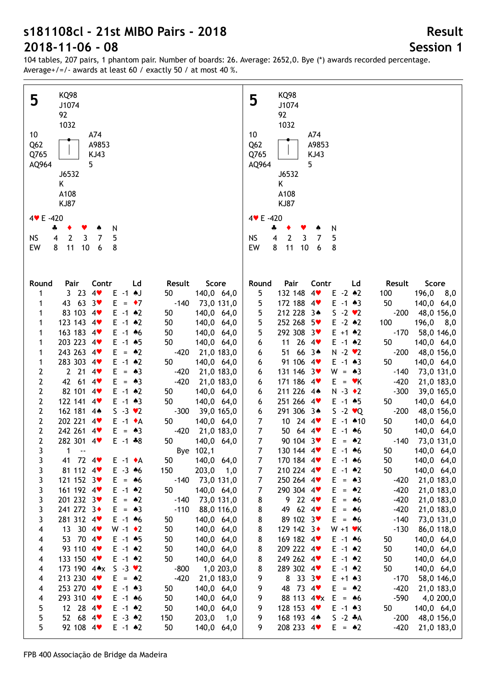104 tables, 207 pairs, 1 phantom pair. Number of boards: 26. Average: 2652,0. Bye (\*) awards recorded percentage. Average+/=/- awards at least 60 / exactly 50 / at most 40 %.

| <b>KQ98</b>                                                                                                                                                                                                                                                                                                                                                                                                                                                                                                                                                                                                                                                                                                                                                                                                                                                                                                                                                                                                                                                                                                                                                                                                                                                                                                                                                                                                                                                                                                                                                                                                                                                                                                                                                                                                                                                                                                                                                                                                                                                                                                                                                                                            | <b>KQ98</b>                                                                                                                                                                                                                                                                                                                                                                                                                                                                                                                                                                                                                                                                                                                                                                                                                                                                                                                                                                                                                                                                                                                                                                                                                                                                                                                                                                                                                                                                                                                                                                                                                                                                                                                                                                                                                                                                                                                                                                                                                                                                                                                 |
|--------------------------------------------------------------------------------------------------------------------------------------------------------------------------------------------------------------------------------------------------------------------------------------------------------------------------------------------------------------------------------------------------------------------------------------------------------------------------------------------------------------------------------------------------------------------------------------------------------------------------------------------------------------------------------------------------------------------------------------------------------------------------------------------------------------------------------------------------------------------------------------------------------------------------------------------------------------------------------------------------------------------------------------------------------------------------------------------------------------------------------------------------------------------------------------------------------------------------------------------------------------------------------------------------------------------------------------------------------------------------------------------------------------------------------------------------------------------------------------------------------------------------------------------------------------------------------------------------------------------------------------------------------------------------------------------------------------------------------------------------------------------------------------------------------------------------------------------------------------------------------------------------------------------------------------------------------------------------------------------------------------------------------------------------------------------------------------------------------------------------------------------------------------------------------------------------------|-----------------------------------------------------------------------------------------------------------------------------------------------------------------------------------------------------------------------------------------------------------------------------------------------------------------------------------------------------------------------------------------------------------------------------------------------------------------------------------------------------------------------------------------------------------------------------------------------------------------------------------------------------------------------------------------------------------------------------------------------------------------------------------------------------------------------------------------------------------------------------------------------------------------------------------------------------------------------------------------------------------------------------------------------------------------------------------------------------------------------------------------------------------------------------------------------------------------------------------------------------------------------------------------------------------------------------------------------------------------------------------------------------------------------------------------------------------------------------------------------------------------------------------------------------------------------------------------------------------------------------------------------------------------------------------------------------------------------------------------------------------------------------------------------------------------------------------------------------------------------------------------------------------------------------------------------------------------------------------------------------------------------------------------------------------------------------------------------------------------------------|
| 5                                                                                                                                                                                                                                                                                                                                                                                                                                                                                                                                                                                                                                                                                                                                                                                                                                                                                                                                                                                                                                                                                                                                                                                                                                                                                                                                                                                                                                                                                                                                                                                                                                                                                                                                                                                                                                                                                                                                                                                                                                                                                                                                                                                                      | 5                                                                                                                                                                                                                                                                                                                                                                                                                                                                                                                                                                                                                                                                                                                                                                                                                                                                                                                                                                                                                                                                                                                                                                                                                                                                                                                                                                                                                                                                                                                                                                                                                                                                                                                                                                                                                                                                                                                                                                                                                                                                                                                           |
| J1074                                                                                                                                                                                                                                                                                                                                                                                                                                                                                                                                                                                                                                                                                                                                                                                                                                                                                                                                                                                                                                                                                                                                                                                                                                                                                                                                                                                                                                                                                                                                                                                                                                                                                                                                                                                                                                                                                                                                                                                                                                                                                                                                                                                                  | J1074                                                                                                                                                                                                                                                                                                                                                                                                                                                                                                                                                                                                                                                                                                                                                                                                                                                                                                                                                                                                                                                                                                                                                                                                                                                                                                                                                                                                                                                                                                                                                                                                                                                                                                                                                                                                                                                                                                                                                                                                                                                                                                                       |
| 92                                                                                                                                                                                                                                                                                                                                                                                                                                                                                                                                                                                                                                                                                                                                                                                                                                                                                                                                                                                                                                                                                                                                                                                                                                                                                                                                                                                                                                                                                                                                                                                                                                                                                                                                                                                                                                                                                                                                                                                                                                                                                                                                                                                                     | 92                                                                                                                                                                                                                                                                                                                                                                                                                                                                                                                                                                                                                                                                                                                                                                                                                                                                                                                                                                                                                                                                                                                                                                                                                                                                                                                                                                                                                                                                                                                                                                                                                                                                                                                                                                                                                                                                                                                                                                                                                                                                                                                          |
| 1032                                                                                                                                                                                                                                                                                                                                                                                                                                                                                                                                                                                                                                                                                                                                                                                                                                                                                                                                                                                                                                                                                                                                                                                                                                                                                                                                                                                                                                                                                                                                                                                                                                                                                                                                                                                                                                                                                                                                                                                                                                                                                                                                                                                                   | 1032                                                                                                                                                                                                                                                                                                                                                                                                                                                                                                                                                                                                                                                                                                                                                                                                                                                                                                                                                                                                                                                                                                                                                                                                                                                                                                                                                                                                                                                                                                                                                                                                                                                                                                                                                                                                                                                                                                                                                                                                                                                                                                                        |
| 10 <sup>°</sup>                                                                                                                                                                                                                                                                                                                                                                                                                                                                                                                                                                                                                                                                                                                                                                                                                                                                                                                                                                                                                                                                                                                                                                                                                                                                                                                                                                                                                                                                                                                                                                                                                                                                                                                                                                                                                                                                                                                                                                                                                                                                                                                                                                                        | 10                                                                                                                                                                                                                                                                                                                                                                                                                                                                                                                                                                                                                                                                                                                                                                                                                                                                                                                                                                                                                                                                                                                                                                                                                                                                                                                                                                                                                                                                                                                                                                                                                                                                                                                                                                                                                                                                                                                                                                                                                                                                                                                          |
| A74                                                                                                                                                                                                                                                                                                                                                                                                                                                                                                                                                                                                                                                                                                                                                                                                                                                                                                                                                                                                                                                                                                                                                                                                                                                                                                                                                                                                                                                                                                                                                                                                                                                                                                                                                                                                                                                                                                                                                                                                                                                                                                                                                                                                    | A74                                                                                                                                                                                                                                                                                                                                                                                                                                                                                                                                                                                                                                                                                                                                                                                                                                                                                                                                                                                                                                                                                                                                                                                                                                                                                                                                                                                                                                                                                                                                                                                                                                                                                                                                                                                                                                                                                                                                                                                                                                                                                                                         |
| Q <sub>62</sub>                                                                                                                                                                                                                                                                                                                                                                                                                                                                                                                                                                                                                                                                                                                                                                                                                                                                                                                                                                                                                                                                                                                                                                                                                                                                                                                                                                                                                                                                                                                                                                                                                                                                                                                                                                                                                                                                                                                                                                                                                                                                                                                                                                                        | Q <sub>62</sub>                                                                                                                                                                                                                                                                                                                                                                                                                                                                                                                                                                                                                                                                                                                                                                                                                                                                                                                                                                                                                                                                                                                                                                                                                                                                                                                                                                                                                                                                                                                                                                                                                                                                                                                                                                                                                                                                                                                                                                                                                                                                                                             |
| A9853                                                                                                                                                                                                                                                                                                                                                                                                                                                                                                                                                                                                                                                                                                                                                                                                                                                                                                                                                                                                                                                                                                                                                                                                                                                                                                                                                                                                                                                                                                                                                                                                                                                                                                                                                                                                                                                                                                                                                                                                                                                                                                                                                                                                  | A9853                                                                                                                                                                                                                                                                                                                                                                                                                                                                                                                                                                                                                                                                                                                                                                                                                                                                                                                                                                                                                                                                                                                                                                                                                                                                                                                                                                                                                                                                                                                                                                                                                                                                                                                                                                                                                                                                                                                                                                                                                                                                                                                       |
| Q765                                                                                                                                                                                                                                                                                                                                                                                                                                                                                                                                                                                                                                                                                                                                                                                                                                                                                                                                                                                                                                                                                                                                                                                                                                                                                                                                                                                                                                                                                                                                                                                                                                                                                                                                                                                                                                                                                                                                                                                                                                                                                                                                                                                                   | Q765                                                                                                                                                                                                                                                                                                                                                                                                                                                                                                                                                                                                                                                                                                                                                                                                                                                                                                                                                                                                                                                                                                                                                                                                                                                                                                                                                                                                                                                                                                                                                                                                                                                                                                                                                                                                                                                                                                                                                                                                                                                                                                                        |
| KJ43                                                                                                                                                                                                                                                                                                                                                                                                                                                                                                                                                                                                                                                                                                                                                                                                                                                                                                                                                                                                                                                                                                                                                                                                                                                                                                                                                                                                                                                                                                                                                                                                                                                                                                                                                                                                                                                                                                                                                                                                                                                                                                                                                                                                   | <b>KJ43</b>                                                                                                                                                                                                                                                                                                                                                                                                                                                                                                                                                                                                                                                                                                                                                                                                                                                                                                                                                                                                                                                                                                                                                                                                                                                                                                                                                                                                                                                                                                                                                                                                                                                                                                                                                                                                                                                                                                                                                                                                                                                                                                                 |
| 5                                                                                                                                                                                                                                                                                                                                                                                                                                                                                                                                                                                                                                                                                                                                                                                                                                                                                                                                                                                                                                                                                                                                                                                                                                                                                                                                                                                                                                                                                                                                                                                                                                                                                                                                                                                                                                                                                                                                                                                                                                                                                                                                                                                                      | AQ964                                                                                                                                                                                                                                                                                                                                                                                                                                                                                                                                                                                                                                                                                                                                                                                                                                                                                                                                                                                                                                                                                                                                                                                                                                                                                                                                                                                                                                                                                                                                                                                                                                                                                                                                                                                                                                                                                                                                                                                                                                                                                                                       |
| AQ964                                                                                                                                                                                                                                                                                                                                                                                                                                                                                                                                                                                                                                                                                                                                                                                                                                                                                                                                                                                                                                                                                                                                                                                                                                                                                                                                                                                                                                                                                                                                                                                                                                                                                                                                                                                                                                                                                                                                                                                                                                                                                                                                                                                                  | 5                                                                                                                                                                                                                                                                                                                                                                                                                                                                                                                                                                                                                                                                                                                                                                                                                                                                                                                                                                                                                                                                                                                                                                                                                                                                                                                                                                                                                                                                                                                                                                                                                                                                                                                                                                                                                                                                                                                                                                                                                                                                                                                           |
| J6532                                                                                                                                                                                                                                                                                                                                                                                                                                                                                                                                                                                                                                                                                                                                                                                                                                                                                                                                                                                                                                                                                                                                                                                                                                                                                                                                                                                                                                                                                                                                                                                                                                                                                                                                                                                                                                                                                                                                                                                                                                                                                                                                                                                                  | J6532                                                                                                                                                                                                                                                                                                                                                                                                                                                                                                                                                                                                                                                                                                                                                                                                                                                                                                                                                                                                                                                                                                                                                                                                                                                                                                                                                                                                                                                                                                                                                                                                                                                                                                                                                                                                                                                                                                                                                                                                                                                                                                                       |
| K                                                                                                                                                                                                                                                                                                                                                                                                                                                                                                                                                                                                                                                                                                                                                                                                                                                                                                                                                                                                                                                                                                                                                                                                                                                                                                                                                                                                                                                                                                                                                                                                                                                                                                                                                                                                                                                                                                                                                                                                                                                                                                                                                                                                      | K                                                                                                                                                                                                                                                                                                                                                                                                                                                                                                                                                                                                                                                                                                                                                                                                                                                                                                                                                                                                                                                                                                                                                                                                                                                                                                                                                                                                                                                                                                                                                                                                                                                                                                                                                                                                                                                                                                                                                                                                                                                                                                                           |
| A108                                                                                                                                                                                                                                                                                                                                                                                                                                                                                                                                                                                                                                                                                                                                                                                                                                                                                                                                                                                                                                                                                                                                                                                                                                                                                                                                                                                                                                                                                                                                                                                                                                                                                                                                                                                                                                                                                                                                                                                                                                                                                                                                                                                                   | A108                                                                                                                                                                                                                                                                                                                                                                                                                                                                                                                                                                                                                                                                                                                                                                                                                                                                                                                                                                                                                                                                                                                                                                                                                                                                                                                                                                                                                                                                                                                                                                                                                                                                                                                                                                                                                                                                                                                                                                                                                                                                                                                        |
| <b>KJ87</b>                                                                                                                                                                                                                                                                                                                                                                                                                                                                                                                                                                                                                                                                                                                                                                                                                                                                                                                                                                                                                                                                                                                                                                                                                                                                                                                                                                                                                                                                                                                                                                                                                                                                                                                                                                                                                                                                                                                                                                                                                                                                                                                                                                                            | <b>KJ87</b>                                                                                                                                                                                                                                                                                                                                                                                                                                                                                                                                                                                                                                                                                                                                                                                                                                                                                                                                                                                                                                                                                                                                                                                                                                                                                                                                                                                                                                                                                                                                                                                                                                                                                                                                                                                                                                                                                                                                                                                                                                                                                                                 |
| 4 V E -420                                                                                                                                                                                                                                                                                                                                                                                                                                                                                                                                                                                                                                                                                                                                                                                                                                                                                                                                                                                                                                                                                                                                                                                                                                                                                                                                                                                                                                                                                                                                                                                                                                                                                                                                                                                                                                                                                                                                                                                                                                                                                                                                                                                             | 4 V E -420                                                                                                                                                                                                                                                                                                                                                                                                                                                                                                                                                                                                                                                                                                                                                                                                                                                                                                                                                                                                                                                                                                                                                                                                                                                                                                                                                                                                                                                                                                                                                                                                                                                                                                                                                                                                                                                                                                                                                                                                                                                                                                                  |
| N                                                                                                                                                                                                                                                                                                                                                                                                                                                                                                                                                                                                                                                                                                                                                                                                                                                                                                                                                                                                                                                                                                                                                                                                                                                                                                                                                                                                                                                                                                                                                                                                                                                                                                                                                                                                                                                                                                                                                                                                                                                                                                                                                                                                      | N                                                                                                                                                                                                                                                                                                                                                                                                                                                                                                                                                                                                                                                                                                                                                                                                                                                                                                                                                                                                                                                                                                                                                                                                                                                                                                                                                                                                                                                                                                                                                                                                                                                                                                                                                                                                                                                                                                                                                                                                                                                                                                                           |
| 4                                                                                                                                                                                                                                                                                                                                                                                                                                                                                                                                                                                                                                                                                                                                                                                                                                                                                                                                                                                                                                                                                                                                                                                                                                                                                                                                                                                                                                                                                                                                                                                                                                                                                                                                                                                                                                                                                                                                                                                                                                                                                                                                                                                                      | 4                                                                                                                                                                                                                                                                                                                                                                                                                                                                                                                                                                                                                                                                                                                                                                                                                                                                                                                                                                                                                                                                                                                                                                                                                                                                                                                                                                                                                                                                                                                                                                                                                                                                                                                                                                                                                                                                                                                                                                                                                                                                                                                           |
| $\mathbf 2$                                                                                                                                                                                                                                                                                                                                                                                                                                                                                                                                                                                                                                                                                                                                                                                                                                                                                                                                                                                                                                                                                                                                                                                                                                                                                                                                                                                                                                                                                                                                                                                                                                                                                                                                                                                                                                                                                                                                                                                                                                                                                                                                                                                            | $\overline{2}$                                                                                                                                                                                                                                                                                                                                                                                                                                                                                                                                                                                                                                                                                                                                                                                                                                                                                                                                                                                                                                                                                                                                                                                                                                                                                                                                                                                                                                                                                                                                                                                                                                                                                                                                                                                                                                                                                                                                                                                                                                                                                                              |
| 3                                                                                                                                                                                                                                                                                                                                                                                                                                                                                                                                                                                                                                                                                                                                                                                                                                                                                                                                                                                                                                                                                                                                                                                                                                                                                                                                                                                                                                                                                                                                                                                                                                                                                                                                                                                                                                                                                                                                                                                                                                                                                                                                                                                                      | <b>NS</b>                                                                                                                                                                                                                                                                                                                                                                                                                                                                                                                                                                                                                                                                                                                                                                                                                                                                                                                                                                                                                                                                                                                                                                                                                                                                                                                                                                                                                                                                                                                                                                                                                                                                                                                                                                                                                                                                                                                                                                                                                                                                                                                   |
| 5                                                                                                                                                                                                                                                                                                                                                                                                                                                                                                                                                                                                                                                                                                                                                                                                                                                                                                                                                                                                                                                                                                                                                                                                                                                                                                                                                                                                                                                                                                                                                                                                                                                                                                                                                                                                                                                                                                                                                                                                                                                                                                                                                                                                      | $\overline{\mathbf{4}}$                                                                                                                                                                                                                                                                                                                                                                                                                                                                                                                                                                                                                                                                                                                                                                                                                                                                                                                                                                                                                                                                                                                                                                                                                                                                                                                                                                                                                                                                                                                                                                                                                                                                                                                                                                                                                                                                                                                                                                                                                                                                                                     |
| <b>NS</b>                                                                                                                                                                                                                                                                                                                                                                                                                                                                                                                                                                                                                                                                                                                                                                                                                                                                                                                                                                                                                                                                                                                                                                                                                                                                                                                                                                                                                                                                                                                                                                                                                                                                                                                                                                                                                                                                                                                                                                                                                                                                                                                                                                                              | 3                                                                                                                                                                                                                                                                                                                                                                                                                                                                                                                                                                                                                                                                                                                                                                                                                                                                                                                                                                                                                                                                                                                                                                                                                                                                                                                                                                                                                                                                                                                                                                                                                                                                                                                                                                                                                                                                                                                                                                                                                                                                                                                           |
| 7                                                                                                                                                                                                                                                                                                                                                                                                                                                                                                                                                                                                                                                                                                                                                                                                                                                                                                                                                                                                                                                                                                                                                                                                                                                                                                                                                                                                                                                                                                                                                                                                                                                                                                                                                                                                                                                                                                                                                                                                                                                                                                                                                                                                      | 7                                                                                                                                                                                                                                                                                                                                                                                                                                                                                                                                                                                                                                                                                                                                                                                                                                                                                                                                                                                                                                                                                                                                                                                                                                                                                                                                                                                                                                                                                                                                                                                                                                                                                                                                                                                                                                                                                                                                                                                                                                                                                                                           |
| 4                                                                                                                                                                                                                                                                                                                                                                                                                                                                                                                                                                                                                                                                                                                                                                                                                                                                                                                                                                                                                                                                                                                                                                                                                                                                                                                                                                                                                                                                                                                                                                                                                                                                                                                                                                                                                                                                                                                                                                                                                                                                                                                                                                                                      | 5                                                                                                                                                                                                                                                                                                                                                                                                                                                                                                                                                                                                                                                                                                                                                                                                                                                                                                                                                                                                                                                                                                                                                                                                                                                                                                                                                                                                                                                                                                                                                                                                                                                                                                                                                                                                                                                                                                                                                                                                                                                                                                                           |
| 11                                                                                                                                                                                                                                                                                                                                                                                                                                                                                                                                                                                                                                                                                                                                                                                                                                                                                                                                                                                                                                                                                                                                                                                                                                                                                                                                                                                                                                                                                                                                                                                                                                                                                                                                                                                                                                                                                                                                                                                                                                                                                                                                                                                                     | 11                                                                                                                                                                                                                                                                                                                                                                                                                                                                                                                                                                                                                                                                                                                                                                                                                                                                                                                                                                                                                                                                                                                                                                                                                                                                                                                                                                                                                                                                                                                                                                                                                                                                                                                                                                                                                                                                                                                                                                                                                                                                                                                          |
| 10                                                                                                                                                                                                                                                                                                                                                                                                                                                                                                                                                                                                                                                                                                                                                                                                                                                                                                                                                                                                                                                                                                                                                                                                                                                                                                                                                                                                                                                                                                                                                                                                                                                                                                                                                                                                                                                                                                                                                                                                                                                                                                                                                                                                     | EW                                                                                                                                                                                                                                                                                                                                                                                                                                                                                                                                                                                                                                                                                                                                                                                                                                                                                                                                                                                                                                                                                                                                                                                                                                                                                                                                                                                                                                                                                                                                                                                                                                                                                                                                                                                                                                                                                                                                                                                                                                                                                                                          |
| EW                                                                                                                                                                                                                                                                                                                                                                                                                                                                                                                                                                                                                                                                                                                                                                                                                                                                                                                                                                                                                                                                                                                                                                                                                                                                                                                                                                                                                                                                                                                                                                                                                                                                                                                                                                                                                                                                                                                                                                                                                                                                                                                                                                                                     | 8                                                                                                                                                                                                                                                                                                                                                                                                                                                                                                                                                                                                                                                                                                                                                                                                                                                                                                                                                                                                                                                                                                                                                                                                                                                                                                                                                                                                                                                                                                                                                                                                                                                                                                                                                                                                                                                                                                                                                                                                                                                                                                                           |
| 8                                                                                                                                                                                                                                                                                                                                                                                                                                                                                                                                                                                                                                                                                                                                                                                                                                                                                                                                                                                                                                                                                                                                                                                                                                                                                                                                                                                                                                                                                                                                                                                                                                                                                                                                                                                                                                                                                                                                                                                                                                                                                                                                                                                                      | 10                                                                                                                                                                                                                                                                                                                                                                                                                                                                                                                                                                                                                                                                                                                                                                                                                                                                                                                                                                                                                                                                                                                                                                                                                                                                                                                                                                                                                                                                                                                                                                                                                                                                                                                                                                                                                                                                                                                                                                                                                                                                                                                          |
| 6                                                                                                                                                                                                                                                                                                                                                                                                                                                                                                                                                                                                                                                                                                                                                                                                                                                                                                                                                                                                                                                                                                                                                                                                                                                                                                                                                                                                                                                                                                                                                                                                                                                                                                                                                                                                                                                                                                                                                                                                                                                                                                                                                                                                      | 8                                                                                                                                                                                                                                                                                                                                                                                                                                                                                                                                                                                                                                                                                                                                                                                                                                                                                                                                                                                                                                                                                                                                                                                                                                                                                                                                                                                                                                                                                                                                                                                                                                                                                                                                                                                                                                                                                                                                                                                                                                                                                                                           |
| 8                                                                                                                                                                                                                                                                                                                                                                                                                                                                                                                                                                                                                                                                                                                                                                                                                                                                                                                                                                                                                                                                                                                                                                                                                                                                                                                                                                                                                                                                                                                                                                                                                                                                                                                                                                                                                                                                                                                                                                                                                                                                                                                                                                                                      | 6                                                                                                                                                                                                                                                                                                                                                                                                                                                                                                                                                                                                                                                                                                                                                                                                                                                                                                                                                                                                                                                                                                                                                                                                                                                                                                                                                                                                                                                                                                                                                                                                                                                                                                                                                                                                                                                                                                                                                                                                                                                                                                                           |
| Pair<br>Contr<br>Score<br>Round<br>Ld<br>Result<br>4 <sub>v</sub><br>3 <sub>23</sub><br>$E -1$ $\uparrow$<br>50<br>140,0 64,0<br>1<br>43 63 3 $\bullet$<br>$-140$ 73,0 131,0<br>E.<br>$= 47$<br>1<br>83 103 4<br>$E - 1$ $*2$<br>50<br>140,0 64,0<br>1<br>123 143 4<br>$E - 1$ $*2$<br>50<br>140,0 64,0<br>1<br>163 183 4<br>$E - 1$ 46<br>50<br>140,0 64,0<br>1<br>203 223 4<br>$E - 1$ $*5$<br>50<br>140,0 64,0<br>1<br>243 263 4<br>$E = \triangle 2$<br>$-420$<br>21,0 183,0<br>1<br>283 303 4<br>50<br>$E - 1$ $*2$<br>140,0 64,0<br>1<br>2214<br>$\overline{2}$<br>Е<br>$= 22$<br>$-420$<br>21,0 183,0<br>$\mathbf{2}$<br>42 61 4<br>E.<br>$= 22$<br>$-420$<br>21,0 183,0<br>$\mathbf 2$<br>82 101 4<br>$E - 1$ $*2$<br>50<br>140,0 64,0<br>$\mathbf 2$<br>122 141 4<br>50<br>$E - 1$ $*3$<br>140,0 64,0<br>$\mathbf 2$<br>162 181 44<br>$S - 3 \, \vee 2$<br>$-300$<br>39,0 165,0<br>$\mathbf{2}$<br>202 221 4<br>$E -1$ $\bullet$ A<br>50<br>140,0 64,0<br>$\mathbf 2$<br>242 261 4<br>$-420$ 21,0 183,0<br>$E = \triangle 3$<br>$\mathbf{2}$<br>282 301 4<br>$E - 1 * 8$<br>50 - 10<br>140,0 64,0<br>3<br>Bye 102,1<br>1<br>$\sim$ $\sim$<br>41 72 4<br>3<br>50<br>140,0 64,0<br>$E -1$ $\rightarrow$ A<br>81 112 4<br>203,0<br>3<br>$E - 3$ 46<br>150<br>1,0<br>121 152 3<br>3<br>$E = 46$<br>$-140$<br>73,0 131,0<br>161 192 4<br>$E - 1$ $*2$<br>3<br>50<br>140,0 64,0<br>201 232 3♥<br>3<br>$E = \triangle 2$<br>$-140$<br>73,0 131,0<br>241 272 3+<br>$-110$<br>3<br>$E = \triangle 3$<br>88,0 116,0<br>281 312 4<br>3<br>$E - 1$ 46<br>50<br>140,0 64,0<br>13 30 4<br>4<br>$W - 1$ $\bullet$ 2<br>50<br>140,0 64,0<br>53 70 4<br>$E - 1$ $*5$<br>50<br>140,0 64,0<br>4<br>93 110 4<br>$E - 1$ $*2$<br>50<br>140,0 64,0<br>4<br>133 150 4<br>$E - 1$ $*2$<br>50<br>140,0 64,0<br>4<br>173 190 4*x<br>$S -3 \cdot 2$<br>$-800$<br>1,0 203,0<br>4<br>213 230 4<br>$-420$<br>$E = \triangle 2$<br>21,0 183,0<br>4<br>253 270 4<br>$E - 1$ $*3$<br>50<br>140,0 64,0<br>4<br>293 310 4<br>$E - 1$ 46<br>50<br>140,0 64,0<br>4<br>12 28 4<br>$E - 1$ $*2$<br>5<br>50<br>140,0 64,0<br>52 68 4<br>$E - 3$ $*2$<br>5<br>150<br>203,0<br>1,0<br>5<br>92 108 4<br>$E - 1$ $*2$<br>50<br>140,0 64,0 | Pair<br>Contr<br>Score<br>Round<br>Ld<br>Result<br>132 148 4<br>$E - 2$ $*2$<br>5<br>100<br>196,0<br>8,0<br>172 188 4<br>50<br>5<br>$E - 1$ $*3$<br>140,0 64,0<br>5<br>212 228 3*<br>$S - 2 \cdot 2$<br>$-200$<br>48,0 156,0<br>5<br>252 268 5<br>$E - 2$ $*2$<br>100<br>196,0<br>8,0<br>5<br>292 308 3♥<br>$E + 1$ $*2$<br>$-170$<br>58,0 146,0<br>11 26 4<br>50<br>6<br>$E - 1$ $*2$<br>140,0 64,0<br>51 66 3*<br>$N - 2$ $\vee$ 2<br>$-200$<br>48,0 156,0<br>6<br>91 106 4<br>50<br>$E - 1$ $*3$<br>140,0 64,0<br>6<br>131 146 3<br>$W = 43$<br>$-140$<br>73,0 131,0<br>6<br>171 186 4<br>$-420$<br>21,0 183,0<br>$E = vK$<br>6<br>211 226 4*<br>$-300$<br>$N - 3 \cdot 2$<br>39,0 165,0<br>6<br>251 266 4<br>$E - 1$ $*5$<br>50<br>140,0 64,0<br>6<br>291 306 3*<br>$S - 2 \cdot Q$<br>$-200$<br>48,0 156,0<br>6<br>10 24 4<br>$\overline{7}$<br>$E - 1$ $*10$<br>50<br>140,0 64,0<br>$\overline{7}$<br>50 64 4<br>50<br>$E - 1$ 46<br>140,0 64,0<br>$\overline{7}$<br>90 104 3<br>$E = 42$<br>$-140$ 73,0 131,0<br>50<br>7<br>130 144 4<br>$E - 1$ 46<br>140,0 64,0<br>170 184 4<br>140,0 64,0<br>$E - 1$ 46<br>50<br>7<br>210 224 4<br>$E - 1$ $*2$<br>50<br>140,0 64,0<br>7<br>250 264 4<br>$E = \triangle 3$<br>7<br>$-420$<br>21,0 183,0<br>290 304 4<br>E.<br>$-420$<br>7<br>$=$ 42<br>21,0 183,0<br>9224<br>E.<br>$-420$<br>8<br>$= 46$<br>21,0 183,0<br>49 62 4<br>$E = \triangle 6$<br>$-420$<br>8<br>21,0 183,0<br>89 102 3<br>$E = 46$<br>$-140$<br>8<br>73,0 131,0<br>129 142 3+<br>$W + 1$ $\cdot$ K<br>$-130$<br>8<br>86,0 118,0<br>169 182 4<br>8<br>$E - 1$ 46<br>50<br>140,0 64,0<br>209 222 4<br>$E - 1$ $*2$<br>8<br>50<br>140,0 64,0<br>249 262 4<br>$E - 1$ $*2$<br>8<br>50<br>140,0 64,0<br>289 302 4<br>$E - 1$ $*2$<br>50<br>8<br>140,0 64,0<br>8 33 $3$<br>9<br>$E + 1 \cdot 3$<br>58,0 146,0<br>$-170$<br>48 73 4<br>$E = \triangle 2$<br>$-420$<br>9<br>21,0 183,0<br>88 113 4 x<br>$E = 46$<br>$-590$<br>9<br>4,0 200,0<br>128 153 4<br>9<br>$E - 1$ $*3$<br>50<br>140,0 64,0<br>168 193 4*<br>$S - 2 A$<br>9<br>$-200$<br>48,0 156,0<br>208 233 4<br>$-420$<br>9<br>$E = 42$<br>21,0 183,0 |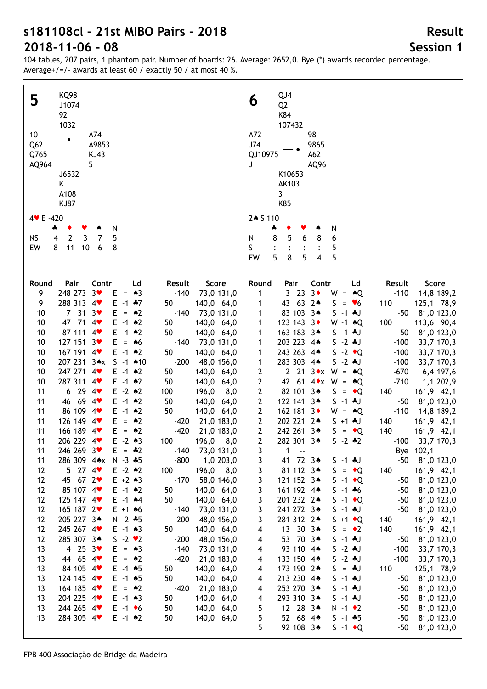104 tables, 207 pairs, 1 phantom pair. Number of boards: 26. Average: 2652,0. Bye (\*) awards recorded percentage. Average+/=/- awards at least 60 / exactly 50 / at most 40 %.

| <b>KQ98</b><br>5<br>J1074<br>92<br>1032<br>10<br>A74<br>Q <sub>62</sub><br>A9853<br>Q765<br>KJ43<br>5<br>AQ964<br>J6532<br>Κ<br>A108<br>KJ87<br>$4 \times E - 420$ | QJ4<br>6<br>Q <sub>2</sub><br>K84<br>107432<br>A72<br>98<br>J74<br>9865<br>QJ10975<br>A62<br>J<br>AQ96<br>K10653<br>AK103<br>3<br>K85<br>2* S 110 |
|--------------------------------------------------------------------------------------------------------------------------------------------------------------------|---------------------------------------------------------------------------------------------------------------------------------------------------|
| N<br>4<br>٠<br>Y<br>$\mathbf 2$<br>$\mathbf{3}$<br>5<br><b>NS</b><br>7<br>4                                                                                        | N<br>÷<br>8<br>5<br>8<br>6<br>6<br>N                                                                                                              |
| 11<br>$10\,$<br>EW<br>8<br>6<br>8                                                                                                                                  | S<br>5<br>5<br>5<br>5<br>8<br>EW<br>4                                                                                                             |
| Pair<br>Contr<br>Round<br>Ld<br>Result<br>Score                                                                                                                    | Pair<br>Contr<br>Score<br>Round<br>Ld<br>Result                                                                                                   |
| 248 273<br>$3*$<br>9<br>Е<br>$= A3$<br>$-140$<br>73,0 131,0                                                                                                        | 3 <sub>23</sub><br>$3\bullet$<br>$W = AQ$<br>$-110$<br>14,8 189,2<br>1                                                                            |
| 288 313 4<br>9<br>$E - 1$ $*7$<br>50<br>140,0 64,0<br>7 <sup>31</sup><br>3 <sub>v</sub><br>$E = \triangle 2$<br>$-140$<br>10<br>73,0 131,0                         | 43 63 2*<br>$S = \bullet 6$<br>110<br>125,1 78,9<br>1<br>83 103 3*<br>$S - 1 * J$<br>$-50$<br>81,0 123,0<br>1                                     |
| 47 71<br>$4$ v<br>10<br>$E - 1$ $*2$<br>50<br>140,0 64,0                                                                                                           | 123 143 3<br>$W - 1$ $*Q$<br>100<br>113,6 90,4<br>1                                                                                               |
| 87 111 4<br>$E - 1$ $*2$<br>50<br>10<br>140,0 64,0                                                                                                                 | 163 183 3*<br>$S - 1 * J$<br>$-50$<br>81,0 123,0<br>1                                                                                             |
| 127 151 3<br>$= 46$<br>10<br>E.<br>$-140$<br>73,0 131,0                                                                                                            | 203 223 4*<br>$S - 2 * J$<br>$-100$<br>33,7 170,3<br>1                                                                                            |
| 167 191 4<br>10<br>$E - 1$ $*2$<br>50<br>140,0 64,0                                                                                                                | 243 263 4*<br>$S -2 \cdot Q$<br>1<br>$-100$<br>33,7 170,3                                                                                         |
| 207 231 3*x<br>$S - 1$ $*10$<br>$-200$<br>10<br>48,0 156,0<br>247 271 4<br>10<br>$E - 1$ $*2$<br>50<br>140,0 64,0                                                  | 283 303 4*<br>1<br>$S - 2 * J$<br>$-100$<br>33,7 170,3<br>2<br>2 21 3 $\star$ W = $\star$ Q<br>$-670$<br>6,4 197,6                                |
| 287 311 4<br>10<br>$E - 1$ $*2$<br>50<br>140,0 64,0                                                                                                                | 2<br>42 61 4 $\star$ W = $\star$ Q<br>$-710$<br>1,1 202,9                                                                                         |
| 6294<br>$E - 2$ $*2$<br>11<br>100<br>196,0<br>8,0                                                                                                                  | $\overline{\mathbf{c}}$<br>82 101 3*<br>$S = \cdot Q$<br>140<br>161,9 42,1                                                                        |
| 46 69 4<br>11<br>$E - 1$ $*2$<br>50<br>140,0 64,0                                                                                                                  | $\mathbf{2}$<br>$S - 1 * J$<br>122 141 3*<br>$-50$<br>81,0 123,0                                                                                  |
| 86 109 4<br>50<br>11<br>$E - 1$ $*2$<br>140,0 64,0                                                                                                                 | $\mathbf{2}$<br>162 181 3<br>$W = AQ$<br>$-110$<br>14,8 189,2                                                                                     |
| 126 149 4<br>$= 2$<br>11<br>E<br>21,0 183,0<br>$-420$<br>166 189 4<br>11<br>$E = \triangle 2$<br>$-420$<br>21,0 183,0                                              | $\mathbf{2}$<br>202 221 2*<br>$S + 1 + J$<br>140<br>161,9 42,1<br>242 261 3*<br>140<br>$\mathbf{2}$<br>$S = \cdot Q$<br>$161,9$ 42,1              |
| 11<br>206 229 4<br>$E - 2 \cdot 3$<br>100<br>196,0 8,0                                                                                                             | $\mathbf{2}$<br>282 301 3*<br>$S - 2 * 2$<br>$-100$<br>33,7 170,3                                                                                 |
| 11<br>$-140$<br>$246\,269\,3$<br>$E = -2$<br>73,0 131,0                                                                                                            | 3<br>1<br>$\sim$ $\sim$<br>Bye 102,1                                                                                                              |
| 1,0 203,0<br>286 309 4** N -3 *5<br>$-800$<br>11                                                                                                                   | 41 72 34<br>81,0 123,0<br>3<br>$S - 1$ $*J$<br>$-50$                                                                                              |
| $5$ 27 4<br>$E - 2$ $*2$<br>100<br>$196,0$ 8,0<br>12<br>45 67 2<br>$-170$                                                                                          | 81 112 3*<br>3<br>$S = \cdot Q$<br>$161,9$ 42,1<br>140                                                                                            |
| 12<br>$E + 2 \cdot 3$<br>58,0 146,0<br>85 107 4<br>50<br>12<br>$E - 1$ $*2$<br>140,0 64,0                                                                          | 3<br>121 152 34<br>$S -1$ $\bullet Q$<br>81,0 123,0<br>$-50$<br>3<br>161 192 4*<br>$S - 1 * 6$<br>81,0 123,0<br>$-50$                             |
| 12<br>125 147 4<br>$E - 1$ $*4$<br>50<br>140,0 64,0                                                                                                                | 3<br>201 232 2*<br>$S -1$ + Q<br>81,0 123,0<br>$-50$                                                                                              |
| 165 187 2<br>$E + 1$ 46<br>12<br>$-140$<br>73,0 131,0                                                                                                              | 3<br>241 272 3*<br>$S - 1 * J$<br>81,0 123,0<br>-50                                                                                               |
| 12<br>205 227 3*<br>$N - 2 * 5$<br>$-200$<br>48,0 156,0                                                                                                            | 3<br>281 312 24<br>$S + 1$ + Q<br>140<br>$161,9$ 42,1                                                                                             |
| 245 267 4<br>12<br>$E - 1$ $*3$<br>50<br>140,0 64,0                                                                                                                | 140<br>13 30 34<br>161,9 42,1<br>4<br>$S = \bullet 2$                                                                                             |
| 285 307 3*<br>$S - 2 \cdot 2$<br>12<br>$-200$<br>48,0 156,0<br>4 25 $3\bullet$<br>$E = \triangle 3$<br>$-140$<br>73,0 131,0<br>13                                  | 53 70 3*<br>$S - 1 * J$<br>81,0 123,0<br>4<br>-50<br>93 110 4*<br>$S - 2 * J$<br>$-100$<br>33,7 170,3                                             |
| 44 65 4<br>$-420$<br>13<br>$E = \triangle 2$<br>21,0 183,0                                                                                                         | 4<br>$S - 2 * J$<br>133 150 4*<br>$-100$<br>4<br>33,7 170,3                                                                                       |
| 84 105 4<br>$E - 1$ $*5$<br>50<br>13<br>140,0 64,0                                                                                                                 | 173 190 2*<br>110<br>4<br>$S = *J$<br>125,1 78,9                                                                                                  |
| 124 145 4<br>$E - 1$ $*5$<br>50<br>13<br>140,0 64,0                                                                                                                | 213 230 4*<br>$S - 1 * J$<br>$-50$<br>81,0 123,0<br>4                                                                                             |
| 164 185 4<br>$E = 2$<br>21,0 183,0<br>13<br>$-420$                                                                                                                 | 253 270 3*<br>$S - 1 + J$<br>81,0 123,0<br>$-50$<br>4                                                                                             |
| 204 225 4<br>$E - 1$ $*3$<br>50<br>140,0 64,0<br>13                                                                                                                | 293 310 3*<br>81,0 123,0<br>4<br>$S - 1$ . J<br>$-50$                                                                                             |
| 244 265 4<br>$E - 1$ +6<br>50<br>140,0 64,0<br>13<br>13<br>284 305 4<br>$E - 1$ $*2$<br>50<br>140,0 64,0                                                           | 5<br>12 28 3*<br>$N - 1$ $\bullet$ 2<br>81,0 123,0<br>$-50$<br>5<br>52 68 4*<br>$S - 1$ $*5$<br>$-50$<br>81,0 123,0                               |
|                                                                                                                                                                    | 5<br>92 108 3*<br>$S -1$ $\bullet Q$<br>81,0 123,0<br>$-50$                                                                                       |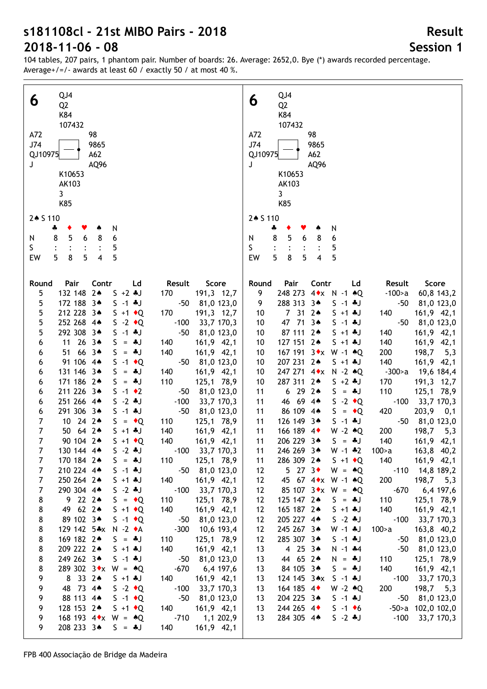Average+/=/- awards at least 60 / exactly 50 / at most 40 %.

104 tables, 207 pairs, 1 phantom pair. Number of boards: 26. Average: 2652,0. Bye (\*) awards recorded percentage.

| QJ4                                                                                                            | QJ4                                                                                                          |
|----------------------------------------------------------------------------------------------------------------|--------------------------------------------------------------------------------------------------------------|
| 6                                                                                                              | 6                                                                                                            |
| Q <sub>2</sub>                                                                                                 | Q <sub>2</sub>                                                                                               |
| K84                                                                                                            | K84                                                                                                          |
| 107432                                                                                                         | 107432                                                                                                       |
| A72                                                                                                            | A72                                                                                                          |
| 98                                                                                                             | 98                                                                                                           |
| 9865                                                                                                           | J74                                                                                                          |
| J74                                                                                                            | 9865                                                                                                         |
| QJ10975                                                                                                        | QJ10975                                                                                                      |
| A62                                                                                                            | A62                                                                                                          |
| AQ96                                                                                                           | AQ96                                                                                                         |
| J                                                                                                              | J                                                                                                            |
| K10653                                                                                                         | K10653                                                                                                       |
| AK103                                                                                                          | AK103                                                                                                        |
| 3                                                                                                              | 3                                                                                                            |
| K85                                                                                                            | K85                                                                                                          |
|                                                                                                                | 2* S 110                                                                                                     |
| 2+ S 110                                                                                                       | N                                                                                                            |
| N                                                                                                              | ÷                                                                                                            |
| ÷                                                                                                              | ۸                                                                                                            |
| 5                                                                                                              | 8                                                                                                            |
| 8                                                                                                              | 5                                                                                                            |
| 8                                                                                                              | 6                                                                                                            |
| 6                                                                                                              | 8                                                                                                            |
| N                                                                                                              | N                                                                                                            |
| 6                                                                                                              | 6                                                                                                            |
| 5                                                                                                              | S                                                                                                            |
| S.                                                                                                             | 5                                                                                                            |
| 8                                                                                                              | 5                                                                                                            |
| 5                                                                                                              | 5                                                                                                            |
| 5                                                                                                              | 8                                                                                                            |
| 5                                                                                                              | 5                                                                                                            |
| $\overline{\mathbf{4}}$                                                                                        | EW                                                                                                           |
| EW                                                                                                             | 4                                                                                                            |
|                                                                                                                |                                                                                                              |
| Pair                                                                                                           | Score                                                                                                        |
| Contr                                                                                                          | Round                                                                                                        |
| Result                                                                                                         | Pair                                                                                                         |
| Score                                                                                                          | Contr                                                                                                        |
| Round                                                                                                          | Ld                                                                                                           |
| Ld                                                                                                             | Result                                                                                                       |
| 132 148 2*<br>$S + 2 * J$<br>191,3 12,7<br>5<br>170                                                            | 9<br>248 273 4 * x N -1 * Q<br>$-100$ a<br>60,8 143,2                                                        |
| 172 188 3*                                                                                                     | 288 313 34                                                                                                   |
| $-50$                                                                                                          | 81,0 123,0                                                                                                   |
| 5                                                                                                              | 9                                                                                                            |
| 81,0 123,0                                                                                                     | $S - 1$ + J                                                                                                  |
| $S - 1$ + J                                                                                                    | $-50$                                                                                                        |
| 212 228 3*                                                                                                     | 7 31 24                                                                                                      |
| 5                                                                                                              | 161,9 42,1                                                                                                   |
| 170                                                                                                            | 10                                                                                                           |
| 191,3 12,7                                                                                                     | $S + 1 + J$                                                                                                  |
| $S + 1$ + Q                                                                                                    | 140                                                                                                          |
| 252 268 4*                                                                                                     | 47 71 3*                                                                                                     |
| 5                                                                                                              | $-50$                                                                                                        |
| $-100$                                                                                                         | 81,0 123,0                                                                                                   |
| 33,7 170,3                                                                                                     | 10                                                                                                           |
| $S -2 \cdot Q$                                                                                                 | $S - 1$ . J                                                                                                  |
| 292 308 3*                                                                                                     | 87 111 2*                                                                                                    |
| 5                                                                                                              | 161,9 42,1                                                                                                   |
| $-50$                                                                                                          | 10                                                                                                           |
| 81,0 123,0                                                                                                     | $S + 1 + J$                                                                                                  |
| $S - 1 * J$                                                                                                    | 140                                                                                                          |
| 11 26 3*                                                                                                       | 127 151 2*                                                                                                   |
| 161,9 42,1                                                                                                     | 140                                                                                                          |
| $S = *J$                                                                                                       | 161,9 42,1                                                                                                   |
| 6                                                                                                              | 10                                                                                                           |
| 140                                                                                                            | $S + 1 + J$                                                                                                  |
| 66 34<br>140<br>161,9 42,1<br>51<br>$S = *J$<br>6                                                              | 167 191 3 * x W -1 * Q<br>200<br>198,7<br>5,3<br>10                                                          |
| 91 106 4*                                                                                                      | 207 231 24                                                                                                   |
| $-50$                                                                                                          | 140                                                                                                          |
| 81,0 123,0                                                                                                     | $161,9$ 42,1                                                                                                 |
| $S -1$ + Q                                                                                                     | 10                                                                                                           |
| 6                                                                                                              | $S + 1 * J$                                                                                                  |
| 131 146 3*                                                                                                     | 247 271 4 * x N - 2 * Q                                                                                      |
| $S = *J$                                                                                                       | 19,6 184,4                                                                                                   |
| 140                                                                                                            | 10                                                                                                           |
| 161,9 42,1                                                                                                     | $-300$ a                                                                                                     |
| 6                                                                                                              | 287 311 2*                                                                                                   |
| 171 186 2*                                                                                                     | 191,3 12,7                                                                                                   |
| 110                                                                                                            | 10                                                                                                           |
| 125,1 78,9                                                                                                     | $S + 2 * J$                                                                                                  |
| $S = *J$                                                                                                       | 170                                                                                                          |
| 6<br>211 226 3*<br>$S -1$ $\bullet$ 2<br>$-50$<br>81,0 123,0<br>6                                              | 6292<br>110<br>125,1 78,9<br>11<br>$S = *J$                                                                  |
| 251 266 4*                                                                                                     | 46 69 4*                                                                                                     |
| $-100$                                                                                                         | $S - 2 \cdot Q$                                                                                              |
| 33,7 170,3                                                                                                     | $-100$                                                                                                       |
| $S - 2$ . J                                                                                                    | 33,7 170,3                                                                                                   |
| 6                                                                                                              | 11                                                                                                           |
| 291 306 3*                                                                                                     | 86 109 4*                                                                                                    |
| $-50$                                                                                                          | $S = \cdot Q$                                                                                                |
| $S - 1$ $*J$                                                                                                   | 420                                                                                                          |
| 81,0 123,0                                                                                                     | 203,9 0,1                                                                                                    |
| 6                                                                                                              | 11                                                                                                           |
| 10 24 2*                                                                                                       | 126 149 3*                                                                                                   |
| 125,1 78,9                                                                                                     | $-50$                                                                                                        |
| 7                                                                                                              | 81,0 123,0                                                                                                   |
| $S = \cdot Q$                                                                                                  | $S - 1 * J$                                                                                                  |
| 110                                                                                                            | 11                                                                                                           |
| $\overline{7}$                                                                                                 | 166 189 4                                                                                                    |
| 50 64 2*                                                                                                       | 200                                                                                                          |
| $S + 1 * J$                                                                                                    | 198,7                                                                                                        |
| 140                                                                                                            | 11                                                                                                           |
| 161,9 42,1                                                                                                     | $W - 2 \cdot Q$                                                                                              |
| $\overline{7}$                                                                                                 | 5,3                                                                                                          |
| 90 104 2*<br>$S + 1$ $\bullet$ Q<br>140<br>$161,9$ 42,1<br>$-100$ 33,7 170,3<br>130 144 4*<br>$S - 2 * J$<br>7 | 206 229 3*<br>11<br>140<br>161,9 42,1<br>$S = *J$<br>246 269 3*<br>163,8 40,2<br>100>a<br>$W - 1$ $*2$<br>11 |
| $\overline{7}$                                                                                                 | 286 309 24                                                                                                   |
| 170 184 2*                                                                                                     | 140                                                                                                          |
| 125,1 78,9                                                                                                     | $161,9$ 42,1                                                                                                 |
| $S = *J$                                                                                                       | 11                                                                                                           |
| 110                                                                                                            | $S + 1$ $\bullet$ Q                                                                                          |
| $-50$ 81,0 123,0                                                                                               | $5$ 27 $3\bullet$                                                                                            |
| $\overline{7}$                                                                                                 | -110 14,8 189,2                                                                                              |
| 210 224 4*                                                                                                     | 12                                                                                                           |
| $S - 1 * J$                                                                                                    | $W = \triangle Q$                                                                                            |
| $\overline{7}$                                                                                                 | 45 67 4 * x W -1 * Q                                                                                         |
| 250 264 2*                                                                                                     | 200                                                                                                          |
| $S + 1 + J$                                                                                                    | 198,7                                                                                                        |
| 161,9 42,1                                                                                                     | 12                                                                                                           |
| 140                                                                                                            | 5,3                                                                                                          |
| $\overline{7}$                                                                                                 | $-670$                                                                                                       |
| 290 304 4*                                                                                                     | 85 107 $3 \cdot x$ W = $*Q$                                                                                  |
| $S - 2 * J$                                                                                                    | 6,4 197,6                                                                                                    |
| $-100$ 33,7 170,3                                                                                              | 12                                                                                                           |
| 9222                                                                                                           | 125 147 2*                                                                                                   |
| 8                                                                                                              | 110                                                                                                          |
| 125,1 78,9                                                                                                     | 125,1 78,9                                                                                                   |
| $S = \cdot Q$                                                                                                  | 12                                                                                                           |
| 110                                                                                                            | $S = *J$                                                                                                     |
| 49 62 2*                                                                                                       | 140                                                                                                          |
| 8                                                                                                              | 165 187 2*                                                                                                   |
| $S + 1$ + Q                                                                                                    | $S + 1 * J$                                                                                                  |
| 140                                                                                                            | 161,9 42,1                                                                                                   |
| 161,9 42,1                                                                                                     | 12                                                                                                           |
| 89 102 34                                                                                                      | 205 227 4*                                                                                                   |
| $S -1$ $\bullet Q$                                                                                             | $S - 2 * J$                                                                                                  |
| $-50$ 81,0 123,0                                                                                               | $-100$ 33,7 170,3                                                                                            |
| 8                                                                                                              | 12                                                                                                           |
| 129 142 5*x N -2 +A<br>$-300$<br>10,6 193,4<br>8                                                               | 245 267 3*<br>163,8 40,2<br>12<br>$W - 1$ $\ast J$<br>100>a                                                  |
| 169 182 24                                                                                                     | 285 307 34                                                                                                   |
| 125,1 78,9                                                                                                     | 81,0 123,0                                                                                                   |
| 8                                                                                                              | 12                                                                                                           |
| $S = *J$                                                                                                       | $S - 1$ + J                                                                                                  |
| 110                                                                                                            | -50                                                                                                          |
| 209 222 24                                                                                                     | 4 $25$ $3*$                                                                                                  |
| 140                                                                                                            | $-50$                                                                                                        |
| $161,9$ 42,1                                                                                                   | 81,0 123,0                                                                                                   |
| 8                                                                                                              | 13                                                                                                           |
| $S + 1 * J$                                                                                                    | $N - 1$ $*4$                                                                                                 |
| 249 262 34<br>$S - 1 * J$<br>-50 81,0 123,0<br>8                                                               | 44 65 24<br>110<br>125,1 78,9<br>13<br>$N = 1$                                                               |
| 8                                                                                                              | 84 105 34                                                                                                    |
| 289 302 3 $\star$ x W = $\star$ Q                                                                              | 140                                                                                                          |
| $-670$                                                                                                         | 161,9 42,1                                                                                                   |
| 6,4 197,6                                                                                                      | 13                                                                                                           |
| 9                                                                                                              | $S = *J$                                                                                                     |
| 8 33 24                                                                                                        | 124 145 3*x                                                                                                  |
| 161,9 42,1                                                                                                     | $-100$ 33,7 170,3                                                                                            |
| $S + 1 * J$                                                                                                    | 13                                                                                                           |
| 140                                                                                                            | $S - 1 * J$                                                                                                  |
| 9                                                                                                              | 164 185 4                                                                                                    |
| 48 73 44                                                                                                       | $W - 2 \cdot Q$                                                                                              |
| $S -2 \cdot Q$                                                                                                 | 198,7 5,3                                                                                                    |
| $-100$                                                                                                         | 13                                                                                                           |
| 33,7 170,3                                                                                                     | 200                                                                                                          |
| 88 113 4*                                                                                                      | 204 225 34                                                                                                   |
| 9                                                                                                              | $S - 1 * J$                                                                                                  |
| $S -1$ $\bullet Q$                                                                                             | $-50$                                                                                                        |
| $-50$                                                                                                          | 81,0 123,0                                                                                                   |
| 81,0 123,0                                                                                                     | 13                                                                                                           |
| 9<br>128 153 24<br>140<br>$161,9$ 42,1<br>$S + 1$ $\bullet$ Q                                                  | 244 265 4<br>$S - 1$ +6<br>$-50$ a $102,0102,0$<br>13                                                        |
| 9                                                                                                              | 284 305 44                                                                                                   |
| 168 193 4 $\star$ W = $\star$ Q                                                                                | $S - 2 * J$                                                                                                  |
| $-710$                                                                                                         | $-100$                                                                                                       |
| 1,1 202,9                                                                                                      | 33,7 170,3                                                                                                   |
|                                                                                                                | 13                                                                                                           |
| 9<br>208 233 34<br>$161,9$ 42,1<br>$S = *J$<br>140                                                             |                                                                                                              |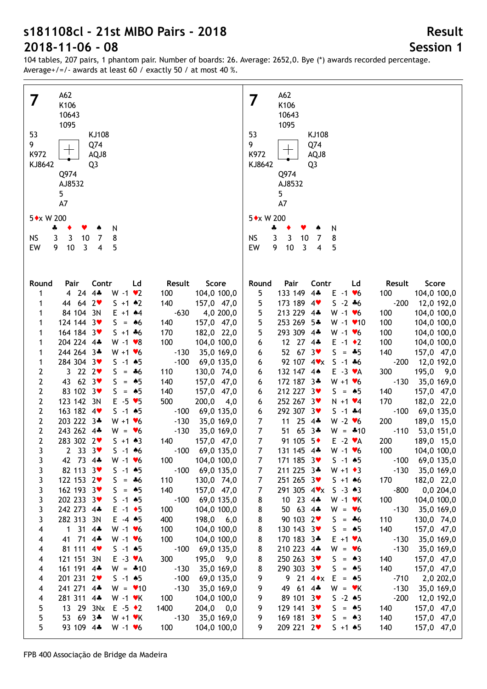104 tables, 207 pairs, 1 phantom pair. Number of boards: 26. Average: 2652,0. Bye (\*) awards recorded percentage. Average+/=/- awards at least 60 / exactly 50 / at most 40 %.

| A62                                                                                                                      | A62                                                                                                                                            |
|--------------------------------------------------------------------------------------------------------------------------|------------------------------------------------------------------------------------------------------------------------------------------------|
| 7                                                                                                                        | 7                                                                                                                                              |
| K106                                                                                                                     | K106                                                                                                                                           |
| 10643                                                                                                                    | 10643                                                                                                                                          |
| 1095                                                                                                                     | 1095                                                                                                                                           |
| 53                                                                                                                       | 53                                                                                                                                             |
| KJ108                                                                                                                    | KJ108                                                                                                                                          |
| 9                                                                                                                        | 9                                                                                                                                              |
| Q74                                                                                                                      | Q74                                                                                                                                            |
| K972                                                                                                                     | K972                                                                                                                                           |
| AQJ8                                                                                                                     | AQJ8                                                                                                                                           |
| KJ8642                                                                                                                   | KJ8642                                                                                                                                         |
| Q <sub>3</sub>                                                                                                           | Q <sub>3</sub>                                                                                                                                 |
| Q974                                                                                                                     | Q974                                                                                                                                           |
| AJ8532                                                                                                                   | AJ8532                                                                                                                                         |
| 5 <sub>1</sub>                                                                                                           | 5                                                                                                                                              |
| A7                                                                                                                       | A7                                                                                                                                             |
| 5 * x W 200                                                                                                              | 5 * x W 200                                                                                                                                    |
| N                                                                                                                        | N                                                                                                                                              |
| ÷                                                                                                                        | ÷                                                                                                                                              |
| 3                                                                                                                        | 3                                                                                                                                              |
| <b>NS</b>                                                                                                                | <b>NS</b>                                                                                                                                      |
| 3                                                                                                                        | 3                                                                                                                                              |
| 10                                                                                                                       | 10                                                                                                                                             |
| $\overline{7}$                                                                                                           | 8                                                                                                                                              |
| 8                                                                                                                        | 7                                                                                                                                              |
| EW                                                                                                                       | EW                                                                                                                                             |
| 9                                                                                                                        | 9                                                                                                                                              |
| 10                                                                                                                       | 10                                                                                                                                             |
| $\overline{3}$                                                                                                           | $\overline{3}$                                                                                                                                 |
| 4                                                                                                                        | 5                                                                                                                                              |
| 5                                                                                                                        | $\overline{4}$                                                                                                                                 |
| Pair                                                                                                                     | Pair                                                                                                                                           |
| Contr                                                                                                                    | Contr                                                                                                                                          |
| Ld                                                                                                                       | Result                                                                                                                                         |
| Result                                                                                                                   | Score                                                                                                                                          |
| Score                                                                                                                    | Round                                                                                                                                          |
| Round                                                                                                                    | Ld                                                                                                                                             |
| 4 24 4*                                                                                                                  | 133 149 4*                                                                                                                                     |
| $W - 1$ $\vee$ 2                                                                                                         | 5                                                                                                                                              |
| 100                                                                                                                      | $E - 1$ $\blacktriangledown$                                                                                                                   |
| 104,0 100,0                                                                                                              | 100                                                                                                                                            |
| 1                                                                                                                        | 104,0 100,0                                                                                                                                    |
| 44 64 2                                                                                                                  | 173 189 4                                                                                                                                      |
| $S + 1$ $*2$                                                                                                             | $-200$                                                                                                                                         |
| 140                                                                                                                      | 5                                                                                                                                              |
| 157,0 47,0                                                                                                               | $S - 2 * 6$                                                                                                                                    |
| 1                                                                                                                        | 12,0 192,0                                                                                                                                     |
| 84 104 3N                                                                                                                | 213 229 4*                                                                                                                                     |
| 4,0 200,0                                                                                                                | 5                                                                                                                                              |
| $E + 1$ $*4$                                                                                                             | $W - 1$ $\bullet$ 6                                                                                                                            |
| $-630$                                                                                                                   | 100                                                                                                                                            |
| 1                                                                                                                        | 104,0 100,0                                                                                                                                    |
| 124 144 3                                                                                                                | 253 269 5*                                                                                                                                     |
| $S = 46$                                                                                                                 | 5                                                                                                                                              |
| 140                                                                                                                      | $W - 1$ $\times$ 10                                                                                                                            |
| 157,0 47,0                                                                                                               | 100                                                                                                                                            |
| 1                                                                                                                        | 104,0 100,0                                                                                                                                    |
| 164 184 3                                                                                                                | 293 309 4*                                                                                                                                     |
| $5 + 1 + 6$                                                                                                              | 5                                                                                                                                              |
| 170                                                                                                                      | 100                                                                                                                                            |
| 182,0 22,0                                                                                                               | 104,0 100,0                                                                                                                                    |
| 1                                                                                                                        | $W - 1$ $\blacktriangleright$ 6                                                                                                                |
| 204 224 4*                                                                                                               | 12 27 4*                                                                                                                                       |
| 100                                                                                                                      | 100                                                                                                                                            |
| $W - 1$ $\bullet$ 8                                                                                                      | 6                                                                                                                                              |
| 104,0 100,0                                                                                                              | $E - 1$ $\div 2$                                                                                                                               |
| 1                                                                                                                        | 104,0 100,0                                                                                                                                    |
| 244 264 3*<br>$W + 1$ $V$ 6<br>$-130$<br>35,0 169,0<br>1                                                                 | 52 67<br>3 <sub>v</sub><br>S.<br>140<br>$= 45$<br>157,0 47,0<br>6                                                                              |
| 284 304 3                                                                                                                | 92 107 4 v x                                                                                                                                   |
| $S - 1$ 45                                                                                                               | $S - 1 + 6$                                                                                                                                    |
| $-100$                                                                                                                   | $-200$                                                                                                                                         |
| 69,0 135,0                                                                                                               | 12,0 192,0                                                                                                                                     |
| 1                                                                                                                        | 6                                                                                                                                              |
| 3 22 $2 \cdot$<br>2<br>S<br>130,0 74,0<br>$=$ $*6$<br>110<br>43 62 3<br>2<br>$= 45$<br>S<br>140<br>157,0 47,0            | 300<br>132 147 4*<br>$E - 3 \cdot A$<br>195,0<br>9,0<br>6<br>172 187 3*<br>$W + 1 \cdot 6$<br>$-130$<br>35,0 169,0<br>6                        |
| 83 102 3<br>2<br>$= 45$<br>S<br>140<br>157,0 47,0                                                                        | 212 227 3<br>$S = \triangle 5$<br>140<br>157,0 47,0<br>6                                                                                       |
| 2<br>123 142 3N<br>$-5$ $\vee$ 5<br>500<br>E.<br>200,0<br>4,0                                                            | 252 267 3♥<br>170<br>182,0 22,0<br>$N + 1$ $\vee 4$<br>6                                                                                       |
| 2                                                                                                                        | 292 307 3♥                                                                                                                                     |
| 163 182 4                                                                                                                | $S - 1$ $*4$                                                                                                                                   |
| $S - 1$ $*5$                                                                                                             | $-100$                                                                                                                                         |
| 69,0 135,0                                                                                                               | 69,0 135,0                                                                                                                                     |
| $-100$                                                                                                                   | 6                                                                                                                                              |
| 2<br>203 222 3*<br>$W + 1 \cdot 6$<br>$-130$<br>35,0 169,0<br>2<br>243 262 4*<br>$W = \bullet 6$<br>$-130$<br>35,0 169,0 | 25<br>$\overline{7}$<br>11<br>$4$ ÷<br>$W - 2 \cdot 6$<br>200<br>189,0 15,0<br>$\overline{7}$<br>51 65 3*<br>$W = -10$<br>$-110$<br>53,0 151,0 |
| $\overline{2}$                                                                                                           | $\overline{7}$                                                                                                                                 |
| 283 302 2                                                                                                                | 91 105 5+                                                                                                                                      |
| $S + 1 \cdot 3$                                                                                                          | $E -2$ $\vee$ A                                                                                                                                |
| 140                                                                                                                      | 200                                                                                                                                            |
| 157,0 47,0                                                                                                               | 189,0 15,0                                                                                                                                     |
| $-100$                                                                                                                   | $W - 1$ $V$ 6                                                                                                                                  |
| 3                                                                                                                        | 104,0 100,0                                                                                                                                    |
| 2 33 $3\sqrt{ }$                                                                                                         | 7                                                                                                                                              |
| $S - 1$ 46                                                                                                               | 131 145 4*                                                                                                                                     |
| 69,0 135,0                                                                                                               | 100                                                                                                                                            |
| 3                                                                                                                        | 69,0 135,0                                                                                                                                     |
| 42 73 4*                                                                                                                 | 171 185 3                                                                                                                                      |
| $W - 1$ $V$ 6                                                                                                            | $S - 1$ 45                                                                                                                                     |
| 100                                                                                                                      | $-100$                                                                                                                                         |
| 104,0 100,0                                                                                                              | 7                                                                                                                                              |
| 3                                                                                                                        | 211 225 3*                                                                                                                                     |
| 82 113 3                                                                                                                 | $-130$                                                                                                                                         |
| $-100$                                                                                                                   | $\overline{7}$                                                                                                                                 |
| $S - 1$ 45                                                                                                               | $W + 1 \cdot 3$                                                                                                                                |
| 69,0 135,0                                                                                                               | 35,0 169,0                                                                                                                                     |
| 3                                                                                                                        | 251 265 3♥                                                                                                                                     |
| 122 153 2                                                                                                                | 7                                                                                                                                              |
| $S = *6$                                                                                                                 | $S + 1$ 46                                                                                                                                     |
| 110                                                                                                                      | 170                                                                                                                                            |
| 130,0 74,0                                                                                                               | 182,0 22,0                                                                                                                                     |
| 3                                                                                                                        | 291 305 4 <b>V</b> x                                                                                                                           |
| 162 193 3                                                                                                                | $-800$                                                                                                                                         |
| $S = \triangle 5$                                                                                                        | 7                                                                                                                                              |
| 140                                                                                                                      | $S - 3 \cdot 3$                                                                                                                                |
| 157,0 47,0                                                                                                               | 0,0,204,0                                                                                                                                      |
| 202 233 3                                                                                                                | 10 23 4*                                                                                                                                       |
| 3                                                                                                                        | 100                                                                                                                                            |
| $S - 1$ 45                                                                                                               | 8                                                                                                                                              |
| $-100$                                                                                                                   | $W - 1$ $\cdot$ K                                                                                                                              |
| 69,0 135,0                                                                                                               | 104,0 100,0                                                                                                                                    |
| 3                                                                                                                        | 50 63 4*                                                                                                                                       |
| 242 273 4*                                                                                                               | 8                                                                                                                                              |
| $E - 1$ + 5                                                                                                              | $W = \bullet 6$                                                                                                                                |
| 100                                                                                                                      | $-130$                                                                                                                                         |
| 104,0 100,0                                                                                                              | 35,0 169,0                                                                                                                                     |
| 3<br>282 313 3N<br>$E -4$ $*5$<br>400<br>198,0<br>6,0                                                                    | 8<br>90 103 2<br>110<br>$S = *6$<br>130,0 74,0                                                                                                 |
| 1314                                                                                                                     | 8                                                                                                                                              |
| 4                                                                                                                        | 130 143 3                                                                                                                                      |
| $W - 1$ $V$ 6                                                                                                            | 140                                                                                                                                            |
| 100                                                                                                                      | S                                                                                                                                              |
| 104,0 100,0                                                                                                              | 157,0 47,0                                                                                                                                     |
| 41 71 4*                                                                                                                 | $= 45$                                                                                                                                         |
| 100                                                                                                                      | $E + 1 \cdot A$                                                                                                                                |
| $W - 1$ $\bullet$ 6<br>104,0 100,0<br>4<br>81 111 4<br>$S - 1$ 45<br>$-100$<br>69,0 135,0<br>4                           | 170 183 3*<br>8<br>$-130$<br>35,0 169,0<br>210 223 4*<br>$-130$<br>8<br>$W = \bullet 6$<br>35,0 169,0                                          |
| 121 151 3N<br>$E - 3 \cdot A$<br>300<br>195,0 9,0<br>4                                                                   | 250 263 3♥<br>8<br>S<br>140<br>157,0 47,0<br>$= 43$                                                                                            |
| 161 191 4*<br>$W = *10$<br>$-130$<br>35,0 169,0<br>4                                                                     | 290 303 3♥<br>140<br>8<br>S<br>157,0 47,0<br>$= 45$                                                                                            |
| 201 231 2♥<br>$S - 1$ 45<br>$-100$<br>69,0 135,0<br>4                                                                    | 9 21 $4 \cdot x$<br>E<br>9<br>$-710$<br>2,0 202,0<br>$= 45$                                                                                    |
| 241 271 4*                                                                                                               | 9                                                                                                                                              |
| $W = 10$                                                                                                                 | 49 61 4*                                                                                                                                       |
| $-130$                                                                                                                   | $W = vK$                                                                                                                                       |
| 35,0 169,0                                                                                                               | $-130$                                                                                                                                         |
| 4                                                                                                                        | 35,0 169,0                                                                                                                                     |
| 281 311 4*                                                                                                               | 89 101 3                                                                                                                                       |
| $W - 1$ $\forall$ K                                                                                                      | $-200$                                                                                                                                         |
| 100                                                                                                                      | 9                                                                                                                                              |
| 104,0 100,0                                                                                                              | $S - 2 * 5$                                                                                                                                    |
| 4                                                                                                                        | 12,0 192,0                                                                                                                                     |
| 13 29 3Nx                                                                                                                | 129 141 3                                                                                                                                      |
| 1400                                                                                                                     | 9                                                                                                                                              |
| 5                                                                                                                        | $S = 45$                                                                                                                                       |
| $E -5$ $\rightarrow$ 2                                                                                                   | 157,0 47,0                                                                                                                                     |
| $204,0$ 0,0                                                                                                              | 140                                                                                                                                            |
| 5                                                                                                                        | 169 181 3                                                                                                                                      |
| 53 69 3*                                                                                                                 | 9                                                                                                                                              |
| $W + 1$ $\forall$ K                                                                                                      | $S = \triangle 3$                                                                                                                              |
| 35,0 169,0                                                                                                               | 140                                                                                                                                            |
| $-130$                                                                                                                   | 157,0 47,0                                                                                                                                     |
| 5                                                                                                                        | 9                                                                                                                                              |
| 93 109 4*                                                                                                                | 209 221 2♥                                                                                                                                     |
| $W - 1$ $V$ 6                                                                                                            | $S + 1$ $*5$                                                                                                                                   |
| 100                                                                                                                      | 140                                                                                                                                            |
| 104,0 100,0                                                                                                              | 157,0 47,0                                                                                                                                     |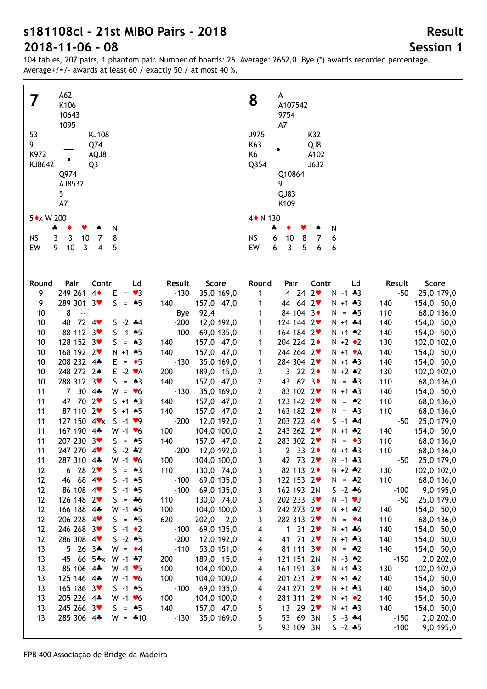104 tables, 207 pairs, 1 phantom pair. Number of boards: 26. Average: 2652,0. Bye (\*) awards recorded percentage. Average+/=/- awards at least 60 / exactly 50 / at most 40 %.

| A62                                                                                                  | A                                                                                                                       |
|------------------------------------------------------------------------------------------------------|-------------------------------------------------------------------------------------------------------------------------|
| 7                                                                                                    | 8                                                                                                                       |
| K106                                                                                                 | A107542                                                                                                                 |
| 10643                                                                                                | 9754                                                                                                                    |
| 1095                                                                                                 | A7                                                                                                                      |
| 53                                                                                                   | J975                                                                                                                    |
| KJ108                                                                                                | K32                                                                                                                     |
| 9                                                                                                    | K63                                                                                                                     |
| Q74                                                                                                  | QJ8                                                                                                                     |
| $\hspace{0.1mm} +\hspace{0.1mm}$<br>K972<br>AQJ8                                                     | K6<br>A102                                                                                                              |
| KJ8642                                                                                               | Q854                                                                                                                    |
| Q <sub>3</sub>                                                                                       | J632                                                                                                                    |
| Q974                                                                                                 | Q10864                                                                                                                  |
| AJ8532                                                                                               | 9                                                                                                                       |
| 5                                                                                                    | QJ83                                                                                                                    |
| A7                                                                                                   | K109                                                                                                                    |
| 5 * x W 200                                                                                          | 4 + N 130                                                                                                               |
| N<br>4<br>Y.<br>۸                                                                                    | N<br>4                                                                                                                  |
| 8                                                                                                    | 6                                                                                                                       |
| <b>NS</b>                                                                                            | <b>NS</b>                                                                                                               |
| 3                                                                                                    | 10                                                                                                                      |
| 3                                                                                                    | 8                                                                                                                       |
| 10                                                                                                   | $\overline{7}$                                                                                                          |
| $\overline{7}$                                                                                       | 6                                                                                                                       |
| 10                                                                                                   | $\mathbf{3}$                                                                                                            |
| $\overline{4}$                                                                                       | 5                                                                                                                       |
| EW                                                                                                   | EW                                                                                                                      |
| 9                                                                                                    | 6                                                                                                                       |
| $\overline{3}$                                                                                       | 6                                                                                                                       |
| 5                                                                                                    | 6                                                                                                                       |
|                                                                                                      |                                                                                                                         |
|                                                                                                      |                                                                                                                         |
| Pair                                                                                                 | Contr                                                                                                                   |
| Contr                                                                                                | Score                                                                                                                   |
| Score                                                                                                | Round                                                                                                                   |
| Round                                                                                                | Pair                                                                                                                    |
| Ld                                                                                                   | Ld                                                                                                                      |
| Result                                                                                               | Result                                                                                                                  |
| 249 261 4                                                                                            | 4242                                                                                                                    |
| 9                                                                                                    | $-50$                                                                                                                   |
| $E = \bullet 3$                                                                                      | 1                                                                                                                       |
| $-130$                                                                                               | $N - 1$ $*3$                                                                                                            |
| 35,0 169,0                                                                                           | 25,0 179,0                                                                                                              |
| 289 301 3♥<br>$S = \triangle 5$<br>157,0 47,0<br>9<br>140<br>8<br>$\sim$                             | 44 64 2<br>154,0 50,0<br>$N + 1 + 3$<br>140<br>1<br>84 104 3+                                                           |
| 10                                                                                                   | 110                                                                                                                     |
| 92,4                                                                                                 | 68,0 136,0                                                                                                              |
| Bye                                                                                                  | 1                                                                                                                       |
| $-200$                                                                                               | $N = -5$                                                                                                                |
| 10                                                                                                   | 124 144 2                                                                                                               |
| $72$ 4                                                                                               | 154,0 50,0                                                                                                              |
| 48                                                                                                   | 1                                                                                                                       |
| $S - 2 + 4$                                                                                          | $N + 1$ $*4$                                                                                                            |
| 12,0 192,0                                                                                           | 140                                                                                                                     |
| 88 112 3                                                                                             | 164 184 2                                                                                                               |
| $S - 1$ 45                                                                                           | 140                                                                                                                     |
| 10                                                                                                   | 154,0 50,0                                                                                                              |
| $-100$                                                                                               | 1                                                                                                                       |
| 69,0 135,0                                                                                           | $N + 1$ $*2$                                                                                                            |
| 128 152 3                                                                                            | 204 224 2+                                                                                                              |
| 10                                                                                                   | $N + 2 \cdot 2$                                                                                                         |
| $S = \triangle 3$                                                                                    | 130                                                                                                                     |
| 157,0 47,0                                                                                           | 102,0 102,0                                                                                                             |
| 140                                                                                                  | 1                                                                                                                       |
| 168 192 2                                                                                            | 244 264 2                                                                                                               |
| 140                                                                                                  | 140                                                                                                                     |
| 10                                                                                                   | 154,0 50,0                                                                                                              |
| $N + 1$ $*5$                                                                                         | 1                                                                                                                       |
| 157,0 47,0                                                                                           | $N + 1$ $\bullet$ A                                                                                                     |
| 208 232 4*                                                                                           | $\mathbf{1}$                                                                                                            |
| 10                                                                                                   | 284 304 2                                                                                                               |
| $E = \bullet 5$                                                                                      | $N + 1 + 3$                                                                                                             |
| $-130$                                                                                               | 140                                                                                                                     |
| 35,0 169,0                                                                                           | 154,0 50,0                                                                                                              |
| 248 272 2*                                                                                           | 3 22 2 $\bullet$                                                                                                        |
| $E - 2 \cdot A$                                                                                      | $\mathbf{2}$                                                                                                            |
| 10                                                                                                   | $N + 2 * 2$                                                                                                             |
| 200                                                                                                  | 130                                                                                                                     |
| 189,0 15,0                                                                                           | 102,0 102,0                                                                                                             |
| 288 312 3                                                                                            | 43 62 3                                                                                                                 |
| 140                                                                                                  | $\mathbf{2}$                                                                                                            |
| 10                                                                                                   | 110                                                                                                                     |
| $S = \triangle 3$                                                                                    | 68,0 136,0                                                                                                              |
| 157,0 47,0                                                                                           | $N = -3$                                                                                                                |
| 7 30 4*<br>11<br>$W = \bullet 6$<br>$-130$<br>35,0 169,0<br>47 70 2                                  | $\mathbf{2}$<br>83 102 2<br>$N + 1 * 3$<br>140<br>154,0 50,0                                                            |
| 11<br>$S + 1 \cdot 3$<br>140<br>157,0 47,0<br>87 110 2<br>11<br>140<br>157,0 47,0<br>$S + 1 \cdot 5$ | $\mathbf{2}$<br>123 142 2<br>110<br>$N = 2$<br>68,0 136,0<br>$\mathbf{2}$<br>163 182 2<br>110<br>$N = -3$<br>68,0 136,0 |
| 127 150 4 <b>v</b> x                                                                                 | $\mathbf{2}$                                                                                                            |
| 11                                                                                                   | 203 222 4                                                                                                               |
| $S - 1 \cdot 9$                                                                                      | $S - 1$ $*4$                                                                                                            |
| $-200$                                                                                               | -50                                                                                                                     |
| 12,0 192,0                                                                                           | 25,0 179,0                                                                                                              |
| 167 190 4*                                                                                           | $\mathbf{2}$                                                                                                            |
| 11                                                                                                   | 243 262 2                                                                                                               |
| $W - 1$ $\bullet$ 6                                                                                  | $N + 1$ $*2$                                                                                                            |
| 100                                                                                                  | 154,0 50,0                                                                                                              |
| 104,0 100,0                                                                                          | 140                                                                                                                     |
| 11                                                                                                   | $\mathbf{2}$                                                                                                            |
| 207 230 3♥                                                                                           | 283 302 2                                                                                                               |
| $S = *5$                                                                                             | $N = 3$                                                                                                                 |
| 140                                                                                                  | 110                                                                                                                     |
| 157,0 47,0                                                                                           | 68,0 136,0                                                                                                              |
| $-200$ 12,0 192,0<br>11<br>247 270 4<br>$S - 2 * 2$                                                  | $\overline{3}$<br>$2 \t33 \t2*$<br>$N + 1 * 3$<br>110<br>68,0 136,0                                                     |
| 287 310 4*                                                                                           | 3                                                                                                                       |
| $W - 1$ $\bullet$ 6                                                                                  | 42 73 2                                                                                                                 |
| 104,0 100,0                                                                                          | 25,0 179,0                                                                                                              |
| 100                                                                                                  | $N - 1 * 3$                                                                                                             |
| 11                                                                                                   | $-50$                                                                                                                   |
| 6282                                                                                                 | 3                                                                                                                       |
| $S = 43$                                                                                             | 82 113 2+                                                                                                               |
| 110                                                                                                  | $N + 2 * 2$                                                                                                             |
| 12                                                                                                   | 130                                                                                                                     |
| 130,0 74,0                                                                                           | 102,0 102,0                                                                                                             |
| 46 68 4<br>$S - 1$ 45<br>12<br>$-100$<br>69,0 135,0<br>86 108 4                                      | 3<br>122 153 2<br>110<br>$N = -2$<br>68,0 136,0                                                                         |
| $S - 1$ 45<br>12<br>$-100$<br>69,0 135,0<br>126 148 2<br>12<br>$S = *6$<br>110<br>130,0 74,0         | 3<br>162 193 2N<br>$S - 2 * 6$<br>9,0 195,0<br>$-100$<br>3<br>202 233 3<br>$N - 1$ $V$<br>$-50$<br>25,0 179,0           |
| 166 188 4*                                                                                           | 3                                                                                                                       |
| 12                                                                                                   | 242 273 2                                                                                                               |
| $W - 1 + 5$                                                                                          | $N + 1 * 2$                                                                                                             |
| 100                                                                                                  | 140                                                                                                                     |
| 104,0 100,0                                                                                          | 154,0 50,0                                                                                                              |
| 206 228 4<br>$S = \triangle 5$<br>12<br>620<br>202,0<br>2,0                                          | 3<br>282 313 2<br>110<br>68,0 136,0<br>$N = 4$                                                                          |
| 246 268 3                                                                                            | $\overline{\mathbf{4}}$                                                                                                 |
| $S -1$ $\bullet 2$                                                                                   | $1$ 31 $2\blacktriangledown$                                                                                            |
| 12                                                                                                   | 140                                                                                                                     |
| 69,0 135,0                                                                                           | 154,0 50,0                                                                                                              |
| $-100$                                                                                               | $N + 1 + 6$                                                                                                             |
| $S - 2 * 5$                                                                                          | 41 71 2                                                                                                                 |
| 286 308 4                                                                                            | $\overline{\mathcal{A}}$                                                                                                |
| 12                                                                                                   | $N + 1 * 3$                                                                                                             |
| $-200$                                                                                               | 140                                                                                                                     |
| 12,0 192,0                                                                                           | 154,0 50,0                                                                                                              |
| $5263*$                                                                                              | 81 111 3                                                                                                                |
| $W = 4$                                                                                              | 4                                                                                                                       |
| 13                                                                                                   | 140                                                                                                                     |
| $-110$                                                                                               | 154,0 50,0                                                                                                              |
| 53,0 151,0                                                                                           | $N = -2$                                                                                                                |
| 45 66 5*x                                                                                            | 4                                                                                                                       |
| $W - 1$ $*7$                                                                                         | 121 151 2N                                                                                                              |
| 13                                                                                                   | $N - 3$ $*2$                                                                                                            |
| 200                                                                                                  | $-150$                                                                                                                  |
| 189,0 15,0                                                                                           | 2,0 202,0                                                                                                               |
| 85 106 4*                                                                                            | 161 191 3+                                                                                                              |
| 13                                                                                                   | $N + 1 * 3$                                                                                                             |
| $W - 1 \bullet 5$                                                                                    | 130                                                                                                                     |
| 100                                                                                                  | 102,0 102,0                                                                                                             |
| 104,0 100,0                                                                                          | 4                                                                                                                       |
| 125 146 4*                                                                                           | $\overline{\mathcal{A}}$                                                                                                |
| 13                                                                                                   | 201 231 2                                                                                                               |
| $W - 1$ $V$ 6                                                                                        | 140                                                                                                                     |
| 100                                                                                                  | 154,0 50,0                                                                                                              |
| 104,0 100,0                                                                                          | $N + 1$ $*2$                                                                                                            |
| 165 186 3                                                                                            | 241 271 2                                                                                                               |
| 13                                                                                                   | $N + 1 + 3$                                                                                                             |
| $S - 1$ 45                                                                                           | 140                                                                                                                     |
| $-100$                                                                                               | 154,0 50,0                                                                                                              |
| 69,0 135,0                                                                                           | 4                                                                                                                       |
| 205 226 4*                                                                                           | 281 311 2                                                                                                               |
| 13                                                                                                   | $N + 1$ $\bullet$ 2                                                                                                     |
| $W - 1$ $V$ 6                                                                                        | 140                                                                                                                     |
| 100                                                                                                  | 154,0 50,0                                                                                                              |
| 104,0 100,0                                                                                          | 4                                                                                                                       |
| 245 266 3♥                                                                                           | 5                                                                                                                       |
| 13                                                                                                   | 13 29 2                                                                                                                 |
| $S = \triangle 5$                                                                                    | 140                                                                                                                     |
| 140                                                                                                  | $N + 1 + 3$                                                                                                             |
| 157,0 47,0                                                                                           | 154,0 50,0                                                                                                              |
| 285 306 4*                                                                                           | 5                                                                                                                       |
| 13                                                                                                   | 53 69 3N                                                                                                                |
| $W = -10$                                                                                            | $S - 3 + 4$                                                                                                             |
| $-130$                                                                                               | 2,0 202,0                                                                                                               |
| 35,0 169,0                                                                                           | $-150$                                                                                                                  |
|                                                                                                      | 5<br>93 109 3N<br>$S - 2 * 5$<br>$-100$<br>9,0 195,0                                                                    |
|                                                                                                      |                                                                                                                         |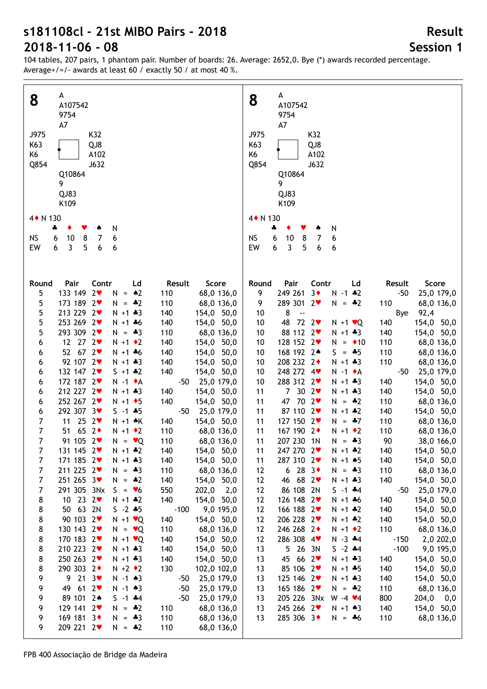104 tables, 207 pairs, 1 phantom pair. Number of boards: 26. Average: 2652,0. Bye (\*) awards recorded percentage. Average+/=/- awards at least 60 / exactly 50 / at most 40 %.

| 8              | A                                                           |     | A<br>8                                                                        |
|----------------|-------------------------------------------------------------|-----|-------------------------------------------------------------------------------|
|                | A107542                                                     |     | A107542                                                                       |
|                | 9754                                                        |     | 9754                                                                          |
|                | A7                                                          |     | A7                                                                            |
| J975           | K32                                                         |     | J975<br>K32                                                                   |
| K63            | QJ8                                                         |     | K63<br>QJ8                                                                    |
| K6             | A102                                                        |     | K6<br>A102                                                                    |
| Q854           | J632                                                        |     | Q854<br>J632                                                                  |
|                | Q10864                                                      |     | Q10864                                                                        |
|                | 9                                                           |     | 9                                                                             |
|                | QJ83                                                        |     | QJ83                                                                          |
|                | K109                                                        |     | K109                                                                          |
|                |                                                             |     |                                                                               |
| 4 + N 130      |                                                             |     | 4 + N 130                                                                     |
|                | N<br>÷                                                      |     | N<br>÷                                                                        |
| <b>NS</b>      | 10<br>8<br>7<br>6<br>6                                      |     | <b>NS</b><br>6<br>10<br>8<br>7<br>6                                           |
| EW             | 3<br>5<br>6<br>6<br>6                                       |     | 3<br>5<br>EW<br>6<br>6<br>6                                                   |
|                |                                                             |     |                                                                               |
|                |                                                             |     |                                                                               |
| Round          | Pair<br>Contr<br>Ld<br>Result<br>Score                      |     | Pair<br>Contr<br>Score<br>Round<br>Ld<br>Result                               |
| 5              | 133 149 2<br>$N = 2$<br>110<br>68,0 136,0                   |     | 249 261<br>3 <sub>•</sub><br>9<br>$N - 1$ $*2$<br>$-50$<br>25,0 179,0         |
| 5              | 173 189 2<br>$N = -2$<br>110<br>68,0 136,0                  |     | 289 301 2♥<br>9<br>$N = -2$<br>110<br>68,0 136,0                              |
| 5              | 213 229 2<br>$N + 1 + 3$<br>154,0 50,0<br>140               |     | 8<br>92,4<br>10<br>$\overline{\phantom{a}}$<br>Bye                            |
| 5              | 253 269 2♥<br>140<br>154,0 50,0<br>$N + 1 + 6$              |     | $72 \t2$<br>48<br>140<br>154,0 50,0<br>10<br>$N + 1$ $\vee$ Q                 |
| 5              | 293 309 2♥<br>110<br>68,0 136,0<br>$N = -3$                 |     | 88 112 2<br>$N + 1 * 3$<br>10<br>140<br>154,0 50,0                            |
| 6              | 12 27 2<br>$N + 1$ + 2<br>140<br>154,0 50,0                 |     | 128 152 2<br>$N = 10$<br>110<br>68,0 136,0<br>10                              |
| 6              | 52, 67, 2<br>$N + 1 + 6$<br>140<br>154,0 50,0               |     | 168 192 2*<br>110<br>68,0 136,0<br>10<br>$S = -5$                             |
|                | 92 107 2<br>$N + 1 * 3$<br>140<br>154,0 50,0                |     | 208 232 2+<br>$N + 1 + 3$<br>110<br>10<br>68,0 136,0                          |
| 6              | 132 147 2<br>$S + 1 * 2$<br>140                             |     | 248 272 4<br>$-50$                                                            |
| 6              | 154,0 50,0<br>172 187 2<br>$-50$                            |     | 25,0 179,0<br>10<br>$N - 1$ $\bullet$ A<br>288 312 2<br>140                   |
| 6              | 25,0 179,0<br>$N - 1$ $\star$ A<br>212 227 2<br>$N + 1 * 3$ |     | $N + 1 + 3$<br>154,0 50,0<br>10<br>30 $2\blacktriangledown$<br>7 <sup>7</sup> |
| 6              | 140<br>154,0 50,0<br>252 267 2♥<br>140                      |     | 11<br>$N + 1 + 3$<br>140<br>154,0 50,0<br>47<br>70 2♥                         |
| 6              | $N + 1$ + 5<br>154,0 50,0<br>$S - 1$ $*5$                   |     | 110<br>68,0 136,0<br>11<br>$N = -2$                                           |
| 6              | 292 307 3♥<br>$-50$<br>25,0 179,0<br>$25 \t2$               |     | 87 110 2<br>$N + 1$ $*2$<br>140<br>154,0 50,0<br>11                           |
| 7              | 11<br>$N + 1$ $\land$ $K$<br>140<br>154,0 50,0              |     | 127 150 2<br>110<br>11<br>$N = .47$<br>68,0 136,0                             |
| 7              | 51 65 2<br>$N + 1$ $\bullet$ 2<br>110<br>68,0 136,0         |     | 167 190 2+<br>$N + 1$ $\bullet$ 2<br>110<br>68,0 136,0<br>11                  |
| $\overline{7}$ | 91 105 2<br>$N = \vee Q$<br>110<br>68,0 136,0               |     | 207 230 1N<br>90<br>38,0 166,0<br>11<br>$N = -3$                              |
| 7              | 131 145 2<br>$N + 1$ $*2$<br>154,0 50,0<br>140              |     | 11<br>247 270 2<br>$N + 1$ $*2$<br>140<br>154,0 50,0                          |
| $\overline{7}$ | 171 185 2<br>154,0 50,0<br>$N + 1 + 3$<br>140               |     | 287 310 2<br>154,0 50,0<br>$N + 1$ $*5$<br>140<br>11                          |
| $\overline{7}$ | 211 225 2<br>$N = -3$<br>110<br>68,0 136,0                  |     | 6283<br>$N = -3$<br>110<br>68,0 136,0<br>12                                   |
| $\overline{7}$ | 251 265 3♥<br>$N = -2$<br>140<br>154,0 50,0                 |     | 46 68 2<br>$N + 1 + 3$<br>140<br>154,0 50,0<br>12                             |
| $\overline{7}$ | 291 305 3Nx<br>$S = \bullet 6$<br>550<br>202,0              | 2,0 | 86 108 2N<br>25,0 179,0<br>$S - 1$ $*4$<br>$-50$<br>12                        |
| 8              | 10 23 $2\bullet$<br>$N + 1$ $*2$<br>140<br>154,0 50,0       |     | 126 148 2<br>140<br>154,0 50,0<br>12<br>$N + 1 + 6$                           |
| 8              | 50 63 2N<br>9,0 195,0<br>$S - 2 * 5$<br>$-100$              |     | 166 188 2<br>$N + 1$ $*2$<br>140<br>154,0 50,0<br>12                          |
| 8              | 90 103 2<br>$N + 1$ $\vee$ Q<br>140<br>154,0 50,0           |     | 206 228 2<br>$N + 1$ $*2$<br>140<br>154,0 50,0<br>12                          |
| 8              | 130 143 2<br>$N = \vee Q$<br>110<br>68,0 136,0              |     | 246 268 2+<br>110<br>$N + 1$ $\bullet$ 2<br>68,0 136,0<br>12                  |
| 8              | 170 183 2<br>$N + 1$ $\vee$ Q<br>140<br>154,0 50,0          |     | 286 308 4<br>$N - 3$ $*4$<br>2,0 202,0<br>12<br>$-150$                        |
| 8              | 210 223 2<br>$N + 1 * 3$<br>154,0 50,0<br>140               |     | 5 26 3N<br>$S - 2$ $*4$<br>$-100$<br>9,0 195,0<br>13                          |
| 8              | 250 263 2♥<br>$N + 1 * 3$<br>140<br>154,0 50,0              |     | 45 66 2<br>$N + 1 * 3$<br>140<br>154,0 50,0<br>13                             |
| 8              | 290 303 2+<br>$N + 2 \cdot 2$<br>130<br>102,0 102,0         |     | 85 106 2<br>140<br>154,0 50,0<br>13<br>$N + 1 + 5$                            |
| 9              | $9$ 21 $3\bullet$<br>$N - 1$ $*3$<br>25,0 179,0<br>-50      |     | 125 146 2<br>140<br>154,0 50,0<br>13<br>$N + 1 + 3$                           |
| 9              | 612<br>49<br>$N - 1$ $\bullet$ 3<br>$-50$<br>25,0 179,0     |     | 165 186 2<br>110<br>68,0 136,0<br>13<br>$N = -2$                              |
| 9              | 89 101 2*<br>$S - 1$ $*4$<br>$-50$<br>25,0 179,0            |     | 205 226 3Nx<br>$W - 4$ $\times 4$<br>800<br>204,0<br>$_{0,0}$<br>13           |
| 9              | 129 141 2<br>$N = -2$<br>110<br>68,0 136,0                  |     | 245 266 2♥<br>140<br>154,0 50,0<br>13<br>$N + 1 \cdot 3$                      |
| 9              | 169 181 3<br>110<br>$N = *3$<br>68,0 136,0                  |     | 285 306 3◆<br>110<br>68,0 136,0<br>13<br>$N = *6$                             |
| 9              | 209 221 2<br>$N = -2$<br>110<br>68,0 136,0                  |     |                                                                               |
|                |                                                             |     |                                                                               |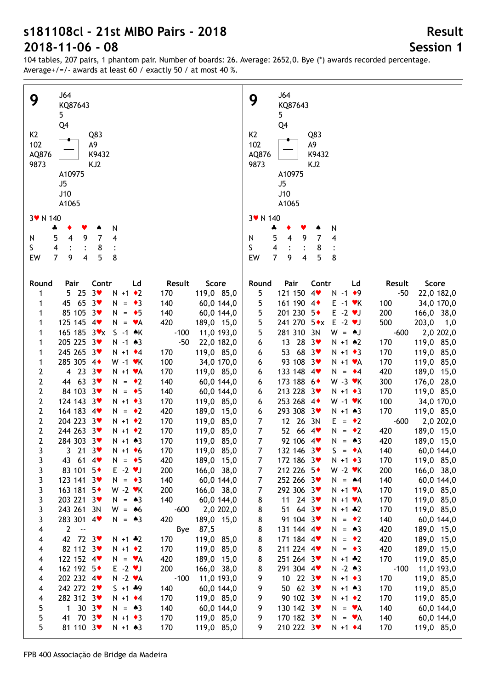104 tables, 207 pairs, 1 phantom pair. Number of boards: 26. Average: 2652,0. Bye (\*) awards recorded percentage. Average+/=/- awards at least 60 / exactly 50 / at most 40 %.

| J64                                                                         | J64                                                          |
|-----------------------------------------------------------------------------|--------------------------------------------------------------|
| 9                                                                           | 9                                                            |
| KQ87643                                                                     | KQ87643                                                      |
| 5                                                                           | 5 <sub>5</sub>                                               |
| Q4                                                                          | Q4                                                           |
| K <sub>2</sub>                                                              | K <sub>2</sub>                                               |
| Q83                                                                         | Q83                                                          |
| 102                                                                         | 102                                                          |
| Α9                                                                          | A9                                                           |
| AQ876                                                                       | AQ876                                                        |
| K9432                                                                       | K9432                                                        |
| 9873                                                                        | 9873                                                         |
| KJ2                                                                         | KJ2                                                          |
|                                                                             |                                                              |
| A10975                                                                      | A10975                                                       |
| J5                                                                          | J5                                                           |
| J10                                                                         | J10                                                          |
| A1065                                                                       | A1065                                                        |
| 3 v N 140                                                                   | 3 v N 140                                                    |
| N<br>÷                                                                      | N<br>4<br>۸                                                  |
| $\overline{7}$                                                              | $5\phantom{.0}$                                              |
| 5                                                                           | $\overline{7}$                                               |
| 4                                                                           | 4                                                            |
| 9                                                                           | $\overline{\mathbf{4}}$                                      |
| 4                                                                           | 9                                                            |
| N                                                                           | N                                                            |
| S                                                                           | S                                                            |
| $\overline{\mathbf{4}}$                                                     | $\overline{4}$                                               |
| 8                                                                           | 8                                                            |
| 5                                                                           | $\overline{7}$                                               |
| $\overline{7}$                                                              | 5                                                            |
| 9                                                                           | 8                                                            |
| 8                                                                           | EW                                                           |
| EW                                                                          | 4                                                            |
| 4                                                                           | 9                                                            |
|                                                                             |                                                              |
|                                                                             |                                                              |
| Contr                                                                       | Pair                                                         |
| Result                                                                      | Contr                                                        |
| Score                                                                       | Score                                                        |
| Round                                                                       | Round                                                        |
| Pair                                                                        | Ld                                                           |
| Ld                                                                          | Result                                                       |
| 3 <sub>v</sub><br>25<br>$N + 1$ $\bullet$ 2<br>170<br>119,0 85,0<br>1<br>5. | 121 150 4<br>5<br>$N - 1$ $\bullet$ 9<br>$-50$<br>22,0 182,0 |
| 65 $3\bullet$<br>45<br>$N = \bullet 3$<br>140<br>60,0 144,0<br>1            | 161 190 4<br>5<br>34,0 170,0<br>$E - 1$ $\forall$ K<br>100   |
| 85 105 3                                                                    | 5                                                            |
| $N = \bullet 5$                                                             | 201 230 5+                                                   |
| 140                                                                         | $E - 2$ $\blacktriangledown$                                 |
| 60,0 144,0                                                                  | 200                                                          |
| 1                                                                           | 166,0 38,0                                                   |
| 125 145 4<br>$N = \mathbf{v}A$<br>420<br>189,0 15,0<br>1                    | 5<br>241 270 5*x<br>$E - 2 \cdot J$<br>500<br>203,0<br>1,0   |
| 165 185 3 <b>v</b> x                                                        | 5                                                            |
| $S -1$ $*$ K                                                                | 281 310 3N                                                   |
| $-100$                                                                      | $W = A J$                                                    |
| 11,0 193,0                                                                  | $-600$                                                       |
| 1                                                                           | 2,0 202,0                                                    |
| 205 225 3                                                                   | 13 28 3                                                      |
| $-50$                                                                       | 170                                                          |
| $N - 1$ $*3$                                                                | 119,0 85,0                                                   |
| 22,0 182,0                                                                  | 6                                                            |
| 1                                                                           | $N + 1$ $*2$                                                 |
| 245 265 3                                                                   | 53 68 $3*$                                                   |
| $N + 1$ $\div 4$                                                            | $N + 1$ $\bullet$ 3                                          |
| 170                                                                         | 170                                                          |
| 119,0 85,0                                                                  | 119,0 85,0                                                   |
| 1                                                                           | 6                                                            |
| 285 305 4+                                                                  | 93 108 3                                                     |
| 100                                                                         | $N + 1$ $\vee$ A                                             |
| 1                                                                           | 170                                                          |
| $W - 1$ $\blacktriangleright$ K                                             | 119,0 85,0                                                   |
| 34,0 170,0                                                                  | 6                                                            |
| 4 23 $3\bullet$                                                             | 133 148 4                                                    |
| 2                                                                           | 420                                                          |
| $N + 1$ $\forall$ A                                                         | 189,0 15,0                                                   |
| 170                                                                         | $N = 4$                                                      |
| 119,0 85,0                                                                  | 6                                                            |
| 44 63 3                                                                     | 173 188 6+                                                   |
| 2                                                                           | $W - 3$ $\mathbf{v}$ K                                       |
| $N = \cdot 2$                                                               | 300                                                          |
| 140                                                                         | 176,0 28,0                                                   |
| 60,0 144,0                                                                  | 6                                                            |
| 84 103 3                                                                    | 213 228 3                                                    |
| 2                                                                           | $N + 1$ $\bullet$ 3                                          |
| $N = \bullet 5$                                                             | 170                                                          |
| 140                                                                         | 119,0 85,0                                                   |
| 60,0 144,0                                                                  | 6                                                            |
| $\mathbf{2}$                                                                | 253 268 4+                                                   |
| 124 143 3                                                                   | 100                                                          |
| $N + 1$ + 3                                                                 | $W - 1$ $\cdot$ K                                            |
| 170                                                                         | 34,0 170,0                                                   |
| 119,0 85,0                                                                  | 6                                                            |
| $\mathbf{2}$                                                                | 293 308 3♥                                                   |
| 164 183 4                                                                   | 170                                                          |
| 420                                                                         | 119,0 85,0                                                   |
| $N = \cdot 2$                                                               | 6                                                            |
| 189,0 15,0                                                                  | $N + 1 \cdot 3$                                              |
| $\mathbf{2}$<br>204 223 3<br>$N + 1$ $\bullet$ 2<br>170<br>119,0 85,0       | 12 26<br>7<br>3N<br>$-600$<br>$E = \cdot 2$<br>2,0 202,0     |
| $\mathbf{2}$<br>244 263 3♥<br>170<br>$N + 1$ $\bullet$ 2<br>119,0 85,0      | 7<br>52 66<br>4<br>420<br>189,0 15,0<br>$N = \cdot 2$        |
| $\mathbf{2}$                                                                | $\overline{7}$                                               |
| 284 303 3♥                                                                  | 92 106 4                                                     |
| 170                                                                         | $N = *3$                                                     |
| 119,0 85,0                                                                  | 420                                                          |
| $N + 1 \cdot 3$                                                             | 189,0 15,0                                                   |
| 3 21 3 $\bullet$                                                            | 7                                                            |
| $N + 1$ + 6                                                                 | 132 146 3                                                    |
| 170                                                                         | $S = \bullet A$                                              |
| 119,0 85,0                                                                  | 140                                                          |
| 3                                                                           | 60,0 144,0                                                   |
| 43 61 4                                                                     | 119,0 85,0                                                   |
| 420                                                                         | 172 186 3                                                    |
| 189,0 15,0                                                                  | 170                                                          |
| 3                                                                           | 7                                                            |
| $N = \bullet 5$                                                             | $N + 1$ + 3                                                  |
| 83 101 5+                                                                   | 212 226 5                                                    |
| $E - 2$ $\vee$                                                              | 7                                                            |
| 3                                                                           | $W - 2$ $\cdot$ K                                            |
| 200                                                                         | 200                                                          |
| 166,0 38,0                                                                  | 166,0 38,0                                                   |
| 123 141 3                                                                   | 7                                                            |
| 3                                                                           | 252 266 3♥                                                   |
| $N = \bullet 3$                                                             | 140                                                          |
| 140                                                                         | 60,0 144,0                                                   |
| 60,0 144,0                                                                  | $N = 44$                                                     |
| 163 181 5+                                                                  | 292 306 3♥                                                   |
| $W - 2$ $\cdot$ K                                                           | 170                                                          |
| 3                                                                           | 119,0 85,0                                                   |
| 200                                                                         | 7                                                            |
| 166,0 38,0                                                                  | $N + 1$ $\forall$ A                                          |
| 203 221 3                                                                   | 11 24 3 $\bullet$                                            |
| 3                                                                           | 170                                                          |
| 140                                                                         | 119,0 85,0                                                   |
| 60,0 144,0                                                                  | 8                                                            |
| $N = \triangle 3$                                                           | $N + 1$ $\forall$ A                                          |
| 243 261 3N                                                                  | 51 64 $3\bullet$                                             |
| 3                                                                           | 170                                                          |
| $-600$                                                                      | 119,0 85,0                                                   |
| 2,0 202,0                                                                   | 8                                                            |
| $W = 46$                                                                    | $N + 1 * 2$                                                  |
| 283 301 4                                                                   | 91 104 3                                                     |
| 3                                                                           | 8                                                            |
| 420                                                                         | 140                                                          |
| 189,0 15,0                                                                  | 60,0 144,0                                                   |
| $N = \triangle 3$                                                           | $N = \cdot 2$                                                |
| $2^{\circ}$                                                                 | 131 144 4                                                    |
| 87,5                                                                        | 8                                                            |
| 4                                                                           | 420                                                          |
| $\sim$ $-$                                                                  | 189,0 15,0                                                   |
| Bye                                                                         | $N = \triangle 3$                                            |
| 42 72 3                                                                     | 8                                                            |
| 170                                                                         | 171 184 4                                                    |
| 119,0 85,0                                                                  | 420                                                          |
| 4                                                                           | 189,0 15,0                                                   |
| $N + 1$ $*2$                                                                | $N = \cdot 2$                                                |
| 82 112 3                                                                    | 211 224 4                                                    |
| 170                                                                         | 420                                                          |
| $N + 1$ $\bullet$ 2                                                         | 189,0 15,0                                                   |
| 119,0 85,0                                                                  | 8                                                            |
| 4                                                                           | $N = \bullet 3$                                              |
| 122 152 4                                                                   | 170                                                          |
| 420                                                                         | 8                                                            |
| 189,0 15,0                                                                  | 251 264 3♥                                                   |
| $N = \mathbf{v}A$                                                           | 119,0 85,0                                                   |
| 4                                                                           | $N + 1$ $*2$                                                 |
| 162 192 5+                                                                  | 8                                                            |
| $E - 2 \cdot J$                                                             | 291 304 4                                                    |
| 200                                                                         | $N - 2 * 3$                                                  |
| 166,0 38,0                                                                  | $-100$                                                       |
| 4                                                                           | 11,0 193,0                                                   |
| 202 232 4                                                                   | 10 22 3                                                      |
| $N - 2$ $\blacktriangleright$ $A$                                           | 170                                                          |
| $-100$                                                                      | 119,0 85,0                                                   |
| 11,0 193,0                                                                  | 9                                                            |
| 4                                                                           | $N + 1 \cdot 3$                                              |
| 242 272 2♥                                                                  | 50 62 3                                                      |
| $S + 1 + 9$                                                                 | 170                                                          |
| 140                                                                         | 119,0 85,0                                                   |
| 60,0 144,0                                                                  | 9                                                            |
| 4                                                                           | $N + 1 \cdot 3$                                              |
| 282 312 3♥                                                                  | 90 102 3                                                     |
| $N + 1$ $\cdot$ 4                                                           | 9                                                            |
| 170                                                                         | 170                                                          |
| 119,0 85,0                                                                  | 119,0 85,0                                                   |
| 4                                                                           | $N + 1$ $\bullet$ 2                                          |
| 1 30 $3\bullet$                                                             | 130 142 3                                                    |
| 5                                                                           | 9                                                            |
| 140                                                                         | 140                                                          |
| 60,0 144,0                                                                  | 60,0 144,0                                                   |
| $N = 43$                                                                    | $N = \mathbf{v}A$                                            |
| 41 70 3<br>5<br>$N + 1$ + 3<br>170                                          | 170 182 3                                                    |
| 119,0 85,0                                                                  | 9<br>140<br>60,0 144,0<br>$N = VA$                           |
| 81 110 3                                                                    | 210 222 3♥                                                   |
| 170                                                                         | 9                                                            |
| 5                                                                           | $N + 1$ $\cdot$ 4                                            |
| $N + 1 \cdot 3$                                                             | 170                                                          |
| 119,0 85,0                                                                  | 119,0 85,0                                                   |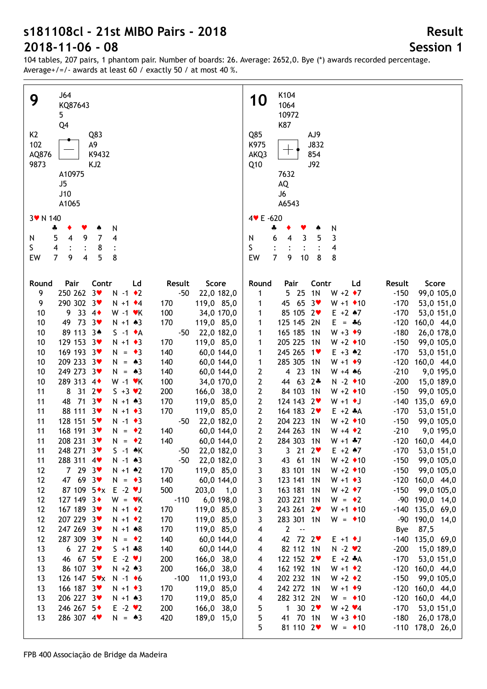| J64<br>9                                                           | K104<br><b>10</b>                                                                                     |
|--------------------------------------------------------------------|-------------------------------------------------------------------------------------------------------|
| KQ87643                                                            | 1064                                                                                                  |
| 5 <sup>1</sup>                                                     | 10972                                                                                                 |
| Q4                                                                 | K87                                                                                                   |
| K <sub>2</sub><br>Q83                                              | Q85<br>AJ9                                                                                            |
| 102<br>A9                                                          | K975<br>J832                                                                                          |
| K9432<br>AQ876                                                     | AKQ3<br>854                                                                                           |
| 9873<br>KJ2                                                        | <b>J92</b><br>Q10                                                                                     |
| A10975                                                             | 7632                                                                                                  |
| J5                                                                 | AQ                                                                                                    |
| J10                                                                | J6                                                                                                    |
| A1065                                                              | A6543                                                                                                 |
|                                                                    |                                                                                                       |
| 3 v N 140                                                          | 4 V E -620                                                                                            |
| N<br>4<br>Y<br>۸                                                   | N<br>4                                                                                                |
| $\overline{4}$<br>9<br>$\overline{7}$<br>4<br>5<br>N               | 6<br>3<br>5<br>3<br>$\overline{4}$<br>N                                                               |
| S.<br>4<br>8                                                       | S<br>4                                                                                                |
| 5<br>$\overline{7}$<br>8<br>EW<br>9<br>4                           | $\overline{7}$<br>8<br>8<br>EW<br>9<br>10                                                             |
|                                                                    |                                                                                                       |
| Pair<br>Contr<br>Ld<br>Round<br>Result<br>Score                    | Contr<br>Ld<br>Score<br>Round<br>Pair<br>Result                                                       |
| 250 262 3♥<br>9<br>$N - 1$ $\bullet$ 2<br>$-50$<br>22,0 182,0      | 5 25<br>1 <sub>N</sub><br>$W + 2 \cdot 7$<br>$-150$<br>99,0 105,0<br>1                                |
| 290 302 3♥<br>9<br>$N + 1$ $\div 4$<br>170<br>119,0 85,0           | 45 65<br>$3*$<br>$W + 1$ $\bullet$ 10<br>$-170$<br>53,0 151,0<br>1                                    |
| 33 $4\bullet$<br>100<br>10<br>9<br>$W - 1$ $\cdot$ K<br>34,0 170,0 | 85 105 2<br>$E + 2$ $*7$<br>$-170$<br>53,0 151,0<br>1                                                 |
| 73 $3\sqrt{ }$<br>10<br>49<br>$N + 1 \cdot 3$<br>170<br>119,0 85,0 | 125 145 2N<br>$E = 46$<br>$-120$<br>160,0 44,0<br>1                                                   |
| 89 113 3*<br>10<br>$S -1$ $\bullet$ A<br>$-50$<br>22,0 182,0       | 165 185<br>1 <sup>N</sup><br>$W + 3 \cdot 9$<br>$-180$<br>26,0 178,0<br>1                             |
| 129 153 3<br>$N + 1$ + 3<br>170<br>10<br>119,0 85,0                | 205 225<br>1 <sup>N</sup><br>$W + 2 \cdot 10$<br>$-150$<br>99,0 105,0<br>1                            |
| 169 193 3<br>10<br>$N = \bullet 3$<br>140<br>60,0 144,0            | 245 265 1<br>$E + 3$ $*2$<br>$-170$<br>53,0 151,0<br>1                                                |
| 209 233 3♥<br>10<br>$N = \triangle 3$<br>140<br>60,0 144,0         | 285 305<br>$-120$<br>$\mathbf{1}$<br>1 <sup>N</sup><br>$W + 1 \cdot 9$<br>160,0 44,0                  |
| 249 273 3♥<br>10<br>$N = \triangle 3$<br>140<br>60,0 144,0         | 4 23<br>$\mathbf{2}$<br>1 <sub>N</sub><br>$-210$<br>$W + 4$ 46<br>9,0 195,0                           |
| 289 313 4+<br>10<br>$W - 1$ $\cdot$ K<br>100<br>34,0 170,0         | $\mathbf 2$<br>44 63<br>$2*$<br>$-200$<br>$N - 2$ $\bullet$ 10<br>15,0 189,0                          |
| $31 \quad 2$<br>11<br>8<br>$S + 3 \times 2$<br>200<br>166,0 38,0   | $\mathbf 2$<br>84 103<br>1 <sub>N</sub><br>$W + 2 \cdot 10$<br>$-150$<br>99,0 105,0                   |
| 71.3<br>11<br>48<br>$N + 1 \cdot 3$<br>170<br>119,0 85,0           | $\mathbf{2}$<br>124 143<br>$2\bullet$<br>$W + 1$ + J<br>$-140$<br>135,0 69,0                          |
| 88 111 3<br>170<br>11<br>$N + 1$ + 3<br>119,0 85,0                 | $\mathbf{2}$<br>164 183 2<br>$E + 2 A$<br>$-170$<br>53,0 151,0                                        |
| 128 151 5<br>11<br>$N - 1$ $\bullet$ 3<br>$-50$<br>22,0 182,0      | $\mathbf{2}$<br>204 223<br>$W + 2 \cdot 10$<br>1 <sup>N</sup><br>$-150$<br>99,0 105,0                 |
| 11<br>168 191 3<br>140<br>$N = \cdot 2$<br>60,0 144,0              | $\mathbf{2}$<br>244 263<br>$-210$<br>1 <sup>N</sup><br>$W + 4 \cdot 2$<br>9,0 195,0                   |
| 11<br>208 231 3♥<br>140<br>$N = \cdot 2$<br>60,0 144,0             | $\mathbf{2}$<br>284 303 1N<br>$-120$ 160,0 44,0<br>$W + 1 + 7$                                        |
| 11<br>$S -1$ $\land$ K<br>22,0 182,0<br>$248\;271\;3$              | 53,0 151,0                                                                                            |
| $-50$<br>288 311 4<br>$N - 1$ $*3$<br>$-50$<br>22,0 182,0          | 3 21 2 $\bullet$<br>$E + 2$ $*7$<br>-170<br>3<br>43 61 1N<br>$-150$<br>99,0 105,0<br>$W + 2 \cdot 10$ |
| 11<br>7293<br>$N + 1$ $*2$<br>170<br>119,0 85,0<br>12              | 3<br>83 101 1N<br>$-150$<br>$W + 2 \cdot 10$<br>99,0 105,0                                            |
| 47 69 3<br>140<br>$N = \bullet 3$<br>12                            | 3<br>123 141 1N<br>$-120$ 160,0 44,0<br>$W + 1 \cdot 3$                                               |
| 60,0 144,0<br>87 109 5*x E -2 *J<br>500                            | 3<br>163 181 1N<br>$W + 2 \cdot 7$<br>$-150$                                                          |
| 203,0<br>12<br>1,0<br>127 149 3+<br>$W = vK$<br>$-110$             | 3<br>99,0 105,0<br>$W = \bullet 2$<br>-90 190,0 14,0                                                  |
| 6,0 198,0<br>12<br>167 189 3<br>$N + 1$ $\bullet$ 2                | 3<br>203 221 1N<br>$W + 1 \cdot 10$                                                                   |
| 170<br>119,0 85,0<br>12                                            | 3<br>243 261 2<br>-140 135,0 69,0                                                                     |
| 207 229 3♥<br>$N + 1$ $\bullet$ 2<br>170<br>12<br>119,0 85,0       | 3<br>283 301 1N<br>$W = 10$<br>-90<br>190,0 14,0                                                      |
| 247 269 3♥<br>$N + 1 * 8$<br>170<br>12<br>119,0 85,0               | $2 - -$<br>87,5<br>4<br>Bye                                                                           |
| 287 309 3♥<br>140<br>12<br>$N = \cdot 2$<br>60,0 144,0             | 42 72 2<br>$-140$ 135,0 69,0<br>4<br>$E + 1$ + J                                                      |
| 6272<br>$S + 1 * 8$<br>140<br>60,0 144,0<br>13                     | 82 112 1N<br>$N - 2 \cdot 2$<br>$-200$<br>15,0 189,0<br>4                                             |
| 46 67 5<br>$E - 2 \cdot J$<br>200<br>13<br>166,0 38,0              | 122 152 2<br>$E + 2 A$<br>$-170$<br>53,0 151,0<br>4                                                   |
| 200<br>86 107 3<br>$N + 2 \cdot 3$<br>13<br>166,0 38,0             | 162 192 1N<br>$W + 1 \cdot 2$<br>$-120$ 160,0 44,0<br>4                                               |
| 126 147 5vx<br>$-100$<br>13<br>$N - 1$ +6<br>11,0 193,0            | 202 232 1N<br>$-150$<br>99,0 105,0<br>$W + 2 \cdot 2$<br>4                                            |
| 166 187 3<br>170<br>119,0 85,0<br>13<br>$N + 1$ $\rightarrow$ 3    | 242 272 1N<br>$W + 1 \cdot 9$<br>$-120$<br>160,0 44,0<br>4                                            |
| 206 227 3♥<br>170<br>13<br>$N + 1 \cdot 3$<br>119,0 85,0           | 282 312 2N<br>$-120$<br>160,0 44,0<br>$W = 10$<br>4                                                   |
| 246 267 5◆<br>200<br>$E - 2 \cdot 2$<br>13<br>166,0 38,0           | 1302<br>5<br>$-170$<br>53,0 151,0<br>$W + 2 \cdot 4$                                                  |
| 286 307 4<br>420<br>189,0 15,0<br>13<br>$N = \triangle 3$          | 5<br>41 70 1N<br>$-180$<br>$W + 3 \cdot 10$<br>26,0 178,0                                             |
|                                                                    | 5<br>81 110 2<br>$-110$ 178,0 26,0<br>$W = 10$                                                        |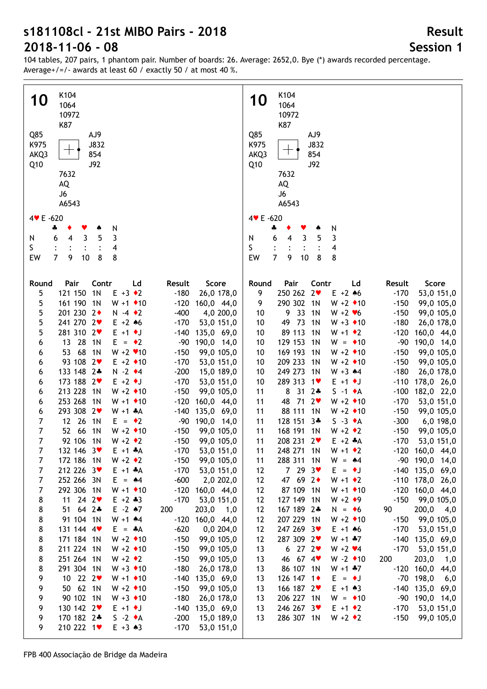| K104<br><b>10</b><br>1064<br>10972<br>K87<br>Q85<br>AJ9                                                            | K104<br><b>10</b><br>1064<br>10972<br>K87<br>Q85<br>AJ9                                                                                             |
|--------------------------------------------------------------------------------------------------------------------|-----------------------------------------------------------------------------------------------------------------------------------------------------|
| K975<br>J832<br>┯<br>854<br>AKQ3<br><b>J92</b><br>Q10                                                              | K975<br><b>J832</b><br>854<br>AKQ3<br><b>J92</b><br>Q10                                                                                             |
| 7632<br>AQ<br>J6<br>A6543                                                                                          | 7632<br>AQ<br>J6<br>A6543                                                                                                                           |
|                                                                                                                    |                                                                                                                                                     |
| 4 V E -620<br>N<br>4                                                                                               | 4 V E -620<br>N<br>4                                                                                                                                |
| 3<br>5<br>3<br>N<br>6<br>4                                                                                         | 3<br>5<br>3<br>6<br>N<br>4                                                                                                                          |
| S<br>4                                                                                                             | S<br>4                                                                                                                                              |
| $\overline{7}$<br>$\bf 8$<br>9<br>EW<br>$10$<br>8                                                                  | $\overline{7}$<br>$\bf 8$<br>8<br>EW<br>9<br>10                                                                                                     |
|                                                                                                                    |                                                                                                                                                     |
| Pair<br>Contr<br>Ld<br>Score<br>Round<br>Result                                                                    | Pair<br>Contr<br>Ld<br>Score<br>Round<br>Result                                                                                                     |
| 1 <sub>N</sub><br>$E + 3 \cdot 2$<br>$-180$<br>5<br>121 150<br>26,0 178,0                                          | 250 262 2<br>$E + 2 + 6$<br>9<br>$-170$<br>53,0 151,0                                                                                               |
| 5<br>161 190 1N<br>$W + 1$ $\bullet$ 10<br>$-120$ 160,0 44,0                                                       | 290 302 1N<br>9<br>$W + 2 \cdot 10$<br>$-150$<br>99,0 105,0                                                                                         |
| 201 230 2+<br>5<br>$-400$<br>$N -4$ $\rightarrow$ 2<br>4,0 200,0                                                   | 33<br>9<br>1 <sup>N</sup><br>$W + 2 V6$<br>$-150$<br>99,0 105,0<br>10<br>49                                                                         |
| 5<br>241 270 2♥<br>$-170$<br>$E + 2 * 6$<br>53,0 151,0<br>5<br>281 310 2♥<br>$E + 1$ + J<br>$-140$<br>135,0 69,0   | 73<br>1 <sub>N</sub><br>$W + 3 \cdot 10$<br>$-180$<br>26,0 178,0<br>10<br>89 113<br>1 <sup>N</sup><br>$W + 1 \cdot 2$<br>$-120$<br>160,0 44,0<br>10 |
| 13 28<br>1N<br>$E = \bullet 2$<br>$-90$<br>190,0 14,0<br>6                                                         | 129 153<br>1 <sup>N</sup><br>$W = 10$<br>$-90$<br>190,0 14,0<br>10                                                                                  |
| 68<br>1 <sub>N</sub><br>$W + 2 \cdot 10$<br>53<br>$-150$<br>99,0 105,0<br>6                                        | 169 193<br>1 <sup>N</sup><br>$W + 2 \cdot 10$<br>$-150$<br>99,0 105,0<br>10                                                                         |
| 93 108 2<br>$-170$<br>$E + 2 \cdot 10$<br>53,0 151,0<br>6                                                          | 209 233<br>1 <sub>N</sub><br>$W + 2 \cdot 10$<br>$-150$<br>99,0 105,0<br>10                                                                         |
| 133 148 2*<br>$N - 2$ $\triangleleft 4$<br>$-200$<br>6<br>15,0 189,0                                               | 249 273<br>1 <sub>N</sub><br>$W + 3$ $*4$<br>$-180$<br>10<br>26,0 178,0                                                                             |
| 173 188 2<br>$E + 2$ + J<br>$-170$<br>6<br>53,0 151,0                                                              | 289 313<br>10<br>$1$ v<br>$E + 1$ + J<br>178,0 26,0<br>$-110$                                                                                       |
| 213 228<br>$W + 2 \cdot 10$<br>1 <sub>N</sub><br>$-150$<br>99,0 105,0<br>6                                         | 8<br>31<br>$2*$<br>$S -1$ $\star$ A<br>$-100$<br>182,0 22,0<br>11                                                                                   |
| 253 268<br>1 <sub>N</sub><br>$W + 1$ $\div 10$<br>$-120$<br>160,0 44,0<br>6                                        | 48 71<br>$2\bullet$<br>$W + 2 \cdot 10$<br>$-170$<br>53,0 151,0<br>11                                                                               |
| 293 308<br>2 <sub>v</sub><br>$W + 1$ $*A$<br>$-140$<br>135,0 69,0<br>6                                             | 88 111<br>1 <sub>N</sub><br>$W + 2 \cdot 10$<br>11<br>$-150$<br>99,0 105,0                                                                          |
| 7<br>12 26<br>1 <sup>N</sup><br>E.<br>$= 2$<br>$-90$<br>190,0 14,0                                                 | $3*$<br>128 151<br>$S -3 \cdot A$<br>$-300$<br>11<br>6,0 198,0                                                                                      |
| 7<br>52 66<br>1 <sub>N</sub><br>$W + 2 \cdot 10$<br>$-150$<br>99,0 105,0                                           | 11<br>168 191<br>1 <sub>N</sub><br>$W + 2 \cdot 2$<br>$-150$<br>99,0 105,0                                                                          |
| $\overline{7}$<br>92 106 1N<br>$W + 2 \cdot 2$<br>$-150$<br>99,0 105,0                                             | 11<br>208 231 2<br>$E + 2$ $A$<br>$-170$<br>53,0 151,0                                                                                              |
| 7<br>132 146 3<br>$-170$<br>$E + 1$ $A$<br>53,0 151,0                                                              | 11<br>248 271 1N<br>$W + 1$ $\bullet$ 2<br>$-120$ 160,0 44,0                                                                                        |
| 7<br>172 186 1N<br>$W + 2 \cdot 2$<br>99,0 105,0<br>$-150$<br>212 226 3                                            | 288 311 1N<br>-90 190,0 14,0<br>11<br>$W = 44$                                                                                                      |
| 7<br>$E + 1$ $A$<br>$-170$<br>53,0 151,0<br>$\overline{7}$<br>252 266 3N<br>$-600$<br>$E = 44$<br>2,0 202,0        | 7293<br>-140 135,0 69,0<br>$E = \cdot J$<br>12<br>47 69 2+<br>12<br>$W + 1$ $\bullet$ 2<br>$-110$ 178,0 26,0                                        |
| 7<br>292 306 1N<br>$W + 1$ $\bullet$ 10<br>$-120$ 160,0 44,0                                                       | 87 109 1N<br>12<br>$W + 1$ $\bullet$ 10<br>$-120$ 160,0 44,0                                                                                        |
| 11 24 2 $\bullet$<br>$-170$<br>8<br>$E + 2 \div 3$<br>53,0 151,0                                                   | 127 149 1N<br>12<br>$W + 2 \cdot 9$<br>$-150$<br>99,0 105,0                                                                                         |
| 8<br>51 64 2*<br>$E - 2$ $*7$<br>200<br>203,0<br>1,0                                                               | 167 189 2*<br>90<br>12<br>200,0<br>$N = \bullet 6$<br>4,0                                                                                           |
| 8<br>91 104 1N<br>$W + 1$ $*4$<br>$-120$ 160,0 44,0                                                                | 207 229 1N<br>12<br>$W + 2 \cdot 10$<br>$-150$<br>99,0 105,0                                                                                        |
| 8<br>131 144 4<br>$E = A$<br>$-620$<br>0,0 204,0                                                                   | 247 269 3<br>12<br>$E + 1 + 6$<br>$-170$<br>53,0 151,0                                                                                              |
| 8<br>171 184 1N<br>$W + 2 \cdot 10$<br>$-150$<br>99,0 105,0                                                        | 287 309 2<br>$W + 1 * 7$<br>12<br>$-140$ 135,0 69,0                                                                                                 |
| 8<br>211 224 1N<br>$W + 2 \cdot 10$<br>$-150$<br>99,0 105,0                                                        | 6272<br>13<br>$W + 2 \cdot 4$<br>$-170$<br>53,0 151,0                                                                                               |
| 8<br>251 264 1N<br>$W + 2 \cdot 2$<br>$-150$<br>99,0 105,0                                                         | 46 67 4<br>13<br>$W - 2 \cdot 10$<br>200<br>203,0<br>1,0                                                                                            |
| 8<br>291 304 1N<br>$W + 3 \cdot 10$<br>$-180$<br>26,0 178,0                                                        | 86 107 1N<br>$W + 1 + 7$<br>$-120$ 160,0 44,0<br>13                                                                                                 |
| 9<br>10 22 2<br>$W + 1$ $\bullet$ 10<br>$-140$<br>135,0 69,0                                                       | 126 147 1<br>$-70$ 198,0<br>13<br>$E = \cdot J$<br>6,0                                                                                              |
| 9<br>50 62 1N<br>$W + 2 \cdot 10$<br>$-150$<br>99,0 105,0                                                          | 166 187 2<br>$E + 1 \cdot 3$<br>$-140$<br>135,0 69,0<br>13                                                                                          |
| 9<br>90 102 1N<br>$W + 3 \cdot 10$<br>$-180$<br>26,0 178,0                                                         | 206 227 1N<br>$W = 10$<br>-90 190,0 14,0<br>13                                                                                                      |
| 130 142 2<br>9<br>$E + 1$ + J<br>$-140$<br>135,0 69,0<br>170 182 2*<br>9<br>$S -2 \cdot A$<br>$-200$<br>15,0 189,0 | 246 267 3♥<br>$E + 1$ $\rightarrow$ 2<br>$-170$<br>53,0 151,0<br>13<br>286 307 1N<br>$W + 2 \cdot 2$<br>13<br>$-150$<br>99,0 105,0                  |
| 210 222 1<br>9<br>$E + 3 \cdot 3$<br>$-170$<br>53,0 151,0                                                          |                                                                                                                                                     |
|                                                                                                                    |                                                                                                                                                     |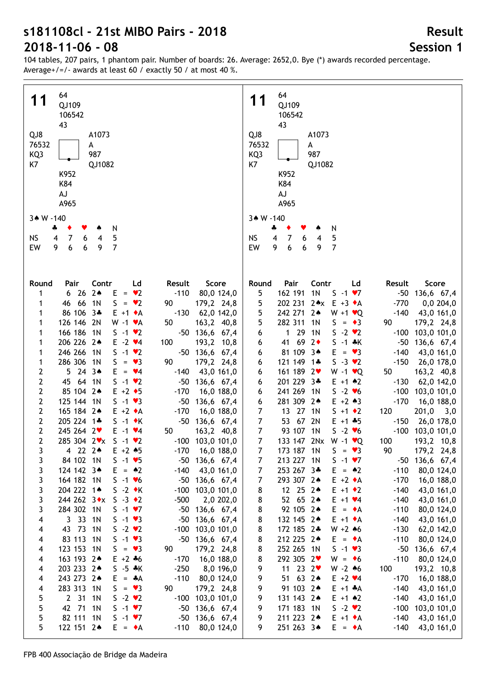104 tables, 207 pairs, 1 phantom pair. Number of boards: 26. Average: 2652,0. Bye (\*) awards recorded percentage. Average+/=/- awards at least 60 / exactly 50 / at most 40 %.

| 64<br>11<br>QJ109<br>106542<br>43<br>QJ8<br>A1073<br>76532<br>A<br>KQ3<br>987<br>K7<br>QJ1082<br>K952<br>K84<br>AJ<br>A965 | 64<br>11<br>QJ109<br>106542<br>43<br>QJ8<br>A1073<br>76532<br>A<br>KQ3<br>987<br>K7<br>QJ1082<br>K952<br>K84<br>AJ<br>A965 |
|----------------------------------------------------------------------------------------------------------------------------|----------------------------------------------------------------------------------------------------------------------------|
| 3* W -140                                                                                                                  | 3* W -140                                                                                                                  |
| N<br>4<br>٠                                                                                                                | 4<br>N                                                                                                                     |
| $\overline{7}$<br>5<br><b>NS</b><br>4<br>4<br>6                                                                            | 5<br><b>NS</b><br>4<br>7<br>$\overline{4}$<br>6                                                                            |
| 9<br>$6\phantom{a}$<br>7<br>EW<br>6<br>9                                                                                   | $\overline{7}$<br>EW<br>6<br>9<br>6<br>9                                                                                   |
|                                                                                                                            |                                                                                                                            |
| Round<br>Pair<br>Contr<br>Score<br>Ld<br>Result<br>$6262*$<br>$E = \bullet 2$<br>$-110$<br>80,0 124,0<br>1                 | Pair<br>Contr<br>Score<br>Round<br>Ld<br>Result<br>1 <sub>N</sub><br>162 191<br>$S - 1 \cdot 7$<br>5<br>-50 136,6 67,4     |
| 46 66 1N<br>$S = \bullet 2$<br>90<br>1                                                                                     | 202 231 2** E +3 *A<br>$-770$                                                                                              |
| 179,2 24,8                                                                                                                 | 5<br>0,0204,0                                                                                                              |
| 86 106 3*<br>$E + 1 \cdot A$<br>$-130$<br>62,0 142,0<br>1                                                                  | 5<br>242 271 2*<br>$W + 1$ $\vee Q$<br>$-140$<br>43,0 161,0                                                                |
| 126 146 2N<br>$W - 1$ $\blacktriangleright$ A<br>50<br>163,2 40,8<br>1                                                     | 5<br>282 311<br>1N<br>$S = \bullet 3$<br>90<br>179,2 24,8                                                                  |
| 166 186 1N<br>$S -1$ $\vee$ 2<br>-50 136,6 67,4<br>1                                                                       | $129$<br>1 <sup>N</sup><br>$-100$ 103,0 101,0<br>6<br>$S - 2 \cdot 2$                                                      |
| 206 226 24<br>$E -2$ $\vee 4$<br>1<br>100<br>193,2 10,8                                                                    | 41 69<br>$2\bullet$<br>$S - 1 * K$<br>$-50$<br>136,6 67,4<br>6                                                             |
| 246 266 1N<br>$S -1$ $\vee$ 2<br>1<br>-50 136,6 67,4                                                                       | 81 109 3*<br>$E = \bullet 3$<br>$-140$<br>43,0 161,0<br>6                                                                  |
| 286 306 1N<br>$S = \bullet 3$<br>90<br>179,2 24,8<br>1                                                                     | 121 149 1*<br>$-150$<br>$S - 3 \cdot 2$<br>26,0 178,0<br>6                                                                 |
| 2<br>$5243*$<br>$-140$<br>43,0 161,0<br>$E = \sqrt{4}$                                                                     | 161 189 2<br>$W - 1$ $\vee Q$<br>50<br>163,2 40,8<br>6                                                                     |
| 64 1N<br>$S -1$ $\vee$ 2<br>45                                                                                             | 201 229 3*<br>$-130$                                                                                                       |
| 2<br>$-50$<br>136,6 67,4                                                                                                   | $E + 1$ $*2$<br>62,0 142,0<br>6                                                                                            |
| 2<br>85 104 2*<br>$E + 2 \cdot 5$<br>$-170$<br>16,0 188,0                                                                  | 241 269 1N<br>$-100$<br>$S - 2 \times 6$<br>103,0 101,0<br>6                                                               |
| 2<br>125 144 1N<br>$S - 1 \cdot 3$<br>$-50$<br>136,6 67,4                                                                  | 281 309 2*<br>$E + 2 \cdot 3$<br>$-170$<br>6<br>16,0 188,0                                                                 |
| 2<br>165 184 2*<br>$E + 2 \cdot A$<br>$-170$<br>16,0 188,0                                                                 | $\overline{7}$<br>13 27 1N<br>$S + 1 \cdot 2$<br>120<br>201,0<br>3,0                                                       |
| $\mathbf{2}$<br>205 224 1*<br>$S -1$ $\star$ K<br>-50 136,6 67,4                                                           | $\boldsymbol{7}$<br>53 67 2N<br>$E + 1 + 5$<br>$-150$<br>26,0 178,0                                                        |
| $\mathbf{2}$<br>245 264 2♥<br>$E -1$ $\vee 4$<br>50<br>163,2 40,8                                                          | $\boldsymbol{7}$<br>93 107 1N<br>$-100$ 103,0 101,0<br>$S - 2 \cdot 6$                                                     |
| $\overline{2}$<br>285 304 2 vx S -1 v2<br>$-100$ 103,0 101,0                                                               | $\overline{7}$<br>133 147 2Nx W -1 <b>v</b> Q<br>100<br>193,2 10,8                                                         |
| 4 22 2*<br>$E + 2 \cdot 5$<br>$-170$<br>16,0 188,0<br>3                                                                    | 7<br>173 187 1N<br>$S = \bullet 3$<br>90<br>179,2 24,8                                                                     |
| 3<br>84 102 1N<br>$S - 1 \cdot 5$<br>-50<br>136,6 67,4                                                                     | 213 227 1N<br>$S - 1 \cdot 7$<br>-50 136,6 67,4<br>7                                                                       |
| 3<br>124 142 3*<br>$E = \triangle 2$<br>$-140$<br>43,0 161,0                                                               | 7<br>253 267 3*<br>$E = 42$<br>$-110$<br>80,0 124,0                                                                        |
| 3<br>164 182 1N<br>$S - 1 \cdot 6$<br>$-50$ 136,6 67,4                                                                     | 293 307 2*<br>$E + 2 \cdot A$<br>$-170$<br>16,0 188,0<br>7                                                                 |
| 204 222 1*<br>$S -2$ $\bullet$ K<br>3<br>$-100$<br>103,0 101,0                                                             | 12 25 24<br>$E + 1 \cdot 2$<br>$-140$<br>43,0 161,0                                                                        |
|                                                                                                                            | 8                                                                                                                          |
| 3<br>244 262 3*x<br>$S -3 \cdot 2$<br>$-500$<br>2,0 202,0                                                                  | 8<br>52 65 2*<br>$E + 1 \cdot 4$<br>$-140$<br>43,0 161,0                                                                   |
| 3<br>284 302 1N<br>$S - 1 \cdot 7$<br>$-50$ 136,6 67,4                                                                     | 92 105 2*<br>8<br>$-110$<br>$E = \bullet A$<br>80,0 124,0                                                                  |
| 3 33 1N<br>$S - 1 \cdot 3$<br>-50 136,6 67,4<br>4                                                                          | 8<br>132 145 2*<br>$E + 1 \cdot A$<br>$-140$<br>43,0 161,0                                                                 |
| $S - 2 \cdot 2$<br>43 73 1N<br>$-100$<br>103,0 101,0<br>4                                                                  | 8<br>172 185 2*<br>$W + 2 * 6$<br>$-130$<br>62,0 142,0                                                                     |
| 83 113 1N<br>$S - 1 \cdot 3$<br>-50 136,6 67,4<br>4                                                                        | 212 225 2*<br>$-110$<br>8<br>$E = \bullet A$<br>80,0 124,0                                                                 |
| 123 153 1N<br>$S = \bullet 3$<br>90<br>179,2 24,8<br>4                                                                     | 8<br>252 265 1N<br>$S - 1 \cdot 3$<br>-50<br>136,6 67,4                                                                    |
| 163 193 2*<br>$E + 2 + 6$<br>16,0 188,0<br>$-170$<br>4                                                                     | 292 305 2♥<br>8<br>$-110$<br>80,0 124,0<br>$W = \bullet 6$                                                                 |
| 203 233 24<br>$S - 5 * K$<br>$-250$<br>8,0 196,0<br>4                                                                      | 11 23 $2\sqrt{ }$<br>$W - 2 \cdot 6$<br>100<br>9<br>193,2 10,8                                                             |
| 243 273 24<br>$-110$<br>$E = A$<br>80,0 124,0<br>4                                                                         | 51 63 2*<br>$-170$<br>9<br>$E + 2 \cdot 4$<br>16,0 188,0                                                                   |
| 283 313 1N<br>$S = \bullet 3$<br>90<br>179,2 24,8<br>4                                                                     | 91 103 2*<br>9<br>$E + 1$ $A$<br>$-140$<br>43,0 161,0                                                                      |
| 5<br>2 31 1N<br>$S - 2 \cdot 2$<br>$-100$ 103,0 101,0                                                                      | 9<br>131 143 2*<br>$E + 1$ $*2$<br>$-140$<br>43,0 161,0                                                                    |
|                                                                                                                            |                                                                                                                            |
| 5<br>42 71<br>1 <sub>N</sub><br>$S -1 \cdot 7$<br>$-50$ 136,6 67,4                                                         | 171 183 1N<br>$S - 2 \cdot 2$<br>$-100$<br>9<br>103,0 101,0                                                                |
| 82 111 1N<br>5<br>$S -1 \cdot 7$<br>$-50$ 136,6 67,4                                                                       | 211 223 24<br>$E + 1 \cdot A$<br>$-140$<br>9<br>43,0 161,0                                                                 |
| 5<br>122 151 2*<br>$-110$<br>80,0 124,0<br>$E = \cdot A$                                                                   | 9<br>251 263 34<br>$E = \bullet A$<br>$-140$<br>43,0 161,0                                                                 |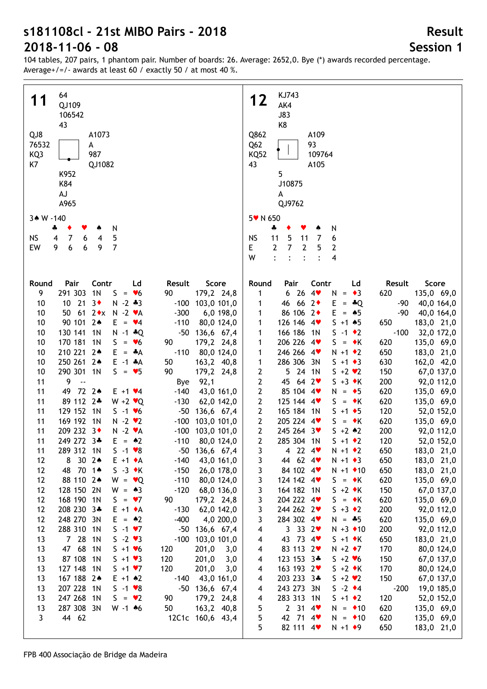104 tables, 207 pairs, 1 phantom pair. Number of boards: 26. Average: 2652,0. Bye (\*) awards recorded percentage. Average+/=/- awards at least 60 / exactly 50 / at most 40 %.

| 64                                                                                                                                                | KJ743                                                                                             |
|---------------------------------------------------------------------------------------------------------------------------------------------------|---------------------------------------------------------------------------------------------------|
| 11                                                                                                                                                | 12                                                                                                |
| QJ109                                                                                                                                             | AK4                                                                                               |
| 106542                                                                                                                                            | <b>J83</b>                                                                                        |
| 43                                                                                                                                                | K8                                                                                                |
| QJ8                                                                                                                                               | Q862                                                                                              |
| A1073                                                                                                                                             | A109                                                                                              |
| 76532                                                                                                                                             | 93                                                                                                |
| А                                                                                                                                                 | Q <sub>62</sub>                                                                                   |
| KQ3                                                                                                                                               | 109764                                                                                            |
| 987                                                                                                                                               | <b>KQ52</b>                                                                                       |
| K7                                                                                                                                                | 43                                                                                                |
| QJ1082                                                                                                                                            | A105                                                                                              |
| K952                                                                                                                                              | 5                                                                                                 |
| K84                                                                                                                                               | J10875                                                                                            |
| AJ                                                                                                                                                | А                                                                                                 |
| A965                                                                                                                                              | QJ9762                                                                                            |
| 3* W -140                                                                                                                                         | 5 v N 650                                                                                         |
| N                                                                                                                                                 | N                                                                                                 |
| ÷                                                                                                                                                 | ♣                                                                                                 |
| 5                                                                                                                                                 | <b>NS</b>                                                                                         |
| <b>NS</b>                                                                                                                                         | 5                                                                                                 |
| $\overline{7}$                                                                                                                                    | 6                                                                                                 |
| 4                                                                                                                                                 | 11                                                                                                |
| 4                                                                                                                                                 | 11                                                                                                |
| 6                                                                                                                                                 | 7                                                                                                 |
| 6                                                                                                                                                 | 7                                                                                                 |
| 9                                                                                                                                                 | E                                                                                                 |
| $\overline{7}$                                                                                                                                    | $\overline{2}$                                                                                    |
| EW                                                                                                                                                | 2                                                                                                 |
| 6                                                                                                                                                 | 5                                                                                                 |
| 9                                                                                                                                                 | 2                                                                                                 |
|                                                                                                                                                   | W<br>$\ddot{\cdot}$<br>4<br>$\ddot{\cdot}$<br>$\ddot{\cdot}$<br>$\ddot{\cdot}$                    |
|                                                                                                                                                   |                                                                                                   |
|                                                                                                                                                   |                                                                                                   |
| Pair<br>Contr<br>Score<br>Round<br>Ld<br>Result<br>9<br>291 303<br>1 <sub>N</sub><br>$S = \bullet 6$<br>90                                        | Pair<br>Contr<br>Result<br>Score<br>Round<br>Ld<br>6264<br>$N = \bullet 3$<br>620                 |
| 179,2 24,8<br>$3\bullet$<br>10<br>10 21<br>$N - 2 * 3$<br>$-100$ 103,0 101,0                                                                      | 135,0 69,0<br>1<br>46 66 2<br>E.<br>$-90$<br>40,0 164,0<br>$=$ $\ast$ Q<br>1                      |
| 61 $2 \cdot x$<br>$N - 2$ $\blacktriangleright$ A<br>10<br>50<br>$-300$<br>6,0 198,0                                                              | 86 106 2+<br>$E = \triangle 5$<br>$-90$<br>40,0 164,0<br>1                                        |
| 90 101 2*                                                                                                                                         | 126 146 4                                                                                         |
| 10                                                                                                                                                | $S + 1 + 5$                                                                                       |
| $E = \bullet 4$                                                                                                                                   | 650                                                                                               |
| $-110$                                                                                                                                            | 183,0 21,0                                                                                        |
| 80,0 124,0                                                                                                                                        | 1                                                                                                 |
| 130 141                                                                                                                                           | 166 186 1N                                                                                        |
| 1 <sub>N</sub>                                                                                                                                    | $-100$                                                                                            |
| 10                                                                                                                                                | $S - 1$ $\bullet$ 2                                                                               |
| $N - 1 * Q$                                                                                                                                       | 32,0 172,0                                                                                        |
| -50 136,6 67,4                                                                                                                                    | 1                                                                                                 |
| 170 181<br>1 <sub>N</sub><br>179,2 24,8<br>10<br>S.<br>$= 46$<br>90                                                                               | 206 226 4<br>$S = \star K$<br>620<br>135,0 69,0<br>1                                              |
| 210 221 2*<br>80,0 124,0<br>10<br>$-110$<br>E.<br>$=$ $\ast$ A                                                                                    | 246 266 4<br>$N + 1$ $\bullet$ 2<br>650<br>183,0 21,0<br>1                                        |
| 250 261 2*                                                                                                                                        | 286 306 3N                                                                                        |
| 10                                                                                                                                                | 630                                                                                               |
| $E -1$ $A$                                                                                                                                        | 162,0 42,0                                                                                        |
| 50                                                                                                                                                | 1                                                                                                 |
| 163,2 40,8                                                                                                                                        | $S + 1 \cdot 3$                                                                                   |
| 290 301 1N                                                                                                                                        | 5 24 1N                                                                                           |
| 90                                                                                                                                                | 2                                                                                                 |
| 10                                                                                                                                                | 150                                                                                               |
| $S = \bullet 5$                                                                                                                                   | 67,0 137,0                                                                                        |
| 179,2 24,8                                                                                                                                        | $S + 2 \cdot 2$                                                                                   |
| 9                                                                                                                                                 | 2                                                                                                 |
| 11                                                                                                                                                | 45 64 2                                                                                           |
| 92,1                                                                                                                                              | $S + 3 \cdot K$                                                                                   |
| $\sim$                                                                                                                                            | 200                                                                                               |
| Bye                                                                                                                                               | 92,0 112,0                                                                                        |
| 72 24<br>11<br>49<br>$-140$<br>43,0 161,0<br>$E + 1$ $4$                                                                                          | 2<br>85 104 4<br>620<br>135,0 69,0<br>$N = \bullet 5$                                             |
| 89 112 2*                                                                                                                                         | 125 144 4                                                                                         |
| 11                                                                                                                                                | 2                                                                                                 |
| $W + 2 \cdot Q$                                                                                                                                   | 620                                                                                               |
| $-130$                                                                                                                                            | 135,0 69,0                                                                                        |
| 62,0 142,0                                                                                                                                        | $S = \star K$                                                                                     |
| 129 152 1N                                                                                                                                        | 165 184 1N                                                                                        |
| 11                                                                                                                                                | 2                                                                                                 |
| $-50$                                                                                                                                             | $S + 1$ + 5                                                                                       |
| 136,6 67,4                                                                                                                                        | 120                                                                                               |
| $S - 1 \cdot 6$                                                                                                                                   | 52,0 152,0                                                                                        |
| 169 192 1N                                                                                                                                        | 205 224 4                                                                                         |
| 11                                                                                                                                                | $\mathbf{2}$                                                                                      |
| $N - 2$ $\vee$ 2                                                                                                                                  | 620                                                                                               |
| $-100$                                                                                                                                            | 135,0 69,0                                                                                        |
| 103,0 101,0                                                                                                                                       | $S = \bullet K$                                                                                   |
| 209 232 3+<br>11<br>$N - 2 \cdot A$<br>$-100$ 103,0 101,0                                                                                         | $\mathbf{2}$<br>245 264 3<br>$5 + 2 * 2$<br>200<br>92,0 112,0                                     |
| 249 272 3*                                                                                                                                        | $\mathbf{2}$                                                                                      |
| 11                                                                                                                                                | 285 304 1N                                                                                        |
| $E = 42$                                                                                                                                          | 120                                                                                               |
| $-110$                                                                                                                                            | 52,0 152,0                                                                                        |
| 80,0 124,0                                                                                                                                        | $S + 1 \cdot 2$                                                                                   |
| 11<br>289 312 1N<br>S -1 $\blacktriangledown$ 8<br>-50<br>136,6 67,4                                                                              | 4<br>$22$ 4<br>$N + 1$ $\bullet$ 2<br>650<br>183,0 21,0<br>3                                      |
| $30 \t2*$<br>43,0 161,0<br>12<br>8<br>$E + 1 \cdot A$<br>$-140$                                                                                   | 44 62 4<br>650<br>183,0 21,0<br>3<br>$N + 1$ $\rightarrow$ 3                                      |
| 48 70 14                                                                                                                                          | 84 102 4                                                                                          |
| $S -3 \cdot K$                                                                                                                                    | 3                                                                                                 |
| $-150$                                                                                                                                            | $N + 1$ $\bullet$ 10                                                                              |
| 12                                                                                                                                                | 650                                                                                               |
| 26,0 178,0                                                                                                                                        | 183,0 21,0                                                                                        |
| 88 110 2*                                                                                                                                         | 3                                                                                                 |
| $W = \bullet Q$                                                                                                                                   | 124 142 4                                                                                         |
| $-110$                                                                                                                                            | 620                                                                                               |
| 12                                                                                                                                                | 135,0 69,0                                                                                        |
| 80,0 124,0                                                                                                                                        | $S = \bullet K$                                                                                   |
| 128 150 2N                                                                                                                                        | 3                                                                                                 |
| $W = 43$                                                                                                                                          | 164 182 1N                                                                                        |
| $-120$                                                                                                                                            | 150                                                                                               |
| 68,0 136,0                                                                                                                                        | 67,0 137,0                                                                                        |
| 12                                                                                                                                                | $S + 2 \cdot K$                                                                                   |
| 168 190 1N                                                                                                                                        | 3                                                                                                 |
| $S = \bullet 7$                                                                                                                                   | 204 222 4                                                                                         |
| 90                                                                                                                                                | 620                                                                                               |
| 179,2 24,8                                                                                                                                        | 135,0 69,0                                                                                        |
| 12                                                                                                                                                | $S = \bullet K$                                                                                   |
| 208 230 3*                                                                                                                                        | 3                                                                                                 |
| $E + 1 \cdot A$                                                                                                                                   | 244 262 2                                                                                         |
| $-130$                                                                                                                                            | 200                                                                                               |
| 62,0 142,0                                                                                                                                        | 92,0 112,0                                                                                        |
| 12                                                                                                                                                | $S + 3 \cdot 2$                                                                                   |
| 248 270 3N                                                                                                                                        | 284 302 4                                                                                         |
| $E = \triangle 2$                                                                                                                                 | 3                                                                                                 |
| $-400$                                                                                                                                            | 620                                                                                               |
| 4,0 200,0                                                                                                                                         | 135,0 69,0                                                                                        |
| 12                                                                                                                                                | $N = -5$                                                                                          |
| 288 310<br>1 <sup>N</sup><br>$S -1 \cdot 7$<br>12<br>$-50$ 136,6 67,4<br>7 28<br>1 <sub>N</sub><br>$S - 2 \cdot 3$<br>$-100$<br>103,0 101,0<br>13 | 3332<br>200<br>92,0 112,0<br>$N + 3$ $\triangleleft 10$<br>4<br>43 73 4<br>650<br>$S + 1 \cdot K$ |
| 47 68                                                                                                                                             | 183,0 21,0                                                                                        |
| 1 <sub>N</sub>                                                                                                                                    | 4                                                                                                 |
| 13                                                                                                                                                | 83 113 2                                                                                          |
| $S + 1 \cdot 6$                                                                                                                                   | 170                                                                                               |
| 120                                                                                                                                               | 80,0 124,0                                                                                        |
| 201,0                                                                                                                                             | $N + 2 \cdot 7$                                                                                   |
| 3,0                                                                                                                                               | 4                                                                                                 |
| 87 108<br>1 <sub>N</sub><br>120<br>13<br>$5 + 1 \cdot 3$<br>201,0<br>3,0                                                                          | 123 153 3*<br>150<br>67,0 137,0<br>$S + 2 \times 6$<br>4                                          |
| 127 148 1N<br>$S + 1 \cdot 7$<br>120<br>3,0<br>13<br>201,0                                                                                        | 163 193 2<br>170<br>$S + 2 \cdot K$<br>80,0 124,0<br>4                                            |
| 167 188 2*                                                                                                                                        | 203 233 3*                                                                                        |
| 13                                                                                                                                                | 150                                                                                               |
| $E + 1$ $*2$                                                                                                                                      | $5 + 2 \cdot 2$                                                                                   |
| $-140$                                                                                                                                            | 67,0 137,0                                                                                        |
| 43,0 161,0                                                                                                                                        | 4                                                                                                 |
| 207 228                                                                                                                                           | 243 273 3N                                                                                        |
| $S - 1 \cdot 8$                                                                                                                                   | $S -2 \cdot 4$                                                                                    |
| -50 136,6 67,4                                                                                                                                    | $-200$                                                                                            |
| 13                                                                                                                                                | 19,0 185,0                                                                                        |
| 1N                                                                                                                                                | 4                                                                                                 |
| 247 268 1N                                                                                                                                        | 283 313 1N                                                                                        |
| $S = \bullet 2$                                                                                                                                   | 120                                                                                               |
| 90                                                                                                                                                | 52,0 152,0                                                                                        |
| 13                                                                                                                                                | $S + 1 \cdot 2$                                                                                   |
| 179,2 24,8                                                                                                                                        | 4                                                                                                 |
| 287 308<br>3N<br>50<br>163,2 40,8<br>13<br>$W - 1$ 46                                                                                             | $2 \t31 \t4$<br>5<br>620<br>135,0 69,0<br>$N = 10$                                                |
| 3<br>44 62<br>12C1c 160,6 43,4                                                                                                                    | 5<br>42 71 4<br>$N = 10$<br>620<br>135,0 69,0                                                     |
|                                                                                                                                                   | 5<br>82 111 4<br>183,0 21,0<br>$N + 1$ + 9<br>650                                                 |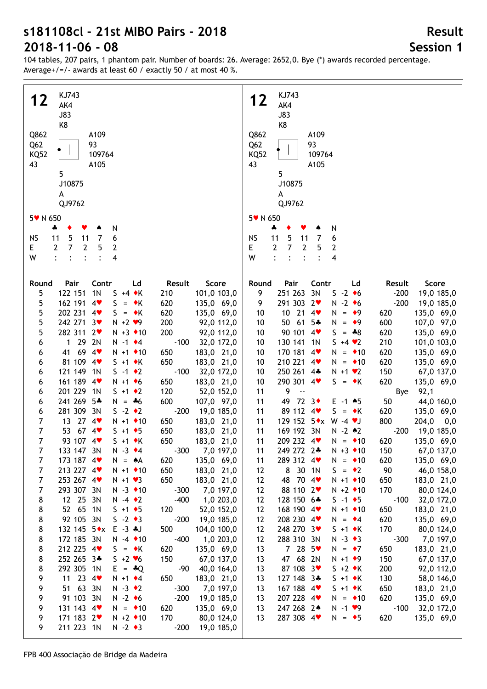104 tables, 207 pairs, 1 phantom pair. Number of boards: 26. Average: 2652,0. Bye (\*) awards recorded percentage. Average+/=/- awards at least 60 / exactly 50 / at most 40 %.

| KJ743                                                                          | KJ743                                                        |
|--------------------------------------------------------------------------------|--------------------------------------------------------------|
| 12                                                                             | 12                                                           |
| AK4                                                                            | AK4                                                          |
|                                                                                |                                                              |
| <b>J83</b>                                                                     | <b>J83</b>                                                   |
| K8                                                                             | K8                                                           |
| Q862                                                                           | Q862                                                         |
| A109                                                                           | A109                                                         |
| Q <sub>62</sub>                                                                | Q <sub>62</sub>                                              |
| 93                                                                             | 93                                                           |
| 109764                                                                         | 109764                                                       |
| <b>KQ52</b>                                                                    | <b>KQ52</b>                                                  |
| 43                                                                             | 43                                                           |
| A105                                                                           | A105                                                         |
| 5                                                                              | 5                                                            |
| J10875                                                                         | J10875                                                       |
| A                                                                              | А                                                            |
| QJ9762                                                                         |                                                              |
|                                                                                | QJ9762                                                       |
| 5 v N 650                                                                      | 5 v N 650                                                    |
|                                                                                |                                                              |
| N<br>ቆ<br>v                                                                    | N<br>♣                                                       |
| 5                                                                              | <b>NS</b>                                                    |
| 6                                                                              | 5                                                            |
| <b>NS</b>                                                                      | 11                                                           |
| 11                                                                             | 7                                                            |
| $\overline{7}$                                                                 | 6                                                            |
| 11                                                                             | 11                                                           |
| $\overline{7}$                                                                 | $\overline{2}$                                               |
| $\overline{2}$                                                                 | $\overline{7}$                                               |
| 2                                                                              | $\overline{2}$                                               |
| 5                                                                              | Е                                                            |
| 2                                                                              | 5                                                            |
| Е                                                                              | 2                                                            |
| W<br>4<br>$\ddot{\cdot}$<br>$\ddot{\cdot}$<br>$\ddot{\cdot}$<br>$\ddot{\cdot}$ | W<br>$\ddot{\cdot}$<br>4<br>$\ddot{\cdot}$<br>$\ddot{\cdot}$ |
|                                                                                |                                                              |
|                                                                                |                                                              |
| Pair                                                                           | Contr                                                        |
| Contr                                                                          | Score                                                        |
| Score                                                                          | Round                                                        |
| Ld                                                                             | Pair                                                         |
| Result                                                                         | Ld                                                           |
| Round                                                                          | Result                                                       |
| 122 151<br>1 <sub>N</sub><br>$S + 4 \cdot K$<br>210<br>101,0 103,0<br>5        | 251 263 3N<br>$-200$<br>9<br>$S -2$ +6<br>19,0 185,0         |
|                                                                                |                                                              |
| 5<br>162 191<br>4<br>S.<br>$=$ $\bullet$ K<br>620<br>135,0 69,0                | 291 303 2<br>$-200$<br>$N - 2 \cdot 6$<br>19,0 185,0<br>9    |
| 5<br>202 231 4<br>$S = \star K$<br>620<br>135,0 69,0                           | $10$ 21<br>135,0 69,0<br>$4$ v<br>10<br>$N = 9$<br>620       |
| 5<br>242 271 3♥<br>200<br>$N + 2$ $\vee$ 9<br>92,0 112,0                       | 50 61<br>$5*$<br>600<br>107,0 97,0<br>10<br>$N = 9$          |
| 5                                                                              | 90 101 4                                                     |
| 282 311 2♥                                                                     | 10                                                           |
| 200                                                                            | 620                                                          |
| $N + 3$ $\bullet$ 10                                                           | 135,0 69,0                                                   |
| 92,0 112,0                                                                     | $S = *8$                                                     |
| $129$                                                                          | 130 141                                                      |
| 2N                                                                             | 101,0 103,0                                                  |
| $-100$                                                                         | 10                                                           |
| $N - 1$ $\bullet$ 4                                                            | 1 <sub>N</sub>                                               |
| 32,0 172,0                                                                     | $S + 4 \cdot 2$                                              |
| 6                                                                              | 210                                                          |
|                                                                                |                                                              |
| 41 69 4                                                                        | 170 181 4                                                    |
| $N + 1$ $\bullet$ 10                                                           | 620                                                          |
| 650                                                                            | 135,0 69,0                                                   |
| 183,0 21,0                                                                     | 10                                                           |
| 6                                                                              | $N = 10$                                                     |
| 81 109 4                                                                       | 210 221 4                                                    |
| 650                                                                            | $N = 10$                                                     |
| $S + 1$ $\star$ K                                                              | 620                                                          |
| 183,0 21,0                                                                     | 135,0 69,0                                                   |
| 6                                                                              | 10                                                           |
| 121 149 1N                                                                     | 250 261 4*                                                   |
| $-100$                                                                         | 150                                                          |
| $S - 1$ $\bullet$ 2                                                            | 67,0 137,0                                                   |
| 32,0 172,0                                                                     | 10                                                           |
| 6                                                                              | $N + 1$ $\vee$ 2                                             |
| 161 189 4                                                                      | 290 301 4                                                    |
| 650                                                                            | 10                                                           |
| 183,0 21,0                                                                     | 620                                                          |
| $N + 1$ + 6                                                                    | 135,0 69,0                                                   |
| 6                                                                              | $S = \star K$                                                |
| 201 229 1N                                                                     | 9                                                            |
| $S + 1$ $\rightarrow$ 2                                                        | 92,1                                                         |
| 120                                                                            | 11                                                           |
| 52,0 152,0                                                                     | $\overline{\phantom{a}}$                                     |
| 6                                                                              | Bye                                                          |
|                                                                                |                                                              |
| 241 269 5*                                                                     | 49 72 3                                                      |
| 600                                                                            | 50                                                           |
| 107,0 97,0                                                                     | 44,0 160,0                                                   |
| $N = *6$                                                                       | 11                                                           |
| 6                                                                              | $E - 1$ $*5$                                                 |
| 281 309<br>3N<br>$S - 2 \cdot 2$<br>$-200$<br>19,0 185,0<br>6                  | 89 112 4<br>$S = \star K$<br>620<br>135,0 69,0<br>11         |
| 13 27 4                                                                        | 129 152 5*x W -4 *J                                          |
| 7                                                                              | 800                                                          |
| $N + 1$ $\bullet$ 10                                                           | 204,0                                                        |
| 650                                                                            | 11                                                           |
| 183,0 21,0                                                                     | 0,0                                                          |
| 67.4<br>7<br>53<br>650<br>$S + 1 \cdot 5$<br>183,0 21,0                        | 169 192 3N<br>$N - 2 * 2$<br>$-200$<br>19,0 185,0<br>11      |
| 7                                                                              | 209 232 4                                                    |
| 93 107 4                                                                       | 11                                                           |
| 650                                                                            | $N = 10$                                                     |
| 183,0 21,0                                                                     | 620                                                          |
| $S + 1$ $\star$ K                                                              | 135,0 69,0                                                   |
| 7                                                                              | 11                                                           |
| 133 147 3N                                                                     | 249 272 2*                                                   |
| $N - 3$ $\triangleleft 4$                                                      | $N + 3$ $*$ 10                                               |
| $-300$                                                                         | 150                                                          |
| 7,0 197,0                                                                      | 67,0 137,0                                                   |
|                                                                                |                                                              |
| 173 187 4                                                                      | 289 312 4                                                    |
| 135,0 69,0                                                                     | 135,0 69,0                                                   |
| 7                                                                              | 11                                                           |
| $N = A$                                                                        | $N = 10$                                                     |
| 620                                                                            | 620                                                          |
| 213 227 4                                                                      | 8 30 1N                                                      |
| $N + 1$ $\bullet$ 10                                                           | $S = \cdot 2$                                                |
| 650                                                                            | 90                                                           |
| 183,0 21,0                                                                     | 46,0 158,0                                                   |
| 7                                                                              | 12                                                           |
| 253 267 4                                                                      | 48 70 4                                                      |
| 7                                                                              | 12                                                           |
| $N + 1$ $\vee$ 3                                                               | 650                                                          |
| 650                                                                            | 183,0 21,0                                                   |
| 183,0 21,0                                                                     | $N + 1$ $* 10$                                               |
| 293 307 3N                                                                     | 12                                                           |
| 7                                                                              | 88 110 2                                                     |
| $N - 3$ $\bullet$ 10                                                           | 170                                                          |
| $-300$                                                                         | 80,0 124,0                                                   |
| 7,0 197,0                                                                      | $N + 2$ $\triangleleft 10$                                   |
| 8                                                                              | 12                                                           |
| 12 25 3N                                                                       | 128 150 6*                                                   |
| $-400$                                                                         | $-100$                                                       |
| 1,0 203,0                                                                      | 32,0 172,0                                                   |
| $N - 4$ $\rightarrow$ 2                                                        | $S - 1 \cdot 5$                                              |
|                                                                                |                                                              |
| 8                                                                              | 12                                                           |
| 52 65 1N                                                                       | 168 190 4                                                    |
| $S + 1 \cdot 5$                                                                | 650                                                          |
| 120                                                                            | 183,0 21,0                                                   |
| 52,0 152,0                                                                     | $N + 1$ $\bullet$ 10                                         |
| 8                                                                              | 12                                                           |
| 92 105 3N                                                                      | 208 230 4                                                    |
| $S -2$ → 3                                                                     | 620                                                          |
| $-200$                                                                         | 135,0 69,0                                                   |
| 19,0 185,0                                                                     | $N = \cdot 4$                                                |
| 132 145 $5 \cdot x$                                                            | 12                                                           |
| $E - 3$ $*J$                                                                   | 248 270 3                                                    |
| 500                                                                            | 170                                                          |
| 104,0 100,0                                                                    | 80,0 124,0                                                   |
| 8                                                                              | $S + 1 \cdot K$                                              |
| $-400$                                                                         | 12                                                           |
| 172 185 3N                                                                     | 288 310 3N                                                   |
| 1,0 203,0                                                                      | $N - 3 \cdot 3$                                              |
| 8                                                                              | $-300$                                                       |
| $N - 4$ $\rightarrow 10$                                                       | 7,0 197,0                                                    |
| 212 225 4                                                                      | 13                                                           |
| 8                                                                              | 7285                                                         |
| 620                                                                            | 650                                                          |
| 135,0 69,0                                                                     | 183,0 21,0                                                   |
| $S = \bullet K$                                                                | $N = \cdot 7$                                                |
|                                                                                |                                                              |
| 252 265 3*                                                                     | 47 68 2N                                                     |
| 8                                                                              | 13                                                           |
| $S + 2 \cdot 6$                                                                | 150                                                          |
| 150                                                                            | 67,0 137,0                                                   |
| 67,0 137,0                                                                     | $N + 1$ + 9                                                  |
| 292 305 1N                                                                     | 87 108 3                                                     |
| 8                                                                              | 13                                                           |
| $-90$                                                                          | 200                                                          |
| 40,0 164,0                                                                     | 92,0 112,0                                                   |
| $E = \triangle Q$                                                              | $S + 2 \cdot K$                                              |
| 11 23 $4$                                                                      | 13                                                           |
| 9                                                                              | 127 148 3*                                                   |
| 650                                                                            | 130                                                          |
| 183,0 21,0                                                                     | $S + 1 \cdot K$                                              |
| $N + 1$ $\bullet$ 4                                                            | 58,0 146,0                                                   |
| 51 63 3N                                                                       | 167 188 4                                                    |
| 9                                                                              | 13                                                           |
| $N - 3 \cdot 2$                                                                | $S + 1$ $\star$ K                                            |
| $-300$                                                                         | 650                                                          |
| 7,0 197,0                                                                      | 183,0 21,0                                                   |
| 91 103 3N                                                                      | 207 228 4                                                    |
| 9                                                                              | 13                                                           |
| $N - 2 \cdot 6$                                                                | 620                                                          |
| $-200$                                                                         | 135,0 69,0                                                   |
| 19,0 185,0                                                                     | $N = 10$                                                     |
|                                                                                |                                                              |
| 131 143 4                                                                      | 247 268 24                                                   |
| 9                                                                              | 13                                                           |
| 620                                                                            | $-100$                                                       |
| 135,0 69,0                                                                     | 32,0 172,0                                                   |
| $N = 10$                                                                       | $N - 1$ $\vee$ 9                                             |
| 171 183 2                                                                      | 287 308 4                                                    |
| $N + 2$ $\rightarrow$ 10                                                       | 13                                                           |
| 170                                                                            | 620                                                          |
| 80,0 124,0                                                                     | 135,0 69,0                                                   |
| 9                                                                              | $N = \bullet 5$                                              |
| 211 223 1N<br>$N - 2 \cdot 3$<br>$-200$<br>19,0 185,0<br>9.                    |                                                              |
|                                                                                |                                                              |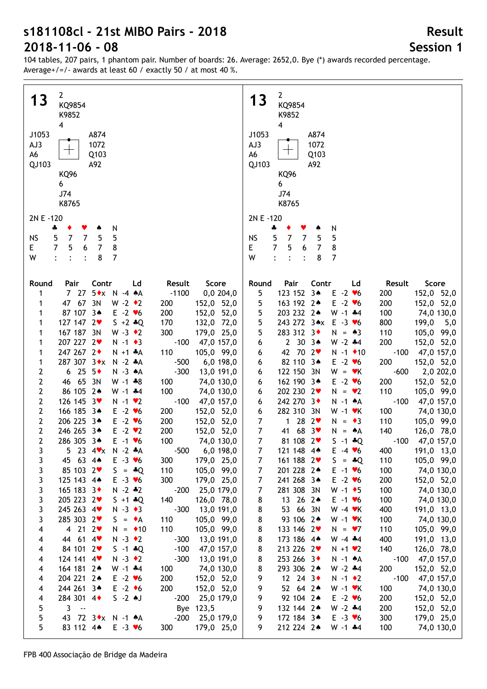104 tables, 207 pairs, 1 phantom pair. Number of boards: 26. Average: 2652,0. Bye (\*) awards recorded percentage. Average+/=/- awards at least 60 / exactly 50 / at most 40 %.

| $\mathbf{2}$                                                                                   | $2^{\circ}$                                                                                              |
|------------------------------------------------------------------------------------------------|----------------------------------------------------------------------------------------------------------|
| 13                                                                                             | 13                                                                                                       |
| KQ9854                                                                                         | KQ9854                                                                                                   |
| K9852                                                                                          | K9852                                                                                                    |
| 4                                                                                              | $\overline{\mathbf{4}}$                                                                                  |
| J1053<br>A874<br>AJ3<br>1072<br>╈<br>A6<br>Q103<br>QJ103<br>A92                                | J1053<br>A874<br>AJ3<br>1072<br>A6<br>Q103<br>QJ103<br>A92                                               |
| KQ96                                                                                           | KQ96                                                                                                     |
| 6                                                                                              | 6                                                                                                        |
| J74                                                                                            | J74                                                                                                      |
| K8765                                                                                          | K8765                                                                                                    |
|                                                                                                |                                                                                                          |
| 2N E -120                                                                                      | 2N E -120                                                                                                |
| N                                                                                              | N                                                                                                        |
| ÷                                                                                              | ÷                                                                                                        |
| ٠                                                                                              | ٠                                                                                                        |
| ▼                                                                                              | Y                                                                                                        |
| ۸                                                                                              | ۸                                                                                                        |
| $5\phantom{.0}$                                                                                | $\overline{5}$                                                                                           |
| $\overline{7}$                                                                                 | $\overline{7}$                                                                                           |
| $\overline{7}$                                                                                 | 5                                                                                                        |
| 5                                                                                              | 5                                                                                                        |
| <b>NS</b>                                                                                      | <b>NS</b>                                                                                                |
| 5                                                                                              | $\overline{7}$                                                                                           |
| $\overline{7}$                                                                                 | $\overline{7}$                                                                                           |
| 5                                                                                              | E                                                                                                        |
| $\bf 8$                                                                                        | 5                                                                                                        |
| E.                                                                                             | $\overline{7}$                                                                                           |
| 6                                                                                              | 8                                                                                                        |
| $\overline{7}$                                                                                 | 6                                                                                                        |
| W<br>8<br>7<br>$\ddot{\cdot}$<br>$\ddot{\cdot}$                                                | $\overline{7}$<br>W<br>$\cdot$<br>$\ddot{\cdot}$<br>$\ddot{\cdot}$<br>8                                  |
|                                                                                                |                                                                                                          |
| Contr                                                                                          | Pair                                                                                                     |
| Result                                                                                         | Contr                                                                                                    |
| Score                                                                                          | Score                                                                                                    |
| Round                                                                                          | Round                                                                                                    |
| Pair                                                                                           | Ld                                                                                                       |
| Ld                                                                                             | Result                                                                                                   |
| 727                                                                                            | 123 152 3*                                                                                               |
| $5 \cdot x$ N -4 $\star$ A                                                                     | 5                                                                                                        |
| $-1100$                                                                                        | $E -2$ $\blacktriangleright$ 6                                                                           |
| 0,0 204,0                                                                                      | 200                                                                                                      |
| 1                                                                                              | 152,0 52,0                                                                                               |
| 47 67 3N<br>$W - 2 \cdot 2$<br>200<br>152,0 52,0<br>1                                          | 5<br>163 192 2*<br>52,0<br>$E -2$ $\blacktriangleright$ 6<br>200<br>152,0                                |
| 87 107 3*                                                                                      | 5                                                                                                        |
| $E -2$ $\blacktriangledown 6$                                                                  | 203 232 2*                                                                                               |
| 200                                                                                            | $W - 1$ $*4$                                                                                             |
| 152,0 52,0                                                                                     | 100                                                                                                      |
| 1                                                                                              | 74,0 130,0                                                                                               |
| 127 147 2                                                                                      | 5                                                                                                        |
| $S + 2 * Q$                                                                                    | 243 272 3*x E -3 v6                                                                                      |
| 170                                                                                            | 800                                                                                                      |
| 132,0 72,0                                                                                     | 199,0                                                                                                    |
| 1                                                                                              | 5,0                                                                                                      |
| 167 187 3N                                                                                     | 5                                                                                                        |
| $W - 3 \cdot 2$                                                                                | 283 312 3                                                                                                |
| 300                                                                                            | $N = \triangle 3$                                                                                        |
| 179,0 25,0                                                                                     | 110                                                                                                      |
| 1                                                                                              | 105,0 99,0                                                                                               |
| 207 227 2♥                                                                                     | $2 \t30 \t34$                                                                                            |
| $N - 1$ + 3                                                                                    | 200                                                                                                      |
| $-100$                                                                                         | 152,0 52,0                                                                                               |
| 47,0 157,0                                                                                     | 6                                                                                                        |
| 1                                                                                              | $W - 2 + 4$                                                                                              |
| 247 267 2+                                                                                     | 42 70 2                                                                                                  |
| $N + 1$ *A                                                                                     | $-100$                                                                                                   |
| 110                                                                                            | $N - 1$ $\bullet$ 10                                                                                     |
| 105,0 99,0                                                                                     | 47,0 157,0                                                                                               |
| 1                                                                                              | 6                                                                                                        |
| 287 307 3*x                                                                                    | 82 110 3*                                                                                                |
| $N - 2 A$                                                                                      | 200                                                                                                      |
| $-500$                                                                                         | $E - 2 \cdot 6$                                                                                          |
| 1                                                                                              | 152,0 52,0                                                                                               |
| $6,0$ 198,0                                                                                    | 6                                                                                                        |
| $6\ 25\ 5*$                                                                                    | 122 150 3N                                                                                               |
| $-300$                                                                                         | $-600$                                                                                                   |
| 2                                                                                              | 2,0 202,0                                                                                                |
| $N - 3 A$                                                                                      | 6                                                                                                        |
| 13,0 191,0                                                                                     | $W = vK$                                                                                                 |
| 2                                                                                              | 200                                                                                                      |
| 46 65 3N                                                                                       | 162 190 3*                                                                                               |
| $W - 1 * 8$                                                                                    | $E - 2 \cdot 6$                                                                                          |
| 100                                                                                            | 152,0 52,0                                                                                               |
| 74,0 130,0                                                                                     | 6                                                                                                        |
| 86 105 2*                                                                                      | 202 230 2                                                                                                |
| 100                                                                                            | 110                                                                                                      |
| 2                                                                                              | 105,0 99,0                                                                                               |
| $W - 1$ $*4$                                                                                   | 6                                                                                                        |
| 74,0 130,0                                                                                     | $N = \bullet 2$                                                                                          |
| 2                                                                                              | 242 270 3+                                                                                               |
| 126 145 3                                                                                      | $-100$                                                                                                   |
| $-100$                                                                                         | $N - 1$ $A$                                                                                              |
| $N - 1$ $\vee$ 2                                                                               | 47,0 157,0                                                                                               |
| 47,0 157,0                                                                                     | 6                                                                                                        |
| $\mathbf{2}$                                                                                   | 282 310 3N                                                                                               |
| 166 185 3*                                                                                     | 100                                                                                                      |
| $E -2$ $\blacktriangledown$ 6                                                                  | $W - 1$ $\cdot$ K                                                                                        |
| 200                                                                                            | 6                                                                                                        |
| 152,0 52,0                                                                                     | 74,0 130,0                                                                                               |
| $\mathbf{2}$                                                                                   | $\overline{7}$                                                                                           |
| 206 225 3*                                                                                     | 1 28 $2\blacktriangledown$                                                                               |
| $E -2$ $\blacktriangledown$ 6                                                                  | 110                                                                                                      |
| 200                                                                                            | 105,0 99,0                                                                                               |
| 152,0 52,0                                                                                     | $N = \bullet 3$                                                                                          |
| $\mathbf{2}$                                                                                   | $\boldsymbol{7}$                                                                                         |
| 246 265 34                                                                                     | 41 68 3                                                                                                  |
| 200                                                                                            | 140                                                                                                      |
| $E -2$ $\vee$ 2                                                                                | 126,0 78,0                                                                                               |
| 152,0 52,0                                                                                     | $N = A$                                                                                                  |
| $\mathbf{2}$<br>100<br>286 305 3*<br>$E - 1$ $\blacktriangledown$<br>74,0 130,0                | $\overline{7}$<br>81 108 2<br>$S - 1 * Q$<br>$-100$ 47,0 157,0                                           |
| 23 $4 \times N - 2 \cdot A$                                                                    | 7                                                                                                        |
| $-500$                                                                                         | 121 148 4*                                                                                               |
| 6,0 198,0                                                                                      | $E - 4 \cdot 6$                                                                                          |
| - 5                                                                                            | 400                                                                                                      |
| 3                                                                                              | 191,0 13,0                                                                                               |
| 3                                                                                              | 161 188 2                                                                                                |
| 45 63 4*                                                                                       | 105,0 99,0                                                                                               |
| $E - 3 \cdot 6$                                                                                | 7                                                                                                        |
| 179,0 25,0                                                                                     | $S = *Q$                                                                                                 |
| 300                                                                                            | 110                                                                                                      |
| 85 103 2                                                                                       | 7                                                                                                        |
| 3                                                                                              | 201 228 24                                                                                               |
| $S = *Q$                                                                                       | 100                                                                                                      |
| 110                                                                                            | 74,0 130,0                                                                                               |
| 105,0 99,0                                                                                     | $E - 1$ $\blacktriangleright$ 6                                                                          |
| 3                                                                                              | 7                                                                                                        |
| 125 143 4*                                                                                     | 241 268 34                                                                                               |
| $E - 3 \times 6$                                                                               | $E - 2$ $\blacktriangledown$ 6                                                                           |
| 300                                                                                            | 200                                                                                                      |
| 179,0 25,0                                                                                     | 152,0 52,0                                                                                               |
| 3                                                                                              | 7                                                                                                        |
| 165 183 3                                                                                      | 281 308 3N                                                                                               |
| $N - 2 * 2$                                                                                    | 100                                                                                                      |
| $-200$                                                                                         | 74,0 130,0                                                                                               |
| 25,0 179,0                                                                                     | $W - 1 \cdot 5$                                                                                          |
| 205 223 2♥                                                                                     | 13 26 24                                                                                                 |
| 3                                                                                              | 100                                                                                                      |
| $S + 1 * Q$                                                                                    | 74,0 130,0                                                                                               |
| 140                                                                                            | 8                                                                                                        |
| 126,0 78,0                                                                                     | $E - 1$ $\blacktriangleright$ 6                                                                          |
| 245 263 4                                                                                      | 8                                                                                                        |
| $-300$                                                                                         | 53 66 3N                                                                                                 |
| 3                                                                                              | 400                                                                                                      |
| $N - 3 \cdot 3$                                                                                | 191,0 13,0                                                                                               |
| 13,0 191,0                                                                                     | $W - 4$ $\blacktriangleright$ K                                                                          |
| 285 303 2                                                                                      | 8                                                                                                        |
| 3                                                                                              | 93 106 2*                                                                                                |
| 110                                                                                            | 100                                                                                                      |
| 105,0 99,0                                                                                     | 74,0 130,0                                                                                               |
| $S = \bullet A$                                                                                | $W - 1$ $\forall$ K                                                                                      |
| 4 21 2 $\bullet$                                                                               | 8                                                                                                        |
| $N = 10$                                                                                       | 133 146 2                                                                                                |
| 110                                                                                            | 110                                                                                                      |
| 4                                                                                              | 105,0 99,0                                                                                               |
| 105,0 99,0                                                                                     | $N = \bullet 7$                                                                                          |
| 44 61 4                                                                                        | 8                                                                                                        |
| $N - 3 \cdot 2$                                                                                | 173 186 4*                                                                                               |
| $-300$                                                                                         | 400                                                                                                      |
| 13,0 191,0                                                                                     | 191,0 13,0                                                                                               |
| 4                                                                                              | $W - 4 + 4$                                                                                              |
| 84 101 2                                                                                       | 8                                                                                                        |
| $S - 1 * Q$                                                                                    | 213 226 2                                                                                                |
| $-100$                                                                                         | 140                                                                                                      |
| 47,0 157,0                                                                                     | 126,0 78,0                                                                                               |
| 4                                                                                              | $N + 1$ $\vee$ 2                                                                                         |
| 124 141 4<br>$N - 3 \cdot 2$<br>$-300$<br>13,0 191,0<br>4<br>164 181 2*<br>$W - 1$ $*4$<br>100 | 8<br>253 266 3◆<br>$-100$<br>47,0 157,0<br>$N - 1$ $A$<br>293 306 2*<br>$W - 2 + 4$<br>200<br>152,0 52,0 |
| 74,0 130,0<br>4<br>204 221 2*<br>200<br>$E -2$ $\blacktriangledown$ 6<br>152,0 52,0<br>4       | 8<br>12 24 3 $\bullet$<br>$-100$<br>9<br>$N - 1$ $\bullet$ 2<br>47,0 157,0                               |
| 244 261 34                                                                                     | 52 64 2*                                                                                                 |
| $E -2$ +6                                                                                      | 100                                                                                                      |
| 200                                                                                            | 74,0 130,0                                                                                               |
| 152,0 52,0                                                                                     | 9                                                                                                        |
| 4                                                                                              | $W - 1$ $\cdot$ K                                                                                        |
| 284 301 4                                                                                      | 92 104 2*                                                                                                |
| $S - 2$ $\uparrow$ J                                                                           | 200                                                                                                      |
| 25,0 179,0                                                                                     | 152,0 52,0                                                                                               |
| $-200$                                                                                         | 9                                                                                                        |
| 4                                                                                              | $E - 2$ $\blacktriangledown$ 6                                                                           |
| 5                                                                                              | 9                                                                                                        |
| $\mathbf{3}$                                                                                   | 132 144 2*                                                                                               |
| 123,5                                                                                          | $W - 2 + 4$                                                                                              |
| Bye                                                                                            | 200                                                                                                      |
| $\sim$                                                                                         | 152,0 52,0                                                                                               |
| 5<br>43 72 3 * x N -1 * A<br>$-200$<br>25,0 179,0                                              | 9<br>172 184 3*<br>$E - 3 \times 6$<br>300<br>179,0 25,0                                                 |
| 5                                                                                              | 9                                                                                                        |
| 83 112 44                                                                                      | 212 224 2*                                                                                               |
| $E - 3 \times 6$                                                                               | 100                                                                                                      |
| 300                                                                                            | $W - 1$ $*4$                                                                                             |
| 179,0 25,0                                                                                     | 74,0 130,0                                                                                               |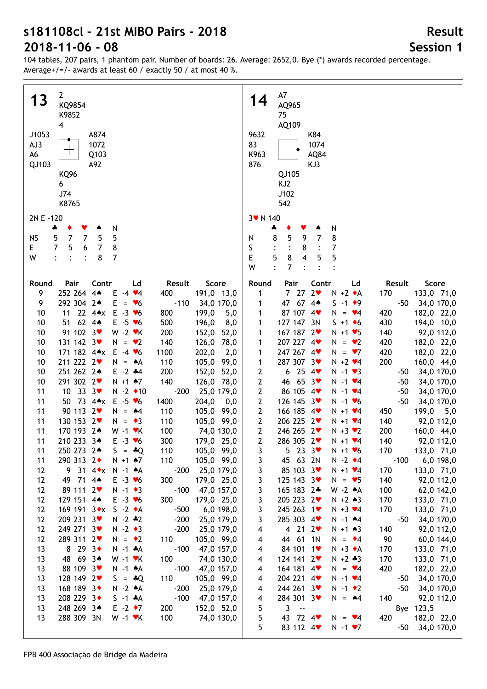104 tables, 207 pairs, 1 phantom pair. Number of boards: 26. Average: 2652,0. Bye (\*) awards recorded percentage. Average+/=/- awards at least 60 / exactly 50 / at most 40 %.

| $\overline{2}$                                                                                                               | A7                                                                                                                 |
|------------------------------------------------------------------------------------------------------------------------------|--------------------------------------------------------------------------------------------------------------------|
| 13                                                                                                                           | 14                                                                                                                 |
| KQ9854                                                                                                                       | AQ965                                                                                                              |
| K9852                                                                                                                        | 75                                                                                                                 |
| $\overline{\mathbf{4}}$                                                                                                      | AQ109                                                                                                              |
| J1053                                                                                                                        | 9632                                                                                                               |
| A874                                                                                                                         | K84                                                                                                                |
| 1072                                                                                                                         | 83                                                                                                                 |
| AJ3                                                                                                                          | 1074                                                                                                               |
| A6                                                                                                                           | K963                                                                                                               |
| Q103                                                                                                                         | AQ84                                                                                                               |
| QJ103                                                                                                                        | 876                                                                                                                |
| A92                                                                                                                          | KJ3                                                                                                                |
| KQ96                                                                                                                         | QJ105                                                                                                              |
| 6                                                                                                                            | KJ <sub>2</sub>                                                                                                    |
| J74                                                                                                                          | J102                                                                                                               |
| K8765                                                                                                                        | 542                                                                                                                |
| 2N E -120                                                                                                                    | 3 v N 140                                                                                                          |
| N<br>4<br>۸                                                                                                                  | N<br>÷                                                                                                             |
| 5                                                                                                                            | 5                                                                                                                  |
| <b>NS</b>                                                                                                                    | 8                                                                                                                  |
| 5                                                                                                                            | $\overline{7}$                                                                                                     |
| 7                                                                                                                            | 8                                                                                                                  |
| 7                                                                                                                            | 9                                                                                                                  |
| 5                                                                                                                            | N                                                                                                                  |
| 7<br>$5\phantom{.0}$<br>6<br>8<br>E.<br>7                                                                                    | S<br>7<br>8                                                                                                        |
| W<br>8<br>7<br>$\ddot{\cdot}$                                                                                                | E<br>5<br>8<br>5<br>4<br>5<br>W<br>$\ddot{\cdot}$<br>7                                                             |
| Pair                                                                                                                         | Score                                                                                                              |
| Contr                                                                                                                        | Round                                                                                                              |
| Score                                                                                                                        | Pair                                                                                                               |
| Round                                                                                                                        | Contr                                                                                                              |
| Ld                                                                                                                           | Ld                                                                                                                 |
| Result                                                                                                                       | Result                                                                                                             |
| 252 264 4*                                                                                                                   | 2 <sub>v</sub>                                                                                                     |
| 9                                                                                                                            | 727                                                                                                                |
| 400                                                                                                                          | $N + 2 A$                                                                                                          |
| 191,0 13,0                                                                                                                   | 170                                                                                                                |
| Ε                                                                                                                            | 133,0 71,0                                                                                                         |
| $-4$ $\vee 4$                                                                                                                | 1                                                                                                                  |
| 292 304 2*<br>E<br>$-110$<br>9<br>34,0 170,0<br>$\cdot$ $\bullet$<br>$\equiv$                                                | 47 67 4*<br>$S - 1$ $\bullet$ 9<br>$-50$<br>34,0 170,0<br>1                                                        |
| 22 $4 \cdot x$<br>$E - 3 \times 6$<br>10<br>11<br>800<br>199,0<br>5,0                                                        | 87 107<br>4<br>$N = \bullet 4$<br>420<br>182,0 22,0<br>1                                                           |
| 62 $4*$<br>$E - 5 \cdot 6$<br>10<br>500<br>8,0<br>51<br>196,0<br>91 102 3<br>10<br>$W - 2$ $\cdot$ K<br>200<br>152,0<br>52,0 | 127 147 3N<br>430<br>194,0 10,0<br>$S + 1 \cdot 6$<br>1<br>167 187 2<br>140<br>92,0 112,0<br>$N + 1$ $\vee$ 5<br>1 |
| 131 142 3<br>140<br>10<br>$N = \bullet 2$<br>78,0<br>126,0                                                                   | 207 227 4<br>182,0 22,0<br>420<br>$N = \bullet 2$<br>1                                                             |
| 171 182 4*x<br>10<br>$E -4$ $\vee 6$<br>1100<br>202,0<br>2,0                                                                 | 247 267 4<br>420<br>182,0 22,0<br>1<br>$N = 27$                                                                    |
| 211 222 2<br>10<br>110<br>105,0<br>99,0<br>N<br>$= A$                                                                        | 287 307 3♥<br>200<br>$N + 2$ $4$<br>160,0 44,0<br>1                                                                |
| 251 262 24<br>$E - 2$ $*4$<br>10<br>200<br>152,0<br>52,0                                                                     | 6254<br>2<br>$N - 1$ $\vee$ 3<br>34,0 170,0<br>-50                                                                 |
| 291 302 2                                                                                                                    | 2                                                                                                                  |
| 140                                                                                                                          | 46 65 3                                                                                                            |
| 10                                                                                                                           | $N - 1$ $\vee 4$                                                                                                   |
| $N + 1$ $*7$                                                                                                                 | $-50$                                                                                                              |
| 126,0 78,0                                                                                                                   | 34,0 170,0                                                                                                         |
| 10 33 $3\sqrt{ }$                                                                                                            | 2                                                                                                                  |
| $-200$                                                                                                                       | 86 105 4                                                                                                           |
| 11                                                                                                                           | $N - 1$ $\vee 4$                                                                                                   |
| $N - 2$ $\rightarrow 10$                                                                                                     | $-50$                                                                                                              |
| 25,0 179,0                                                                                                                   | 34,0 170,0                                                                                                         |
| 50 73 4**<br>$E - 5 \cdot 6$<br>11<br>1400<br>204,0<br>0,0                                                                   | $\mathbf{2}$<br>126 145 3<br>$-50$<br>34,0 170,0<br>$N - 1$ $\bullet$ 6                                            |
| 90 113 2                                                                                                                     | $\mathbf{2}$                                                                                                       |
| 11                                                                                                                           | 166 185 4                                                                                                          |
| $N = 44$                                                                                                                     | 450                                                                                                                |
| 110                                                                                                                          | 199,0                                                                                                              |
| 105,0                                                                                                                        | 5,0                                                                                                                |
| 99,0                                                                                                                         | $N + 1$ $4$                                                                                                        |
| 130 153 2                                                                                                                    | $\mathbf{2}$                                                                                                       |
| 11                                                                                                                           | 206 225 2                                                                                                          |
| $N = \bullet 3$                                                                                                              | 140                                                                                                                |
| 110                                                                                                                          | 92,0 112,0                                                                                                         |
| 105,0 99,0                                                                                                                   | $N + 1$ $4$                                                                                                        |
| 11                                                                                                                           | $\mathbf{2}$                                                                                                       |
| 170 193 2*                                                                                                                   | 246 265 2                                                                                                          |
| $W - 1$ $\forall$ K                                                                                                          | 200                                                                                                                |
| 100                                                                                                                          | 160,0 44,0                                                                                                         |
| 74,0 130,0                                                                                                                   | $N + 3 \times 2$                                                                                                   |
| 11                                                                                                                           | $\mathbf{2}$                                                                                                       |
| 210 233 3*                                                                                                                   | 286 305 2♥                                                                                                         |
| $E - 3 \times 6$                                                                                                             | 140                                                                                                                |
| 300                                                                                                                          | 92,0 112,0                                                                                                         |
| 179,0 25,0                                                                                                                   | $N + 1$ $4$                                                                                                        |
| 11                                                                                                                           | $N + 1$ $\nu$ 6                                                                                                    |
| 250 273 2*                                                                                                                   | 133,0 71,0                                                                                                         |
| $S = *Q$                                                                                                                     | 5 23 3 $\bullet$                                                                                                   |
| 110                                                                                                                          | 170                                                                                                                |
| 105,0 99,0                                                                                                                   | 3                                                                                                                  |
| 290 313 2+                                                                                                                   | 6,0 198,0                                                                                                          |
| $N + 1$ $*7$                                                                                                                 | 45 63 2N                                                                                                           |
| 110                                                                                                                          | $N - 2$ $\bullet$ 4                                                                                                |
| 105,0 99,0                                                                                                                   | $-100$                                                                                                             |
| 11                                                                                                                           | 3                                                                                                                  |
| 9 31 4 * x N -1 * A<br>12<br>$-200$<br>25,0 179,0                                                                            | 85 103 3<br>170<br>3<br>$N + 1$ $4$<br>133,0 71,0                                                                  |
| 12                                                                                                                           | 3                                                                                                                  |
| 49 71 4*                                                                                                                     | 125 143 3                                                                                                          |
| $E - 3 \cdot 6$                                                                                                              | 140                                                                                                                |
| 300                                                                                                                          | 92,0 112,0                                                                                                         |
| 179,0 25,0                                                                                                                   | $N = 95$                                                                                                           |
| 89 111 2                                                                                                                     | 3                                                                                                                  |
| $-100$                                                                                                                       | 165 183 2*                                                                                                         |
| 12                                                                                                                           | W -2 $*A$                                                                                                          |
| $N - 1$ $\bullet$ 3                                                                                                          | 100                                                                                                                |
| 47,0 157,0                                                                                                                   | 62,0 142,0                                                                                                         |
| 129 151 4*                                                                                                                   | 3                                                                                                                  |
| 300                                                                                                                          | 205 223 2♥                                                                                                         |
| 12                                                                                                                           | $N + 2 * 3$                                                                                                        |
| $E - 3 \times 6$                                                                                                             | 170                                                                                                                |
| 179,0 25,0                                                                                                                   | 133,0 71,0                                                                                                         |
| 12                                                                                                                           | 3                                                                                                                  |
| 169 191 3◆x                                                                                                                  | 245 263 1                                                                                                          |
| $S -2 \cdot A$                                                                                                               | 170                                                                                                                |
| $-500$                                                                                                                       | 133,0 71,0                                                                                                         |
| 6,0 198,0                                                                                                                    | $N + 3$ $4$                                                                                                        |
| 12                                                                                                                           | 3                                                                                                                  |
| 209 231 3                                                                                                                    | 285 303 4                                                                                                          |
| $N - 2 * 2$                                                                                                                  | $N - 1$ $*4$                                                                                                       |
| $-200$                                                                                                                       | 34,0 170,0                                                                                                         |
| 25,0 179,0                                                                                                                   | $-50$                                                                                                              |
| 249 271 3                                                                                                                    | 4 21 $2 \times$                                                                                                    |
| 12                                                                                                                           | $N + 1 \cdot 3$                                                                                                    |
| $N - 2 \cdot 3$                                                                                                              | 140                                                                                                                |
| $-200$                                                                                                                       | 92,0 112,0                                                                                                         |
| 25,0 179,0                                                                                                                   | 4                                                                                                                  |
| 289 311 2♥                                                                                                                   | 44 61 1N                                                                                                           |
| 12                                                                                                                           | 90                                                                                                                 |
| 110                                                                                                                          | 60,0 144,0                                                                                                         |
| $N = \cdot 2$                                                                                                                | 4                                                                                                                  |
| 105,0 99,0                                                                                                                   | $N = 4$                                                                                                            |
| 8 29 3 $\bullet$                                                                                                             | 84 101 1                                                                                                           |
| $-100$                                                                                                                       | 170                                                                                                                |
| 13                                                                                                                           | 133,0 71,0                                                                                                         |
| $N - 1$ $*A$                                                                                                                 | 4                                                                                                                  |
| 47,0 157,0                                                                                                                   | $N + 3 \cdot A$                                                                                                    |
| 48 69 3*                                                                                                                     | 124 141 2                                                                                                          |
| 13                                                                                                                           | $N + 2 + 3$                                                                                                        |
| $W - 1$ $\cdot$ K                                                                                                            | 170                                                                                                                |
| 100                                                                                                                          | 133,0 71,0                                                                                                         |
| 74,0 130,0                                                                                                                   | 4                                                                                                                  |
| 88 109 3                                                                                                                     | 164 181 4                                                                                                          |
| 13                                                                                                                           | 420                                                                                                                |
| $N - 1$ $A$                                                                                                                  | 182,0 22,0                                                                                                         |
| $-100$                                                                                                                       | $N = \bullet 4$                                                                                                    |
| 47,0 157,0                                                                                                                   | 4                                                                                                                  |
| 13                                                                                                                           | 204 221 4                                                                                                          |
| 128 149 2                                                                                                                    | $N - 1$ $\vee 4$                                                                                                   |
| 110                                                                                                                          | 34,0 170,0                                                                                                         |
| $S = *Q$                                                                                                                     | 4                                                                                                                  |
| 105,0 99,0                                                                                                                   | -50                                                                                                                |
| 168 189 3                                                                                                                    | 244 261 3                                                                                                          |
| $N - 2 A$                                                                                                                    | $N - 1$ $\bullet$ 2                                                                                                |
| $-200$                                                                                                                       | 34,0 170,0                                                                                                         |
| 25,0 179,0                                                                                                                   | $-50$                                                                                                              |
| 13                                                                                                                           | 4                                                                                                                  |
| 208 229 3<br>13<br>$S - 1$ $*A$<br>$-100$<br>47,0 157,0<br>248 269 3*<br>$E -2$ $\rightarrow 7$<br>13<br>200<br>152,0 52,0   | 284 301 3♥<br>140<br>$N = 44$<br>92,0 112,0<br>4<br>5<br>$3 - -$<br>Bye 123,5                                      |
| 13                                                                                                                           | 5                                                                                                                  |
| 288 309 3N                                                                                                                   | 43 72 4                                                                                                            |
| $W - 1$ $\cdot$ K                                                                                                            | 420                                                                                                                |
| 100                                                                                                                          | 182,0 22,0                                                                                                         |
| 74,0 130,0                                                                                                                   | $N = \vee 4$                                                                                                       |
|                                                                                                                              | 5<br>83 112 4<br>$N - 1$ $\sqrt{7}$<br>-50<br>34,0 170,0                                                           |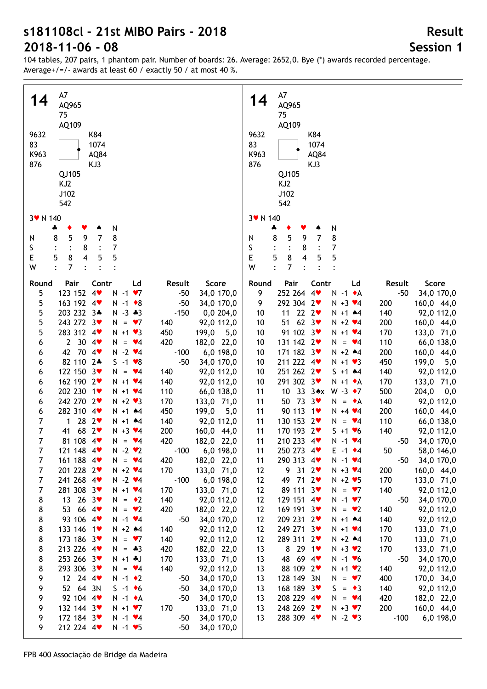104 tables, 207 pairs, 1 phantom pair. Number of boards: 26. Average: 2652,0. Bye (\*) awards recorded percentage. Average+/=/- awards at least 60 / exactly 50 / at most 40 %.

| A7                                                                                        | A7<br>14                                                                             |
|-------------------------------------------------------------------------------------------|--------------------------------------------------------------------------------------|
| 14<br>AQ965                                                                               | AQ965                                                                                |
| 75                                                                                        | 75                                                                                   |
| AQ109                                                                                     | AQ109                                                                                |
| 9632                                                                                      | 9632                                                                                 |
| K84                                                                                       | K84                                                                                  |
| 83                                                                                        | 83                                                                                   |
| 1074                                                                                      | 1074                                                                                 |
| K963                                                                                      | K963                                                                                 |
| AQ84                                                                                      | AQ84                                                                                 |
| 876                                                                                       | 876                                                                                  |
| KJ3                                                                                       | KJ3                                                                                  |
| QJ105                                                                                     | QJ105                                                                                |
| KJ <sub>2</sub>                                                                           | KJ2                                                                                  |
| J102                                                                                      | J102                                                                                 |
| 542                                                                                       |                                                                                      |
|                                                                                           | 542                                                                                  |
| 3 v N 140                                                                                 | 3 v N 140                                                                            |
| N                                                                                         | N                                                                                    |
| ÷                                                                                         | ÷                                                                                    |
| 5                                                                                         | 8                                                                                    |
| $\overline{7}$                                                                            | 5                                                                                    |
| 8                                                                                         | $\overline{7}$                                                                       |
| 9                                                                                         | 8                                                                                    |
| 8                                                                                         | 9                                                                                    |
| N                                                                                         | N                                                                                    |
| 7                                                                                         | S                                                                                    |
| S                                                                                         | 7                                                                                    |
| 8                                                                                         | 8                                                                                    |
| E                                                                                         | E                                                                                    |
| 8                                                                                         | 8                                                                                    |
| 5                                                                                         | 5                                                                                    |
| 5                                                                                         | 4                                                                                    |
| 5                                                                                         | 5                                                                                    |
| $\overline{\mathbf{4}}$                                                                   | 5                                                                                    |
| 7                                                                                         | 7                                                                                    |
| W                                                                                         | W                                                                                    |
|                                                                                           |                                                                                      |
| Pair                                                                                      | Round                                                                                |
| Contr                                                                                     | Pair                                                                                 |
| Ld                                                                                        | Contr                                                                                |
| Score                                                                                     | Ld                                                                                   |
| Round                                                                                     | Score                                                                                |
| Result                                                                                    | Result                                                                               |
| 123 152 4<br>5<br>$N - 1$<br>$\blacktriangledown$<br>$-50$<br>34,0 170,0                  | 252 264 4<br>$-50$<br>9<br>$N - 1$ $\bullet$ A<br>34,0 170,0                         |
| 5                                                                                         | 292 304 2                                                                            |
| 163 192 4                                                                                 | 9                                                                                    |
| $-50$                                                                                     | 160,0 44,0                                                                           |
| $N - 1$ $\bullet$ 8                                                                       | $N + 3$ $4$                                                                          |
| 34,0 170,0                                                                                | 200                                                                                  |
| 5<br>203 232 3*<br>$-150$<br>$N - 3 * 3$<br>0,0 204,0                                     | $22 \t2$<br>11<br>140<br>92,0 112,0<br>10<br>$N + 1$ $*4$                            |
| 5                                                                                         | 51 62 $3\bullet$                                                                     |
| 243 272 3                                                                                 | $N + 2$ $4$                                                                          |
| $N = \bullet 7$                                                                           | 200                                                                                  |
| 92,0 112,0                                                                                | 160,0 44,0                                                                           |
| 140                                                                                       | 10                                                                                   |
| 5<br>283 312 4<br>$N + 1$ $\vee$ 3<br>450<br>199,0<br>5,0                                 | 91 102 3<br>170<br>133,0 71,0<br>10<br>$N + 1$ $4$                                   |
| 30.4<br>420<br>$\mathbf{2}$<br>$= \sqrt{4}$<br>182,0 22,0<br>6<br>N.                      | 131 142 2<br>110<br>66,0 138,0<br>10<br>$N = \bullet 4$                              |
| 42 70 4                                                                                   | 171 182 3                                                                            |
| $N - 2$ $\vee 4$                                                                          | $N + 2$ $*4$                                                                         |
| $-100$                                                                                    | 200                                                                                  |
| 6,0 198,0                                                                                 | 160,0 44,0                                                                           |
| 6                                                                                         | 10                                                                                   |
| 82 110 2*<br>$-50$<br>$S - 1 \cdot 8$<br>34,0 170,0<br>6                                  | 211 222 4<br>$N + 1$ $\vee$ 3<br>450<br>199,0<br>5,0<br>10                           |
| 122 150 3<br>140<br>6<br>N.<br>$= \sqrt{4}$<br>92,0 112,0                                 | 251 262 2<br>$5 + 1$ $*4$<br>140<br>92,0 112,0<br>10                                 |
| 162 190 2                                                                                 | 291 302 3♥                                                                           |
| $N + 1$ $\vee 4$                                                                          | $N + 1$ $\bullet$ A                                                                  |
| 140                                                                                       | 170                                                                                  |
| 6                                                                                         | 133,0 71,0                                                                           |
| 92,0 112,0                                                                                | 10                                                                                   |
| 202 230 1<br>110<br>6<br>$N + 1$ $\vee 4$<br>66,0 138,0                                   | 33<br>$3 \cdot x$<br>10 <sup>°</sup><br>$W - 3 \cdot 7$<br>500<br>204,0<br>11<br>0,0 |
| 242 270 2<br>$N + 2$ $\vee$ 3<br>170<br>6<br>133,0 71,0                                   | 50 73<br>3 <sub>v</sub><br>N.<br>140<br>92,0 112,0<br>11<br>$= A$                    |
| 282 310 4                                                                                 | 90 113                                                                               |
| $N + 1$ $*4$                                                                              | $1$ v                                                                                |
| 450                                                                                       | $N + 4$ $4$                                                                          |
| 199,0                                                                                     | 200                                                                                  |
| 5,0                                                                                       | 160,0 44,0                                                                           |
| 6                                                                                         | 11                                                                                   |
| 7                                                                                         | 130 153 2                                                                            |
| $28 \t2$                                                                                  | 110                                                                                  |
| 1                                                                                         | 11                                                                                   |
| 140                                                                                       | N.                                                                                   |
| 92,0 112,0                                                                                | 66,0 138,0                                                                           |
| $N + 1$ $*4$                                                                              | $= \sqrt{4}$                                                                         |
| $\overline{7}$<br>68 $2\blacktriangledown$<br>41<br>$N + 3 \times 4$<br>200<br>160,0 44,0 | 170 193 2<br>11<br>140<br>92,0 112,0<br>$S + 1 \cdot 6$                              |
| 7                                                                                         | 11                                                                                   |
| 81 108 4                                                                                  | 210 233 4                                                                            |
| 420                                                                                       | $N - 1$ $\vee 4$                                                                     |
| $N = \bullet 4$                                                                           | $-50$                                                                                |
| 182,0 22,0                                                                                | 34,0 170,0                                                                           |
| 7                                                                                         | 11                                                                                   |
| 121 148 4                                                                                 | $E - 1$ $\div 4$                                                                     |
| $N - 2$ $\vee$ 2                                                                          | 50                                                                                   |
| $-100$                                                                                    | 250 273 4                                                                            |
| 6,0 198,0                                                                                 | 58,0 146,0                                                                           |
| 7                                                                                         | 290 313 4                                                                            |
| 161 188 4                                                                                 | 34,0 170,0                                                                           |
| $N = \bullet 4$                                                                           | $N - 1$ $\vee 4$                                                                     |
| 420                                                                                       | $-50$                                                                                |
| 182,0 22,0                                                                                | 11                                                                                   |
| $\overline{7}$                                                                            | 9312                                                                                 |
| 201 228 2                                                                                 | $N + 3$ $\vee 4$                                                                     |
| $N + 2$ $4$                                                                               | 200                                                                                  |
| 170                                                                                       | 160,0 44,0                                                                           |
| 133,0 71,0                                                                                | 12                                                                                   |
| $\overline{7}$                                                                            | 49 71 2                                                                              |
| 241 268 4                                                                                 | 12                                                                                   |
| $N - 2$ $\vee 4$                                                                          | $N + 2$ $\blacktriangleright$ 5                                                      |
| $-100$                                                                                    | 170                                                                                  |
| 6,0 198,0                                                                                 | 133,0 71,0                                                                           |
| 7                                                                                         | 89 111 3                                                                             |
| 281 308 3♥                                                                                | 12                                                                                   |
| $N + 1$ $*4$                                                                              | 140                                                                                  |
| 170                                                                                       | 92,0 112,0                                                                           |
| 133,0 71,0                                                                                | $N = \bullet 7$                                                                      |
|                                                                                           |                                                                                      |
| 13 26 3<br>8<br>$N = \bullet 2$<br>140<br>92,0 112,0<br>53 66 4<br>420                    | 129 151 4<br>12<br>$N - 1$ $\vee$ 7<br>$-50$<br>34,0 170,0<br>140                    |
| $N = \bullet 2$<br>8<br>182,0 22,0                                                        | 12<br>169 191 3<br>92,0 112,0<br>$N = \bullet 2$                                     |
| 8                                                                                         | 209 231 2                                                                            |
| 93 106 4                                                                                  | 12                                                                                   |
| $N - 1$ $\vee 4$                                                                          | 140                                                                                  |
| $-50$                                                                                     | 92,0 112,0                                                                           |
| 34,0 170,0                                                                                | $N + 1$ $*4$                                                                         |
| 8                                                                                         | 249 271 3                                                                            |
| 140                                                                                       | 12                                                                                   |
| 133 146 1                                                                                 | $N + 1$ $4$                                                                          |
| $N + 2$ $*4$                                                                              | 170                                                                                  |
| 92,0 112,0                                                                                | 133,0 71,0                                                                           |
| 8                                                                                         | 289 311 2                                                                            |
| 173 186 3                                                                                 | 12                                                                                   |
| $N = \bullet 7$                                                                           | 170                                                                                  |
| 140                                                                                       | 133,0 71,0                                                                           |
| 92,0 112,0                                                                                | $N + 2$ $*4$                                                                         |
| 8                                                                                         | 8 29 1 $\bullet$                                                                     |
| 213 226 4                                                                                 | 170                                                                                  |
| $N = *3$                                                                                  | 133,0 71,0                                                                           |
| 420                                                                                       | 13                                                                                   |
| 182,0 22,0                                                                                | $N + 3$ $\vee$ 2                                                                     |
| 8                                                                                         | 48 69 4                                                                              |
| 253 266 3♥                                                                                | 13                                                                                   |
| $N + 1$ . J                                                                               | $N - 1$ $V6$                                                                         |
| 170                                                                                       | 34,0 170,0                                                                           |
| 133,0 71,0                                                                                | -50                                                                                  |
| 8                                                                                         | 88 109 2                                                                             |
| 293 306 3♥                                                                                | $N + 1$ $\vee$ 2                                                                     |
| $N = \bullet 4$                                                                           | 140                                                                                  |
| 140                                                                                       | 92,0 112,0                                                                           |
| 92,0 112,0                                                                                | 13                                                                                   |
| 9                                                                                         | 128 149 3N                                                                           |
| 12 24 4 $\bullet$                                                                         | 400                                                                                  |
| $N - 1$ $\bullet$ 2                                                                       | 170,0 34,0                                                                           |
| 34,0 170,0                                                                                | 13                                                                                   |
| $-50$                                                                                     | $N = \bullet 7$                                                                      |
| 52 64 3N                                                                                  | 168 189 3                                                                            |
| 9                                                                                         | 140                                                                                  |
| $S - 1$ +6                                                                                | 92,0 112,0                                                                           |
| $-50$                                                                                     | 13                                                                                   |
| 34,0 170,0                                                                                | $S = \bullet 3$                                                                      |
| 92 104 4                                                                                  | 208 229 4                                                                            |
| 9                                                                                         | 420                                                                                  |
| $N - 1$ $\bullet$ A                                                                       | 182,0 22,0                                                                           |
| $-50$                                                                                     | 13                                                                                   |
| 34,0 170,0                                                                                | $N = \vee 4$                                                                         |
| 9                                                                                         | 248 269 2♥                                                                           |
| 132 144 3                                                                                 | 200                                                                                  |
| $N + 1$ $\vee$ 7                                                                          | 160,0 44,0                                                                           |
| 170                                                                                       | 13                                                                                   |
| 133,0 71,0                                                                                | $N + 3$ $\vee$ 7                                                                     |
| 172 184 3                                                                                 | 288 309 4                                                                            |
| $N - 1$ $\vee 4$                                                                          | $N - 2$ $\vee$ 3                                                                     |
| $-50$                                                                                     | $-100$                                                                               |
| 34,0 170,0                                                                                | 13                                                                                   |
| 9                                                                                         | 6,0 198,0                                                                            |
| 212 224 4<br>$N - 1$ $\blacktriangleright$ 5<br>9<br>$-50$<br>34,0 170,0                  |                                                                                      |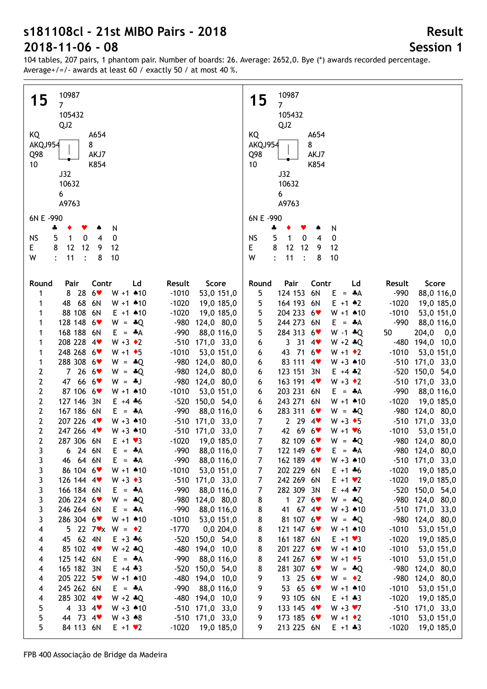104 tables, 207 pairs, 1 phantom pair. Number of boards: 26. Average: 2652,0. Bye (\*) awards recorded percentage. Average+/=/- awards at least 60 / exactly 50 / at most 40 %.

| 10987                                                                 | 10987                                                                |
|-----------------------------------------------------------------------|----------------------------------------------------------------------|
| 15<br>7 <sup>1</sup>                                                  | 15<br>$\overline{7}$                                                 |
| 105432                                                                | 105432                                                               |
| QJ <sub>2</sub>                                                       | QJ2                                                                  |
| KQ<br>A654                                                            | KQ<br>A654                                                           |
| AKQJ954<br>8                                                          | AKQJ954<br>8                                                         |
| AKJ7<br>Q98                                                           | AKJ7<br>Q98                                                          |
| 10<br>K854                                                            | 10<br>K854                                                           |
| J32                                                                   | J32                                                                  |
| 10632                                                                 | 10632                                                                |
| 6                                                                     | 6                                                                    |
| A9763                                                                 | A9763                                                                |
|                                                                       |                                                                      |
| 6N E -990                                                             | 6N E -990                                                            |
| N<br>÷<br>۸                                                           | N<br>÷                                                               |
| 5<br>$\pmb{0}$<br>$\overline{4}$<br>0<br><b>NS</b><br>$\mathbf 1$     | <b>NS</b><br>5<br>$\pmb{0}$<br>$\mathbf{1}$<br>0<br>$\overline{4}$   |
| 8<br>12<br>12<br>9<br>E.<br>12                                        | Е<br>8<br>12<br>12<br>12<br>9                                        |
| 8<br>W<br>11<br>10<br>$\ddot{\cdot}$                                  | 11<br>W<br>$\ddot{\cdot}$<br>8<br>10                                 |
|                                                                       |                                                                      |
| Contr<br>Score<br>Round<br>Pair<br>Ld<br>Result                       | Contr<br>Score<br>Round<br>Pair<br>Ld<br>Result                      |
| 28<br>$6*$<br>$W + 1$ $*10$<br>$-1010$<br>53,0 151,0<br>8<br>1        | 124 153<br>6N<br>5<br>$E = A$<br>$-990$<br>88,0 116,0                |
| 68<br>6N<br>48<br>$W + 1$ $*10$<br>$-1020$<br>1<br>19,0 185,0         | 5<br>164 193 6N<br>$E + 1$ $*2$<br>$-1020$<br>19,0 185,0             |
| 88 108 6N<br>$E + 1$ $*10$<br>$-1020$<br>1<br>19,0 185,0              | 5<br>204 233 6<br>$-1010$<br>$W + 1$ 410<br>53,0 151,0               |
| 128 148 6<br>$-980$<br>124,0 80,0<br>1<br>$W = *Q$                    | 5<br>244 273 6N<br>$-990$<br>88,0 116,0<br>$E = A$                   |
| 168 188 6N<br>$-990$<br>88,0 116,0<br>1<br>$E = A$                    | 5<br>284 313 6<br>$W - 1 * Q$<br>50<br>204,0<br>0,0                  |
| 208 228 4<br>$W + 3 \cdot 2$<br>-510 171,0 33,0<br>1                  | 3314<br>$W + 2 * Q$<br>-480<br>194,0 10,0                            |
| 248 268 6<br>$W + 1$ + 5<br>$-1010$<br>53,0 151,0<br>1                | 6<br>43 71 6<br>53,0 151,0<br>$-1010$<br>$W + 1 \cdot 2$             |
| 288 308 6                                                             | 6<br>83 111 4<br>-510 171,0 33,0                                     |
| -980 124,0 80,0<br>1<br>$W = *Q$<br>2<br>7266                         | 6<br>$W + 3$ 410<br>123 151 3N<br>-520 150,0 54,0                    |
| -980 124,0 80,0<br>$W = *Q$<br>2<br>666<br>47                         | 6<br>$E + 4 \div 2$<br>163 191 4<br>$W + 3 \cdot 2$                  |
| -980 124,0 80,0<br>$W = -1$<br>87 106 6<br>$W + 1$ $*10$<br>$-1010$   | $-510$ 171,0 33,0<br>6<br>203 231 6N<br>$-990$                       |
| 2<br>53,0 151,0<br>127 146 3N<br>$-520$<br>$E + 4 + 6$                | 88,0 116,0<br>$E = A$<br>6<br>243 271 6N<br>$W + 1$ $*10$<br>$-1020$ |
| 2<br>150,0 54,0<br>2<br>167 186 6N<br>$-990$<br>88,0 116,0<br>$E = A$ | 6<br>19,0 185,0<br>283 311 6<br>-980 124,0 80,0<br>$W = *Q$          |
| $\mathbf{2}$<br>207 226 4<br>$W + 3$ 410<br>-510 171,0 33,0           | 6<br>$\overline{7}$<br>2294<br>$W + 3 \cdot 5$<br>-510 171,0 33,0    |
| 2<br>247 266 4<br>$W + 3$ 410                                         | $\boldsymbol{7}$<br>42 69 6                                          |
| $-510$ 171,0 33,0<br>$\overline{2}$                                   | $-1010$<br>53,0 151,0<br>$W + 1 \cdot 6$<br>$\overline{7}$           |
| 287 306 6N<br>$-1020$<br>19,0 185,0<br>$E + 1 \cdot 3$                | 82 109 6<br>-980 124,0 80,0<br>$W = -Q$                              |
| 24 6N<br>E<br>$= A$<br>-990<br>88,0 116,0<br>3<br>6                   | 7<br>122 149 6<br>$E = A$<br>-980 124,0 80,0                         |
| 64 6N<br>$E = A$<br>$-990$<br>3<br>88,0 116,0<br>46                   | 162 189 4<br>$W + 3$ 410<br>$-510$ 171,0 33,0<br>7                   |
| 3<br>86 104 6<br>$W + 1$ 410<br>$-1010$<br>53,0 151,0                 | 7<br>202 229 6N<br>$E + 1 + 6$<br>$-1020$<br>19,0 185,0              |
| 3<br>126 144 4<br>$W + 3 \cdot 3$<br>$-510$ 171,0 33,0                | 7<br>242 269 6N<br>$-1020$<br>19,0 185,0<br>$E + 1 \cdot 2$          |
| 3<br>166 184 6N<br>$-990$<br>$E = A$<br>88,0 116,0                    | 7<br>282 309 3N<br>$E + 4 + 7$<br>-520 150,0 54,0                    |
| 3<br>206 224 6<br>$-980$<br>$W = *Q$<br>124,0 80,0                    | 1 27 $6\bullet$<br>-980 124,0 80,0<br>8<br>$W = *Q$                  |
| 3<br>246 264 6N<br>$E = A$<br>$-990$<br>88,0 116,0                    | 41 67 4<br>$-510$ 171,0 33,0<br>8<br>$W + 3$ 410                     |
| 3<br>286 304 6<br>$W + 1$ $*10$<br>$-1010$<br>53,0 151,0              | 8<br>81 107 6<br>-980 124,0 80,0<br>$W = *Q$                         |
| 5 22 7 $\bullet$ x W = $\bullet$ 2<br>$-1770$<br>4<br>0,0,204,0       | 8<br>121 147 6<br>$-1010$<br>53,0 151,0<br>$W + 1$ 410               |
| 45 62 4N<br>$E + 3 + 6$<br>-520 150,0 54,0<br>4                       | 8<br>161 187 6N<br>$-1020$<br>19,0 185,0<br>$E + 1 \cdot 3$          |
| 85 102 4<br>$W + 2 * Q$<br>$-480$<br>194,0 10,0<br>4                  | 8<br>201 227 6<br>$-1010$<br>53,0 151,0<br>$W + 1$ 410               |
| 125 142 6N<br>$-990$<br>$E = A$<br>88,0 116,0<br>4                    | 241 267 6<br>$-1010$<br>53,0 151,0<br>8<br>$W + 1 \cdot 5$           |
| 165 182 3N<br>$-520$<br>$E + 4 \div 3$<br>150,0 54,0<br>4             | 8<br>281 307 6<br>-980<br>$W = -Q$<br>124,0 80,0                     |
| 205 222 5<br>$W + 1$ $*10$<br>$-480$<br>194,0 10,0<br>4               | 13 25 $6\text{v}$<br>-980<br>124,0 80,0<br>9<br>$W = \cdot 2$        |
| 245 262 6N<br>$-990$<br>88,0 116,0<br>$E = A$<br>4                    | 53 65 6<br>$-1010$<br>9<br>53,0 151,0<br>$W + 1$ 410                 |
| 285 302 4<br>$W + 2 * Q$<br>-480<br>194,0 10,0<br>4                   | 93 105 6N<br>$-1020$<br>9<br>$E + 1 + 3$<br>19,0 185,0               |
| 4 33 4 $\bullet$<br>$W + 3$ 410<br>$-510$ 171,0 33,0<br>5             | 9<br>133 145 4<br>$W + 3 V$<br>$-510$<br>171,0 33,0                  |
| 44 73 4<br>5<br>$W + 3 \cdot 8$<br>$-510$ 171,0 33,0                  | $-1010$<br>9<br>173 185 6<br>53,0 151,0<br>$W + 1$ $\bullet$ 2       |
| 5<br>84 113 6N<br>$E + 1 \cdot 2$<br>$-1020$<br>19,0 185,0            | 9<br>213 225 6N<br>$-1020$<br>$E + 1 + 3$<br>19,0 185,0              |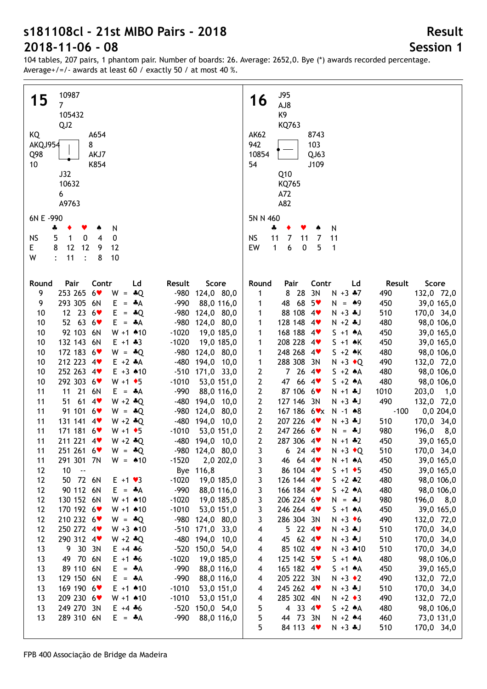104 tables, 207 pairs, 1 phantom pair. Number of boards: 26. Average: 2652,0. Bye (\*) awards recorded percentage. Average+/=/- awards at least 60 / exactly 50 / at most 40 %.

| 10987                                                                                                       | <b>J95</b>                                                                                                             |
|-------------------------------------------------------------------------------------------------------------|------------------------------------------------------------------------------------------------------------------------|
| 15<br>$\overline{7}$                                                                                        | 16<br>AJ8                                                                                                              |
| 105432                                                                                                      | K9                                                                                                                     |
| QJ <sub>2</sub>                                                                                             | KQ763                                                                                                                  |
| KQ<br>A654                                                                                                  | <b>AK62</b><br>8743                                                                                                    |
| 8<br>AKQJ954                                                                                                | 942<br>103                                                                                                             |
| AKJ7<br>Q98                                                                                                 | 10854<br>QJ63                                                                                                          |
| K854<br>10                                                                                                  | 54<br>J109                                                                                                             |
| J32                                                                                                         | Q10                                                                                                                    |
| 10632                                                                                                       | KQ765                                                                                                                  |
| 6<br>A9763                                                                                                  | A72<br>A82                                                                                                             |
|                                                                                                             |                                                                                                                        |
| 6N E -990                                                                                                   | 5N N 460                                                                                                               |
| N<br>÷<br>Y<br>۸                                                                                            | N<br>÷                                                                                                                 |
| $\pmb{0}$<br><b>NS</b><br>5<br>1<br>0<br>$\overline{4}$                                                     | <b>NS</b><br>11<br>7<br>11<br>11<br>7                                                                                  |
| 8<br>12<br>12<br>12<br>E<br>9                                                                               | EW<br>$\mathbf{1}$<br>6<br>$\pmb{0}$<br>5<br>1                                                                         |
| W<br>11<br>$\ddot{\cdot}$<br>8<br>10                                                                        |                                                                                                                        |
|                                                                                                             |                                                                                                                        |
| Pair<br>Contr<br>Round<br>Ld<br>Result<br>Score                                                             | Round<br>Pair<br>Score<br>Contr<br>Ld<br>Result                                                                        |
| 253 265<br>$6*$<br>9<br>W<br>$=$ $\clubsuit$ Q<br>-980 124,0 80,0                                           | 8 28<br>3N<br>$N + 3 + 7$<br>490<br>132,0 72,0<br>1                                                                    |
| 293 305<br>6N<br>9<br>Е<br>$-990$<br>88,0 116,0<br>$=$ $\star$ A                                            | 48 68<br>$5*$<br>450<br>39,0 165,0<br>$N = 49$<br>1                                                                    |
| 12 23 6<br>10<br>Е<br>$-980$<br>124,0 80,0<br>$=$ $\ast$ Q                                                  | 88 108 4<br>510<br>170,0 34,0<br>1<br>$N + 3 + J$                                                                      |
| 52 63 6 $\bullet$<br>10<br>E.<br>$-980$<br>124,0 80,0<br>$= A$                                              | 128 148 4<br>$N + 2 + J$<br>480<br>98,0 106,0<br>1                                                                     |
| 92 103 6N<br>10<br>$W + 1$ $*10$<br>$-1020$<br>19,0 185,0                                                   | 168 188 4<br>450<br>39,0 165,0<br>1<br>$S + 1$ $A$                                                                     |
| 132 143 6N<br>$-1020$<br>10<br>$E + 1 + 3$<br>19,0 185,0                                                    | 208 228 4<br>$S + 1$ $\star$ K<br>450<br>39,0 165,0<br>1                                                               |
| 172 183 6<br>$-980$<br>10<br>$W = *Q$<br>124,0 80,0<br>212 223 4<br>$-480$<br>10<br>$E + 2 A$<br>194,0 10,0 | 248 268 4<br>$S + 2 \cdot K$<br>480<br>98,0 106,0<br>1<br>288 308 3N<br>490<br>$N + 3$ $\bullet$ Q                     |
| 252 263 4<br>$E + 3$ $*10$<br>10<br>$-510$ 171,0 33,0                                                       | 1<br>132,0 72,0<br>2<br>7264<br>480<br>98,0 106,0<br>$S + 2 A$                                                         |
| 292 303 6♥<br>10<br>$W + 1$ + 5<br>$-1010$<br>53,0 151,0                                                    | 2<br>47 66 4<br>$S + 2 A$<br>480<br>98,0 106,0                                                                         |
| 21 6N<br>11<br>11<br>$E = A$<br>$-990$<br>88,0 116,0                                                        | 2<br>87 106 6<br>$N + 1 + J$<br>1010<br>203,0<br>1,0                                                                   |
| $61$ 4<br>$W + 2 * Q$<br>11<br>51<br>$-480$<br>194,0 10,0                                                   | $\mathbf{2}$<br>490<br>127 146 3N<br>$N + 3 + J$<br>132,0 72,0                                                         |
| 91 101 6<br>11<br>$-980$<br>124,0 80,0<br>$W = *Q$                                                          | $\mathbf{2}$<br>167 186 6 <b>*</b> x<br>$-100$<br>0,0204,0<br>$N - 1$ $*8$                                             |
| 131 141 4<br>11<br>$W + 2 * Q$<br>-480 194,0 10,0                                                           | $\mathbf{2}$<br>207 226 4<br>510<br>170,0 34,0<br>$N + 3 + J$                                                          |
| 171 181 6<br>11<br>$-1010$<br>53,0 151,0<br>$W + 1 \cdot 5$                                                 | 247 266 6<br>$\mathbf{2}$<br>980<br>196,0<br>$N = *J$<br>8,0                                                           |
| 11<br>211 221 4<br>$W + 2 * Q$<br>-480 194,0 10,0                                                           | $\mathbf{2}$<br>287 306 4<br>450<br>39,0 165,0<br>$N + 1 * 2$                                                          |
| 11<br>251 261 6♥<br>$W = *Q$<br>$-980$ 124,0 80,0                                                           | 3<br>$N + 3$ $\triangleleft$ Q<br>6.<br>24 4 <b>v</b><br>510<br>170,0 34,0                                             |
| 291 301 7N<br>$-1520$<br>2,0 202,0<br>$W = 10$<br>11                                                        | 39,0 165,0<br>46 64 4<br>450<br>$N + 1$ $A$<br>3                                                                       |
| 10<br>12<br>$\sim$<br>Bye 116,8                                                                             | 86 104 4<br>39,0 165,0<br>3<br>$S + 1$ + 5<br>450                                                                      |
| 12<br>50 72 6N<br>$-1020$<br>19,0 185,0<br>$E + 1 \cdot 3$                                                  | 3<br>126 144 4<br>$5 + 2 * 2$<br>480<br>98,0 106,0                                                                     |
| 12<br>90 112 6N<br>$-990$<br>88,0 116,0<br>$E = A$<br>$W + 1$ $*10$                                         | 3<br>166 184 4<br>$S + 2 A$<br>480<br>98,0 106,0                                                                       |
| 130 152 6N<br>$-1020$<br>19,0 185,0<br>12<br>170 192 6<br>$W + 1$ $*10$<br>$-1010$<br>12<br>53,0 151,0      | 3<br>206 224 6<br>980<br>8,0<br>N.<br>$=$ $\clubsuit$ J<br>196,0<br>3<br>246 264 4<br>450<br>39,0 165,0<br>$S + 1$ $A$ |
| 210 232 6<br>-980 124,0 80,0<br>12<br>$W = *Q$                                                              | 3<br>286 304 3N<br>490<br>132,0 72,0<br>$N + 3 \cdot 6$                                                                |
| 250 272 4<br>$W + 3$ 410<br>$-510$<br>171,0 33,0<br>12                                                      | $5$ 22 4<br>510<br>170,0 34,0<br>$N + 3 + J$<br>4                                                                      |
| 290 312 4<br>$W + 2 * Q$<br>$-480$<br>12<br>194,0 10,0                                                      | 45 62 4<br>510<br>170,0 34,0<br>$N + 3 + J$<br>4                                                                       |
| 9 30 3N<br>$-520$<br>150,0 54,0<br>13<br>$E + 4 + 6$                                                        | 85 102 4<br>510<br>170,0 34,0<br>4<br>$N + 3$ $*10$                                                                    |
| 49 70 6N<br>$-1020$<br>13<br>$E + 1 + 6$<br>19,0 185,0                                                      | 125 142 5<br>480<br>98,0 106,0<br>4<br>$S + 1 A$                                                                       |
| 89 110 6N<br>E.<br>$-990$<br>13<br>$=$ $\bullet$ A<br>88,0 116,0                                            | 165 182 4<br>450<br>39,0 165,0<br>$S + 1 A$<br>4                                                                       |
| 129 150 6N<br>$-990$<br>13<br>$E = A$<br>88,0 116,0                                                         | 205 222 3N<br>490<br>$N + 3 \cdot 2$<br>132,0 72,0<br>4                                                                |
| 169 190 6<br>$E + 1$ $*10$<br>$-1010$<br>53,0 151,0<br>13                                                   | 245 262 4<br>$N + 3 + J$<br>510<br>170,0 34,0<br>4                                                                     |
| 209 230 6♥<br>$W + 1$ 410<br>$-1010$<br>13<br>53,0 151,0                                                    | 285 302 4N<br>490<br>132,0 72,0<br>$N + 2 \cdot 3$<br>4                                                                |
| 249 270 3N<br>$-520$<br>13<br>$E + 4 + 6$<br>150,0 54,0                                                     | 5<br>4 33 4 $\bullet$<br>480<br>98,0 106,0<br>$S + 2 A$                                                                |
| 289 310 6N<br>$-990$<br>88,0 116,0<br>13<br>$E = A$                                                         | 5<br>44 73 3N<br>460<br>73,0 131,0<br>$N + 2$ $*4$                                                                     |
|                                                                                                             | 5<br>84 113 4<br>510<br>$N + 3 + J$<br>170,0 34,0                                                                      |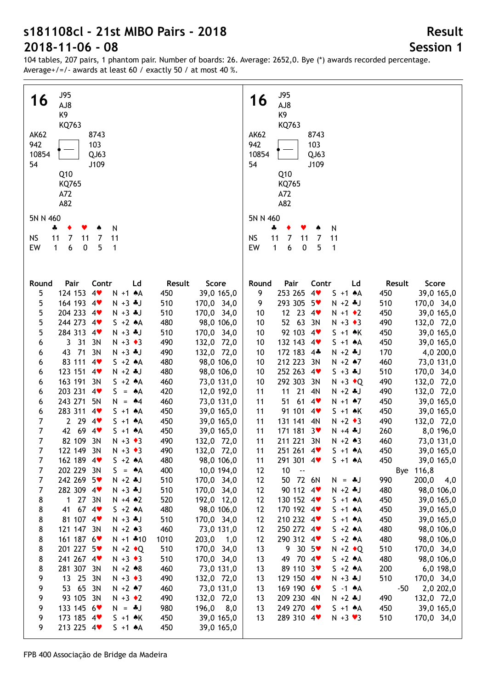104 tables, 207 pairs, 1 phantom pair. Number of boards: 26. Average: 2652,0. Bye (\*) awards recorded percentage. Average+/=/- awards at least 60 / exactly 50 / at most 40 %.

| <b>J95</b>                                                                                          | <b>J95</b>                                                                                                                |
|-----------------------------------------------------------------------------------------------------|---------------------------------------------------------------------------------------------------------------------------|
| 16                                                                                                  | 16                                                                                                                        |
| AJ8                                                                                                 | AJ8                                                                                                                       |
| K9                                                                                                  | K9                                                                                                                        |
| KQ763                                                                                               | KQ763                                                                                                                     |
| <b>AK62</b>                                                                                         | <b>AK62</b>                                                                                                               |
| 8743                                                                                                | 8743                                                                                                                      |
| 942<br>103<br>10854                                                                                 | 942<br>103<br>10854<br>QJ63                                                                                               |
| QJ63<br>54<br>J109                                                                                  | 54<br>J109                                                                                                                |
| Q10                                                                                                 | Q10                                                                                                                       |
| KQ765                                                                                               | KQ765                                                                                                                     |
| A72                                                                                                 | A72                                                                                                                       |
| A82                                                                                                 | A82                                                                                                                       |
| 5N N 460                                                                                            | 5N N 460                                                                                                                  |
| N                                                                                                   | N                                                                                                                         |
| 4                                                                                                   | ÷                                                                                                                         |
| 11                                                                                                  | 11                                                                                                                        |
| <b>NS</b>                                                                                           | <b>NS</b>                                                                                                                 |
| 11                                                                                                  | 11                                                                                                                        |
| $\overline{7}$                                                                                      | 7                                                                                                                         |
| 11                                                                                                  | 7                                                                                                                         |
| 7                                                                                                   | 11                                                                                                                        |
| 5                                                                                                   | EW                                                                                                                        |
| EW                                                                                                  | 6                                                                                                                         |
| $\mathbf{1}$                                                                                        | 5                                                                                                                         |
| 6                                                                                                   | $\mathbf{1}$                                                                                                              |
| $\pmb{0}$                                                                                           | $\pmb{0}$                                                                                                                 |
| 1                                                                                                   | 1                                                                                                                         |
|                                                                                                     |                                                                                                                           |
|                                                                                                     |                                                                                                                           |
| Pair                                                                                                | Pair                                                                                                                      |
| Contr                                                                                               | Contr                                                                                                                     |
| Score                                                                                               | <b>Score</b>                                                                                                              |
| Round                                                                                               | Round                                                                                                                     |
| Ld                                                                                                  | Ld                                                                                                                        |
| Result                                                                                              | Result                                                                                                                    |
| 4 <sub>Y</sub>                                                                                      | 253 265                                                                                                                   |
| 5                                                                                                   | 4                                                                                                                         |
| 124 153                                                                                             | $S + 1 A$                                                                                                                 |
| 39,0 165,0                                                                                          | 39,0 165,0                                                                                                                |
| $N + 1$ $A$                                                                                         | 9                                                                                                                         |
| 450                                                                                                 | 450                                                                                                                       |
| 5                                                                                                   | 293 305 5                                                                                                                 |
| 164 193 4                                                                                           | 510                                                                                                                       |
| $N + 3 + J$                                                                                         | 170,0 34,0                                                                                                                |
| 510                                                                                                 | 9                                                                                                                         |
| 170,0 34,0                                                                                          | $N + 2 + J$                                                                                                               |
| 5                                                                                                   | 12 23 $4$                                                                                                                 |
| 204 233 4                                                                                           | 450                                                                                                                       |
| $N + 3 + J$                                                                                         | 39,0 165,0                                                                                                                |
| 510                                                                                                 | 10                                                                                                                        |
| 170,0 34,0                                                                                          | $N + 1$ $\bullet$ 2                                                                                                       |
| 5                                                                                                   | 52 63 3N                                                                                                                  |
| 244 273 4                                                                                           | 490                                                                                                                       |
| $S + 2 A$                                                                                           | 132,0 72,0                                                                                                                |
| 480                                                                                                 | 10                                                                                                                        |
| 98,0 106,0                                                                                          | $N + 3 \cdot 3$                                                                                                           |
| 5                                                                                                   | 92 103 4                                                                                                                  |
| 284 313 4                                                                                           | 450                                                                                                                       |
| $N + 3 + J$                                                                                         | 39,0 165,0                                                                                                                |
| 510                                                                                                 | 10                                                                                                                        |
| 170,0 34,0                                                                                          | $S + 1 \cdot K$                                                                                                           |
| 3 <sup>31</sup><br>3N<br>$N + 3 \cdot 3$<br>490<br>132,0 72,0<br>6                                  | 132 143 4<br>450<br>39,0 165,0<br>10<br>$S + 1$ $A$                                                                       |
| 43 71 3N                                                                                            | 172 183 4*                                                                                                                |
| $N + 3 + J$                                                                                         | $N + 2 + J$                                                                                                               |
| 490                                                                                                 | 170                                                                                                                       |
| 132,0 72,0                                                                                          | 4,0 200,0                                                                                                                 |
| 6                                                                                                   | 10                                                                                                                        |
| 83 111 4                                                                                            | 212 223 3N                                                                                                                |
| $S + 2 A$                                                                                           | 460                                                                                                                       |
| 480                                                                                                 | 73,0 131,0                                                                                                                |
| 98,0 106,0                                                                                          | 10                                                                                                                        |
| 6                                                                                                   | $N + 2$ $*7$                                                                                                              |
| 123 151 4                                                                                           | 252 263 4                                                                                                                 |
| $N + 2 + J$                                                                                         | 510                                                                                                                       |
| 480                                                                                                 | 10                                                                                                                        |
| 98,0 106,0                                                                                          | $S + 3 = J$                                                                                                               |
| 6                                                                                                   | 170,0 34,0                                                                                                                |
| 163 191 3N<br>$S + 2 A$<br>460<br>73,0 131,0<br>6<br>203 231 4<br>420<br>$S = A$<br>12,0 192,0<br>6 | 292 303 3N<br>490<br>132,0 72,0<br>10<br>$N + 3$ $\bullet$ Q<br>$11 \t21$<br>490<br>132,0 72,0<br>11<br>4N<br>$N + 2 + J$ |
| 243 271<br><b>5N</b><br>460<br>73,0 131,0<br>6<br>$N = 44$                                          | $51$ 61 4<br>450<br>11<br>$N + 1$ $*7$<br>39,0 165,0                                                                      |
| 283 311 4                                                                                           | 91 101 4                                                                                                                  |
| 6                                                                                                   | 11                                                                                                                        |
| $S + 1$ $A$                                                                                         | $S + 1 \cdot K$                                                                                                           |
| 450                                                                                                 | 450                                                                                                                       |
| 39,0 165,0                                                                                          | 39,0 165,0                                                                                                                |
| 2 2 9<br>7<br>4<br>$S + 1 A$<br>450<br>39,0 165,0                                                   | 131 141 4N<br>490<br>11<br>$N + 2 \cdot 3$<br>132,0 72,0                                                                  |
| 7                                                                                                   | 11                                                                                                                        |
| 42 69 4                                                                                             | 171 181 3                                                                                                                 |
| $S + 1 A$                                                                                           | 260                                                                                                                       |
| 450                                                                                                 | 8,0 196,0                                                                                                                 |
| 39,0 165,0                                                                                          | $N + 4$ . $J$                                                                                                             |
| 7                                                                                                   | 211 221 3N                                                                                                                |
| 82 109 3N                                                                                           | 11                                                                                                                        |
| $N + 3$ $\triangleleft$ 3                                                                           | 460                                                                                                                       |
| 490                                                                                                 | 73,0 131,0                                                                                                                |
| 132,0 72,0                                                                                          | $N + 2 \cdot 3$                                                                                                           |
| 7<br>122 149 3N<br>$N + 3$ $\triangleleft$ 3<br>490<br>132,0 72,0                                   | 11<br>251 261 4<br>$S + 1$ $A$<br>450<br>39,0 165,0<br>450                                                                |
| 162 189 4<br>480<br>98,0 106,0<br>7<br>$S + 2 A$<br>202 229 3N<br>400<br>10,0 194,0<br>7<br>$S = A$ | 291 301 4<br>11<br>$S + 1$ $A$<br>39,0 165,0<br>10<br>Bye 116,8<br>12<br>$\ddotsc$                                        |
| 242 269 5♥<br>510<br>170,0 34,0<br>7<br>$N + 2 * J$                                                 | 50 72 6N<br>990<br>200,0<br>12<br>4,0<br>$N = *J$                                                                         |
| 282 309 4                                                                                           | 12                                                                                                                        |
| 7                                                                                                   | 90 112 4                                                                                                                  |
| $N + 3 + J$                                                                                         | 480                                                                                                                       |
| 510                                                                                                 | 98,0 106,0                                                                                                                |
| 170,0 34,0                                                                                          | $N + 2 + J$                                                                                                               |
| 1 27 3N                                                                                             | 12                                                                                                                        |
| 520                                                                                                 | 130 152 4                                                                                                                 |
| 192,0 12,0                                                                                          | 450                                                                                                                       |
| 8                                                                                                   | 39,0 165,0                                                                                                                |
| $N + 4 * 2$                                                                                         | $S + 1 A$                                                                                                                 |
| 8                                                                                                   | 12                                                                                                                        |
| 41 67 4                                                                                             | 170 192 4                                                                                                                 |
| 480                                                                                                 | 450                                                                                                                       |
| 98,0 106,0                                                                                          | 39,0 165,0                                                                                                                |
| $S + 2 A$                                                                                           | $S + 1 A$                                                                                                                 |
| 8                                                                                                   | 12                                                                                                                        |
| 81 107 4                                                                                            | 210 232 4                                                                                                                 |
| 510                                                                                                 | 450                                                                                                                       |
| 170,0 34,0                                                                                          | 39,0 165,0                                                                                                                |
| $N + 3 + J$                                                                                         | $S + 1 A$                                                                                                                 |
| 8                                                                                                   | 250 272 4                                                                                                                 |
| 121 147 3N                                                                                          | 12                                                                                                                        |
| 460                                                                                                 | 480                                                                                                                       |
| 73,0 131,0                                                                                          | 98,0 106,0                                                                                                                |
| $N + 2 * 3$                                                                                         | $S + 2 A$                                                                                                                 |
| 8                                                                                                   | 12                                                                                                                        |
| 161 187 6                                                                                           | 290 312 4                                                                                                                 |
| 1010                                                                                                | 480                                                                                                                       |
| 203,0                                                                                               | 98,0 106,0                                                                                                                |
| $N + 1$ $*10$                                                                                       | $S + 2 A$                                                                                                                 |
| 1,0<br>8<br>201 227 5<br>510<br>170,0 34,0<br>$N + 2 \cdot Q$                                       | 9305<br>510<br>170,0 34,0<br>13<br>$N + 2 \cdot Q$                                                                        |
| 241 267 4                                                                                           | 49 70 4                                                                                                                   |
| $N + 3 \cdot 3$                                                                                     | 98,0 106,0                                                                                                                |
| 510                                                                                                 | 13                                                                                                                        |
| 170,0 34,0                                                                                          | $S + 2 A$                                                                                                                 |
| 8                                                                                                   | 480                                                                                                                       |
| 8                                                                                                   | 89 110 3                                                                                                                  |
| 281 307 3N                                                                                          | 200                                                                                                                       |
| 460                                                                                                 | 13                                                                                                                        |
| $N + 2 * 8$                                                                                         | $S + 2 A$                                                                                                                 |
| 73,0 131,0                                                                                          | 6,0 198,0                                                                                                                 |
| 13 25 3N                                                                                            | 129 150 4                                                                                                                 |
| 490                                                                                                 | 510                                                                                                                       |
| 132,0 72,0                                                                                          | 13                                                                                                                        |
| 9                                                                                                   | $N + 3 + J$                                                                                                               |
| $N + 3 \cdot 3$                                                                                     | 170,0 34,0                                                                                                                |
| 53 65 3N                                                                                            | 169 190 6                                                                                                                 |
| 9                                                                                                   | 13                                                                                                                        |
| $N + 2$ $*7$                                                                                        | 2,0 202,0                                                                                                                 |
| 460                                                                                                 | $S -1$ $*A$                                                                                                               |
| 73,0 131,0                                                                                          | -50                                                                                                                       |
| 9                                                                                                   | 209 230 4N                                                                                                                |
| 93 105 3N                                                                                           | 490                                                                                                                       |
| $N + 3 \cdot 2$                                                                                     | 132,0 72,0                                                                                                                |
| 490                                                                                                 | 13                                                                                                                        |
| 132,0 72,0                                                                                          | $N + 2 + J$                                                                                                               |
| 9<br>133 145 6<br>980<br>$196,0$ 8,0<br>$N = *J$<br>173 185 4<br>$S + 1$ $\land$ K                  | 249 270 4<br>13<br>$S + 1$ $A$<br>450<br>39,0 165,0<br>13                                                                 |
| 450<br>39,0 165,0<br>9<br>213 225 4<br>9.<br>450<br>39,0 165,0<br>$S + 1$ $A$                       | 289 310 4<br>$N + 3 \vee 3$<br>510<br>170,0 34,0                                                                          |
|                                                                                                     |                                                                                                                           |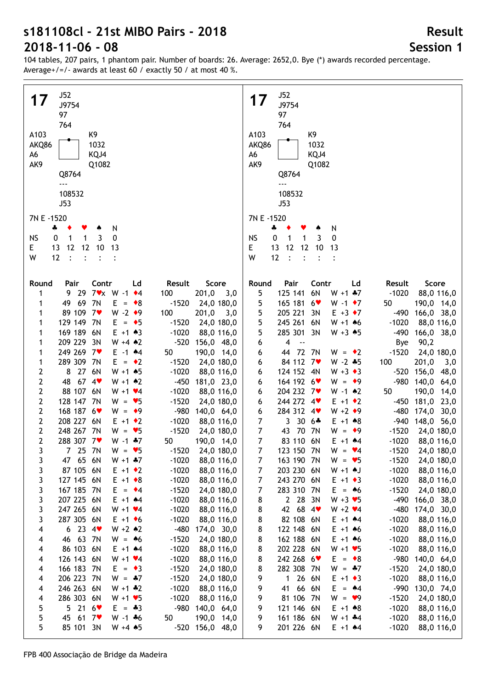| <b>J52</b>                                                                       | J52                                                                                  |
|----------------------------------------------------------------------------------|--------------------------------------------------------------------------------------|
| 17<br>J9754                                                                      | 17<br>J9754                                                                          |
| 97                                                                               | 97                                                                                   |
| 764                                                                              | 764                                                                                  |
| A103<br>K9                                                                       | A103<br>K9                                                                           |
| 1032<br>AKQ86                                                                    | 1032<br>AKQ86                                                                        |
| KQJ4<br>A6                                                                       | A6<br>KQJ4                                                                           |
| AK9<br>Q1082                                                                     | AK9<br>Q1082                                                                         |
| Q8764                                                                            | Q8764                                                                                |
| ---                                                                              | ---                                                                                  |
| 108532                                                                           | 108532                                                                               |
|                                                                                  |                                                                                      |
| J53                                                                              | J53                                                                                  |
| 7N E -1520                                                                       | 7N E -1520                                                                           |
| N<br>÷                                                                           | N<br>4                                                                               |
| <b>NS</b><br>3<br>0<br>1<br>0<br>1                                               | <b>NS</b><br>0<br>3<br>0<br>1<br>1                                                   |
| E<br>12<br>12<br>10<br>13<br>13                                                  | 12<br>E<br>13<br>12<br>10<br>13                                                      |
| W<br>12<br>$\ddot{\phantom{1}}$ :<br>$\ddot{\cdot}$                              | 12<br>W<br>$\ddot{\cdot}$<br>$\ddot{\cdot}$                                          |
|                                                                                  |                                                                                      |
|                                                                                  |                                                                                      |
| Contr<br>Result<br>Score<br>Round<br>Pair<br>Ld                                  | Contr<br>Score<br>Round<br>Pair<br>Ld<br>Result                                      |
| 29 7vx W -1 ◆4<br>$201,0$ 3,0<br>100<br>1<br>9.                                  | 6N<br>$W + 1$ $*7$<br>$-1020$<br>5<br>125 141<br>88,0 116,0                          |
| 69<br>7N<br>$E = \bullet 8$<br>$-1520$<br>49<br>24,0 180,0<br>1                  | 165 181 6<br>50<br>5<br>W -1 $\bullet$ 7<br>190,0 14,0                               |
| 89 109 7<br>$W - 2 \cdot 9$<br>100<br>201,0<br>3,0<br>1                          | 205 221<br>5<br>3N<br>$E + 3 \cdot 7$<br>$-490$<br>166,0 38,0                        |
| 129 149 7N<br>$E = \bullet 5$<br>$-1520$<br>24,0 180,0<br>1                      | 5<br>245 261 6N<br>$-1020$<br>$W + 1$ 46<br>88,0 116,0                               |
| 169 189 6N<br>$E + 1 \cdot 3$<br>$-1020$<br>88,0 116,0<br>1                      | 5<br>285 301 3N<br>$W + 3 \cdot 5$<br>$-490$<br>166,0 38,0                           |
| 209 229<br>3N<br>$W + 4$ $*2$<br>$-520$ 156,0 48,0<br>1                          | $\overline{\mathbf{4}}$<br>90,2<br>6<br>$\overline{\phantom{a}}$<br>Bye              |
| 249 269 7<br>50<br>190,0 14,0<br>$E - 1$ $*4$<br>1                               | 44 72<br>7N<br>$-1520$<br>24,0 180,0<br>$W = \bullet 2$<br>6                         |
| 289 309 7N<br>$E = \cdot 2$<br>$-1520$<br>24,0 180,0<br>1                        | 84 112 7<br>$W - 2 * 5$<br>100<br>201,0<br>6<br>3,0                                  |
| 27 6N<br>2<br>8<br>$W + 1$ 45<br>$-1020$<br>88,0 116,0                           | 124 152 4N<br>$W + 3 \cdot 3$<br>$-520$<br>156,0<br>48,0<br>6                        |
| 67.4<br>$\mathbf{2}$<br>48<br>$W + 1$ $*2$<br>$-450$<br>181,0 23,0               | 164 192 6<br>$W = 9$<br>$-980$<br>140,0<br>64,0<br>6                                 |
| $\mathbf{2}$<br>88 107 6N<br>$W + 1$ $\times 4$<br>$-1020$<br>88,0 116,0         | 204 232 7<br>50<br>$W - 1$ $*2$<br>190,0<br>14,0<br>6                                |
| $\overline{2}$<br>128 147 7N<br>$W = \bullet 5$<br>$-1520$<br>24,0 180,0         | 244 272 4<br>181,0<br>$E + 1 \cdot 2$<br>$-450$<br>23,0<br>6                         |
| $\overline{2}$<br>168 187 6<br>$W = 9$<br>-980<br>140,0 64,0                     | 284 312 4<br>$W + 2 \cdot 9$<br>$-480$<br>174,0<br>6<br>30,0                         |
| $\overline{2}$<br>208 227 6N<br>$E + 1$ $\rightarrow$ 2<br>$-1020$<br>88,0 116,0 | $\overline{7}$<br>$30.6*$<br>$\mathbf{3}$<br>$E + 1$ $*8$<br>$-940$<br>148,0<br>56,0 |
| $\mathbf{2}$<br>248 267 7N<br>$W = \bullet 5$<br>$-1520$<br>24,0 180,0           | 43 70<br>$\overline{7}$<br>7N<br>$W = 9$<br>$-1520$<br>24,0 180,0                    |
| $\mathbf{2}$<br>288 307 7<br>$W - 1$ $*7$<br>50<br>190,0 14,0                    | $\overline{7}$<br>83 110 6N<br>$-1020$<br>$E + 1$ $*4$<br>88,0 116,0                 |
| 3<br>7 <sup>7</sup><br>$-1520$<br>24,0 180,0<br>25<br>$W = 95$<br>7N             | $\overline{7}$<br>123 150 7N<br>$-1520$<br>24,0 180,0<br>$W = \bullet 4$             |
| 3<br>47 65 6N<br>$W + 1 + 7$<br>$-1020$<br>88,0 116,0                            | 24,0 180,0<br>163 190 7N<br>$W = \bullet 5$<br>$-1520$<br>7                          |
| 3<br>87 105 6N<br>$E + 1$ $\rightarrow$ 2<br>$-1020$<br>88,0 116,0               | 203 230 6N<br>$-1020$<br>7<br>$W + 1$ AJ<br>88,0 116,0                               |
| 3<br>127 145 6N<br>$E + 1 \cdot 8$<br>$-1020$<br>88,0 116,0                      | 243 270 6N<br>$-1020$<br>7<br>$E + 1 \cdot 3$<br>88,0 116,0                          |
| 3<br>167 185 7N<br>$E = \cdot 4$<br>$-1520$<br>24,0 180,0                        | 7<br>283 310 7N<br>E.<br>$-1520$<br>24,0 180,0<br>$=$ 46                             |
| 3<br>207 225 6N<br>$E + 1$ $*4$<br>$-1020$<br>88,0 116,0                         | $W + 3 \times 5$<br>8<br>2 28 3N<br>$-490$<br>166,0 38,0                             |
| 247 265 6N<br>3<br>$W + 1$ $\times 4$<br>$-1020$<br>88,0 116,0                   | 42 68 4<br>$-480$<br>8<br>$W + 2 \cdot 4$<br>174,0 30,0                              |
| 287 305 6N<br>3<br>$E + 1$ + 6<br>$-1020$<br>88,0 116,0                          | 82 108 6N<br>$-1020$<br>8<br>$E + 1$ $*4$<br>88,0 116,0                              |
| 6234<br>$W + 2 A2$<br>$-480$<br>174,0 30,0<br>4                                  | 122 148 6N<br>$-1020$<br>8<br>$E + 1 + 6$<br>88,0 116,0                              |
| 63 7N<br>46<br>$W = 46$<br>$-1520$<br>24,0 180,0<br>4                            | 162 188 6N<br>8<br>$E + 1 + 6$<br>$-1020$<br>88,0 116,0                              |
| 86 103 6N<br>$E + 1$ $*4$<br>$-1020$<br>88,0 116,0<br>4                          | 8<br>202 228 6N<br>$W + 1 \cdot 5$<br>$-1020$<br>88,0 116,0                          |
| 126 143 6N<br>$W + 1$ $\times 4$<br>$-1020$<br>88,0 116,0<br>4                   | $-980$<br>8<br>242 268 6<br>140,0 64,0<br>$E = \bullet 8$                            |
| 166 183 7N<br>$=$ $\bullet$ 3<br>$-1520$<br>24,0 180,0<br>E.                     | 8<br>282 308 7N<br>$W = -7$<br>$-1520$<br>24,0 180,0                                 |
| 4<br>206 223 7N<br>$W = .47$<br>$-1520$                                          | $-1020$<br>26 6N<br>$E + 1 \cdot 3$                                                  |
| 24,0 180,0<br>4                                                                  | 9<br>88,0 116,0<br>$\mathbf 1$<br>66<br>$-990$                                       |
| 246 263 6N<br>$-1020$<br>$W + 1$ $*2$<br>88,0 116,0<br>4                         | 9<br>41<br>6N<br>E.<br>130,0 74,0<br>$=$ 44                                          |
| 286 303 6N<br>$-1020$<br>$W + 1 \cdot 5$<br>88,0 116,0<br>4                      | 81 106<br>$-1520$<br>7N<br>$W = 9$<br>24,0 180,0<br>9                                |
| $-980$<br>5<br>5216<br>$= 43$<br>140,0 64,0<br>E.                                | 121 146 6N<br>$-1020$<br>$E + 1$ $*8$<br>88,0 116,0<br>9                             |
| 5<br>61 $7$<br>45<br>$W - 1 * 6$<br>50<br>190,0 14,0                             | 161 186 6N<br>$-1020$<br>9<br>$W + 1 + 4$<br>88,0 116,0                              |
| 5<br>85 101 3N<br>$W + 4 * 5$<br>$-520$ 156,0 48,0                               | $-1020$<br>9<br>201 226 6N<br>$E + 1$ $*4$<br>88,0 116,0                             |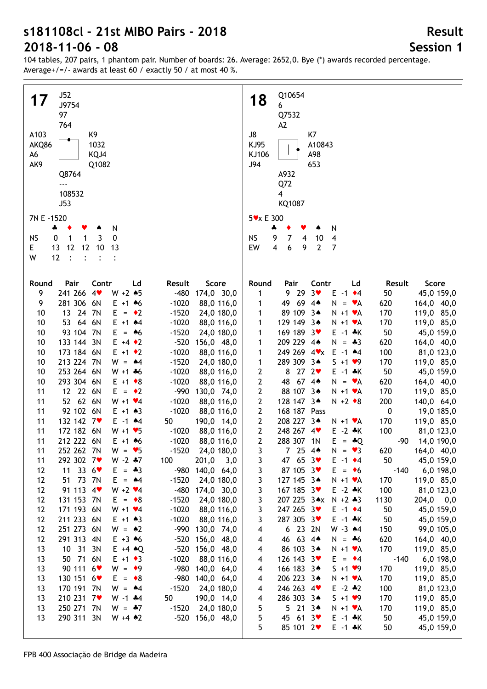104 tables, 207 pairs, 1 phantom pair. Number of boards: 26. Average: 2652,0. Bye (\*) awards recorded percentage. Average+/=/- awards at least 60 / exactly 50 / at most 40 %.

| J52<br>17                                                       | Q10654<br>18                                                            |
|-----------------------------------------------------------------|-------------------------------------------------------------------------|
| J9754                                                           | 6                                                                       |
| 97                                                              | Q7532                                                                   |
| 764                                                             | A <sub>2</sub>                                                          |
| A103<br>K9                                                      | J8<br>K7                                                                |
| 1032<br>AKQ86                                                   | KJ95<br>A10843                                                          |
| A6<br>KQJ4                                                      | KJ106<br>A98                                                            |
| AK9<br>Q1082                                                    | J94<br>653                                                              |
| Q8764                                                           | A932                                                                    |
| $- - -$                                                         | Q72                                                                     |
| 108532                                                          | 4                                                                       |
| J53                                                             | KQ1087                                                                  |
|                                                                 |                                                                         |
| 7N E -1520                                                      | 5 v x E 300                                                             |
| N<br>÷                                                          | N<br>4                                                                  |
| <b>NS</b><br>$\mathbf{1}$<br>3<br>0<br>0<br>1                   | <b>NS</b><br>9<br>7<br>10<br>$\overline{4}$<br>4                        |
| E.<br>12<br>12 10<br>13<br>-13                                  | $\overline{2}$<br>EW<br>4<br>6<br>9<br>$\overline{7}$                   |
| W<br>12<br>$\ddots$<br>$\ddot{\cdot}$                           |                                                                         |
|                                                                 |                                                                         |
| Contr                                                           | Contr<br>Score<br>Round<br>Result                                       |
| Round<br>Pair<br>Ld<br>Result<br>Score<br>241 266 4             | Pair<br>Ld<br>9 29<br>3 <sub>v</sub><br>$E -1$ $\div 4$                 |
| 9<br>$W + 2 * 5$<br>-480 174,0 30,0<br>281 306 6N               | 1<br>50<br>45,0 159,0                                                   |
| 9<br>$-1020$<br>88,0 116,0<br>$E + 1 + 6$                       | 49 69 4*<br>620<br>164,0 40,0<br>$N = \mathbf{v}A$<br>1                 |
| 13 24 7N<br>10<br>$E = \cdot 2$<br>$-1520$<br>24,0 180,0        | 89 109 3*<br>170<br>119,0 85,0<br>$N + 1$ $\forall A$<br>1              |
| 53 64 6N<br>10<br>$E + 1$ $*4$<br>$-1020$<br>88,0 116,0         | 129 149 3*<br>170<br>119,0 85,0<br>$N + 1$ $\forall A$<br>1             |
| 93 104 7N<br>10<br>E<br>$-1520$<br>24,0 180,0<br>$= 46$         | 169 189 3<br>50<br>$E - 1$ $*K$<br>45,0 159,0<br>1                      |
| 133 144 3N<br>$E + 4 \cdot 2$<br>$-520$<br>156,0 48,0<br>10     | 209 229 4*<br>$N = *3$<br>620<br>164,0 40,0<br>1                        |
| 173 184 6N<br>$E + 1$ + 2<br>$-1020$<br>88,0 116,0<br>10        | 249 269 4 <b>v</b> x<br>$E - 1$ $*4$<br>100<br>81,0 123,0<br>1          |
| 213 224 7N<br>$W = 44$<br>$-1520$<br>10<br>24,0 180,0           | 289 309 3*<br>$S + 1 \cdot 9$<br>170<br>119,0 85,0<br>1                 |
| 253 264 6N<br>$-1020$<br>10<br>$W + 1 * 6$<br>88,0 116,0        | $27 \t2$<br>8<br>2<br>50<br>45,0 159,0<br>$E - 1$ $*K$                  |
| 293 304 6N<br>10<br>$E + 1 \cdot 8$<br>$-1020$<br>88,0 116,0    | $\mathbf{2}$<br>48<br>$67.4*$<br>620<br>164,0 40,0<br>$N = \mathbf{v}A$ |
| 12 22 6N<br>11<br>$E = \cdot 2$<br>-990<br>130,0 74,0           | $\mathbf{2}$<br>88 107 3*<br>170<br>119,0 85,0<br>$N + 1$ $\forall$ A   |
| 52 62 6N<br>11<br>$W + 1$ $\times 4$<br>$-1020$<br>88,0 116,0   | $\mathbf{2}$<br>128 147 3*<br>200<br>140,0 64,0<br>$N + 2 \cdot 8$      |
| 92 102 6N<br>$-1020$<br>11<br>$E + 1 \cdot 3$<br>88,0 116,0     | 168 187 Pass<br>$\mathbf{2}$<br>$\boldsymbol{0}$<br>19,0 185,0          |
| 132 142 7<br>11<br>50<br>190,0 14,0<br>$E - 1$ $*4$             | 208 227 3*<br>$\mathbf{2}$<br>170<br>119,0 85,0<br>$N + 1$ $\forall$ A  |
| 172 182 6N<br>11<br>88,0 116,0<br>$W + 1 \cdot 5$<br>$-1020$    | 248 267 4<br>$\mathbf{2}$<br>$E - 2 * K$<br>100<br>81,0 123,0           |
| 212 222 6N<br>11<br>$E + 1 + 6$<br>$-1020$<br>88,0 116,0        | 288 307 1N<br>$\mathbf{2}$<br>$E = -Q$<br>$-90$ 14,0 190,0              |
| 252 262 7N<br>$-1520$ 24,0 180,0<br>11<br>$W = 95$              | 7254<br>620<br>$\mathbf{3}$<br>$N = \bullet 3$<br>164,0 40,0            |
| 292 302 7<br>$W - 2 * 7$<br>100<br>201,0<br>3,0<br>11           | 47 65 3<br>50<br>45,0 159,0<br>3<br>$E - 1$ $\rightarrow 4$             |
| 33 $6$<br>$E = -3$<br>-980 140,0 64,0<br>11<br>12               | 87 105 3<br>3<br>$E = \bullet 6$<br>$-140$<br>$6,0$ 198,0               |
| 51 73 7N<br>12<br>$E = 44$<br>$-1520$<br>24,0 180,0             | 3<br>127 145 3*<br>$N + 1$ $\forall$ A<br>170<br>119,0 85,0             |
| $W + 2 \cdot 4$<br>91 113 4<br>12<br>-480 174,0 30,0            | 3<br>167 185 3<br>$E - 2 * K$<br>100<br>81,0 123,0                      |
| 131 153 7N<br>$-1520$<br>12<br>$E = \bullet 8$<br>24,0 180,0    | 3<br>207 225 3*x N +2 *3<br>1130<br>$204,0$ 0,0                         |
| 171 193 6N<br>$-1020$<br>12<br>$W + 1$ $\times 4$<br>88,0 116,0 | 3<br>247 265 3<br>$E - 1$ $\div 4$<br>50<br>45,0 159,0                  |
| 211 233 6N<br>12<br>$E + 1 \cdot 3$<br>$-1020$<br>88,0 116,0    | 287 305 3<br>3<br>$E - 1$ $*K$<br>50<br>45,0 159,0                      |
| 251 273 6N<br>12<br>$W = 2$<br>-990 130,0 74,0                  | 6 23 2N<br>4<br>$W - 3$ $*4$<br>150<br>99,0 105,0                       |
| 291 313 4N<br>$E + 3.46$<br>12<br>$-520$<br>156,0 48,0          | 46 63 4*<br>4<br>620<br>164,0 40,0<br>$N = -6$                          |
| 10 31 3N<br>-520 156,0 48,0<br>13<br>$E + 4 \cdot Q$            | 86 103 3*<br>4<br>$N + 1$ $\forall$ A<br>170<br>119,0 85,0              |
| 50 71 6N<br>$-1020$<br>13<br>$E + 1 \cdot 3$<br>88,0 116,0      | 126 143 3<br>4<br>6,0 198,0<br>$E = \cdot 4$<br>$-140$                  |
| 90 111 6<br>$W = 9$<br>-980 140,0 64,0<br>13                    | 170<br>4<br>166 183 3*<br>$S + 1 \bullet 9$<br>119,0 85,0               |
| 130 151 6<br>-980<br>$E = \bullet 8$<br>140,0 64,0<br>13        | 4<br>206 223 3*<br>170<br>119,0 85,0<br>$N + 1$ $\forall$ A             |
| 170 191 7N<br>$W = 44$<br>$-1520$<br>13<br>24,0 180,0           | 246 263 4<br>$E - 2$ $*2$<br>100<br>81,0 123,0<br>4                     |
| 210 231 7<br>$W - 1$ $*4$<br>13<br>50<br>190,0 14,0             | 286 303 34<br>$S + 1 \cdot 9$<br>170<br>119,0 85,0<br>4                 |
| 250 271 7N<br>13<br>$W = -7$<br>$-1520$<br>24,0 180,0           | 5<br>$5213*$<br>170<br>119,0 85,0<br>$N + 1$ $\forall A$                |
| 290 311 3N<br>13<br>$W + 4 \cdot 2$<br>-520 156,0 48,0          | 5<br>45 61 3<br>$E - 1$ $*$ K<br>50<br>45,0 159,0                       |
|                                                                 | 5<br>85 101 2<br>$E - 1$ $*K$<br>50                                     |
|                                                                 | 45,0 159,0                                                              |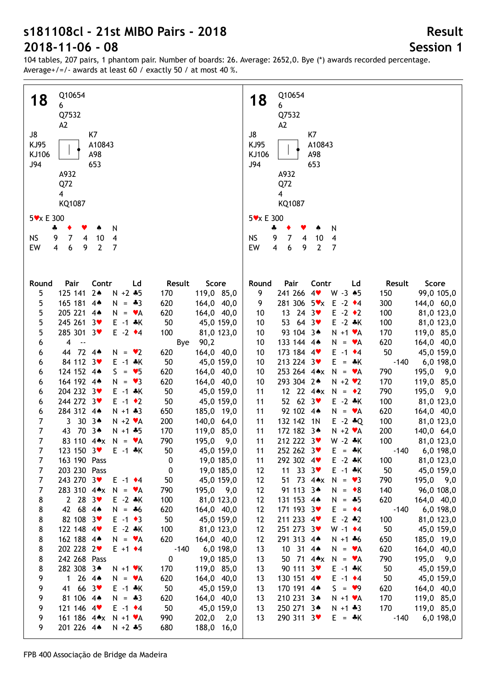104 tables, 207 pairs, 1 phantom pair. Number of boards: 26. Average: 2652,0. Bye (\*) awards recorded percentage. Average+/=/- awards at least 60 / exactly 50 / at most 40 %.

| Q10654                                                             | Q10654                                                        |
|--------------------------------------------------------------------|---------------------------------------------------------------|
| 18                                                                 | 18                                                            |
| 6                                                                  | 6                                                             |
| Q7532                                                              | Q7532                                                         |
| A <sub>2</sub>                                                     | A <sub>2</sub>                                                |
| J8                                                                 | J8                                                            |
| K7                                                                 | K7                                                            |
| KJ95                                                               | KJ95                                                          |
| A10843                                                             | A10843                                                        |
| KJ106                                                              | A98                                                           |
| A98                                                                | KJ106                                                         |
| J94                                                                | J94                                                           |
| 653                                                                | 653                                                           |
| A932                                                               | A932                                                          |
| Q72                                                                | Q72                                                           |
| $\overline{4}$                                                     | $\overline{4}$                                                |
| KQ1087                                                             | KQ1087                                                        |
|                                                                    |                                                               |
| 5 v x E 300                                                        | 5 v x E 300                                                   |
| N                                                                  | N                                                             |
| 4                                                                  | 4                                                             |
| 7                                                                  | <b>NS</b>                                                     |
| <b>NS</b>                                                          | 9                                                             |
| 9                                                                  | 7                                                             |
| 10                                                                 | 10                                                            |
| $\overline{\mathbf{4}}$                                            | $\overline{4}$                                                |
| 4                                                                  | 4                                                             |
| $\boldsymbol{6}$                                                   | $\overline{\mathbf{4}}$                                       |
| $\overline{2}$                                                     | $\overline{2}$                                                |
| $\overline{7}$                                                     | $\overline{7}$                                                |
| EW                                                                 | EW                                                            |
| $\overline{4}$                                                     | 6                                                             |
| 9                                                                  | 9                                                             |
|                                                                    |                                                               |
|                                                                    |                                                               |
|                                                                    |                                                               |
| Pair                                                               | Round                                                         |
| Contr                                                              | Pair                                                          |
| Ld                                                                 | Contr                                                         |
| Result                                                             | Result                                                        |
| Score                                                              | Score                                                         |
| Round                                                              | Ld                                                            |
| $2*$<br>$N + 2 * 5$<br>5<br>125 141<br>170<br>119,0 85,0           | 241 266 4<br>9<br>$W - 3 \cdot 5$<br>150<br>99,0 105,0        |
| 5<br>165 181 4*<br>$N = -3$<br>620<br>164,0 40,0                   | 281 306 5vx E -2 +4<br>300<br>144,0 60,0<br>9                 |
| 5                                                                  | 13 24 3 $\bullet$                                             |
| 205 221 4*                                                         | $E -2$ $\rightarrow$ 2                                        |
| 620                                                                | 100                                                           |
| 164,0 40,0                                                         | 81,0 123,0                                                    |
| $N = \mathbf{v}A$                                                  | 10 <sup>°</sup>                                               |
| 5                                                                  | 53 64 3                                                       |
| 245 261 3                                                          | $E - 2 * K$                                                   |
| 50                                                                 | 100                                                           |
| $E - 1$ $*K$                                                       | 81,0 123,0                                                    |
| 45,0 159,0                                                         | 10 <sup>°</sup>                                               |
| 5                                                                  | 93 104 3*                                                     |
| 285 301 3                                                          | 170                                                           |
| $E -2$ $\rightarrow 4$                                             | 119,0 85,0                                                    |
| 100                                                                | 10                                                            |
| 81,0 123,0                                                         | $N + 1$ $\vee$ A                                              |
| $\overline{4}$                                                     | 133 144 4*                                                    |
| $\ddotsc$                                                          | 620                                                           |
| 90,2                                                               | 164,0 40,0                                                    |
| 6                                                                  | 10                                                            |
| Bye                                                                | $N = VA$                                                      |
| 44 72 4*                                                           | 173 184 4                                                     |
| 620                                                                | 50                                                            |
| 164,0 40,0                                                         | $E - 1$ $\div 4$                                              |
| 6                                                                  | 45,0 159,0                                                    |
| $N = \bullet 2$                                                    | 10                                                            |
| 84 112 3                                                           | 213 224 3                                                     |
| 50                                                                 | $E = A K$                                                     |
| $E - 1 * K$                                                        | $-140$                                                        |
| 45,0 159,0                                                         | 6,0 198,0                                                     |
| 6                                                                  | 10                                                            |
| 124 152 4*<br>$S = \bullet 5$<br>620<br>164,0 40,0<br>6            | 253 264 4**<br>$N = \mathbf{v}A$<br>790<br>195,0<br>9,0<br>10 |
| 164 192 4*<br>$= \bullet 3$<br>620<br>164,0 40,0<br>N<br>6         | 293 304 2*<br>$N + 2$ $\vee$ 2<br>170<br>119,0 85,0<br>10     |
| 204 232 3<br>50<br>$E - 1$ *K<br>45,0 159,0<br>6                   | 12 22 4*x<br>N.<br>790<br>195,0<br>11<br>$= 2$<br>9,0         |
| 244 272 3                                                          | 52 62 $3\bullet$                                              |
| 50                                                                 | $E - 2 * K$                                                   |
| $E -1$ $\rightarrow 2$                                             | 100                                                           |
| 45,0 159,0                                                         | 81,0 123,0                                                    |
| 6                                                                  | 11                                                            |
| 284 312 44                                                         | 92 102 4*                                                     |
| $N + 1 + 3$                                                        | 620                                                           |
| 650                                                                | 164,0 40,0                                                    |
| 6                                                                  | 11                                                            |
| 185,0 19,0                                                         | $N = \mathbf{v}A$                                             |
| 7<br>30 34<br>3<br>$N + 2 \cdot A$<br>200<br>140,0 64,0            | 132 142 1N<br>100<br>81,0 123,0<br>11<br>$E - 2 * Q$          |
| 7<br>70 34<br>43<br>170<br>$N + 1 + 5$<br>119,0 85,0               | 172 182 3*<br>11<br>200<br>140,0 64,0<br>$N + 2 \cdot A$      |
| $\overline{7}$                                                     | 11                                                            |
| 83 110 4* $x$ N = $\cdot$ A                                        | 212 222 3                                                     |
| 790                                                                | $W - 2 * K$                                                   |
| 195,0                                                              | 100                                                           |
| 9,0                                                                | 81,0 123,0                                                    |
| 7<br>123 150 3<br>$E - 1 * K$<br>50<br>45,0 159,0                  | 11<br>$-140$ 6,0 198,0<br>252 262 3♥<br>$E = \cdot K$         |
| 7<br>163 190 Pass<br>19,0 185,0<br>0                               | 292 302 4<br>$E - 2 * K$<br>81,0 123,0<br>11<br>100           |
| 203 230 Pass<br>7<br>19,0 185,0<br>0                               | 11 33 $3\sqrt{ }$<br>50<br>45,0 159,0<br>$E - 1$ $*K$<br>12   |
| $\overline{7}$<br>243 270 3<br>$E -1$ $\div 4$<br>50<br>45,0 159,0 | 51 73 4*x<br>12<br>790<br>195,0<br>9,0<br>$N = 23$            |
| 7                                                                  | 91 113 3*                                                     |
| 283 310 4** N = $\mathbf{v}$ A                                     | 12                                                            |
| 790                                                                | 140                                                           |
| 195,0                                                              | 96,0 108,0                                                    |
| 9,0                                                                | $N = \bullet 8$                                               |
| 8                                                                  | 12                                                            |
| 2 28 $3\bullet$                                                    | 131 153 4*                                                    |
| $E - 2 * K$                                                        | $N = -5$                                                      |
| 100                                                                | 620                                                           |
| 81,0 123,0                                                         | 164,0 40,0                                                    |
| 8                                                                  | 171 193 3                                                     |
| 42 68 44                                                           | 12                                                            |
| 620                                                                | $E = \cdot 4$                                                 |
| 164,0 40,0                                                         | $-140$                                                        |
| $N = *6$                                                           | 6,0 198,0                                                     |
| 8                                                                  | 211 233 4                                                     |
| 82 108 3                                                           | 100                                                           |
| $E -1$ $\rightarrow$ 3                                             | 12                                                            |
| 50                                                                 | $E - 2$ $*2$                                                  |
| 45,0 159,0                                                         | 81,0 123,0                                                    |
| 8                                                                  | 251 273 3                                                     |
| 122 148 4                                                          | 50                                                            |
| $E - 2 * K$                                                        | 12                                                            |
| 100                                                                | $W - 1$ $\bullet$ 4                                           |
| 81,0 123,0                                                         | 45,0 159,0                                                    |
| 8                                                                  | 291 313 4*                                                    |
| 162 188 4*                                                         | 12                                                            |
| $N = \mathbf{v}A$                                                  | 650                                                           |
| 620                                                                | 185,0 19,0                                                    |
| 164,0 40,0                                                         | $N + 1 + 6$                                                   |
| 8                                                                  | 10 31 4*                                                      |
| 202 228 2                                                          | 620                                                           |
| $E + 1$ $\div 4$                                                   | 164,0 40,0                                                    |
| $-140$                                                             | 13                                                            |
| 6,0 198,0                                                          | $N = \mathbf{v}A$                                             |
| 8<br>242 268 Pass<br>$\pmb{0}$<br>19,0 185,0                       | 50 71 4**<br>$N = \mathbf{v}A$<br>790<br>195,0<br>9,0<br>13   |
| 8                                                                  | 90 111 3                                                      |
| 282 308 3*                                                         | 50                                                            |
| $N + 1$ $\vee$ K                                                   | 45,0 159,0                                                    |
| 170                                                                | 13                                                            |
| 119,0 85,0                                                         | $E - 1$ $*$ K                                                 |
| 9                                                                  | 50                                                            |
| 1 26 4 $\bullet$                                                   | 130 151 4                                                     |
| 620                                                                | $E - 1$ $\div 4$                                              |
| $N = \mathbf{v}A$                                                  | 45,0 159,0                                                    |
| 164,0 40,0                                                         | 13                                                            |
| 9<br>66.3<br>$E - 1$ $*K$<br>41                                    | 170 191 4*<br>$S = \bullet 9$                                 |
| 50<br>45,0 159,0                                                   | 620<br>164,0 40,0<br>13                                       |
| 81 106 4*                                                          | 210 231 3*                                                    |
| 9                                                                  | 170                                                           |
| $N = -3$                                                           | 119,0 85,0                                                    |
| 620                                                                | 13                                                            |
| 164,0 40,0                                                         | $N + 1$ $\vee$ A                                              |
| 121 146 4                                                          | 250 271 3*                                                    |
| 9                                                                  | $N + 1 + 3$                                                   |
| $E -1$ $\rightarrow 4$                                             | 170                                                           |
| 50                                                                 | 119,0 85,0                                                    |
| 45,0 159,0                                                         | 13                                                            |
| 161 186 4*x<br>9<br>$N + 1$ $\forall A$<br>990<br>202,0<br>2,0     | 290 311 3♥<br>$E = \cdot K$<br>13<br>$-140$<br>6,0 198,0      |
| 201 226 4*<br>9<br>680<br>188,0 16,0<br>$N + 2 * 5$                |                                                               |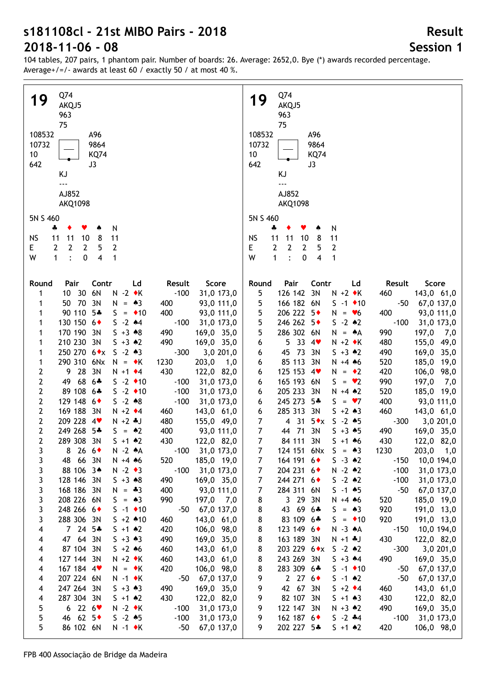104 tables, 207 pairs, 1 phantom pair. Number of boards: 26. Average: 2652,0. Bye (\*) awards recorded percentage. Average+/=/- awards at least 60 / exactly 50 / at most 40 %.

| Q74                                                                                                                 | Q74                                                                                                            |
|---------------------------------------------------------------------------------------------------------------------|----------------------------------------------------------------------------------------------------------------|
| 19                                                                                                                  | 19                                                                                                             |
| AKQJ5                                                                                                               | AKQJ5                                                                                                          |
| 963                                                                                                                 | 963                                                                                                            |
| 75                                                                                                                  | 75                                                                                                             |
| 108532                                                                                                              | 108532                                                                                                         |
| A96                                                                                                                 | A96                                                                                                            |
| 10732                                                                                                               | 10732                                                                                                          |
| 9864                                                                                                                | 9864                                                                                                           |
| <b>KQ74</b>                                                                                                         | 10                                                                                                             |
| 10                                                                                                                  | <b>KQ74</b>                                                                                                    |
| 642                                                                                                                 | 642                                                                                                            |
| J3                                                                                                                  | J3                                                                                                             |
| KJ                                                                                                                  | ΚJ                                                                                                             |
| ---                                                                                                                 | $- - -$                                                                                                        |
| AJ852                                                                                                               | AJ852                                                                                                          |
| <b>AKQ1098</b>                                                                                                      | <b>AKQ1098</b>                                                                                                 |
| 5N S 460<br>N<br>÷<br>۸                                                                                             | 5N S 460<br>N<br>4                                                                                             |
| 11                                                                                                                  | 11                                                                                                             |
| <b>NS</b>                                                                                                           | <b>NS</b>                                                                                                      |
| 10                                                                                                                  | 11                                                                                                             |
| 8                                                                                                                   | 10                                                                                                             |
| 11                                                                                                                  | 8                                                                                                              |
| 11                                                                                                                  | 11                                                                                                             |
| $\mathbf{2}$                                                                                                        | E                                                                                                              |
| $\overline{2}$                                                                                                      | $\mathbf{2}$                                                                                                   |
| E                                                                                                                   | $\overline{2}$                                                                                                 |
| 2                                                                                                                   | 2                                                                                                              |
| $\overline{2}$                                                                                                      | 2                                                                                                              |
| 5                                                                                                                   | 5                                                                                                              |
| $\ddot{\cdot}$                                                                                                      | $\mathbf{1}$                                                                                                   |
| $\overline{\mathbf{4}}$                                                                                             | W                                                                                                              |
| W                                                                                                                   | $\ddot{\cdot}$                                                                                                 |
| $\mathbf{1}$                                                                                                        | 4                                                                                                              |
| $\pmb{0}$                                                                                                           | 0                                                                                                              |
| $\mathbf{1}$                                                                                                        | $\mathbf{1}$                                                                                                   |
|                                                                                                                     |                                                                                                                |
| Contr<br>Score<br>Round<br>Pair<br>Ld<br>Result<br>30<br>6N<br>$N - 2$ $\star$ K<br>$-100$<br>31,0 173,0<br>10<br>1 | Contr<br>Score<br>Round<br>Pair<br>Ld<br>Result<br>126 142 3N<br>5<br>143,0 61,0<br>$N + 2$ $\bullet$ K<br>460 |
| 50 70 3N                                                                                                            | 5                                                                                                              |
| 1                                                                                                                   | 166 182 6N                                                                                                     |
| $N = \triangle 3$                                                                                                   | $-50$                                                                                                          |
| 400                                                                                                                 | 67,0 137,0                                                                                                     |
| 93,0 111,0                                                                                                          | $S - 1$ ◆ 10                                                                                                   |
| 90 110 5*                                                                                                           | 5                                                                                                              |
| 400                                                                                                                 | 206 222 5◆                                                                                                     |
| $S = 10$                                                                                                            | 400                                                                                                            |
| 93,0 111,0                                                                                                          | 93,0 111,0                                                                                                     |
| 1                                                                                                                   | $N = \bullet 6$                                                                                                |
| 130 150 6+                                                                                                          | 5                                                                                                              |
| $S - 2 \cdot 4$                                                                                                     | 246 262 5◆                                                                                                     |
| $-100$                                                                                                              | $S - 2 \cdot 2$                                                                                                |
| 31,0 173,0                                                                                                          | $-100$                                                                                                         |
| 1                                                                                                                   | 31,0 173,0                                                                                                     |
| 170 190 3N<br>$S + 3 \cdot 8$<br>490<br>169,0 35,0<br>1                                                             | 5<br>286 302 6N<br>990<br>197,0<br>7,0<br>$N = A$                                                              |
| 210 230 3N                                                                                                          | 5334                                                                                                           |
| 490                                                                                                                 | 480                                                                                                            |
| $5 + 3 \cdot 2$                                                                                                     | 155,0 49,0                                                                                                     |
| 169,0 35,0                                                                                                          | 6                                                                                                              |
| 1                                                                                                                   | $N + 2$ $\bullet$ K                                                                                            |
| 250 270 6◆x<br>$S - 2 \cdot 3$<br>$-300$<br>3,0 201,0<br>1                                                          | 45 73<br>3N<br>$5 + 3 \cdot 2$<br>490<br>169,0 35,0<br>6                                                       |
| 290 310 6Nx<br>1230<br>$N = \cdot K$<br>203,0<br>1,0<br>1<br>9 28<br>3N<br>430                                      | 85 113<br>3N<br>520<br>185,0 19,0<br>$N + 4 * 6$<br>6<br>125 153 4<br>420                                      |
| 2                                                                                                                   | 106,0 98,0                                                                                                     |
| 122,0 82,0                                                                                                          | 6                                                                                                              |
| $N + 1$ $\div 4$                                                                                                    | $N = \cdot 2$                                                                                                  |
| 68 6*                                                                                                               | 165 193 6N                                                                                                     |
| 2                                                                                                                   | 990                                                                                                            |
| $S -2$ $\rightarrow 10$                                                                                             | 197,0                                                                                                          |
| 31,0 173,0                                                                                                          | $S = \bullet 2$                                                                                                |
| 49                                                                                                                  | 7,0                                                                                                            |
| $-100$                                                                                                              | 6                                                                                                              |
| $\overline{2}$                                                                                                      | 205 233 3N                                                                                                     |
| 89 108 6*                                                                                                           | 520                                                                                                            |
| $S -2$ ◆ 10                                                                                                         | 185,0 19,0                                                                                                     |
| $-100$                                                                                                              | $N + 4$ $*2$                                                                                                   |
| 31,0 173,0                                                                                                          | 6                                                                                                              |
| 129 148 6+                                                                                                          | 245 273 5*                                                                                                     |
| $\overline{2}$                                                                                                      | 400                                                                                                            |
| $S - 2 * 8$                                                                                                         | 93,0 111,0                                                                                                     |
| $-100$                                                                                                              | $S = \bullet 7$                                                                                                |
| 31,0 173,0                                                                                                          | 6                                                                                                              |
| 169 188 3N                                                                                                          | 285 313 3N                                                                                                     |
| $\overline{2}$                                                                                                      | 460                                                                                                            |
| $N + 2$ $\div 4$                                                                                                    | 6                                                                                                              |
| 460                                                                                                                 | $S + 2 \cdot 3$                                                                                                |
| 143,0 61,0                                                                                                          | 143,0 61,0                                                                                                     |
| 209 228 4                                                                                                           | $4$ 31 $5 \star x$                                                                                             |
| $\overline{2}$                                                                                                      | $\overline{7}$                                                                                                 |
| $N + 2$ .                                                                                                           | $-300$                                                                                                         |
| 480                                                                                                                 | $S - 2 * 5$                                                                                                    |
| 155,0 49,0                                                                                                          | 3,0 201,0                                                                                                      |
| 249 268 5*<br>2<br>400<br>$S = \triangle 2$<br>93,0 111,0                                                           | $\overline{7}$<br>44 71<br>3N<br>490<br>$S + 3 \cdot 5$<br>169,0 35,0                                          |
| $\mathbf{2}$                                                                                                        | $\overline{7}$                                                                                                 |
| 289 308 3N                                                                                                          | 84 111 3N                                                                                                      |
| 430                                                                                                                 | 430                                                                                                            |
| $5 + 1$ $*2$                                                                                                        | $S + 1 + 6$                                                                                                    |
| 122,0 82,0                                                                                                          | 122,0 82,0                                                                                                     |
| 31,0 173,0                                                                                                          | $\overline{7}$                                                                                                 |
| 8 26 $6*$                                                                                                           | 124 151 6Nx                                                                                                    |
| $-100$                                                                                                              | $S = 43$                                                                                                       |
| 3                                                                                                                   | 1230                                                                                                           |
| $N - 2 A$                                                                                                           | 203,0 1,0                                                                                                      |
| 48 66 3N                                                                                                            | 164 191 6                                                                                                      |
| 520                                                                                                                 | 10,0 194,0                                                                                                     |
| 185,0 19,0                                                                                                          | $S - 3 \cdot 2$                                                                                                |
| $N + 4 * 6$                                                                                                         | $-150$                                                                                                         |
| 3                                                                                                                   | 7                                                                                                              |
| 88 106 3*                                                                                                           | 7                                                                                                              |
| $N - 2 \cdot 3$                                                                                                     | 204 231 6                                                                                                      |
| $-100$                                                                                                              | $N - 2$ $*2$                                                                                                   |
| 31,0 173,0                                                                                                          | $-100$                                                                                                         |
| 3                                                                                                                   | 31,0 173,0                                                                                                     |
| 128 146 3N                                                                                                          | 7                                                                                                              |
| $S + 3 \cdot 8$                                                                                                     | 244 271 6                                                                                                      |
| 490                                                                                                                 | $S - 2 \cdot 2$                                                                                                |
| 169,0 35,0                                                                                                          | $-100$                                                                                                         |
| 3                                                                                                                   | 31,0 173,0                                                                                                     |
| 168 186 3N                                                                                                          | $\overline{7}$                                                                                                 |
| 400                                                                                                                 | 284 311 6N                                                                                                     |
| 3                                                                                                                   | $S - 1$ 45                                                                                                     |
| $N = *3$                                                                                                            | $-50$                                                                                                          |
| 93,0 111,0                                                                                                          | 67,0 137,0                                                                                                     |
| 208 226 6N                                                                                                          | 3 29 3N                                                                                                        |
| 990                                                                                                                 | 520                                                                                                            |
| $S = \triangle 3$                                                                                                   | 185,0 19,0                                                                                                     |
| 197,0 7,0                                                                                                           | 8                                                                                                              |
| 3                                                                                                                   | $N + 4 * 6$                                                                                                    |
| 248 266 6+                                                                                                          | 43 69 6*                                                                                                       |
| $S - 1$ $\bullet$ 10                                                                                                | 920                                                                                                            |
| $-50$                                                                                                               | $S = \triangle 3$                                                                                              |
| 67,0 137,0                                                                                                          | 191,0 13,0                                                                                                     |
| 3                                                                                                                   | 8                                                                                                              |
| 288 306 3N                                                                                                          | 83 109 6*                                                                                                      |
| $5 + 2 * 10$                                                                                                        | 920                                                                                                            |
| 460                                                                                                                 | 191,0 13,0                                                                                                     |
| 143,0 61,0                                                                                                          | 8                                                                                                              |
| 3                                                                                                                   | $S = \cdot 10$                                                                                                 |
| $7245*$                                                                                                             | 123 149 6+                                                                                                     |
| 420                                                                                                                 | $-150$                                                                                                         |
| 106,0 98,0                                                                                                          | 10,0 194,0                                                                                                     |
| 4                                                                                                                   | 8                                                                                                              |
| $5 + 1 \cdot 2$                                                                                                     | $N - 3 A$                                                                                                      |
| 47 64 3N                                                                                                            | 163 189 3N                                                                                                     |
| $5 + 3 \cdot 3$                                                                                                     | 430                                                                                                            |
| 490                                                                                                                 | 122,0 82,0                                                                                                     |
| 169,0 35,0                                                                                                          | 8                                                                                                              |
| 4                                                                                                                   | $N + 1 * J$                                                                                                    |
| 87 104 3N                                                                                                           | 203 229 6◆x                                                                                                    |
| 460                                                                                                                 | $S - 2 \cdot 2$                                                                                                |
| 143,0 61,0                                                                                                          | $-300$                                                                                                         |
| $5 + 2 * 6$                                                                                                         | 3,0 201,0                                                                                                      |
| 4                                                                                                                   | 8                                                                                                              |
| 127 144 3N                                                                                                          | 243 269 3N                                                                                                     |
| 460                                                                                                                 | $5 + 3 + 4$                                                                                                    |
| 143,0 61,0                                                                                                          | 490                                                                                                            |
| $N + 2$ $\star$ K                                                                                                   | 169,0 35,0                                                                                                     |
| 4                                                                                                                   | 8                                                                                                              |
| 167 184 4                                                                                                           | 283 309 6*                                                                                                     |
| 420                                                                                                                 | 67,0 137,0                                                                                                     |
| $N = \cdot K$                                                                                                       | 8                                                                                                              |
| 106,0 98,0                                                                                                          | $S - 1$ ◆ 10                                                                                                   |
| 4                                                                                                                   | -50                                                                                                            |
| 207 224 6N                                                                                                          | $2 \t27 \t6+$                                                                                                  |
| 67,0 137,0                                                                                                          | 67,0 137,0                                                                                                     |
| $N - 1$ $\star$ K                                                                                                   | 9                                                                                                              |
| -50                                                                                                                 | $S - 1$ $*2$                                                                                                   |
| 4                                                                                                                   | -50                                                                                                            |
| 247 264 3N                                                                                                          | 42 67 3N                                                                                                       |
| $S + 3 \cdot 3$                                                                                                     | $S + 2 \cdot 4$                                                                                                |
| 490                                                                                                                 | 143,0 61,0                                                                                                     |
| 169,0 35,0                                                                                                          | 9                                                                                                              |
| 4                                                                                                                   | 460                                                                                                            |
| 287 304 3N                                                                                                          | 82 107 3N                                                                                                      |
| $5 + 1$ $*2$                                                                                                        | $S + 1 \cdot 3$                                                                                                |
| 430                                                                                                                 | 430                                                                                                            |
| 122,0 82,0                                                                                                          | 122,0 82,0                                                                                                     |
| 4                                                                                                                   | 9                                                                                                              |
| 6226                                                                                                                | 122 147 3N                                                                                                     |
| $N - 2$ $\star$ K                                                                                                   | 490                                                                                                            |
| 31,0 173,0                                                                                                          | 169,0 35,0                                                                                                     |
| 5                                                                                                                   | 9                                                                                                              |
| $-100$                                                                                                              | $N + 3$ $*2$                                                                                                   |
| 46 62 5                                                                                                             | 162 187 6                                                                                                      |
| $S - 2 * 5$                                                                                                         | $S - 2$ $*4$                                                                                                   |
| $-100$                                                                                                              | $-100$                                                                                                         |
| 31,0 173,0                                                                                                          | 31,0 173,0                                                                                                     |
| 5                                                                                                                   | 9                                                                                                              |
| 86 102 6N                                                                                                           | 202 227 5*                                                                                                     |
| $-50$                                                                                                               | 9                                                                                                              |
| 67,0 137,0                                                                                                          | $S + 1$ $*2$                                                                                                   |
| 5                                                                                                                   | 420                                                                                                            |
| $N - 1$ $\star$ K                                                                                                   | 106,0 98,0                                                                                                     |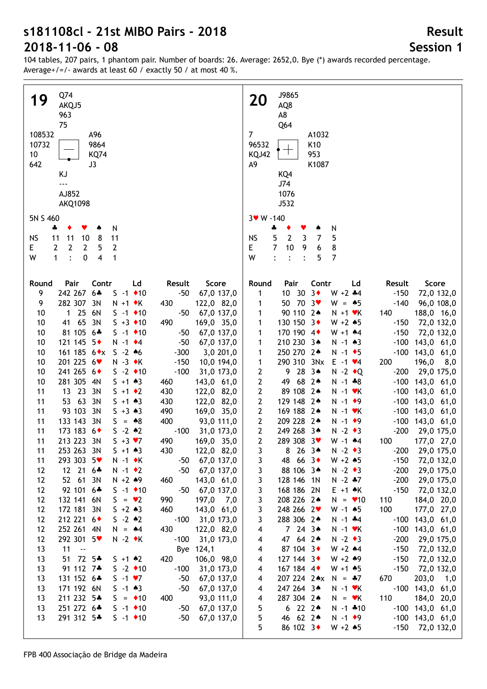104 tables, 207 pairs, 1 phantom pair. Number of boards: 26. Average: 2652,0. Bye (\*) awards recorded percentage. Average+/=/- awards at least 60 / exactly 50 / at most 40 %.

| Q74<br>19<br>AKQJ5<br>963<br>75<br>108532<br>A96<br>10732<br>9864                                                                                                      | J9865<br><b>20</b><br>AQ8<br>A8<br>Q64<br>$\overline{7}$<br>A1032<br>K10<br>96532                                                                    |
|------------------------------------------------------------------------------------------------------------------------------------------------------------------------|------------------------------------------------------------------------------------------------------------------------------------------------------|
| 10<br><b>KQ74</b><br>642<br>J3<br>KJ<br>$\overline{\phantom{a}}$<br>AJ852<br><b>AKQ1098</b>                                                                            | 953<br>KQJ42<br>A9<br>K1087<br>KQ4<br>J74<br>1076<br>J532                                                                                            |
| 5N S 460                                                                                                                                                               | 3v W -140                                                                                                                                            |
| N<br>4<br>۸                                                                                                                                                            | N<br>4<br>Y<br>۸                                                                                                                                     |
| 11<br><b>NS</b><br>10<br>8<br>11<br>11<br>2<br>$E_{\perp}$<br>2<br>$\mathbf{2}$<br>5<br>2<br>$\overline{4}$<br>$\ddot{\cdot}$<br>$\mathbf 0$<br>W<br>$\mathbf{1}$<br>1 | <b>NS</b><br>5<br>$\overline{2}$<br>$\mathbf{3}$<br>5<br>7<br>$\overline{7}$<br>8<br>E<br>10<br>9<br>6<br>$\overline{7}$<br>W<br>5<br>$\ddot{\cdot}$ |
| Pair<br>Contr<br>Ld<br>Result<br>Score<br>Round                                                                                                                        | Contr<br>Score<br>Round<br>Pair<br>Ld<br>Result                                                                                                      |
| 242 267 6*<br>9<br>$-50$<br>67,0 137,0<br>$S - 1$ ◆ 10                                                                                                                 | $10 \t30 \t3*$<br>$W + 2 + 4$<br>$-150$<br>72,0 132,0<br>1                                                                                           |
| 282 307<br>3N<br>9<br>430<br>$N + 1$ $\bullet$ K<br>122,0 82,0                                                                                                         | 50 70 3<br>$-140$<br>96,0 108,0<br>$W = \triangle 5$<br>1                                                                                            |
| $125$<br>6N<br>$-50$<br>67,0 137,0<br>10<br>$S - 1$ ◆ 10                                                                                                               | 90 110 2*<br>140<br>188,0 16,0<br>$N + 1$ $\forall$ K<br>1                                                                                           |
| 65 3N<br>10<br>490<br>169,0 35,0<br>41<br>$S + 3 \cdot 10$                                                                                                             | 130 150 3+<br>$-150$<br>72,0 132,0<br>1<br>$W + 2 * 5$                                                                                               |
| 10<br>81 105 6*<br>$-50$<br>67,0 137,0<br>$S - 1$ ◆ 10                                                                                                                 | 170 190 4<br>$-150$<br>1<br>$W + 1$ $*4$<br>72,0 132,0                                                                                               |
| 121 145 5+<br>$N - 1$ $\div 4$<br>$-50$<br>67,0 137,0<br>10                                                                                                            | 210 230 3*<br>$-100$<br>143,0 61,0<br>1<br>$N - 1$ $*3$                                                                                              |
| 161 185 6◆x<br>$S - 2 * 6$<br>$-300$<br>3,0 201,0<br>10                                                                                                                | 250 270 2*<br>$-100$ 143,0 61,0<br>$N - 1$ + 5<br>1                                                                                                  |
| 201 225 6<br>$N - 3$ $\star$ K<br>$-150$<br>10,0 194,0<br>10<br>241 265 6+                                                                                             | 290 310 3Nx<br>200<br>196,0<br>$E - 1$ $\vee 4$<br>8,0<br>1                                                                                          |
| $S -2$ ◆ 10<br>$-100$<br>10<br>31,0 173,0<br>281 305 4N<br>10<br>$S + 1 \cdot 3$<br>143,0 61,0<br>460                                                                  | 9 28 34<br>2<br>$-200$<br>29,0 175,0<br>$N - 2 \cdot Q$<br>2<br>49 68 2*<br>$-100$ 143,0 61,0<br>$N - 1 * 8$                                         |
| 13 23 3N<br>430<br>11<br>$S + 1 \cdot 2$<br>122,0 82,0                                                                                                                 | 89 108 2*<br>2<br>$-100$ 143,0 61,0<br>$N - 1$ $\forall$ K                                                                                           |
| 53 63 3N<br>122,0 82,0<br>11<br>$S + 1 \cdot 3$<br>430                                                                                                                 | 2<br>129 148 2*<br>$-100$ 143,0 61,0<br>$N - 1$ $\rightarrow$ 9                                                                                      |
| 93 103 3N<br>$S + 3 \cdot 3$<br>490<br>169,0 35,0<br>11                                                                                                                | 169 188 2*<br>$\mathbf{2}$<br>$-100$ 143,0 61,0<br>$N - 1$ $\forall$ K                                                                               |
| 133 143 3N<br>400<br>93,0 111,0<br>11<br>$S = 8$                                                                                                                       | 209 228 2*<br>$\mathbf{2}$<br>$-100$ 143,0 61,0<br>$N - 1$ $\bullet$ 9                                                                               |
| 173 183 6+<br>$-100$<br>31,0 173,0<br>11<br>$S - 2 \cdot 2$                                                                                                            | 249 268 34<br>$\mathbf{2}$<br>$-200$<br>29,0 175,0<br>$N - 2 \cdot 3$                                                                                |
| 213 223 3N<br>11<br>$S + 3 \cdot 7$<br>490<br>169,0 35,0                                                                                                               | $\mathbf{2}$<br>289 308 3♥<br>100<br>177,0 27,0<br>$W - 1$ 44                                                                                        |
| 253 263 3N<br>$S + 1 \cdot 3$<br>122,0 82,0<br>430<br>11                                                                                                               | 29,0 175,0<br>$-200$<br>8 26 34<br>$N - 2 \cdot 3$<br>3                                                                                              |
| 293 303 5<br>67,0 137,0<br>11<br>$N - 1$ $\star$ K<br>$-50$                                                                                                            | 48 66 3<br>$W + 2 * 5$<br>$-150$<br>72,0 132,0<br>3                                                                                                  |
| 12 21 6*<br>$N - 1$ $\bullet$ 2<br>$-50$<br>67,0 137,0<br>12<br>52 61 3N<br>12<br>$N + 2 * 9$<br>143,0 61,0<br>460                                                     | 88 106 3*<br>3<br>$N - 2 \cdot 3$<br>$-200$<br>29,0 175,0<br>3<br>128 146 1N<br>$N - 2$ $*7$<br>$-200$<br>29,0 175,0                                 |
| 92 101 6*<br>12<br>$S - 1$ ↓ 10<br>$-50$<br>67,0 137,0                                                                                                                 | 3<br>168 186 2N<br>$E + 1$ $\star$ K<br>$-150$<br>72,0 132,0                                                                                         |
| 132 141 6N<br>$S = \bullet 2$<br>990<br>197,0<br>12<br>7,0                                                                                                             | 3<br>208 226 2*<br>184,0 20,0<br>$N = 10$<br>110                                                                                                     |
| 172 181<br>3N<br>$5 + 2 \cdot 3$<br>460<br>143,0 61,0<br>12                                                                                                            | 248 266 2<br>100<br>177,0 27,0<br>3<br>$W - 1$ 45                                                                                                    |
| 212 221 6<br>$S - 2 \cdot 2$<br>31,0 173,0<br>12<br>$-100$                                                                                                             | 288 306 2*<br>$-100$ 143,0 61,0<br>3<br>$N - 1$ $*4$                                                                                                 |
| 252 261 4N<br>122,0 82,0<br>12<br>$N = 44$<br>430                                                                                                                      | $7243*$<br>$-100$<br>143,0 61,0<br>$N - 1$ $\forall$ K<br>4                                                                                          |
| 292 301 5<br>12<br>$N - 2$ $\star$ K<br>31,0 173,0<br>$-100$                                                                                                           | 47 64 2*<br>$N - 2 \cdot 3$<br>$-200$<br>29,0 175,0<br>4                                                                                             |
| 13<br>11<br>$\sim$ $-$<br>Bye 124,1                                                                                                                                    | 87 104 3+<br>$W + 2$ $*4$<br>$-150$<br>72,0 132,0<br>4                                                                                               |
| 72 5*<br>13<br>51<br>106,0 98,0<br>$5 + 1 \cdot 2$<br>420                                                                                                              | 127 144 3<br>$W + 2 * 9$<br>$-150$<br>72,0 132,0<br>4                                                                                                |
| 91 112 7*<br>$S -2$ ◆ 10<br>31,0 173,0<br>13<br>$-100$                                                                                                                 | 167 184 4<br>$-150$<br>72,0 132,0<br>$W + 1$ 45<br>4                                                                                                 |
| 131 152 6*<br>$S - 1 \cdot 7$<br>13<br>$-50$<br>67,0 137,0                                                                                                             | 207 224 2*x<br>$203,0$ 1,0<br>670<br>4<br>$N = -7$                                                                                                   |
| 171 192 6N<br>13<br>$S - 1 \cdot 3$<br>$-50$<br>67,0 137,0<br>211 232 5*<br>$S = 10$<br>93,0 111,0<br>13<br>400                                                        | $-100$ 143,0 61,0<br>247 264 34<br>$N - 1$ $\forall$ K<br>4<br>287 304 24<br>110<br>184,0 20,0<br>4<br>$N = vK$                                      |
| 13<br>251 272 6*<br>$S -1$ ◆ 10<br>$-50$<br>67,0 137,0                                                                                                                 | 5<br>6222<br>$-100$ 143,0 61,0<br>$N - 1$ $*10$                                                                                                      |
| 291 312 5*<br>13<br>$S -1$ ◆ 10<br>$-50$<br>67,0 137,0                                                                                                                 | 46 62 2*<br>5<br>$-100$ 143,0 61,0<br>$N - 1$ $\rightarrow$ 9                                                                                        |
|                                                                                                                                                                        | 5<br>86 102 3◆<br>$W + 2 * 5$<br>$-150$<br>72,0 132,0                                                                                                |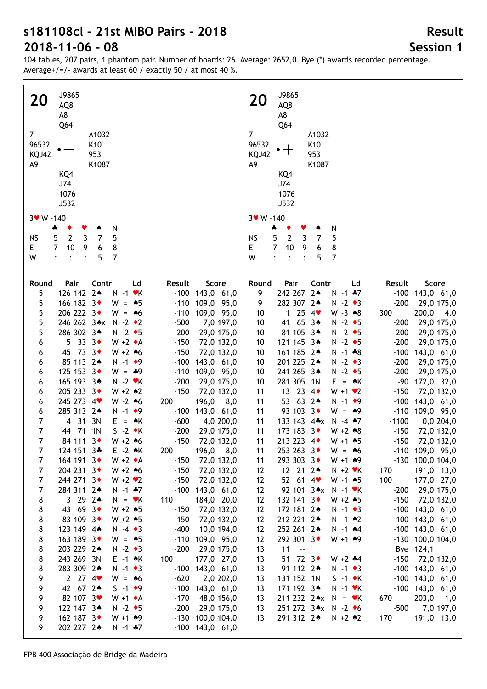| J9865<br><b>20</b><br>AQ8<br>A8<br>Q64<br>7 <sup>1</sup><br>A1032<br>96532<br>K <sub>10</sub><br>T<br>KQJ42<br>953<br>А9<br>K1087<br>KQ4<br>J74<br>1076<br>J532<br>$3 \times W - 140$<br>N<br>Y<br>÷<br>۸ | J9865<br><b>20</b><br>AQ8<br>A8<br>Q <sub>64</sub><br>$\overline{7}$<br>A1032<br>96532<br>K <sub>10</sub><br>$\mathbf{L}$<br>953<br>KQJ42<br>A <sub>9</sub><br>K1087<br>KQ4<br>J74<br>1076<br>J532<br>$3 \cdot W - 140$<br>N<br>÷<br>۸<br>٠ |
|-----------------------------------------------------------------------------------------------------------------------------------------------------------------------------------------------------------|---------------------------------------------------------------------------------------------------------------------------------------------------------------------------------------------------------------------------------------------|
| $\mathbf{2}$<br>5<br><b>NS</b><br>$\mathbf{3}$<br>5<br>7<br>$\overline{7}$<br>10<br>$\boldsymbol{6}$<br>8<br>E.<br>9                                                                                      | $\overline{2}$<br><b>NS</b><br>5<br>3<br>$\overline{7}$<br>5<br>$\overline{7}$<br>E<br>10<br>9<br>8<br>6                                                                                                                                    |
| W<br>5<br>$\overline{7}$<br>$\ddot{\cdot}$                                                                                                                                                                | $\overline{7}$<br>W<br>$\ddot{\cdot}$<br>$\ddot{\cdot}$<br>$\ddot{\cdot}$<br>5                                                                                                                                                              |
|                                                                                                                                                                                                           |                                                                                                                                                                                                                                             |
| Contr<br>Ld<br>Pair<br>Result<br>Score<br>Round<br>126 142 24<br>$N - 1$ $\cdot$ K<br>5<br>$-100$ 143,0 61,0                                                                                              | Pair<br>Contr<br>Score<br>Round<br>Ld<br>Result<br>242 267 24<br>9<br>$N - 1$ $*7$<br>$-100$<br>143,0 61,0                                                                                                                                  |
| 5<br>166 182 3+<br>$-110$ 109,0 95,0<br>$W = \triangle 5$                                                                                                                                                 | 282 307 24<br>$-200$<br>9<br>$N - 2 \cdot 3$<br>29,0 175,0                                                                                                                                                                                  |
| 5<br>206 222 3<br>$-110$ 109,0 95,0<br>$W = 46$                                                                                                                                                           | 1254<br>$200,0$ 4,0<br>$W - 3 \cdot 8$<br>300<br>10                                                                                                                                                                                         |
| 5<br>246 262 3*x N -2 *2<br>$-500$<br>7,0 197,0                                                                                                                                                           | 41 65 3*<br>$N - 2$ $\bullet$ 5<br>29,0 175,0<br>10<br>$-200$                                                                                                                                                                               |
| 286 302 3*<br>$N - 2$ $\bullet$ 5<br>5<br>$-200$<br>29,0 175,0                                                                                                                                            | 81 105 3*<br>$N - 2$ $\bullet$ 5<br>$-200$<br>29,0 175,0<br>10                                                                                                                                                                              |
| 5333<br>$W + 2 A$<br>72,0 132,0<br>6<br>$-150$<br>45 73 3<br>$W + 2 * 6$<br>$-150$<br>72,0 132,0<br>6                                                                                                     | 121 145 3*<br>$N - 2$ $\bullet$ 5<br>29,0 175,0<br>$-200$<br>10<br>161 185 2*<br>$N - 1 * 8$<br>$-100$<br>143,0 61,0<br>10                                                                                                                  |
| 85 113 2*<br>$N - 1$ $\bullet$ 9<br>$-100$ 143,0 61,0<br>6                                                                                                                                                | 201 225 2*<br>$N - 2 \cdot 3$<br>$-200$<br>29,0 175,0<br>10                                                                                                                                                                                 |
| 125 153 3+<br>$-110$ 109,0 95,0<br>6<br>$W = *9$                                                                                                                                                          | 241 265 3*<br>$N - 2$ +5<br>$-200$<br>29,0 175,0<br>10                                                                                                                                                                                      |
| 165 193 3*<br>$N - 2$ $\blacktriangleright$ $K$<br>$-200$<br>29,0 175,0<br>6                                                                                                                              | 281 305 1N<br>$E = \triangle K$<br>$-90$<br>172,0 32,0<br>10                                                                                                                                                                                |
| 205 233 3+<br>$W + 2 \cdot 2$<br>$-150$<br>72,0 132,0<br>6                                                                                                                                                | 13 23 4<br>$W + 1 \cdot 2$<br>$-150$<br>72,0 132,0<br>11                                                                                                                                                                                    |
| 245 273 4<br>$W - 2 * 6$<br>200<br>196,0<br>8,0<br>6                                                                                                                                                      | 53 63 2*<br>$N - 1$ $\bullet$ 9<br>$-100$<br>143,0 61,0<br>11                                                                                                                                                                               |
| 285 313 2*<br>$N - 1$ $\bullet$ 9<br>$-100$ 143,0 61,0<br>6<br>$\overline{7}$<br>4 31<br>3N<br>$E = \triangle K$<br>$-600$<br>4,0 200,0                                                                   | 93 103 3+<br>$-110$ 109,0 95,0<br>11<br>$W = 49$<br>133 143 4*x N -4 *7<br>$-1100$<br>0,0 204,0<br>11                                                                                                                                       |
| $\overline{7}$<br>$S -2$ $\bullet$ K<br>44 71<br>1N<br>$-200$<br>29,0 175,0                                                                                                                               | 173 183 3+<br>72,0 132,0<br>11<br>$W + 2 * 8$<br>$-150$                                                                                                                                                                                     |
| $\overline{7}$<br>$W + 2 * 6$<br>84 111 3<br>$-150$<br>72,0 132,0                                                                                                                                         | 213 223 4<br>11<br>$W + 1$ $*5$<br>$-150$<br>72,0 132,0                                                                                                                                                                                     |
| $\overline{7}$<br>200 196,0 8,0<br>124 151 3*<br>$E -2$ $\star$ K                                                                                                                                         | 253 263 3<br>$-110$ 109,0 95,0<br>11<br>$W = 46$                                                                                                                                                                                            |
| 7<br>164 191 3<br>$W + 2 \cdot A$<br>72,0 132,0<br>$-150$                                                                                                                                                 | 293 303 3<br>$-130$ 100,0 104,0<br>$W + 1$ 49<br>11                                                                                                                                                                                         |
| 204 231 3◆<br>$W + 2 * 6$<br>$-150$<br>72,0 132,0<br>7                                                                                                                                                    | 12 21 24<br>170<br>191,0 13,0<br>12<br>$N + 2$ $\forall$ K                                                                                                                                                                                  |
| 244 271 3<br>$W + 2 V$<br>$-150$<br>72,0 132,0<br>7                                                                                                                                                       | $52$ 61 4<br>100<br>12<br>$W - 1$ $\bullet 5$<br>177,0 27,0                                                                                                                                                                                 |
| 7<br>284 311 2*<br>$N - 1$ $*7$<br>$-100$ 143,0 61,0<br>8<br>3 29 24<br>$N = vK$<br>110<br>184,0 20,0                                                                                                     | 12<br>92 101 3*x N -1 VK<br>$-200$ 29,0 175,0<br>12<br>132 141 $3 \cdot$<br>$W + 2 * 5$<br>$-150$ 72,0 132,0                                                                                                                                |
| 8<br>43 69 3<br>$W + 2 * 5$<br>$-150$<br>72,0 132,0                                                                                                                                                       | 12<br>172 181 24<br>$-100$ 143,0 61,0<br>$N - 1$ $\rightarrow$ 3                                                                                                                                                                            |
| 8<br>83 109 3+<br>$W + 2 * 5$<br>$-150$<br>72,0 132,0                                                                                                                                                     | 212 221 24<br>12<br>$N - 1$ $*2$<br>$-100$ 143,0 61,0                                                                                                                                                                                       |
| 8<br>123 149 4*<br>$N -4$ $\rightarrow$ 3<br>$-400$<br>10,0 194,0                                                                                                                                         | 252 261 24<br>12<br>$-100$ 143,0 61,0<br>$N - 1$ $*4$                                                                                                                                                                                       |
| 163 189 3+<br>8<br>$W = \triangle 5$<br>$-110$ 109,0 95,0                                                                                                                                                 | 292 301 3◆<br>$W + 1$ $*9$<br>$-130$ 100,0 104,0<br>12                                                                                                                                                                                      |
| 203 229 2*<br>8<br>$N - 2 \cdot 3$<br>$-200$<br>29,0 175,0                                                                                                                                                | 13<br>11<br>Bye 124,1<br>$\sim$                                                                                                                                                                                                             |
| 8<br>243 269 3N<br>$E -1$ $\star$ K<br>100<br>177,0 27,0                                                                                                                                                  | 51 72 3<br>$-150$ 72,0 132,0<br>13<br>$W + 2 + 4$                                                                                                                                                                                           |
| 8<br>283 309 2*<br>$N - 1$ $\bullet$ 3<br>$-100$ 143,0 61,0<br>9<br>$2 \t27 \t4$<br>$W = 46$<br>$-620$<br>2,0 202,0                                                                                       | 91 112 2*<br>$-100$ 143,0 61,0<br>13<br>$N - 1$ $\rightarrow$ 3<br>131 152 1N<br>$-100$ 143,0 61,0<br>13<br>$S -1$ $\star$ K                                                                                                                |
| 9<br>$S - 1$ $\bullet$ 9<br>42 67 24<br>$-100$ 143,0 61,0                                                                                                                                                 | 171 192 3*<br>$-100$ 143,0 61,0<br>13<br>$N - 1$ $\forall$ K                                                                                                                                                                                |
| 9<br>82 107 3<br>$W + 1 \cdot A$<br>$-170$<br>48,0 156,0                                                                                                                                                  | 211 232 2* $x$ N = $\cdot$ K<br>670<br>$203,0$ 1,0<br>13                                                                                                                                                                                    |
| 9<br>122 147 3*<br>$N - 2$ $\rightarrow$ 5<br>$-200$<br>29,0 175,0                                                                                                                                        | 251 272 3*x N -2 +6<br>$-500$<br>7,0 197,0<br>13                                                                                                                                                                                            |
| 162 187 3<br>$W + 1$ 49<br>9<br>$-130$ 100,0 104,0                                                                                                                                                        | 170<br>291 312 24<br>191,0 13,0<br>13<br>$N + 2 \cdot 2$                                                                                                                                                                                    |
| 9<br>202 227 24<br>$N - 1$ $*7$<br>$-100$ 143,0 61,0                                                                                                                                                      |                                                                                                                                                                                                                                             |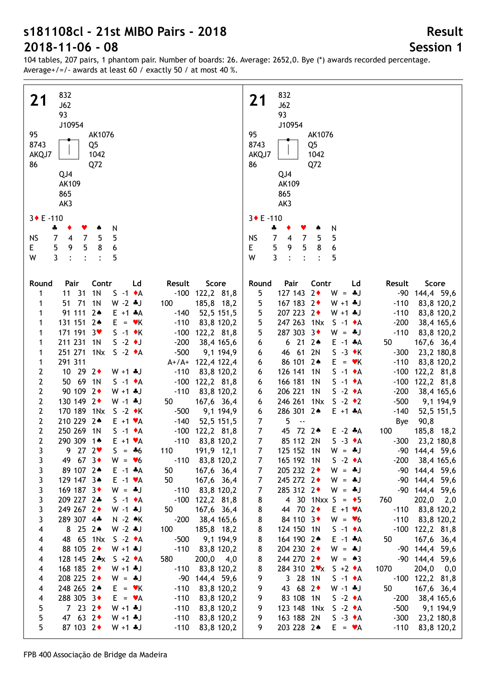104 tables, 207 pairs, 1 phantom pair. Number of boards: 26. Average: 2652,0. Bye (\*) awards recorded percentage. Average+/=/- awards at least 60 / exactly 50 / at most 40 %.

| 832<br>21<br>J62<br>93<br>J10954<br>95<br>AK1076<br>8743<br>Q5<br>AKQJ7<br>1042<br>Q72<br>86<br>QJ4<br>AK109                                                                                                                                                                                                                                                                                                                                                                                                                                                                                                                                                                                                                                                                                                                                                                                                                                                                                                                                                                                                                                                                                                                                                                                                                                                                                                                                                                                                                                                                                                                                                                                                                                                                                                    | 832<br>21<br>J62<br>93<br>J10954<br>95<br>AK1076<br>8743<br>Q <sub>5</sub><br>AKQJ7<br>1042<br>86<br>Q72<br>QJ4<br>AK109                                                                                                                                                                                                                                                                                                                                                                                                                                                                                                                                                                                                                                                                                                                                                                                                                                                                                                                                                                                                                                                                                                                                                                                                                                                                                                                                                                                                                                                                                                                                                                                                                           |
|-----------------------------------------------------------------------------------------------------------------------------------------------------------------------------------------------------------------------------------------------------------------------------------------------------------------------------------------------------------------------------------------------------------------------------------------------------------------------------------------------------------------------------------------------------------------------------------------------------------------------------------------------------------------------------------------------------------------------------------------------------------------------------------------------------------------------------------------------------------------------------------------------------------------------------------------------------------------------------------------------------------------------------------------------------------------------------------------------------------------------------------------------------------------------------------------------------------------------------------------------------------------------------------------------------------------------------------------------------------------------------------------------------------------------------------------------------------------------------------------------------------------------------------------------------------------------------------------------------------------------------------------------------------------------------------------------------------------------------------------------------------------------------------------------------------------|----------------------------------------------------------------------------------------------------------------------------------------------------------------------------------------------------------------------------------------------------------------------------------------------------------------------------------------------------------------------------------------------------------------------------------------------------------------------------------------------------------------------------------------------------------------------------------------------------------------------------------------------------------------------------------------------------------------------------------------------------------------------------------------------------------------------------------------------------------------------------------------------------------------------------------------------------------------------------------------------------------------------------------------------------------------------------------------------------------------------------------------------------------------------------------------------------------------------------------------------------------------------------------------------------------------------------------------------------------------------------------------------------------------------------------------------------------------------------------------------------------------------------------------------------------------------------------------------------------------------------------------------------------------------------------------------------------------------------------------------------|
| 865<br>AK3                                                                                                                                                                                                                                                                                                                                                                                                                                                                                                                                                                                                                                                                                                                                                                                                                                                                                                                                                                                                                                                                                                                                                                                                                                                                                                                                                                                                                                                                                                                                                                                                                                                                                                                                                                                                      | 865<br>AK3                                                                                                                                                                                                                                                                                                                                                                                                                                                                                                                                                                                                                                                                                                                                                                                                                                                                                                                                                                                                                                                                                                                                                                                                                                                                                                                                                                                                                                                                                                                                                                                                                                                                                                                                         |
| $3 \cdot E - 110$<br>N<br>÷<br>٠<br>Y<br>۸<br>5<br>$\overline{7}$<br><b>NS</b><br>$\overline{4}$<br>5<br>7<br>5<br>5<br>6<br>9<br>8<br>E.<br>3<br>W<br>5<br>$\cdot$<br>$\ddot{\cdot}$<br>$\ddot{\cdot}$                                                                                                                                                                                                                                                                                                                                                                                                                                                                                                                                                                                                                                                                                                                                                                                                                                                                                                                                                                                                                                                                                                                                                                                                                                                                                                                                                                                                                                                                                                                                                                                                         | 3◆ E-110<br>N<br>÷<br>$\overline{7}$<br>5<br>$\overline{7}$<br><b>NS</b><br>$\overline{4}$<br>5<br>5<br>9<br>5<br>8<br>6<br>E<br>$\mathbf{3}$<br>W<br>5<br>$\ddot{\cdot}$<br>$\ddot{\cdot}$<br>$\ddot{\phantom{a}}$                                                                                                                                                                                                                                                                                                                                                                                                                                                                                                                                                                                                                                                                                                                                                                                                                                                                                                                                                                                                                                                                                                                                                                                                                                                                                                                                                                                                                                                                                                                                |
| Contr<br>Score<br>Round<br>Pair<br>Ld<br>Result<br>11 31<br>1 <sub>N</sub><br>$-100$ 122,2 81,8<br>$S -1$ $\star$ A<br>1<br>51 71<br>1N<br>1<br>$W - 2 * J$<br>185,8 18,2<br>100<br>91 111 2*<br>1<br>$E + 1$ *A<br>$-140$<br>52,5 151,5<br>131 151 2*<br>1<br>$E = vK$<br>$-110$<br>83,8 120,2<br>171 191 3<br>1<br>$S -1$ $\star$ K<br>$-100$ 122,2 81,8<br>211 231 1N<br>$S - 2$ $\bullet$ J<br>$-200$<br>1<br>38,4 165,6<br>251 271 1Nx<br>1<br>$S - 2 \cdot A$<br>$-500$<br>9,1 194,9<br>291 311<br>1<br>$A+/A+ 122,4 122,4$<br>$\mathbf{2}$<br>10 29 2+<br>$-110$<br>83,8 120,2<br>$W + 1 + J$<br>$\mathbf 2$<br>50 69 1N<br>$-100$ 122,2 81,8<br>$S -1 \cdot A$<br>$\mathbf 2$<br>90 109 2+<br>$-110$<br>83,8 120,2<br>$W + 1$ $*$ J<br>$\mathbf 2$<br>130 149 2+<br>167,6 36,4<br>$W - 1$ $*J$<br>50<br>$\mathbf 2$<br>170 189 1Nx<br>$S -2 \cdot K$<br>$-500$<br>9,1 194,9<br>$\mathbf{2}$<br>210 229 2*<br>$-140$<br>$E + 1 \cdot A$<br>52,5 151,5<br>$\mathbf 2$<br>250 269 1N<br>$S -1$ $\bullet$ A<br>$-100$ 122,2 81,8<br>$\overline{2}$<br>290 309 1*<br>$E + 1 \cdot A$<br>$-110$<br>83,8 120,2<br>3<br>9272<br>$S = *6$<br>110<br>191,9 12,1<br>49 67 3<br>3<br>$-110$ 83,8 120,2<br>$W = \bullet 6$<br>89 107 2*<br>3<br>$E -1$ $*A$<br>50<br>167,6 36,4<br>3<br>129 147 3*<br>50<br>167,6 36,4<br>$E -1$ $\forall A$<br>3<br>169 187 3+<br>$W = *J$<br>$-110$ 83,8 120,2<br>3<br>209 227 2*<br>$-100$ 122,2 81,8<br>$S -1$ $\bullet$ A<br>3<br>249 267 2◆<br>$W - 1$ . J<br>50<br>167,6 36,4<br>3<br>289 307 4*<br>$N - 2$ $\star$ K<br>$-200$<br>38,4 165,6<br>8 25 24<br>$W - 2$ $\clubsuit$ J<br>100<br>185,8 18,2<br>$\overline{\mathbf{4}}$<br>48 65 1Nx<br>$S -2 \cdot A$<br>$-500$<br>9,1 194,9<br>$\overline{\mathbf{4}}$<br>88 105 2+<br>$-110$<br>83,8 120,2<br>$W + 1$ . $J$<br>4 | Contr<br>Score<br>Round<br>Pair<br>Ld<br>Result<br>127 143 2+<br>5<br>$W = *J$<br>-90<br>144,4 59,6<br>167 183 2+<br>5<br>$W + 1$ . J<br>$-110$<br>83,8 120,2<br>5<br>207 223 2+<br>$W + 1$ . J<br>$-110$<br>83,8 120,2<br>5<br>247 263 1Nx<br>$S - 1 \cdot A$<br>$-200$<br>38,4 165,6<br>5<br>287 303 3+<br>$W = *J$<br>$-110$<br>83,8 120,2<br>$6212*$<br>50<br>167,6 36,4<br>6<br>$E -1$ $*A$<br>46 61 2N<br>$S -3 \cdot K$<br>$-300$<br>23,2 180,8<br>6<br>86 101 24<br>$-110$<br>83,8 120,2<br>6<br>$E = vK$<br>126 141<br>$S -1$ $\bullet$ A<br>$-100$<br>122,2 81,8<br>6<br>1N<br>166 181<br>$S -1$ $\bullet$ A<br>$-100$<br>122,2 81,8<br>6<br>1N<br>206 221<br>1 <sub>N</sub><br>$S -2 \cdot A$<br>$-200$<br>38,4 165,6<br>6<br>246 261 1Nx<br>$S - 2 \cdot 2$<br>$-500$<br>9,1 194,9<br>6<br>286 301 2*<br>$E + 1$ $A$<br>$-140$<br>6<br>52,5 151,5<br>$\overline{7}$<br>5<br><b>Bye</b><br>90,8<br>$\overline{\phantom{a}}$<br>$\boldsymbol{7}$<br>72 24<br>45<br>100<br>$E -2 A$<br>185,8 18,2<br>$\overline{7}$<br>85 112 2N<br>$S -3 \cdot A$<br>$-300$<br>23,2 180,8<br>7<br>125 152 1N<br>$W = -1$<br>-90 144,4 59,6<br>$\overline{7}$<br>165 192 1N<br>$S -2 \cdot A$<br>$-200$<br>38,4 165,6<br>205 232 2+<br>7<br>$W = -1$<br>-90 144,4 59,6<br>$\overline{7}$<br>245 272 2+<br>$W = -1$<br>-90 144,4 59,6<br>$\overline{7}$<br>285 312 2+<br>$W = -1$<br>-90 144,4 59,6<br>4 30 1Nxx S = $\bullet$ 5<br>760<br>202,0<br>8<br>2,0<br>44 70 2+<br>8<br>$E + 1 \cdot A$<br>$-110$<br>83,8 120,2<br>84 110 3+<br>8<br>$W = \bullet 6$<br>$-110$<br>83,8 120,2<br>8<br>124 150 1N<br>$-100$ 122,2 81,8<br>$S -1$ $\bullet$ A<br>8<br>164 190 2*<br>$E -1$ $*A$<br>50<br>167,6 36,4<br>8<br>204 230 2+<br>$W = -1$<br>-90 144,4 59,6 |
| 128 145 2* $x$ S +2 $*$ A<br>580<br>$200,0$ 4,0<br>4<br>168 185 2+<br>$-110$<br>83,8 120,2<br>$W + 1$ + J<br>4<br>208 225 2+<br>$W = *J$<br>-90<br>144,4 59,6<br>4<br>248 265 24<br>$-110$<br>83,8 120,2<br>$E = \mathbf{v}K$<br>4<br>288 305 3◆<br>$-110$<br>83,8 120,2<br>$\overline{\mathbf{4}}$<br>$E = \mathbf{v}A$<br>5<br>7232<br>$W + 1 + J$<br>$-110$<br>83,8 120,2                                                                                                                                                                                                                                                                                                                                                                                                                                                                                                                                                                                                                                                                                                                                                                                                                                                                                                                                                                                                                                                                                                                                                                                                                                                                                                                                                                                                                                    | 8<br>244 270 2+<br>$W = \triangle 3$<br>144,4 59,6<br>-90<br>8<br>284 310 $2 \cdot x$ S +2 $\cdot$ A<br>1070<br>$204,0$ 0,0<br>9<br>3 28 1N<br>$-100$ 122,2 81,8<br>$S -1 \cdot A$<br>43 68 2<br>9<br>$W - 1 + J$<br>50<br>167,6 36,4<br>83 108 1N<br>9<br>$S -2 \cdot A$<br>$-200$<br>38,4 165,6<br>123 148 1Nx<br>$-500$<br>9<br>$S -2 \cdot A$<br>9,1 194,9                                                                                                                                                                                                                                                                                                                                                                                                                                                                                                                                                                                                                                                                                                                                                                                                                                                                                                                                                                                                                                                                                                                                                                                                                                                                                                                                                                                     |
| 5<br>47 63 2<br>$W + 1$ $*$ J<br>$-110$<br>83,8 120,2<br>5<br>87 103 2+<br>$W + 1 + J$<br>$-110$<br>83,8 120,2                                                                                                                                                                                                                                                                                                                                                                                                                                                                                                                                                                                                                                                                                                                                                                                                                                                                                                                                                                                                                                                                                                                                                                                                                                                                                                                                                                                                                                                                                                                                                                                                                                                                                                  | 163 188 2N<br>9<br>$S -3 \cdot A$<br>$-300$<br>23,2 180,8<br>203 228 24<br>9<br>$-110$<br>83,8 120,2  <br>$E = \mathbf{v}A$                                                                                                                                                                                                                                                                                                                                                                                                                                                                                                                                                                                                                                                                                                                                                                                                                                                                                                                                                                                                                                                                                                                                                                                                                                                                                                                                                                                                                                                                                                                                                                                                                        |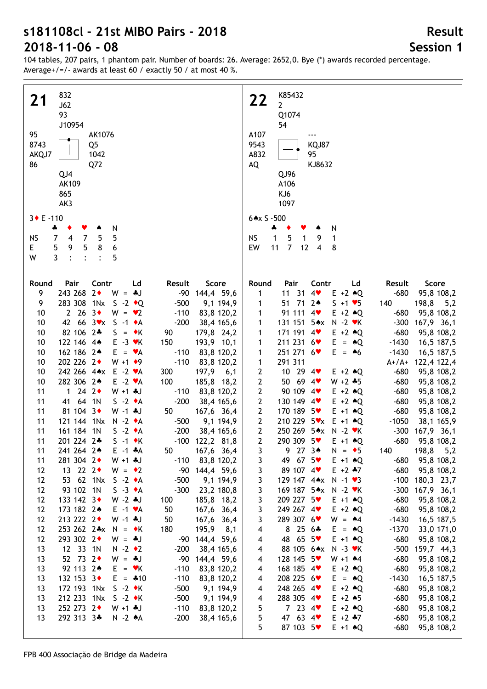104 tables, 207 pairs, 1 phantom pair. Number of boards: 26. Average: 2652,0. Bye (\*) awards recorded percentage. Average+/=/- awards at least 60 / exactly 50 / at most 40 %.

| 832                                                          | K85432                                                                       |
|--------------------------------------------------------------|------------------------------------------------------------------------------|
| 21<br>J62                                                    | 22<br>$\mathbf{2}$                                                           |
|                                                              |                                                                              |
| 93                                                           | Q1074                                                                        |
| J10954                                                       | 54                                                                           |
| 95<br>AK1076                                                 | A107<br>$---$                                                                |
| 8743<br>Q <sub>5</sub>                                       | 9543<br>KQJ87                                                                |
|                                                              | A832<br>95                                                                   |
| 1042<br>AKQJ7                                                |                                                                              |
| Q72<br>86                                                    | AQ<br>KJ8632                                                                 |
| QJ4                                                          | QJ96                                                                         |
| AK109                                                        | A106                                                                         |
| 865                                                          | KJ6                                                                          |
|                                                              |                                                                              |
| AK3                                                          | 1097                                                                         |
|                                                              |                                                                              |
| $3 \cdot E - 110$                                            | $6 \times S - 500$                                                           |
| N<br>÷<br>٠<br>Y<br>۸                                        | N<br>÷                                                                       |
| 5<br>$\overline{7}$<br><b>NS</b><br>$\overline{4}$<br>5<br>7 | $\mathbf{1}$<br>5<br><b>NS</b><br>$\mathbf{1}$<br>9<br>$\mathbf{1}$          |
| 5<br>5<br>6<br>E.<br>9<br>8                                  | $\overline{7}$<br>11<br>$\overline{\mathbf{4}}$<br>EW<br>12<br>8             |
| 3<br>W<br>5<br>$\cdot$<br>$\ddot{\cdot}$<br>$\ddot{\cdot}$   |                                                                              |
|                                                              |                                                                              |
|                                                              |                                                                              |
| Pair<br>Contr<br>Round<br>Ld<br>Result<br>Score              | Pair<br>Contr<br>Score<br>Round<br>Ld<br>Result                              |
| 243 268 2+                                                   |                                                                              |
| $W = -1$<br>-90 144,4 59,6<br>9                              | 11 31<br>4<br>$E + 2 \cdot Q$<br>$-680$<br>95,8 108,2<br>1                   |
| 283 308 1Nx S -2 +Q<br>9<br>$-500$<br>9,1 194,9              | 51 71 2*<br>140<br>198,8<br>$S + 1 \cdot 5$<br>5,2<br>1                      |
| 2 26 3<br>10<br>$W = \bullet 2$<br>$-110$<br>83,8 120,2      | 91 111 4<br>1<br>$E + 2 \cdot Q$<br>$-680$<br>95,8 108,2                     |
| 42 66 3 x S -1 + A<br>10<br>$-200$<br>38,4 165,6             | 131 151 5*x N -2 *K<br>1<br>$-300$<br>167,9 36,1                             |
| 82 106 2*<br>10<br>$S = \star K$<br>90<br>179,8 24,2         | 171 191 4<br>$E + 2 \cdot Q$<br>$-680$<br>95,8 108,2<br>1                    |
| 122 146 44<br>10<br>$E - 3$ $\vee$ K<br>150<br>193,9 10,1    | 211 231 6<br>1<br>$E = \triangle Q$<br>$-1430$<br>16,5 187,5                 |
| 162 186 2*<br>10<br>$E = \bullet A$<br>$-110$<br>83,8 120,2  | 251 271 6<br>1<br>$E = \triangle 6$<br>$-1430$<br>16,5 187,5                 |
|                                                              |                                                                              |
| 202 226 2+<br>10<br>$W + 1$ + 9<br>$-110$<br>83,8 120,2      | 291 311<br>$\mathbf{1}$<br>$A+/A+$<br>122,4 122,4                            |
| 242 266 4** E -2 *A<br>10<br>300<br>197,9<br>6,1             | 10 29 4<br>$\mathbf{2}$<br>$-680$<br>$E + 2 \cdot Q$<br>95,8 108,2           |
| 282 306 2*<br>10<br>$E -2 \cdot A$<br>100<br>185,8 18,2      | $\mathbf{2}$<br>50 69 4<br>$W + 2 * 5$<br>$-680$<br>95,8 108,2               |
| 1 24 2 $\bullet$<br>11<br>$W + 1$ *J<br>$-110$<br>83,8 120,2 | $\mathbf{2}$<br>90 109 4<br>$-680$<br>$E + 2 \triangleleft Q$<br>95,8 108,2  |
| 41 64 1N<br>11<br>$S -2 \cdot A$<br>$-200$<br>38,4 165,6     | $\mathbf{2}$<br>130 149 4<br>$-680$<br>$E + 2 \triangleleft Q$<br>95,8 108,2 |
| 81 104 3+<br>11<br>$W - 1$ . J<br>50<br>167,6 36,4           | 170 189 5<br>$\mathbf{2}$<br>$-680$<br>$E + 1$ $*Q$<br>95,8 108,2            |
| 121 144 1Nx<br>11<br>$N - 2 \cdot A$<br>$-500$<br>9,1 194,9  | 210 229 5 ** E +1 + Q<br>$\mathbf{2}$<br>$-1050$<br>38,1 165,9               |
| 11<br>161 184 1N<br>$S -2 \cdot A$<br>$-200$<br>38,4 165,6   | 250 269 5** N -2 *K<br>$\mathbf{2}$<br>$-300$<br>$167,9$ 36,1                |
| 11<br>201 224 2*<br>$S -1$ $\star$ K<br>$-100$ 122,2 81,8    | $2^{\circ}$<br>290 309 5♥<br>$-680$<br>$E + 1$ $*Q$<br>95,8 108,2            |
| 11                                                           | 9.<br>198,8                                                                  |
| 241 264 2*<br>$E - 1$ $A$<br>50<br>167,6 36,4                | 27 3▲<br>$N = \bullet 5$<br>140<br>5,2<br>3                                  |
| 281 304 2+<br>$W + 1 + J$<br>83,8 120,2<br>$-110$<br>11      | 49 67 5<br>3<br>$-680$<br>95,8 108,2<br>$E + 1$ $\triangle$ Q                |
| 13 22 2<br>-90 144,4 59,6<br>12<br>$W = \cdot 2$             | 89 107 4<br>$-680$<br>3<br>$E + 2 + 7$<br>95,8 108,2                         |
| 12<br>53 62 1Nx<br>$S -2 \cdot A$<br>$-500$<br>9,1 194,9     | 3<br>129 147 4* $\times$ N -1 $\cdot$ 3<br>$-100$<br>180,3 23,7              |
| 93 102 1N<br>12<br>$S -3 \cdot A$<br>$-300$<br>23,2 180,8    | 3<br>169 187 5*x N -2 *K<br>$-300$<br>167,9 36,1                             |
| 12<br>133 142 3+<br>$W - 2$ $\ast J$<br>185,8 18,2<br>100    | 3<br>$-680$<br>209 227 5♥<br>95,8 108,2<br>$E + 1$ $\triangle Q$             |
| 12<br>173 182 2*<br>50<br>167,6 36,4<br>$E -1$ $\forall$ A   | 3<br>$-680$<br>249 267 4<br>$E + 2 \cdot Q$<br>95,8 108,2                    |
| 12<br>213 222 2+<br>50<br>$W - 1$ . $U$<br>167,6<br>36,4     | 3<br>289 307 6<br>$W = 44$<br>$-1430$<br>16,5 187,5                          |
| 12<br>253 262 2* $x$ N = $\star$ K<br>180<br>195,9<br>8,1    | 4<br>$8256*$<br>$-1370$<br>$E = \triangle Q$<br>33,0 171,0                   |
| 12<br>293 302 2+<br>-90 144,4 59,6<br>$W = *J$               | 48 65 5<br>$-680$<br>95,8 108,2<br>4<br>$E + 1$ $\triangle$ Q                |
| 12 33 1N<br>$N - 2 \cdot 2$<br>$-200$                        | $-500$<br>88 105 6*x                                                         |
| 13<br>38,4 165,6                                             | 159,7 44,3<br>4<br>$N - 3$ $\forall$ K                                       |
| $52 \t 73 \t 2*$<br>-90 144,4 59,6<br>13<br>$W = *J$         | $-680$<br>128 145 5<br>4<br>$W + 1$ $*4$<br>95,8 108,2                       |
| 92 113 2*<br>$-110$<br>13<br>$E = vK$<br>83,8 120,2          | $-680$<br>168 185 4<br>$E + 2 \cdot Q$<br>95,8 108,2<br>4                    |
| 132 153 3+<br>$E = 410$<br>$-110$<br>13<br>83,8 120,2        | 208 225 6<br>$-1430$<br>16,5 187,5<br>$E = \triangle Q$<br>4                 |
| 13<br>172 193 1Nx<br>$S -2 \cdot K$<br>$-500$<br>9,1 194,9   | 248 265 4<br>$E + 2 \cdot Q$<br>$-680$<br>95,8 108,2<br>4                    |
| 13<br>212 233 1Nx<br>$-500$<br>$S -2 \cdot K$<br>9,1 194,9   | 288 305 4<br>$E + 2 \cdot 5$<br>$-680$<br>95,8 108,2<br>4                    |
| 252 273 2+<br>13<br>$-110$<br>$W + 1 + J$<br>83,8 120,2      | 5<br>7234<br>$E + 2 \cdot Q$<br>$-680$<br>95,8 108,2                         |
| 292 313 3*<br>13<br>$-200$<br>$N - 2 A$<br>38,4 165,6        | 5<br>47 63 4<br>$E + 2 + 7$<br>$-680$<br>95,8 108,2                          |
|                                                              | 5<br>87 103 5<br>$-680$<br>$E + 1$ $*Q$<br>95,8 108,2                        |
|                                                              |                                                                              |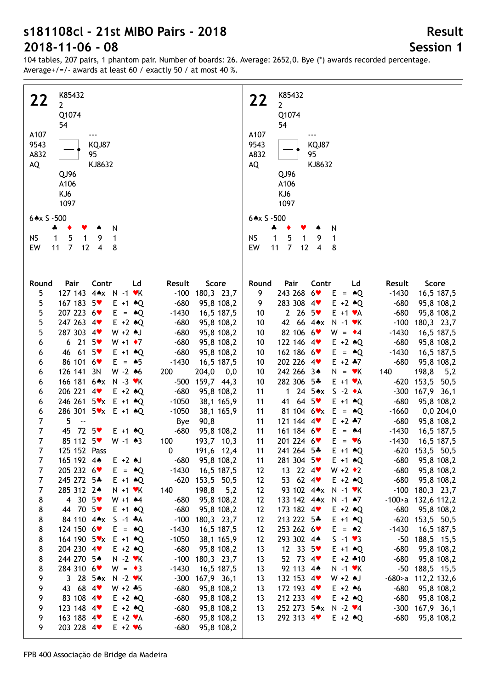104 tables, 207 pairs, 1 phantom pair. Number of boards: 26. Average: 2652,0. Bye (\*) awards recorded percentage. Average+/=/- awards at least 60 / exactly 50 / at most 40 %.

| K85432                                                                        | K85432                                                                   |
|-------------------------------------------------------------------------------|--------------------------------------------------------------------------|
| 22<br>$\overline{2}$                                                          | 22<br>$2^{\circ}$                                                        |
| Q1074                                                                         | Q1074                                                                    |
| 54                                                                            | 54                                                                       |
|                                                                               |                                                                          |
| A107<br>$--$                                                                  | A107<br>---                                                              |
| KQJ87<br>9543                                                                 | 9543<br>KQJ87                                                            |
| A832<br>95                                                                    | A832<br>95                                                               |
| AQ<br>KJ8632                                                                  | AQ<br>KJ8632                                                             |
| QJ96                                                                          | QJ96                                                                     |
| A106                                                                          | A106                                                                     |
| KJ6                                                                           | KJ6                                                                      |
| 1097                                                                          | 1097                                                                     |
| $6 \times S - 500$                                                            | $6 \times S - 500$                                                       |
|                                                                               |                                                                          |
| 4<br>N<br>٠<br>Y<br>۸                                                         | N<br>÷<br>٠<br>۸                                                         |
| 5<br><b>NS</b><br>$\mathbf{1}$<br>$\mathbf{1}$<br>9<br>1                      | 1<br>5<br><b>NS</b><br>$\mathbf{1}$<br>9<br>1                            |
| $\overline{7}$<br>12<br>$\overline{4}$<br>EW<br>11<br>8                       | $\overline{7}$<br>EW<br>11<br>12<br>$\overline{4}$<br>8                  |
|                                                                               |                                                                          |
|                                                                               |                                                                          |
| Contr<br>Score<br>Round<br>Pair<br>Ld<br>Result                               | Pair<br>Score<br>Round<br>Contr<br>Ld<br>Result                          |
| 5<br>127 143 4** N -1 *K<br>$-100$<br>180,3 23,7                              | 243 268 6<br>9<br>$E = \triangle Q$<br>$-1430$<br>16,5 187,5             |
| 167 183 5<br>5<br>$-680$<br>$E + 1$ $*Q$<br>95,8 108,2                        | 283 308 4<br>9<br>$E + 2 \cdot Q$<br>$-680$<br>95,8 108,2                |
| 207 223 6<br>$-1430$                                                          | 2 26 $5*$<br>$E + 1 \cdot A$<br>$-680$                                   |
| 5<br>$E = \triangle Q$<br>16,5 187,5                                          | 95,8 108,2<br>10                                                         |
| 247 263 4<br>5<br>$E + 2 \cdot Q$<br>$-680$<br>95,8 108,2                     | 42 66 4**<br>$-100$<br>180,3 23,7<br>$N - 1$ $\forall$ K<br>10           |
| 287 303 4<br>5<br>$W + 2$ $A$ J<br>$-680$<br>95,8 108,2                       | 82 106 6<br>$-1430$<br>$W = \cdot 4$<br>16,5 187,5<br>10                 |
| $6$ 21 $5\text{V}$<br>$W + 1$ + 7<br>$-680$<br>95,8 108,2<br>6                | 122 146 4<br>$E + 2 \cdot Q$<br>$-680$<br>95,8 108,2<br>10               |
| 46 61 5<br>$-680$<br>95,8 108,2<br>$E + 1$ $*Q$<br>6                          | 162 186 6<br>$-1430$<br>16,5 187,5<br>10<br>$E = \triangle Q$            |
| 86 101 6<br>$E = \triangle 5$<br>$-1430$<br>16,5 187,5<br>6                   | 202 226 4<br>$E + 2$ $*7$<br>$-680$<br>95,8 108,2<br>10                  |
| 126 141 3N<br>$W - 2 \cdot 6$<br>200<br>204,0<br>$_{\rm 0,0}$<br>6            | 242 266 34<br>198,8<br>5,2<br>10<br>140<br>$N = vK$                      |
| 166 181 6** N -3 *K<br>$-500$<br>159,7 44,3<br>6                              | 282 306 5*<br>$-620$<br>153,5<br>50,5<br>10<br>$E + 1 \cdot A$           |
| 206 221 4<br>$E + 2 \triangleleft Q$<br>$-680$<br>95,8 108,2<br>6             | 1 24 $5 \cdot x$<br>$S -2 \cdot A$<br>$-300$<br>167,9 36,1<br>11         |
| 246 261 5 * x E +1 + Q<br>$-1050$<br>38,1 165,9<br>6                          | 41 64 5<br>$E + 1$ $\triangle Q$<br>$-680$<br>95,8 108,2<br>11           |
| 286 301 5 vx E +1 + Q<br>$-1050$<br>38,1 165,9<br>6                           | 81 104 $6 \cdot x$ E = $*Q$<br>0,0 204,0<br>$-1660$<br>11                |
| 5<br>7<br>90,8<br>$\ddotsc$<br>Bye                                            | 121 144 4<br>$E + 2$ $*7$<br>95,8 108,2<br>$-680$<br>11                  |
| $\overline{7}$<br>45<br>72.5<br>$-680$<br>95,8 108,2<br>$E + 1$ $\triangle Q$ | 161 184 6<br>16,5 187,5<br>11<br>$E = \star 4$<br>$-1430$                |
| $\overline{7}$<br>85 112 5<br>$W - 1$ $*3$<br>100<br>193,7 10,3               | 201 224 6<br>11<br>$E = \bullet 6$<br>$-1430$<br>16,5 187,5              |
| 125 152 Pass<br>191,6 12,4<br>7<br>0                                          | $-620$ 153,5 50,5<br>241 264 5*<br>$E + 1$ $*Q$<br>11                    |
| 7<br>165 192 4*<br>$E + 2$ AJ<br>$-680$<br>95,8 108,2                         | 281 304 5<br>$E + 1$ $*Q$<br>$-680$<br>95,8 108,2<br>11                  |
| $\overline{7}$<br>205 232 6♥<br>$E = \triangle Q$<br>$-1430$<br>16,5 187,5    | 13 22 $4$<br>$W + 2 \cdot 2$<br>$-680$<br>95,8 108,2<br>12               |
| $\overline{7}$<br>245 272 5*<br>$E + 1$ $*Q$<br>$-620$ 153,5 50,5             | 53 62 4 $\bullet$<br>12<br>$E + 2$ $*$ Q<br>$-680$<br>95,8 108,2         |
| $\overline{7}$<br>198,8<br>285 312 2*<br>140<br>5,2<br>$N + 1$ $\forall$ K    | 93 102 4** N -1 *K<br>$-100$<br>180,3 23,7<br>12                         |
| 8<br>4 30 $5\bullet$<br>$W + 1$ $*4$<br>$-680$<br>95,8 108,2                  | 12<br>133 142 4** N -1 *7<br>$-100$ a $132,6$ 112,2                      |
| 8<br>44 70 5<br>$E + 1$ $\triangle$ Q<br>$-680$<br>95,8 108,2                 | 12<br>173 182 $4$<br>$-680$<br>95,8 108,2<br>$E + 2 \cdot Q$             |
| 8<br>84 110 4** S -1 *A<br>$-100$<br>180,3 23,7                               | 213 222 5*<br>12<br>$E + 1$ $*Q$<br>$-620$<br>153,5 50,5                 |
| 124 150 $6\bullet$<br>$-1430$<br>16,5 187,5<br>8<br>$E = \triangle Q$         | 253 262 6<br>12<br>$E = \triangle 2$<br>$-1430$<br>16,5 187,5            |
| 8<br>164 190 5 vx E +1 + Q<br>$-1050$<br>38,1 165,9                           | 12<br>293 302 44<br>$S - 1 \cdot 3$<br>$-50$<br>188,5 15,5               |
| 204 230 4<br>$E + 2 \cdot Q$<br>$-680$<br>95,8 108,2<br>8                     | 13<br>12 33 $5\sqrt{ }$<br>$-680$<br>95,8 108,2<br>$E + 1$ $\triangle$ Q |
| 244 270 5*<br>$N - 2$ $\blacktriangleright$ K<br>$-100$<br>180,3 23,7<br>8    | 52 73 $4$<br>$E + 2 * 10$<br>$-680$<br>95,8 108,2<br>13                  |
| 8<br>284 310 6<br>$-1430$<br>16,5 187,5<br>$W = \bullet 3$                    | 92 113 4*<br>$-50$<br>188,5 15,5<br>13<br>$N - 1$ $\forall$ K            |
| 9<br>3 28 $5 \times x$<br>N -2 ♥K<br>$-300$<br>167,9 36,1                     | 132 153 4<br>$-680$ a<br>$W + 2$ $\uparrow$ J                            |
| 43 68 4                                                                       | 112,2 132,6<br>13                                                        |
| $-680$<br>95,8 108,2<br>9<br>$W + 2 + 5$                                      | 172 193 4<br>$E + 2 \cdot 6$<br>$-680$<br>95,8 108,2<br>13               |
| 83 108 4<br>9<br>$E + 2$ $*Q$<br>$-680$<br>95,8 108,2                         | 212 233 4<br>$E + 2 \cdot Q$<br>$-680$<br>95,8 108,2<br>13               |
| 123 148 4<br>$E + 2$ $*Q$<br>$-680$<br>95,8 108,2<br>9                        | 252 273 5*x N -2 *4<br>$-300$<br>167,9 36,1<br>13                        |
| 163 188 4<br>$E + 2 \cdot A$<br>$-680$<br>95,8 108,2<br>9                     | 292 313 4<br>$E + 2 \cdot Q$<br>$-680$<br>95,8 108,2<br>13               |
| 203 228 4<br>95,8 108,2<br>9<br>$E + 2 \cdot 6$<br>$-680$                     |                                                                          |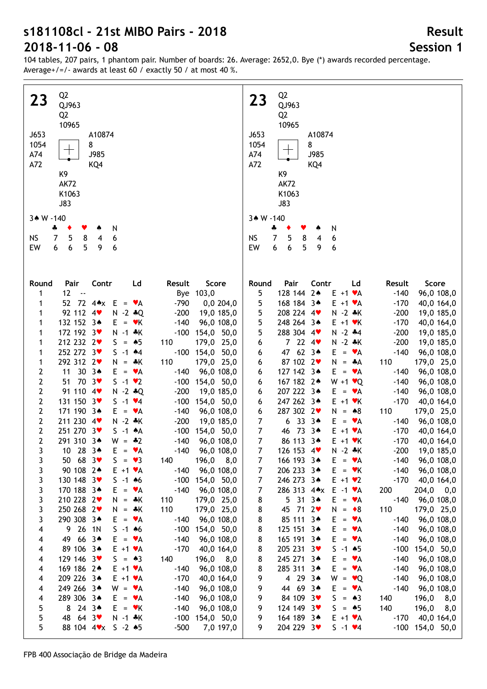104 tables, 207 pairs, 1 phantom pair. Number of boards: 26. Average: 2652,0. Bye (\*) awards recorded percentage. Average+/=/- awards at least 60 / exactly 50 / at most 40 %.

 Q2 Q2  **23 23** QJ963 QJ963 Q2 Q2 10965 10965 J653 J653 A10874 A10874 1054 8 1054 8 A74 J985 A74 ┱ J985 A72 KQ4 A72 KQ4 K9 K9 AK72 AK72 K1063 K1063 J83 J83 3★ W -140 3★ W -140 ♣ ♦ ♥ ♠ N ♣ ♦ ♥ ♠ N NS 7 5 8 4 6 NS 7 5 8 4 6 EW EW 6 6 5 9 6 6 6 5 9 6 **Round Pair Contr Ld Result Score Round Pair Contr Ld Result Score** 1 12 -- Bye 103,0 5 128 144 2♠ E +1 ♥A -140 96,0 108,0 1 52 72 4 $\star$  E =  $\star$ A -790 0,0 204,0 5 168 184 3♠ E +1 ♥A -170 40,0 164,0<br>E 208 224 4m N 2 + K 200 10.0 185.0 1 92 112 4♥ N -2 ♣Q -200 19,0 185,0 5 208 224 4♥ N -2 ♣K -200 19,0 185,0 1 132 152 3♠ E = ♥K -140 96,0 108,0 5 248 264 3♠ E +1 ♥K -170 40,0 164,0 1 172 192 3♥ N -1 ♣K -100 154,0 50,0 5 288 304 4♥ N -2 ♣4 -200 19,0 185,0 1 212 232 2♥ S = ♠5 110 179,0 25,0 6 7 22 4♥ N -2 ♣K -200 19,0 185,0 1 252 272 3♥ S -1 ▲4 -100 154,0 50,0 6 47 62 3♠ E = ♥A -140 96,0 108,0

|                | $7L$ $11L$ $4V$        | וא - ∠ לי ש       | -∠∪∪<br>19,0 109,0   | ⊃              | 200 L24 4   | $N - 2$ $\bullet N$ | -zuu<br>19,010.0     |
|----------------|------------------------|-------------------|----------------------|----------------|-------------|---------------------|----------------------|
| 1              | 132 152 3*             | $E = \mathbf{v}K$ | 96,0 108,0<br>$-140$ | 5              | 248 264 34  | $E + 1$ $\forall$ K | $-170$<br>40,0 164,0 |
| 1              | 172 192 3              | $N - 1$ $*K$      | $-100$<br>154,0 50,0 | 5              | 288 304 4   | $N - 2$ $*4$        | $-200$<br>19,0 185,0 |
| 1              | 212 232 2              | $S = \triangle 5$ | 110<br>179,0 25,0    | 6              | 7224        | $N - 2 * K$         | $-200$<br>19,0 185,0 |
| 1              | 252 272 3♥             | $S - 1$ $*4$      | $-100$ 154,0 50,0    | 6              | 47 62 34    | $= \bullet A$<br>E. | $-140$<br>96,0 108,0 |
| 1              | 292 312 2              | $N = A K$         | 110<br>179,0 25,0    | 6              | 87 102 2    | N.<br>$=$ $\ast$ A  | 110<br>179,0 25,0    |
| 2              | 11 30 34               | $E = \mathbf{v}A$ | $-140$<br>96,0 108,0 | 6              | 127 142 34  | $E = \mathbf{v}A$   | 96,0 108,0<br>$-140$ |
| 2              | 51 70 3                | $S -1$ $\vee$ 2   | $-100$ 154,0 50,0    | 6              | 167 182 24  | $W + 1 \cdot Q$     | 96,0 108,0<br>$-140$ |
| $\overline{2}$ | 91 110 4               | $N - 2 * Q$       | $-200$<br>19,0 185,0 | 6              | 207 222 3*  | $E = \mathbf{v}A$   | $-140$<br>96,0 108,0 |
| $2^{\circ}$    | 131 150 3              | $S - 1 \cdot 4$   | $-100$<br>154,0 50,0 | 6              | 247 262 34  | $E + 1$ $\vee$ K    | $-170$<br>40,0 164,0 |
| $\overline{2}$ | 171 190 3*             | $E = \mathbf{v}A$ | $-140$<br>96,0 108,0 | 6              | 287 302 2   | $N = *8$            | 110<br>179,0 25,0    |
| $\overline{2}$ | 211 230 4              | $N - 2 * K$       | $-200$<br>19,0 185,0 | $\overline{7}$ | 63334       | $E = \mathbf{v}A$   | 96,0 108,0<br>$-140$ |
| $\mathbf{2}$   | 251 270 3              | $S -1$ $*A$       | $-100$<br>154,0 50,0 | $\overline{7}$ | 46 73 34    | $E + 1 \cdot A$     | $-170$<br>40,0 164,0 |
| 2              | 291 310 3*             | $W = -2$          | $-140$<br>96,0 108,0 | $\overline{7}$ | 86 113 34   | $E + 1$ $\forall$ K | $-170$<br>40,0 164,0 |
| 3              | 10 28 34               | $E = \mathbf{v}A$ | $-140$<br>96,0 108,0 | $\overline{7}$ | 126 153 4   | $N - 2 * K$         | $-200$<br>19,0 185,0 |
| 3              | 50 68 3                | $S = \bullet 3$   | 140<br>$196,0$ $8,0$ | 7              | 166 193 3*  | $E = \mathbf{v}A$   | $-140$<br>96,0 108,0 |
| 3              | 90 108 2*              | $E + 1 \cdot A$   | $-140$<br>96,0 108,0 | 7              | 206 233 34  | $E = \mathbf{v}K$   | $-140$<br>96,0 108,0 |
| 3              | 130 148 3              | $S - 1$ 46        | $-100$<br>154,0 50,0 | 7              | 246 273 3*  | $E + 1 \cdot 2$     | $-170$<br>40,0 164,0 |
| 3              | 170 188 3*             | $E = \mathbf{v}A$ | $-140$<br>96,0 108,0 | 7              | 286 313 4** | $E -1$ $\forall A$  | 200<br>$204,0$ 0,0   |
| 3              | 210 228 2              | $N = *K$          | 110<br>179,0 25,0    | 8              | $5313*$     | $E = \bullet A$     | $-140$<br>96,0 108,0 |
| 3              | 250 268 2              | $N = A K$         | 110<br>179,0 25,0    | 8              | 45 71 2     | $= 8$<br>N.         | 110<br>179,0 25,0    |
| 3              | 290 308 3*             | $E = \mathbf{v}A$ | 96,0 108,0<br>$-140$ | 8              | 85 111 3*   | $E = \bullet A$     | 96,0 108,0<br>$-140$ |
| 4              | 9 26 1N                | $S - 1$ 46        | $-100$<br>154,0 50,0 | 8              | 125 151 34  | E<br>$= \bullet A$  | $-140$<br>96,0 108,0 |
| 4              | 49 66 3*               | $E = \mathbf{v}A$ | $-140$<br>96,0 108,0 | 8              | 165 191 3*  | E.<br>$= \bullet A$ | $-140$<br>96,0 108,0 |
| 4              | 89 106 3*              | $E + 1 \cdot A$   | $-170$<br>40,0 164,0 | 8              | 205 231 3   | $S - 1$ $*5$        | $-100$<br>154,0 50,0 |
| 4              | 129 146 3              | $S = \triangle 3$ | 140<br>$196,0$ 8,0   | 8              | 245 271 3*  | E.<br>$= \bullet A$ | $-140$<br>96,0 108,0 |
| 4              | 169 186 2*             | $E + 1 \cdot A$   | 96,0 108,0<br>$-140$ | 8              | 285 311 3*  | E<br>$= \bullet A$  | 96,0 108,0<br>$-140$ |
| 4              | 209 226 3*             | $E + 1 \cdot A$   | $-170$<br>40,0 164,0 | 9              | 4 29 3*     | W<br>$= \bullet Q$  | $-140$<br>96,0 108,0 |
| 4              | 249 266 3*             | $W = \mathbf{v}A$ | $-140$<br>96,0 108,0 | 9              | 44 69 34    | $E = \mathbf{v}A$   | $-140$<br>96,0 108,0 |
| 4              | 289 306 3*             | $E = \mathbf{v}A$ | $-140$<br>96,0 108,0 | 9              | 84 109 3    | S.<br>$= 43$        | 140<br>196,0 8,0     |
| 5              | 8 24 34                | $E = vK$          | $-140$<br>96,0 108,0 | 9              | 124 149 3   | S.<br>$= 45$        | 140<br>8,0<br>196,0  |
| 5              | 48 64 3                | $N - 1$ $*K$      | $-100$<br>154,0 50,0 | 9              | 164 189 3*  | $E + 1 \cdot A$     | 40,0 164,0<br>$-170$ |
| 5              | 88 104 4 * x 5 - 2 + 5 |                   | $-500$<br>7,0 197,0  | 9              | 204 229 3   | $S - 1 \cdot 4$     | $-100$ 154,0 50,0    |
|                |                        |                   |                      |                |             |                     |                      |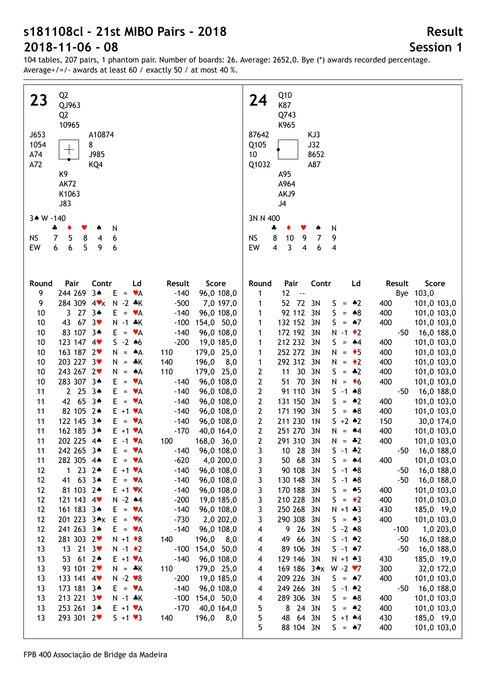**Session 1**

**Result**

| Q <sub>2</sub><br>23<br>QJ963<br>Q <sub>2</sub><br>10965<br>J653<br>A10874<br>1054<br>8<br>J985<br>A74<br>A72<br>KQ4<br>K9<br><b>AK72</b><br>K1063<br><b>J83</b> | Q10<br>24<br>K87<br>Q743<br>K965<br>KJ3<br>87642<br>Q105<br>J32<br>10<br>8652<br>Q1032<br>A87<br>A95<br>A964<br>AKJ9<br>J4 |
|------------------------------------------------------------------------------------------------------------------------------------------------------------------|----------------------------------------------------------------------------------------------------------------------------|
| 3* W -140                                                                                                                                                        | 3N N 400                                                                                                                   |
| N<br>÷<br>8<br><b>NS</b><br>7<br>5<br>6<br>4<br>6<br>5<br>EW<br>9<br>6<br>6                                                                                      | N<br>4<br>8<br>7<br>9<br><b>NS</b><br>10<br>9<br>3<br>EW<br>$\overline{\mathbf{4}}$<br>4<br>6<br>4                         |
| Pair<br>Contr<br>Ld<br>Round<br>Result<br>Score                                                                                                                  | Pair<br>Contr<br>Result<br>Score<br>Round<br>Ld                                                                            |
| 244 269<br>$3*$<br>9<br>Ε<br>$-140$<br>96,0 108,0<br>$\mathbf{v}$ A<br>$\qquad \qquad =$                                                                         | Bye 103,0<br>12<br>1<br>$\ddotsc$                                                                                          |
| 284 309 4*x<br>N<br>9<br>$-2$ $*$ K<br>$-500$<br>7,0 197,0                                                                                                       | 52 72<br>3N<br>101,0 103,0<br>$= 2$<br>400<br>S.<br>1                                                                      |
| 27<br>$3*$<br>10<br>$\mathbf{3}$<br>E.<br>$-140$<br>96,0 108,0<br>$= \bullet A$<br>67<br>3 <sub>v</sub>                                                          | 92 112 3N<br>S<br>$= 88$<br>400<br>101,0 103,0<br>1                                                                        |
| 10<br>43<br>$N - 1$ $*K$<br>$-100$<br>154,0 50,0<br>83 107 34<br>10<br>E<br>$-140$<br>96,0 108,0<br>VA<br>$\qquad \qquad =$                                      | 132 152 3N<br>S.<br>$=$ 47<br>400<br>101,0 103,0<br>1<br>172 192 3N<br>$N - 1$ $\bullet$ 2<br>16,0 188,0<br>-50<br>1       |
| 123 147 4<br>$S - 2 * 6$<br>10<br>$-200$<br>19,0 185,0                                                                                                           | 212 232 3N<br>400<br>101,0 103,0<br>S.<br>$= 44$<br>1                                                                      |
| 163 187 2<br>10<br>179,0 25,0<br>N<br>*A<br>110<br>$\equiv$                                                                                                      | 252 272 3N<br>400<br>101,0 103,0<br>N<br>$= 5$<br>1                                                                        |
| 203 227 3♥<br>10<br>∗K<br>140<br>196,0<br>8,0<br>N<br>$\equiv$                                                                                                   | 292 312 3N<br>$= 2$<br>400<br>101,0 103,0<br>1<br>N                                                                        |
| 243 267 2♥<br>10<br>110<br>179,0 25,0<br>N<br>۸Α<br>$=$                                                                                                          | 30<br>2<br>11<br>3N<br>$= 42$<br>400<br>101,0 103,0<br>S.                                                                  |
| 283 307 34<br>10<br>Е<br>96,0 108,0<br>٧A<br>$-140$<br>$\quad =$                                                                                                 | 70<br>2<br>3N<br>51<br>N<br>400<br>101,0 103,0<br>$= 6$                                                                    |
| 2 <sub>25</sub><br>11<br>$3*$<br>Е<br>$-140$<br>٧A<br>96,0 108,0<br>$\equiv$<br>65<br>$3*$<br>11<br>42<br>E<br>VA<br>$-140$<br>96,0 108,0<br>$\equiv$            | 2<br>91 110<br>3N<br>$-1$ $*8$<br>16,0 188,0<br>S.<br>-50<br>2<br>131 150<br>3N<br>S<br>400<br>$= 2$<br>101,0 103,0        |
| 82 105 2*<br>11<br>$E + 1 \cdot A$<br>$-140$<br>96,0 108,0                                                                                                       | 171 190 3N<br>2<br>S<br>$= 88$<br>400<br>101,0 103,0                                                                       |
| 122 145 34<br>11<br>E.<br>$-140$<br>$= \bullet A$<br>96,0 108,0                                                                                                  | 211 230<br>2<br>1 <sub>N</sub><br>$5 + 2 * 2$<br>150<br>30,0 174,0                                                         |
| 162 185 3*<br>11<br>$-170$<br>$E + 1 \cdot A$<br>40,0 164,0                                                                                                      | 251 270 3N<br>2<br>400<br>N<br>101,0 103,0<br>$= 44$                                                                       |
| 11<br>202 225 4*<br>$E -1$ $\forall A$<br>100<br>168,0 36,0                                                                                                      | 2<br>291 310 3N<br>$= 42$<br>400<br>101,0 103,0<br>N.                                                                      |
| 11<br>242 265 34<br>$-140$<br>$E = \bullet A$<br>96,0 108,0                                                                                                      | $S - 1$ $*2$<br>16,0 188,0<br>3<br>10<br>28 3N<br>$-50$                                                                    |
| 282 305 4*<br>$-620$<br>4,0 200,0<br>11<br>$E = \bullet A$<br>1232<br>12<br>$E + 1 \cdot A$<br>$-140$<br>96,0 108,0                                              | 50 68 3N<br>101,0 103,0<br>S.<br>400<br>3<br>$= 44$<br>3<br>90 108 3N<br>$S - 1 * 8$<br>16,0 188,0<br>$-50$                |
| $63.3*$<br>12<br>$E = \bullet A$<br>$-140$<br>96,0 108,0<br>41                                                                                                   | 3<br>130 148 3N<br>$S - 1 * 8$<br>$-50$<br>16,0 188,0                                                                      |
| 81 103 2*<br>12<br>$E + 1$ $\forall$ K<br>$-140$<br>96,0 108,0                                                                                                   | 3<br>170 188 3N<br>S.<br>101,0 103,0<br>$= 45$<br>400                                                                      |
| 121 143 4<br>$N - 2$ $*4$<br>12<br>$-200$<br>19,0 185,0                                                                                                          | 3<br>210 228 3N<br>S.<br>400<br>101,0 103,0<br>$= 2$                                                                       |
| 161 183 3*<br>12<br>E<br>$= \bullet A$<br>$-140$<br>96,0 108,0                                                                                                   | 3<br>250 268 3N<br>$N + 1 + 3$<br>430<br>185,0 19,0                                                                        |
| 201 223 3*x<br>12<br>Е<br>$=$ $\bullet$ K<br>$-730$<br>2,0 202,0                                                                                                 | 3<br>290 308 3N<br>400<br>101,0 103,0<br>$S = \triangle 3$                                                                 |
| 241 263 3*<br>12<br>$E = \bullet A$<br>$-140$<br>96,0 108,0                                                                                                      | 9 26 3N<br>$S - 2 * 8$<br>$-100$<br>1,0 203,0<br>4                                                                         |
| 281 303 2<br>12<br>$N + 1$ $\bullet$ 8<br>140<br>196,0<br>8,0<br>13<br>13 21 $3\blacktriangledown$<br>$N - 1$ $\bullet$ 2<br>$-100$ 154,0<br>50,0                | 49 66<br>3N<br>$S - 1$ $*2$<br>16,0 188,0<br>4<br>$-50$<br>89 106 3N<br>$S - 1$ $*7$<br>16,0 188,0<br>4<br>$-50$           |
| 13<br>53<br>61 $2*$<br>$E + 1 \cdot A$<br>$-140$<br>96,0 108,0                                                                                                   | 129 146 3N<br>430<br>185,0 19,0<br>4<br>$N + 1 \cdot 3$                                                                    |
| 93 101 2<br>13<br>$N = A K$<br>110<br>179,0 25,0                                                                                                                 | 169 186 3*x<br>$W - 2 \cdot 7$<br>300<br>32,0 172,0<br>4                                                                   |
| $N - 2$ $\vee 8$<br>13<br>133 141 4<br>$-200$<br>19,0 185,0                                                                                                      | 209 226 3N<br>400<br>101,0 103,0<br>$S = 47$<br>4                                                                          |
| 173 181 3*<br>13<br>$E = \bullet A$<br>$-140$<br>96,0 108,0                                                                                                      | 249 266 3N<br>$S - 1$ $*2$<br>16,0 188,0<br>-50<br>4                                                                       |
| 213 221 3<br>$N - 1$ $*K$<br>$-100$<br>13<br>154,0 50,0                                                                                                          | 289 306 3N<br>400<br>101,0 103,0<br>S.<br>$= 88$<br>4                                                                      |
| 253 261 3*<br>$E + 1 \cdot A$<br>$-170$<br>40,0 164,0<br>13                                                                                                      | 5<br>8 24 3N<br>400<br>101,0 103,0<br>S.<br>$= 2$                                                                          |
| 293 301 2♥<br>13<br>$S + 1 \cdot 3$<br>140<br>196,0<br>8,0                                                                                                       | 5<br>48 64 3N<br>$5 + 1$ $*4$<br>430<br>185,0 19,0<br>5<br>88 104 3N<br>$S = \triangle 7$<br>400<br>101,0 103,0            |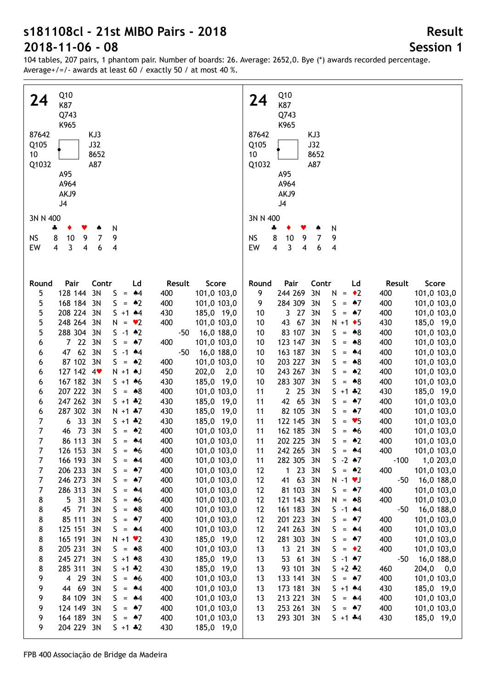| Q10<br>24<br>K87<br>Q743<br>K965<br>87642<br>KJ3<br>J32<br>Q105<br>10<br>8652<br>A87<br>Q1032<br>A95<br>A964<br>AKJ9<br>J4<br>3N N 400<br>N<br>4<br>8<br>9<br>7<br>9<br><b>NS</b><br>10                                                                                                                                                                                                                                                                                                                                                                                                                                                                                                                                                                                                                                                                                                                                                                                                                                                                                                                                                                                                                                                                                                                                                                                                                                                                                                           |                                                                                                                                                                                                                                                                                                                                                                                                                                                                                                                                                                                                                                                                                                                                                                  | Q10<br>24<br>K87<br>Q743<br>K965<br>KJ3<br>87642<br>Q105<br>J32<br>10<br>8652<br>A87<br>Q1032<br>A95<br>A964<br>AKJ9<br>J <sub>4</sub><br>3N N 400<br>N<br>4<br>8<br><b>NS</b><br>7<br>9<br>10<br>9<br>EW                                                                                                                                                                                                                                                                                                                                                                                                                                                                                                                                                                                                                                                                                                                                                                                                                                                                                                                                                                                                                                                                                                                                                                   |                                                                                                                                                                                                                                                                                                                                                                                                                                                                                                                                                                                                                                                                                                                                                                       |
|---------------------------------------------------------------------------------------------------------------------------------------------------------------------------------------------------------------------------------------------------------------------------------------------------------------------------------------------------------------------------------------------------------------------------------------------------------------------------------------------------------------------------------------------------------------------------------------------------------------------------------------------------------------------------------------------------------------------------------------------------------------------------------------------------------------------------------------------------------------------------------------------------------------------------------------------------------------------------------------------------------------------------------------------------------------------------------------------------------------------------------------------------------------------------------------------------------------------------------------------------------------------------------------------------------------------------------------------------------------------------------------------------------------------------------------------------------------------------------------------------|------------------------------------------------------------------------------------------------------------------------------------------------------------------------------------------------------------------------------------------------------------------------------------------------------------------------------------------------------------------------------------------------------------------------------------------------------------------------------------------------------------------------------------------------------------------------------------------------------------------------------------------------------------------------------------------------------------------------------------------------------------------|-----------------------------------------------------------------------------------------------------------------------------------------------------------------------------------------------------------------------------------------------------------------------------------------------------------------------------------------------------------------------------------------------------------------------------------------------------------------------------------------------------------------------------------------------------------------------------------------------------------------------------------------------------------------------------------------------------------------------------------------------------------------------------------------------------------------------------------------------------------------------------------------------------------------------------------------------------------------------------------------------------------------------------------------------------------------------------------------------------------------------------------------------------------------------------------------------------------------------------------------------------------------------------------------------------------------------------------------------------------------------------|-----------------------------------------------------------------------------------------------------------------------------------------------------------------------------------------------------------------------------------------------------------------------------------------------------------------------------------------------------------------------------------------------------------------------------------------------------------------------------------------------------------------------------------------------------------------------------------------------------------------------------------------------------------------------------------------------------------------------------------------------------------------------|
| EW<br>3<br>6<br>4<br>4<br>4                                                                                                                                                                                                                                                                                                                                                                                                                                                                                                                                                                                                                                                                                                                                                                                                                                                                                                                                                                                                                                                                                                                                                                                                                                                                                                                                                                                                                                                                       |                                                                                                                                                                                                                                                                                                                                                                                                                                                                                                                                                                                                                                                                                                                                                                  | 3<br>4<br>4<br>4<br>6                                                                                                                                                                                                                                                                                                                                                                                                                                                                                                                                                                                                                                                                                                                                                                                                                                                                                                                                                                                                                                                                                                                                                                                                                                                                                                                                                       |                                                                                                                                                                                                                                                                                                                                                                                                                                                                                                                                                                                                                                                                                                                                                                       |
| Pair<br>Contr<br>Ld<br>Round<br>128 144<br>3N<br>5<br>S<br>$\clubsuit 4$<br>$\equiv$<br>5<br>168 184 3N<br>S<br>$=$ 42<br>208 224 3N<br>5<br>$5 + 1$ $*4$<br>5<br>248 264 3N<br>N<br>$= \bullet 2$<br>5<br>288 304 3N<br>$-1$ $*2$<br>S.<br>7 22 3N<br>S<br>$\bullet$ 7<br>6<br>$=$<br>62 3N<br>47<br>S<br>$-1$ $*4$<br>6<br>87 102 3N<br>S<br>$=$ 42<br>6<br>127 142 4<br>$N + 1$ AJ<br>6<br>167 182 3N<br>$5 + 1 + 6$<br>6<br>207 222 3N<br>S<br>$= 88$<br>6<br>247 262 3N<br>$5 + 1 * 2$<br>6<br>287 302 3N<br>6<br>$N + 1$ $*7$<br>33<br>3N<br>7<br>6<br>$5 + 1 * 2$<br>7<br>73<br>3N<br>$\bullet 2$<br>46<br>S<br>$=$<br>7<br>86 113 3N<br>S<br>$=$ 44<br>7<br>126 153 3N<br>S<br>$\clubsuit 6$<br>=<br>7<br>166 193 3N<br>S<br>$*4$<br>$=$<br>206 233<br>S<br>$\clubsuit$ 7<br>7<br>3N<br>$=$<br>7<br>246 273<br>S<br>$\clubsuit$ 7<br>3N<br>$=$<br>7<br>286 313<br>S<br>3N<br>$\clubsuit 4$<br>$\quad =$<br>31<br>3N<br>S<br>8<br>5<br>$\clubsuit 6$<br>$\quad =$<br>8<br>45<br>71<br>3N<br>S<br>$*8$<br>$=$<br>85 111<br>3N<br>S<br>8<br>$\clubsuit$ 7<br>$=$<br>8<br>125 151<br>3N<br>S<br>$\clubsuit 4$<br>$=$<br>8<br>165 191<br>3N<br>N<br>$+1$ $\vee$ 2<br>8<br>205 231<br>3N<br>S<br>$= A8$<br>245 271<br>8<br>3N<br>$5 + 1 * 8$<br>8<br>285 311<br>3N<br>$5 + 1 * 2$<br>9<br>29<br>3N<br>$\overline{4}$<br>S<br>$\clubsuit 6$<br>$=$<br>9<br>69<br>3N<br>44<br>S<br>$\clubsuit 4$<br>$=$<br>9<br>84 109<br>3N<br>S<br>$*4$<br>$=$<br>124 149<br>$\bullet$ 7<br>9<br>3N<br>S<br>$=$ | Result<br>Score<br>101,0 103,0<br>400<br>400<br>101,0 103,0<br>430<br>185,0 19,0<br>400<br>101,0 103,0<br>16,0 188,0<br>$-50$<br>101,0 103,0<br>400<br>$-50$<br>16,0 188,0<br>400<br>101,0 103,0<br>450<br>202,0<br>2,0<br>430<br>185,0 19,0<br>400<br>101,0 103,0<br>430<br>185,0 19,0<br>430<br>185,0 19,0<br>430<br>185,0 19,0<br>400<br>101,0 103,0<br>400<br>101,0 103,0<br>400<br>101,0 103,0<br>400<br>101,0 103,0<br>400<br>101,0 103,0<br>400<br>101,0 103,0<br>400<br>101,0 103,0<br>400<br>101,0 103,0<br>400<br>101,0 103,0<br>400<br>101,0 103,0<br>400<br>101,0 103,0<br>430<br>185,0 19,0<br>400<br>101,0 103,0<br>430<br>185,0 19,0<br>430<br>185,0 19,0<br>400<br>101,0 103,0<br>400<br>101,0 103,0<br>400<br>101,0 103,0<br>400<br>101,0 103,0 | Pair<br>Contr<br>Ld<br>Round<br>244 269<br>3N<br>9<br>$=$ $\bullet$ 2<br>N<br>284 309<br>3N<br>S<br>$=$ 47<br>9<br>27<br>3N<br>3<br>S<br>10<br>$= 47$<br>43<br>67<br>3N<br>$N + 1$ + 5<br>10<br>83 107<br>3N<br>S<br>10<br>$= 88$<br>123 147<br>3N<br>S<br>$= 88$<br>10<br>163 187<br>3N<br>S<br>10<br>$= 44$<br>203 227<br>3N<br>S<br>$=$ 48<br>10<br>243 267<br>3N<br>S<br>$=$ 42<br>10<br>283 307<br>3N<br>S<br>$= 88$<br>10<br>2 25<br>3N<br>$5 + 1 * 2$<br>11<br>42 65<br>3N<br>S<br>$=$ 47<br>11<br>82 105<br>3N<br>S<br>$=$ 47<br>11<br>122 145<br>3N<br>S<br>$= 95$<br>11<br>162 185<br>3N<br>11<br>S<br>$\clubsuit 6$<br>$=$<br>11<br>202 225 3N<br>S<br>$=$ 42<br>11<br>242 265<br>3N<br>S<br>$= 44$<br>$-2$ $*7$<br>282 305<br>S<br>11<br>3N<br>23<br>$\mathbf{1}$<br>3N<br>S<br>$=$ 42<br>12<br>63<br>12<br>41<br>3N<br>$N - 1$ $V$<br>81 103<br>12<br>3N<br>S<br>$=$ 47<br>121 143<br>12<br>3N<br>N<br>$= 88$<br>12<br>161 183<br>3N<br>S<br>$-1$ $*4$<br>201 223<br>12<br>3N<br>S<br>$=$ 47<br>241 263<br>12<br>3N<br>S<br>$= 44$<br>281 303<br>12<br>3N<br>S<br>$=$ 47<br>21<br>13<br>13<br>3N<br>S<br>$=$ $\bullet$ 2<br>53<br>61<br>3N<br>$S - 1$ $*7$<br>13<br>93 101<br>3N<br>$S + 2 * 2$<br>13<br>13<br>133 141<br>3N<br>S<br>$= 47$<br>173 181<br>3N<br>$5 + 1$ $*4$<br>13<br>213 221<br>3N<br>S<br>13<br>$= 44$<br>253 261<br>3N<br>S<br>13<br>$=$ 47 | Result<br>Score<br>400<br>101,0 103,0<br>400<br>101,0 103,0<br>400<br>101,0 103,0<br>430<br>185,0 19,0<br>400<br>101,0 103,0<br>400<br>101,0 103,0<br>400<br>101,0 103,0<br>400<br>101,0 103,0<br>400<br>101,0 103,0<br>400<br>101,0 103,0<br>430<br>185,0 19,0<br>400<br>101,0 103,0<br>400<br>101,0 103,0<br>400<br>101,0 103,0<br>400<br>101,0 103,0<br>400<br>101,0 103,0<br>400<br>101,0 103,0<br>1,0 203,0<br>$-100$<br>400<br>101,0 103,0<br>$-50$<br>16,0 188,0<br>400<br>101,0 103,0<br>400<br>101,0 103,0<br>16,0 188,0<br>$-50$<br>400<br>101,0 103,0<br>400<br>101,0 103,0<br>400<br>101,0 103,0<br>400<br>101,0 103,0<br>16,0 188,0<br>-50<br>460<br>204,0<br>0,0<br>400<br>101,0 103,0<br>430<br>185,0 19,0<br>400<br>101,0 103,0<br>400<br>101,0 103,0 |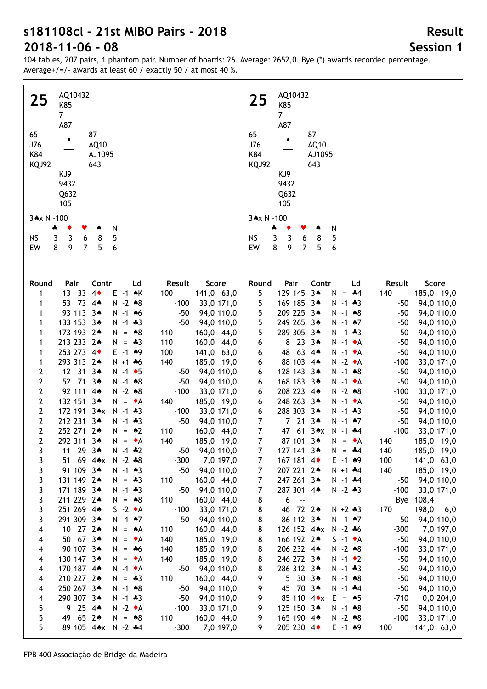104 tables, 207 pairs, 1 phantom pair. Number of boards: 26. Average: 2652,0. Bye (\*) awards recorded percentage. Average+/=/- awards at least 60 / exactly 50 / at most 40 %.

| AQ10432<br>25<br>K85<br>7 <sup>1</sup><br>A87<br>65<br>87<br>J76<br>AQ10<br>K84<br>AJ1095<br>KQJ92<br>643<br>KJ9<br>9432<br>Q632<br>105<br>3*x N -100<br>N<br>÷<br>Y<br>۸<br>3<br>NS<br>3<br>8<br>5<br>6 | AQ10432<br>25<br>K85<br>$\overline{7}$<br>A87<br>65<br>87<br>J76<br>AQ10<br>K84<br>AJ1095<br><b>KQJ92</b><br>643<br>KJ9<br>9432<br>Q632<br>105<br>3*x N -100<br>N<br>÷<br>۸<br>5<br><b>NS</b><br>3<br>3<br>8<br>6 |
|----------------------------------------------------------------------------------------------------------------------------------------------------------------------------------------------------------|-------------------------------------------------------------------------------------------------------------------------------------------------------------------------------------------------------------------|
| 9                                                                                                                                                                                                        | 8                                                                                                                                                                                                                 |
| 8                                                                                                                                                                                                        | 9                                                                                                                                                                                                                 |
| $\overline{7}$                                                                                                                                                                                           | $\overline{7}$                                                                                                                                                                                                    |
| 5                                                                                                                                                                                                        | EW                                                                                                                                                                                                                |
| EW                                                                                                                                                                                                       | 5                                                                                                                                                                                                                 |
| 6                                                                                                                                                                                                        | 6                                                                                                                                                                                                                 |
| Contr                                                                                                                                                                                                    | Pair                                                                                                                                                                                                              |
| Ld                                                                                                                                                                                                       | Contr                                                                                                                                                                                                             |
| Result                                                                                                                                                                                                   | Round                                                                                                                                                                                                             |
| Round                                                                                                                                                                                                    | Ld                                                                                                                                                                                                                |
| Pair                                                                                                                                                                                                     | Result                                                                                                                                                                                                            |
| Score                                                                                                                                                                                                    | Score                                                                                                                                                                                                             |
| 13 33 4                                                                                                                                                                                                  | 129 145 3*                                                                                                                                                                                                        |
| $E -1$ $\land$ K                                                                                                                                                                                         | 5                                                                                                                                                                                                                 |
| 100                                                                                                                                                                                                      | 140                                                                                                                                                                                                               |
| 141,0 63,0                                                                                                                                                                                               | 185,0 19,0                                                                                                                                                                                                        |
| 1                                                                                                                                                                                                        | $N = -4$                                                                                                                                                                                                          |
| 53 73 4*                                                                                                                                                                                                 | 169 185 3*                                                                                                                                                                                                        |
| $N - 2 * 8$                                                                                                                                                                                              | 5                                                                                                                                                                                                                 |
| $-100$                                                                                                                                                                                                   | $N - 1 * 3$                                                                                                                                                                                                       |
| 33,0 171,0                                                                                                                                                                                               | 94,0 110,0                                                                                                                                                                                                        |
| 1                                                                                                                                                                                                        | $-50$                                                                                                                                                                                                             |
| 93 113 3*                                                                                                                                                                                                | 5                                                                                                                                                                                                                 |
| $N - 1$ 46                                                                                                                                                                                               | 209 225 3*                                                                                                                                                                                                        |
| $-50$                                                                                                                                                                                                    | $N - 1$ $*8$                                                                                                                                                                                                      |
| 94,0 110,0                                                                                                                                                                                               | 94,0 110,0                                                                                                                                                                                                        |
| 1                                                                                                                                                                                                        | $-50$                                                                                                                                                                                                             |
| 133 153 3*                                                                                                                                                                                               | 249 265 34                                                                                                                                                                                                        |
| $N - 1 * 3$                                                                                                                                                                                              | 5                                                                                                                                                                                                                 |
| $-50$                                                                                                                                                                                                    | $N - 1$ $*7$                                                                                                                                                                                                      |
| 94,0 110,0                                                                                                                                                                                               | 94,0 110,0                                                                                                                                                                                                        |
| 1                                                                                                                                                                                                        | $-50$                                                                                                                                                                                                             |
| 173 193 2*                                                                                                                                                                                               | 5                                                                                                                                                                                                                 |
| 160,0 44,0                                                                                                                                                                                               | 289 305 3*                                                                                                                                                                                                        |
| $N = *8$                                                                                                                                                                                                 | 94,0 110,0                                                                                                                                                                                                        |
| 110                                                                                                                                                                                                      | $N - 1$ $*3$                                                                                                                                                                                                      |
| 1                                                                                                                                                                                                        | $-50$                                                                                                                                                                                                             |
| 213 233 24<br>$N = *3$<br>110<br>160,0 44,0<br>1<br>253 273 4<br>$E - 1$ $*9$<br>100<br>141,0 63,0<br>1                                                                                                  | $23.3*$<br>8<br>$N - 1$ $\bullet$ A<br>94,0 110,0<br>6<br>$-50$<br>$63.4*$<br>48<br>$N - 1$ $\bullet$ A<br>94,0 110,0<br>$-50$                                                                                    |
| 293 313 24<br>$N + 1 + 6$<br>140<br>185,0 19,0<br>1                                                                                                                                                      | 6<br>88 103 4*<br>$N - 2 A$<br>$-100$<br>33,0 171,0<br>6                                                                                                                                                          |
| 12 31 34                                                                                                                                                                                                 | 128 143 3*                                                                                                                                                                                                        |
| 2                                                                                                                                                                                                        | $N - 1$ $*8$                                                                                                                                                                                                      |
| $N - 1$ + 5                                                                                                                                                                                              | 94,0 110,0                                                                                                                                                                                                        |
| 94,0 110,0                                                                                                                                                                                               | 6                                                                                                                                                                                                                 |
| $-50$                                                                                                                                                                                                    | -50                                                                                                                                                                                                               |
| 52 71 3*                                                                                                                                                                                                 | 168 183 3*                                                                                                                                                                                                        |
| 2                                                                                                                                                                                                        | 94,0 110,0                                                                                                                                                                                                        |
| $N - 1$ $*8$                                                                                                                                                                                             | 6                                                                                                                                                                                                                 |
| $-50$                                                                                                                                                                                                    | $N - 1$ $\bullet$ A                                                                                                                                                                                               |
| 94,0 110,0                                                                                                                                                                                               | $-50$                                                                                                                                                                                                             |
| 2                                                                                                                                                                                                        | 208 223 4*                                                                                                                                                                                                        |
| 92 111 4*                                                                                                                                                                                                | $N - 2 * 8$                                                                                                                                                                                                       |
| $N - 2 * 8$                                                                                                                                                                                              | $-100$                                                                                                                                                                                                            |
| $-100$                                                                                                                                                                                                   | 33,0 171,0                                                                                                                                                                                                        |
| 33,0 171,0                                                                                                                                                                                               | 6                                                                                                                                                                                                                 |
| 2<br>132 151 3*<br>N.<br>140<br>185,0 19,0<br>$= \bullet A$                                                                                                                                              | 248 263 34<br>94,0 110,0<br>6<br>$N - 1$ $\bullet$ A<br>-50                                                                                                                                                       |
| 2                                                                                                                                                                                                        | 288 303 34                                                                                                                                                                                                        |
| 172 191 3*x                                                                                                                                                                                              | 94,0 110,0                                                                                                                                                                                                        |
| $N - 1 * 3$                                                                                                                                                                                              | 6                                                                                                                                                                                                                 |
| 33,0 171,0                                                                                                                                                                                               | $N - 1$ $*3$                                                                                                                                                                                                      |
| $-100$                                                                                                                                                                                                   | $-50$                                                                                                                                                                                                             |
| 2                                                                                                                                                                                                        | 7 21 34                                                                                                                                                                                                           |
| 212 231 34                                                                                                                                                                                               | $\overline{7}$                                                                                                                                                                                                    |
| $N - 1 * 3$                                                                                                                                                                                              | $N - 1$ $*7$                                                                                                                                                                                                      |
| $-50$                                                                                                                                                                                                    | 94,0 110,0                                                                                                                                                                                                        |
| 94,0 110,0                                                                                                                                                                                               | $-50$                                                                                                                                                                                                             |
| 2                                                                                                                                                                                                        | $\overline{7}$                                                                                                                                                                                                    |
| 252 271 2*                                                                                                                                                                                               | 47 61 3*x                                                                                                                                                                                                         |
| $N = \triangle 2$                                                                                                                                                                                        | $N - 1$ $*4$                                                                                                                                                                                                      |
| 160,0 44,0                                                                                                                                                                                               | $-100$                                                                                                                                                                                                            |
| 110                                                                                                                                                                                                      | 33,0 171,0                                                                                                                                                                                                        |
| 2                                                                                                                                                                                                        | $\overline{7}$                                                                                                                                                                                                    |
| 292 311 34                                                                                                                                                                                               | 87 101 3*                                                                                                                                                                                                         |
| 185,0 19,0                                                                                                                                                                                               | 185,0 19,0                                                                                                                                                                                                        |
| $N = \bullet A$                                                                                                                                                                                          | $N = \bullet A$                                                                                                                                                                                                   |
| 140                                                                                                                                                                                                      | 140                                                                                                                                                                                                               |
| $\mathbf{3}$<br>11 29 34<br>$N - 1$ $*2$<br>$-50$ 94,0 110,0                                                                                                                                             | 7 <sup>7</sup><br>140<br>185,0 19,0<br>127 141 3*<br>$N = -4$                                                                                                                                                     |
| 3                                                                                                                                                                                                        | 167 181 4                                                                                                                                                                                                         |
| 51 69 4*x N -2 *8                                                                                                                                                                                        | 141,0 63,0                                                                                                                                                                                                        |
| $-300$                                                                                                                                                                                                   | $E - 1$ $*9$                                                                                                                                                                                                      |
| 7,0 197,0                                                                                                                                                                                                | 100                                                                                                                                                                                                               |
| 91 109 3*                                                                                                                                                                                                | 7                                                                                                                                                                                                                 |
| 3<br>$N - 1$ $*3$<br>94,0 110,0<br>$-50$<br>3<br>131 149 2*<br>$N = -3$<br>110<br>160,0 44,0                                                                                                             | 207 221 24<br>140<br>185,0 19,0<br>7<br>$N + 1$ $*4$<br>247 261 34<br>94,0 110,0<br>7<br>$N - 1$ $*4$<br>-50                                                                                                      |
| 3                                                                                                                                                                                                        | 287 301 4*                                                                                                                                                                                                        |
| 171 189 3*                                                                                                                                                                                               | $N - 2 * 3$                                                                                                                                                                                                       |
| $N - 1 * 3$                                                                                                                                                                                              | $-100$                                                                                                                                                                                                            |
| $-50$                                                                                                                                                                                                    | 33,0 171,0                                                                                                                                                                                                        |
| 94,0 110,0                                                                                                                                                                                               | 7                                                                                                                                                                                                                 |
| 3<br>211 229 2*<br>$N = *8$<br>110<br>160,0 44,0                                                                                                                                                         | 6<br>Bye 108,4<br>8<br>$\sim$                                                                                                                                                                                     |
| 3                                                                                                                                                                                                        | 46 72 2*                                                                                                                                                                                                          |
| 251 269 4*                                                                                                                                                                                               | 170                                                                                                                                                                                                               |
| $S -2 A$                                                                                                                                                                                                 | 198,0 6,0                                                                                                                                                                                                         |
| $-100$                                                                                                                                                                                                   | 8                                                                                                                                                                                                                 |
| 33,0 171,0                                                                                                                                                                                               | $N + 2 * 3$                                                                                                                                                                                                       |
| 3<br>291 309 3*<br>$N - 1$ $*7$<br>$-50$<br>94,0 110,0<br>10 27 2*<br>$\overline{\mathbf{4}}$<br>$N = A$<br>110<br>160,0 44,0                                                                            | 86 112 34<br>8<br>$N - 1$ $*7$<br>$-50$<br>94,0 110,0<br>126 152 4** N -2 *6<br>$-300$<br>7,0 197,0<br>8                                                                                                          |
| 50 67 3*                                                                                                                                                                                                 | 166 192 2*                                                                                                                                                                                                        |
| $N = \bullet A$                                                                                                                                                                                          | 94,0 110,0                                                                                                                                                                                                        |
| 185,0 19,0                                                                                                                                                                                               | 8                                                                                                                                                                                                                 |
| 4                                                                                                                                                                                                        | $S -1$ $\star$ A                                                                                                                                                                                                  |
| 140                                                                                                                                                                                                      | $-50$                                                                                                                                                                                                             |
| 90 107 3*                                                                                                                                                                                                | 206 232 4*                                                                                                                                                                                                        |
| $N = *6$                                                                                                                                                                                                 | $-100$                                                                                                                                                                                                            |
| 185,0 19,0                                                                                                                                                                                               | 33,0 171,0                                                                                                                                                                                                        |
| 4                                                                                                                                                                                                        | 8                                                                                                                                                                                                                 |
| 140                                                                                                                                                                                                      | $N - 2 * 8$                                                                                                                                                                                                       |
| 130 147 3*                                                                                                                                                                                               | 246 272 3*                                                                                                                                                                                                        |
| $N = \bullet A$                                                                                                                                                                                          | 94,0 110,0                                                                                                                                                                                                        |
| 140                                                                                                                                                                                                      | 8                                                                                                                                                                                                                 |
| 185,0 19,0                                                                                                                                                                                               | $N - 1$ $\bullet$ 2                                                                                                                                                                                               |
| 4                                                                                                                                                                                                        | -50                                                                                                                                                                                                               |
| 170 187 4*                                                                                                                                                                                               | 8                                                                                                                                                                                                                 |
| $N - 1$ $\bullet$ A                                                                                                                                                                                      | 286 312 3*                                                                                                                                                                                                        |
| $-50$                                                                                                                                                                                                    | 94,0 110,0                                                                                                                                                                                                        |
| 94,0 110,0                                                                                                                                                                                               | $N - 1 * 3$                                                                                                                                                                                                       |
| 4                                                                                                                                                                                                        | $-50$                                                                                                                                                                                                             |
| 210 227 24                                                                                                                                                                                               | 5 30 34                                                                                                                                                                                                           |
| $N = -3$                                                                                                                                                                                                 | 9                                                                                                                                                                                                                 |
| 110                                                                                                                                                                                                      | 94,0 110,0                                                                                                                                                                                                        |
| 160,0 44,0                                                                                                                                                                                               | $N - 1$ $*8$                                                                                                                                                                                                      |
| 4                                                                                                                                                                                                        | $-50$                                                                                                                                                                                                             |
| 250 267 3*                                                                                                                                                                                               | 45 70 3*                                                                                                                                                                                                          |
| $N - 1$ $*8$                                                                                                                                                                                             | 9                                                                                                                                                                                                                 |
| 94,0 110,0                                                                                                                                                                                               | $N - 1$ $*4$                                                                                                                                                                                                      |
| $-50$                                                                                                                                                                                                    | 94,0 110,0                                                                                                                                                                                                        |
| 4                                                                                                                                                                                                        | $-50$                                                                                                                                                                                                             |
| 290 307 3*<br>$N - 1$ $*3$<br>$-50$<br>94,0 110,0<br>4                                                                                                                                                   | 85 110 $4 \cdot x$ E = $\cdot 5$<br>9<br>$-710$<br>0,0,204,0                                                                                                                                                      |
| 5                                                                                                                                                                                                        | 9                                                                                                                                                                                                                 |
| 9 25 4*                                                                                                                                                                                                  | 125 150 3*                                                                                                                                                                                                        |
| $N - 2 A$                                                                                                                                                                                                | 94,0 110,0                                                                                                                                                                                                        |
| $-100$                                                                                                                                                                                                   | $N - 1$ $*8$                                                                                                                                                                                                      |
| 33,0 171,0                                                                                                                                                                                               | $-50$                                                                                                                                                                                                             |
| 5<br>49 65 2*<br>$N = *8$<br>110<br>160,0 44,0<br>5<br>89 105 4*x N -2 *4<br>$-300$<br>7,0 197,0                                                                                                         | 165 190 4*<br>9<br>$N - 2 \cdot 8$<br>$-100$<br>33,0 171,0<br>205 230 4<br>9<br>$E - 1$ $*9$<br>100<br>141,0 63,0                                                                                                 |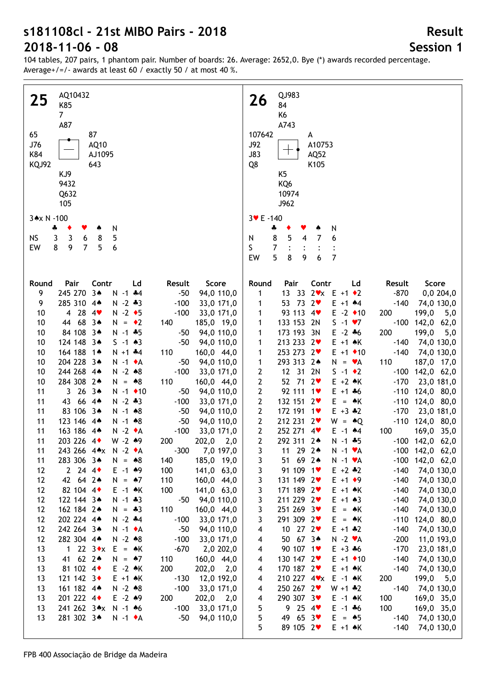104 tables, 207 pairs, 1 phantom pair. Number of boards: 26. Average: 2652,0. Bye (\*) awards recorded percentage. Average+/=/- awards at least 60 / exactly 50 / at most 40 %.

| AQ10432<br>25<br>K85                                                                                              | QJ983<br>26<br>84                                                                                                        |
|-------------------------------------------------------------------------------------------------------------------|--------------------------------------------------------------------------------------------------------------------------|
| 7 <sup>7</sup>                                                                                                    | K <sub>6</sub>                                                                                                           |
| A87                                                                                                               | A743                                                                                                                     |
| 65<br>87                                                                                                          | 107642<br>A                                                                                                              |
| J76<br>AQ10                                                                                                       | J92<br>A10753                                                                                                            |
| K84<br>AJ1095                                                                                                     | $\top$<br><b>J83</b><br>AQ52                                                                                             |
| KQJ92<br>643                                                                                                      | Q8<br>K105                                                                                                               |
| KJ9                                                                                                               | K5                                                                                                                       |
| 9432                                                                                                              | KQ6                                                                                                                      |
| Q632                                                                                                              | 10974                                                                                                                    |
| 105                                                                                                               | J962                                                                                                                     |
| 3*x N -100                                                                                                        | $3 \times E - 140$                                                                                                       |
| N<br>4<br>Y<br>۸                                                                                                  | N<br>÷<br>۸                                                                                                              |
| <b>NS</b><br>3<br>8<br>5<br>3<br>6                                                                                | 8<br>5<br>7<br>N<br>4<br>6                                                                                               |
| 9<br>EW<br>8<br>$\overline{7}$<br>5<br>6                                                                          | S.<br>7                                                                                                                  |
|                                                                                                                   | 5<br>EW<br>8<br>$\overline{7}$<br>9<br>6                                                                                 |
|                                                                                                                   |                                                                                                                          |
| Pair<br>Contr<br>Score<br>Round<br>Ld<br>Result                                                                   | Pair<br>Contr<br>Ld<br>Score<br>Round<br>Result                                                                          |
| 9<br>245 270 3*<br>$N - 1$ $*4$<br>$-50$<br>94,0 110,0                                                            | 13 33 $2 \cdot x$ E +1 $\cdot 2$<br>$-870$<br>1<br>0,0,204,0                                                             |
| 285 310 4*<br>$N - 2 * 3$<br>9<br>$-100$<br>33,0 171,0                                                            | 53 73 2<br>$E + 1$ $*4$<br>$-140$<br>74,0 130,0<br>1                                                                     |
| 4 28 4 $\bullet$<br>$N - 2$ $\bullet$ 5<br>$-100$<br>33,0 171,0<br>10                                             | 93 113 4<br>199,0<br>$E - 2 \cdot 10$<br>200<br>1<br>5,0                                                                 |
| 44 68 3*<br>185,0 19,0<br>10<br>$N = \cdot 2$<br>140                                                              | 133 153 2N<br>$S - 1 \cdot 7$<br>$-100$ 142,0 62,0<br>1                                                                  |
| 84 108 3*<br>$N - 1$ $*5$<br>94,0 110,0<br>10<br>$-50$                                                            | 173 193 3N<br>200<br>199,0<br>$E - 2 * 6$<br>1<br>5,0                                                                    |
| 124 148 3*<br>94,0 110,0<br>$S - 1 \cdot 3$<br>$-50$<br>10                                                        | 213 233 2<br>$E + 1$ $\land$ K<br>74,0 130,0<br>$-140$<br>1                                                              |
| 164 188 1*<br>$N + 1$ $*4$<br>110<br>160,0 44,0<br>10                                                             | 253 273 2<br>$E + 1$ + 10<br>$-140$<br>74,0 130,0<br>1                                                                   |
| 204 228 3*<br>$N - 1$ $\bullet$ A<br>94,0 110,0<br>10<br>$-50$                                                    | 293 313 2*<br>110<br>187,0 17,0<br>1<br>$N = \mathbf{v}A$                                                                |
| 244 268 4*<br>$N - 2 * 8$<br>$-100$<br>33,0 171,0<br>10<br>284 308 2*<br>$N = *8$                                 | 12 31 2N<br>$S -1$ $\bullet$ 2<br>$-100$ 142,0 62,0<br>$\mathbf{2}$<br>52 71 2<br>$E + 2 \cdot K$<br>$-170$              |
| 110<br>160,0 44,0<br>10<br>$3263*$<br>11<br>$N - 1$ $\bullet$ 10<br>94,0 110,0<br>$-50$                           | $\mathbf{2}$<br>23,0 181,0<br>$\mathbf{2}$<br>92 111 1<br>$-110$ 124,0 80,0<br>$E + 1 + 6$                               |
| 43 66 44<br>$N - 2 * 3$<br>11<br>$-100$<br>33,0 171,0                                                             | $\mathbf{2}$<br>$-110$ 124,0 80,0<br>132 151 2<br>$E = AK$                                                               |
| 83 106 3*<br>$N - 1$ $*8$<br>$-50$<br>94,0 110,0<br>11                                                            | $\mathbf{2}$<br>$E + 3$ $*2$<br>23,0 181,0<br>172 191 1<br>$-170$                                                        |
| 123 146 44<br>$N - 1$ $*8$<br>$-50$<br>94,0 110,0<br>11                                                           | $-110$ 124,0 80,0<br>$\mathbf{2}$<br>212 231 2<br>$W = AQ$                                                               |
| 163 186 4*<br>$N - 2 A$<br>$-100$<br>11<br>33,0 171,0                                                             | $\mathbf{2}$<br>169,0 35,0<br>252 271 4<br>$E - 1$ $*4$<br>100                                                           |
| $W - 2$ $*9$<br>11<br>203 226 4<br>$202,0$ $2,0$<br>200                                                           | $\mathbf{2}$<br>292 311 2*<br>$N - 1$ $*5$<br>$-100$ 142,0 62,0                                                          |
| $-300$ $7,0$ 197,0<br>11<br>243 266 4** N -2 *A                                                                   | 11 29 24<br>$-100$ 142,0 62,0<br>$\overline{3}$<br>$N - 1$ $\mathbf{v}$ A                                                |
| 283 306 3*<br>185,0 19,0<br>11<br>$N = *8$<br>140                                                                 | 3<br>51 69 2*<br>$-100$ 142,0 62,0<br>$N - 1$ $\mathbf{v}$ A                                                             |
| $2 \t24 \t4$<br>$E - 1$ $*9$<br>141,0 63,0<br>12<br>100                                                           | 91 109 1<br>$E + 2$ $*2$<br>74,0 130,0<br>3<br>$-140$                                                                    |
| 42 64 2*<br>12<br>$N = 47$<br>110<br>160,0 44,0                                                                   | 3<br>131 149 2<br>$E + 1$ + 9<br>$-140$<br>74,0 130,0                                                                    |
| 82 104 4<br>12<br>$E -1$ $\star$ K<br>100<br>141,0 63,0<br>$N - 1 * 3$<br>12<br>122 144 3*<br>$-50$<br>94,0 110,0 | 3<br>171 189 2<br>$E + 1$ $\star$ K<br>$-140$<br>74,0 130,0<br>3<br>211 229 2<br>$E + 1 \cdot 3$<br>$-140$<br>74,0 130,0 |
| 162 184 2*<br>110<br>12<br>$N = *3$<br>160,0 44,0                                                                 | 3<br>251 269 3♥<br>$E = AK$<br>$-140$<br>74,0 130,0                                                                      |
| 202 224 4*<br>12<br>$N - 2$ $*4$<br>$-100$<br>33,0 171,0                                                          | 3<br>291 309 2♥<br>$E = AK$<br>$-110$ 124,0 80,0                                                                         |
| 12<br>242 264 3*<br>$N - 1$ $\bullet$ A<br>94,0 110,0<br>$-50$                                                    | 10 27 $2 \times 10^{-10}$<br>$E + 1$ $*2$<br>$-140$<br>74,0 130,0<br>4                                                   |
| 282 304 4*<br>$N - 2 * 8$<br>12<br>$-100$<br>33,0 171,0                                                           | 50 67 34<br>$N - 2 \cdot A$<br>$-200$<br>11,0 193,0<br>4                                                                 |
| 13<br>1 22 $3 \cdot x$ E = $\cdot$ K<br>$-670$<br>2,0 202,0                                                       | 90 107 1<br>$E + 3 + 6$<br>$-170$<br>23,0 181,0<br>4                                                                     |
| 41 62 2*<br>13<br>$N = \triangle 7$<br>160,0 44,0<br>110                                                          | 130 147 2<br>$E + 1 \cdot 10$<br>$-140$<br>74,0 130,0<br>4                                                               |
| 13<br>81 102 4<br>$E -2$ $\star$ K<br>200<br>$202,0$ 2,0                                                          | 170 187 2<br>$E + 1$ $\star$ K<br>$-140$<br>74,0 130,0<br>4                                                              |
| 13<br>121 142 3<br>$E + 1$ $\star$ K<br>12,0 192,0<br>$-130$                                                      | 210 227 4 * × E -1 * K<br>200<br>199,0 5,0<br>4                                                                          |
| 13<br>161 182 4*<br>$N - 2 \cdot 8$<br>$-100$<br>33,0 171,0                                                       | 250 267 2♥<br>$W + 1 * 2$<br>$-140$<br>74,0 130,0<br>4                                                                   |
| 201 222 4<br>$E - 2$ $*9$<br>13<br>200<br>$202,0$ 2,0                                                             | 290 307 3♥<br>100<br>$E - 1$ $\star$ K<br>169,0 35,0<br>4                                                                |
| 13<br>241 262 3*x N -1 *6<br>$-100$<br>33,0 171,0                                                                 | 9254<br>100<br>5<br>$E - 1 + 6$<br>169,0 35,0                                                                            |
| 281 302 3↑<br>$N - 1$ $\rightarrow$ A<br>$-50$<br>94,0 110,0<br>13                                                | 5<br>49 65 3<br>$E = \triangle 5$<br>$-140$ 74,0 130,0                                                                   |
|                                                                                                                   | 5<br>89 105 2♥<br>$E + 1$ $\star$ K<br>$-140$<br>74,0 130,0                                                              |